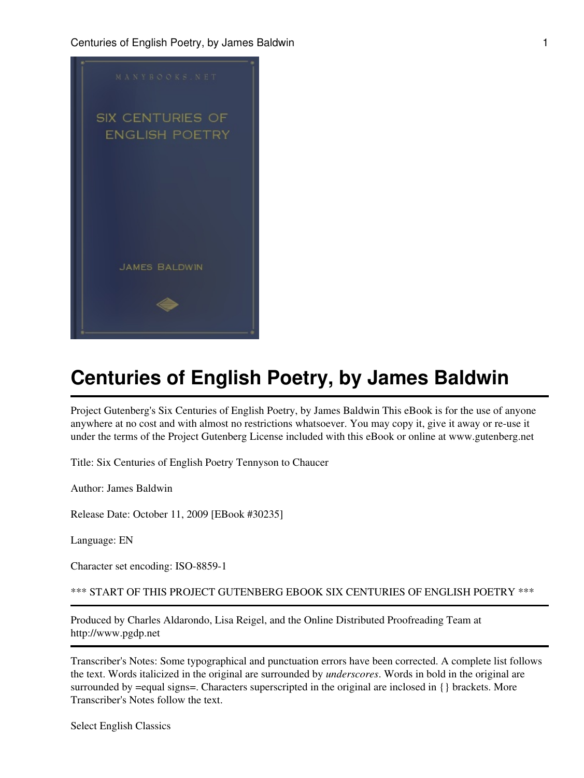

Project Gutenberg's Six Centuries of English Poetry, by James Baldwin This eBook is for the use of anyone anywhere at no cost and with almost no restrictions whatsoever. You may copy it, give it away or re-use it under the terms of the Project Gutenberg License included with this eBook or online at www.gutenberg.net

Title: Six Centuries of English Poetry Tennyson to Chaucer

Author: James Baldwin

Release Date: October 11, 2009 [EBook #30235]

Language: EN

Character set encoding: ISO-8859-1

\*\*\* START OF THIS PROJECT GUTENBERG EBOOK SIX CENTURIES OF ENGLISH POETRY \*\*\*

Produced by Charles Aldarondo, Lisa Reigel, and the Online Distributed Proofreading Team at http://www.pgdp.net

Transcriber's Notes: Some typographical and punctuation errors have been corrected. A complete list follows the text. Words italicized in the original are surrounded by *underscores*. Words in bold in the original are surrounded by =equal signs=. Characters superscripted in the original are inclosed in {} brackets. More Transcriber's Notes follow the text.

Select English Classics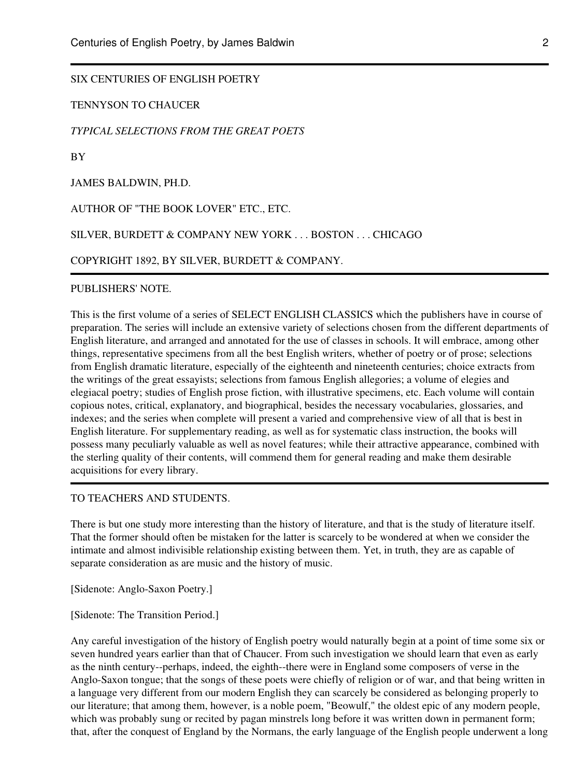## SIX CENTURIES OF ENGLISH POETRY

TENNYSON TO CHAUCER

#### *TYPICAL SELECTIONS FROM THE GREAT POETS*

BY

JAMES BALDWIN, PH.D.

AUTHOR OF "THE BOOK LOVER" ETC., ETC.

SILVER, BURDETT & COMPANY NEW YORK . . . BOSTON . . . CHICAGO

COPYRIGHT 1892, BY SILVER, BURDETT & COMPANY.

PUBLISHERS' NOTE.

This is the first volume of a series of SELECT ENGLISH CLASSICS which the publishers have in course of preparation. The series will include an extensive variety of selections chosen from the different departments of English literature, and arranged and annotated for the use of classes in schools. It will embrace, among other things, representative specimens from all the best English writers, whether of poetry or of prose; selections from English dramatic literature, especially of the eighteenth and nineteenth centuries; choice extracts from the writings of the great essayists; selections from famous English allegories; a volume of elegies and elegiacal poetry; studies of English prose fiction, with illustrative specimens, etc. Each volume will contain copious notes, critical, explanatory, and biographical, besides the necessary vocabularies, glossaries, and indexes; and the series when complete will present a varied and comprehensive view of all that is best in English literature. For supplementary reading, as well as for systematic class instruction, the books will possess many peculiarly valuable as well as novel features; while their attractive appearance, combined with the sterling quality of their contents, will commend them for general reading and make them desirable acquisitions for every library.

#### TO TEACHERS AND STUDENTS.

There is but one study more interesting than the history of literature, and that is the study of literature itself. That the former should often be mistaken for the latter is scarcely to be wondered at when we consider the intimate and almost indivisible relationship existing between them. Yet, in truth, they are as capable of separate consideration as are music and the history of music.

[Sidenote: Anglo-Saxon Poetry.]

[Sidenote: The Transition Period.]

Any careful investigation of the history of English poetry would naturally begin at a point of time some six or seven hundred years earlier than that of Chaucer. From such investigation we should learn that even as early as the ninth century--perhaps, indeed, the eighth--there were in England some composers of verse in the Anglo-Saxon tongue; that the songs of these poets were chiefly of religion or of war, and that being written in a language very different from our modern English they can scarcely be considered as belonging properly to our literature; that among them, however, is a noble poem, "Beowulf," the oldest epic of any modern people, which was probably sung or recited by pagan minstrels long before it was written down in permanent form; that, after the conquest of England by the Normans, the early language of the English people underwent a long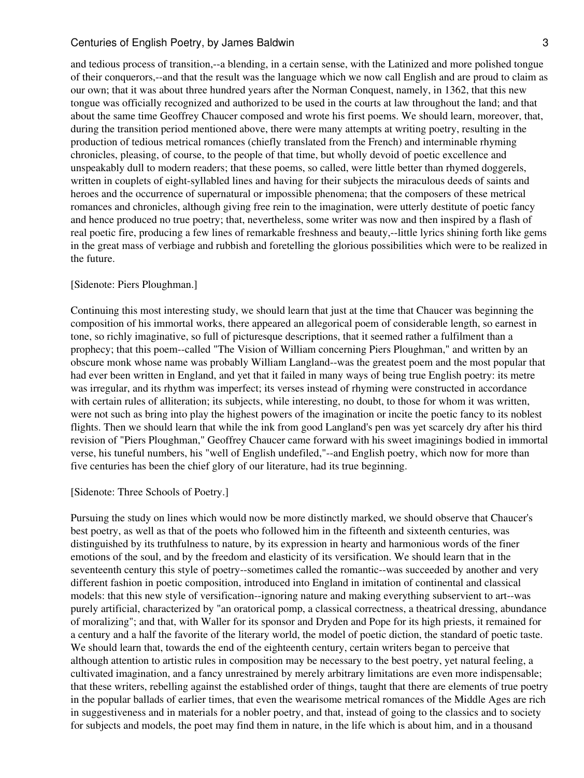and tedious process of transition,--a blending, in a certain sense, with the Latinized and more polished tongue of their conquerors,--and that the result was the language which we now call English and are proud to claim as our own; that it was about three hundred years after the Norman Conquest, namely, in 1362, that this new tongue was officially recognized and authorized to be used in the courts at law throughout the land; and that about the same time Geoffrey Chaucer composed and wrote his first poems. We should learn, moreover, that, during the transition period mentioned above, there were many attempts at writing poetry, resulting in the production of tedious metrical romances (chiefly translated from the French) and interminable rhyming chronicles, pleasing, of course, to the people of that time, but wholly devoid of poetic excellence and unspeakably dull to modern readers; that these poems, so called, were little better than rhymed doggerels, written in couplets of eight-syllabled lines and having for their subjects the miraculous deeds of saints and heroes and the occurrence of supernatural or impossible phenomena; that the composers of these metrical romances and chronicles, although giving free rein to the imagination, were utterly destitute of poetic fancy and hence produced no true poetry; that, nevertheless, some writer was now and then inspired by a flash of real poetic fire, producing a few lines of remarkable freshness and beauty,--little lyrics shining forth like gems in the great mass of verbiage and rubbish and foretelling the glorious possibilities which were to be realized in the future.

#### [Sidenote: Piers Ploughman.]

Continuing this most interesting study, we should learn that just at the time that Chaucer was beginning the composition of his immortal works, there appeared an allegorical poem of considerable length, so earnest in tone, so richly imaginative, so full of picturesque descriptions, that it seemed rather a fulfilment than a prophecy; that this poem--called "The Vision of William concerning Piers Ploughman," and written by an obscure monk whose name was probably William Langland--was the greatest poem and the most popular that had ever been written in England, and yet that it failed in many ways of being true English poetry: its metre was irregular, and its rhythm was imperfect; its verses instead of rhyming were constructed in accordance with certain rules of alliteration; its subjects, while interesting, no doubt, to those for whom it was written, were not such as bring into play the highest powers of the imagination or incite the poetic fancy to its noblest flights. Then we should learn that while the ink from good Langland's pen was yet scarcely dry after his third revision of "Piers Ploughman," Geoffrey Chaucer came forward with his sweet imaginings bodied in immortal verse, his tuneful numbers, his "well of English undefiled,"--and English poetry, which now for more than five centuries has been the chief glory of our literature, had its true beginning.

#### [Sidenote: Three Schools of Poetry.]

Pursuing the study on lines which would now be more distinctly marked, we should observe that Chaucer's best poetry, as well as that of the poets who followed him in the fifteenth and sixteenth centuries, was distinguished by its truthfulness to nature, by its expression in hearty and harmonious words of the finer emotions of the soul, and by the freedom and elasticity of its versification. We should learn that in the seventeenth century this style of poetry--sometimes called the romantic--was succeeded by another and very different fashion in poetic composition, introduced into England in imitation of continental and classical models: that this new style of versification--ignoring nature and making everything subservient to art--was purely artificial, characterized by "an oratorical pomp, a classical correctness, a theatrical dressing, abundance of moralizing"; and that, with Waller for its sponsor and Dryden and Pope for its high priests, it remained for a century and a half the favorite of the literary world, the model of poetic diction, the standard of poetic taste. We should learn that, towards the end of the eighteenth century, certain writers began to perceive that although attention to artistic rules in composition may be necessary to the best poetry, yet natural feeling, a cultivated imagination, and a fancy unrestrained by merely arbitrary limitations are even more indispensable; that these writers, rebelling against the established order of things, taught that there are elements of true poetry in the popular ballads of earlier times, that even the wearisome metrical romances of the Middle Ages are rich in suggestiveness and in materials for a nobler poetry, and that, instead of going to the classics and to society for subjects and models, the poet may find them in nature, in the life which is about him, and in a thousand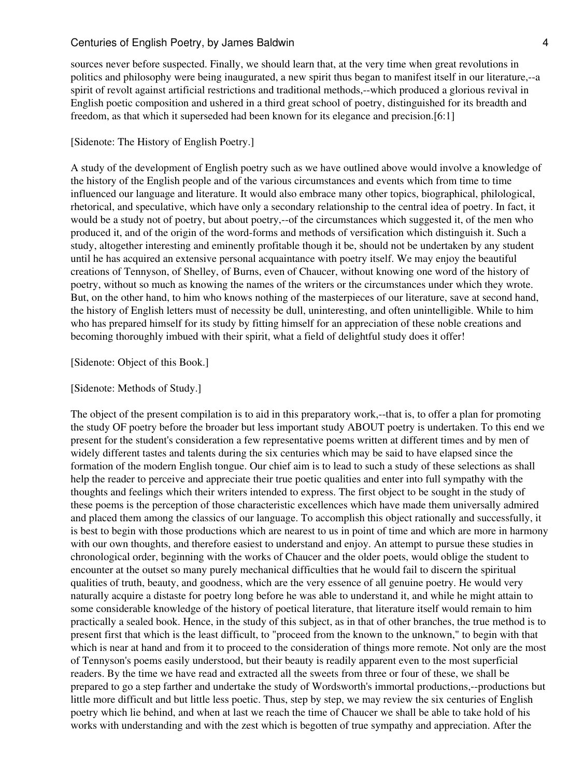sources never before suspected. Finally, we should learn that, at the very time when great revolutions in politics and philosophy were being inaugurated, a new spirit thus began to manifest itself in our literature,--a spirit of revolt against artificial restrictions and traditional methods,--which produced a glorious revival in English poetic composition and ushered in a third great school of poetry, distinguished for its breadth and freedom, as that which it superseded had been known for its elegance and precision.[6:1]

#### [Sidenote: The History of English Poetry.]

A study of the development of English poetry such as we have outlined above would involve a knowledge of the history of the English people and of the various circumstances and events which from time to time influenced our language and literature. It would also embrace many other topics, biographical, philological, rhetorical, and speculative, which have only a secondary relationship to the central idea of poetry. In fact, it would be a study not of poetry, but about poetry,--of the circumstances which suggested it, of the men who produced it, and of the origin of the word-forms and methods of versification which distinguish it. Such a study, altogether interesting and eminently profitable though it be, should not be undertaken by any student until he has acquired an extensive personal acquaintance with poetry itself. We may enjoy the beautiful creations of Tennyson, of Shelley, of Burns, even of Chaucer, without knowing one word of the history of poetry, without so much as knowing the names of the writers or the circumstances under which they wrote. But, on the other hand, to him who knows nothing of the masterpieces of our literature, save at second hand, the history of English letters must of necessity be dull, uninteresting, and often unintelligible. While to him who has prepared himself for its study by fitting himself for an appreciation of these noble creations and becoming thoroughly imbued with their spirit, what a field of delightful study does it offer!

#### [Sidenote: Object of this Book.]

#### [Sidenote: Methods of Study.]

The object of the present compilation is to aid in this preparatory work,--that is, to offer a plan for promoting the study OF poetry before the broader but less important study ABOUT poetry is undertaken. To this end we present for the student's consideration a few representative poems written at different times and by men of widely different tastes and talents during the six centuries which may be said to have elapsed since the formation of the modern English tongue. Our chief aim is to lead to such a study of these selections as shall help the reader to perceive and appreciate their true poetic qualities and enter into full sympathy with the thoughts and feelings which their writers intended to express. The first object to be sought in the study of these poems is the perception of those characteristic excellences which have made them universally admired and placed them among the classics of our language. To accomplish this object rationally and successfully, it is best to begin with those productions which are nearest to us in point of time and which are more in harmony with our own thoughts, and therefore easiest to understand and enjoy. An attempt to pursue these studies in chronological order, beginning with the works of Chaucer and the older poets, would oblige the student to encounter at the outset so many purely mechanical difficulties that he would fail to discern the spiritual qualities of truth, beauty, and goodness, which are the very essence of all genuine poetry. He would very naturally acquire a distaste for poetry long before he was able to understand it, and while he might attain to some considerable knowledge of the history of poetical literature, that literature itself would remain to him practically a sealed book. Hence, in the study of this subject, as in that of other branches, the true method is to present first that which is the least difficult, to "proceed from the known to the unknown," to begin with that which is near at hand and from it to proceed to the consideration of things more remote. Not only are the most of Tennyson's poems easily understood, but their beauty is readily apparent even to the most superficial readers. By the time we have read and extracted all the sweets from three or four of these, we shall be prepared to go a step farther and undertake the study of Wordsworth's immortal productions,--productions but little more difficult and but little less poetic. Thus, step by step, we may review the six centuries of English poetry which lie behind, and when at last we reach the time of Chaucer we shall be able to take hold of his works with understanding and with the zest which is begotten of true sympathy and appreciation. After the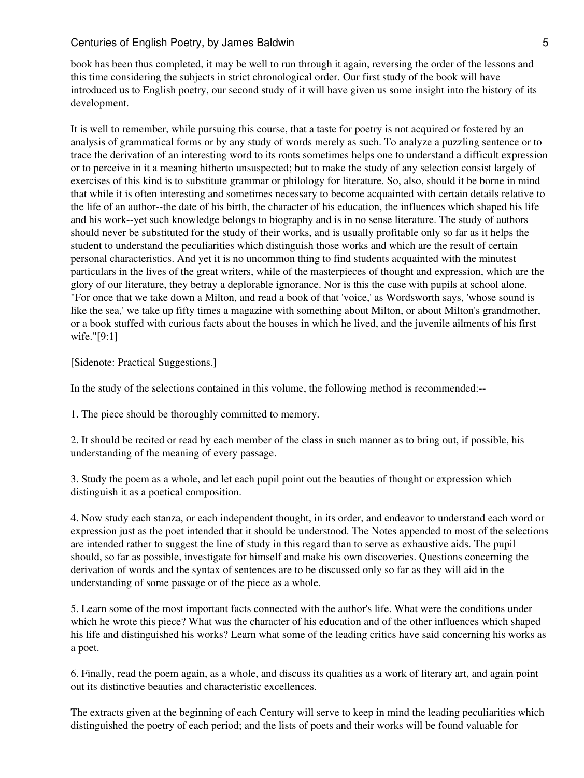book has been thus completed, it may be well to run through it again, reversing the order of the lessons and this time considering the subjects in strict chronological order. Our first study of the book will have introduced us to English poetry, our second study of it will have given us some insight into the history of its development.

It is well to remember, while pursuing this course, that a taste for poetry is not acquired or fostered by an analysis of grammatical forms or by any study of words merely as such. To analyze a puzzling sentence or to trace the derivation of an interesting word to its roots sometimes helps one to understand a difficult expression or to perceive in it a meaning hitherto unsuspected; but to make the study of any selection consist largely of exercises of this kind is to substitute grammar or philology for literature. So, also, should it be borne in mind that while it is often interesting and sometimes necessary to become acquainted with certain details relative to the life of an author--the date of his birth, the character of his education, the influences which shaped his life and his work--yet such knowledge belongs to biography and is in no sense literature. The study of authors should never be substituted for the study of their works, and is usually profitable only so far as it helps the student to understand the peculiarities which distinguish those works and which are the result of certain personal characteristics. And yet it is no uncommon thing to find students acquainted with the minutest particulars in the lives of the great writers, while of the masterpieces of thought and expression, which are the glory of our literature, they betray a deplorable ignorance. Nor is this the case with pupils at school alone. "For once that we take down a Milton, and read a book of that 'voice,' as Wordsworth says, 'whose sound is like the sea,' we take up fifty times a magazine with something about Milton, or about Milton's grandmother, or a book stuffed with curious facts about the houses in which he lived, and the juvenile ailments of his first wife."[9:1]

[Sidenote: Practical Suggestions.]

In the study of the selections contained in this volume, the following method is recommended:--

1. The piece should be thoroughly committed to memory.

2. It should be recited or read by each member of the class in such manner as to bring out, if possible, his understanding of the meaning of every passage.

3. Study the poem as a whole, and let each pupil point out the beauties of thought or expression which distinguish it as a poetical composition.

4. Now study each stanza, or each independent thought, in its order, and endeavor to understand each word or expression just as the poet intended that it should be understood. The Notes appended to most of the selections are intended rather to suggest the line of study in this regard than to serve as exhaustive aids. The pupil should, so far as possible, investigate for himself and make his own discoveries. Questions concerning the derivation of words and the syntax of sentences are to be discussed only so far as they will aid in the understanding of some passage or of the piece as a whole.

5. Learn some of the most important facts connected with the author's life. What were the conditions under which he wrote this piece? What was the character of his education and of the other influences which shaped his life and distinguished his works? Learn what some of the leading critics have said concerning his works as a poet.

6. Finally, read the poem again, as a whole, and discuss its qualities as a work of literary art, and again point out its distinctive beauties and characteristic excellences.

The extracts given at the beginning of each Century will serve to keep in mind the leading peculiarities which distinguished the poetry of each period; and the lists of poets and their works will be found valuable for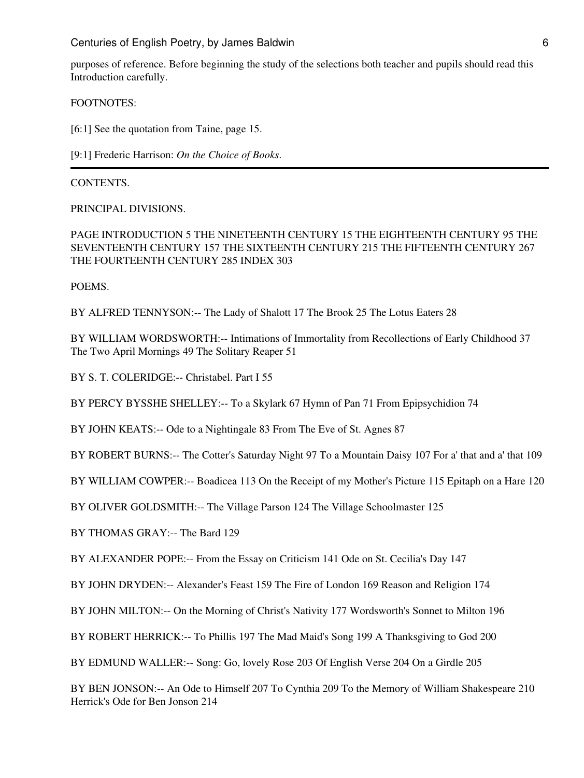Centuries of English Poetry, by James Baldwin 6 (6) Centuries of English Poetry, by James Baldwin 6

purposes of reference. Before beginning the study of the selections both teacher and pupils should read this Introduction carefully.

FOOTNOTES:

[6:1] See the quotation from Taine, page 15.

[9:1] Frederic Harrison: *On the Choice of Books*.

CONTENTS.

PRINCIPAL DIVISIONS.

PAGE INTRODUCTION 5 THE NINETEENTH CENTURY 15 THE EIGHTEENTH CENTURY 95 THE SEVENTEENTH CENTURY 157 THE SIXTEENTH CENTURY 215 THE FIFTEENTH CENTURY 267 THE FOURTEENTH CENTURY 285 INDEX 303

POEMS.

BY ALFRED TENNYSON:-- The Lady of Shalott 17 The Brook 25 The Lotus Eaters 28

BY WILLIAM WORDSWORTH:-- Intimations of Immortality from Recollections of Early Childhood 37 The Two April Mornings 49 The Solitary Reaper 51

BY S. T. COLERIDGE:-- Christabel. Part I 55

BY PERCY BYSSHE SHELLEY:-- To a Skylark 67 Hymn of Pan 71 From Epipsychidion 74

BY JOHN KEATS:-- Ode to a Nightingale 83 From The Eve of St. Agnes 87

BY ROBERT BURNS:-- The Cotter's Saturday Night 97 To a Mountain Daisy 107 For a' that and a' that 109

BY WILLIAM COWPER:-- Boadicea 113 On the Receipt of my Mother's Picture 115 Epitaph on a Hare 120

BY OLIVER GOLDSMITH:-- The Village Parson 124 The Village Schoolmaster 125

BY THOMAS GRAY:-- The Bard 129

BY ALEXANDER POPE:-- From the Essay on Criticism 141 Ode on St. Cecilia's Day 147

BY JOHN DRYDEN:-- Alexander's Feast 159 The Fire of London 169 Reason and Religion 174

BY JOHN MILTON:-- On the Morning of Christ's Nativity 177 Wordsworth's Sonnet to Milton 196

BY ROBERT HERRICK:-- To Phillis 197 The Mad Maid's Song 199 A Thanksgiving to God 200

BY EDMUND WALLER:-- Song: Go, lovely Rose 203 Of English Verse 204 On a Girdle 205

BY BEN JONSON:-- An Ode to Himself 207 To Cynthia 209 To the Memory of William Shakespeare 210 Herrick's Ode for Ben Jonson 214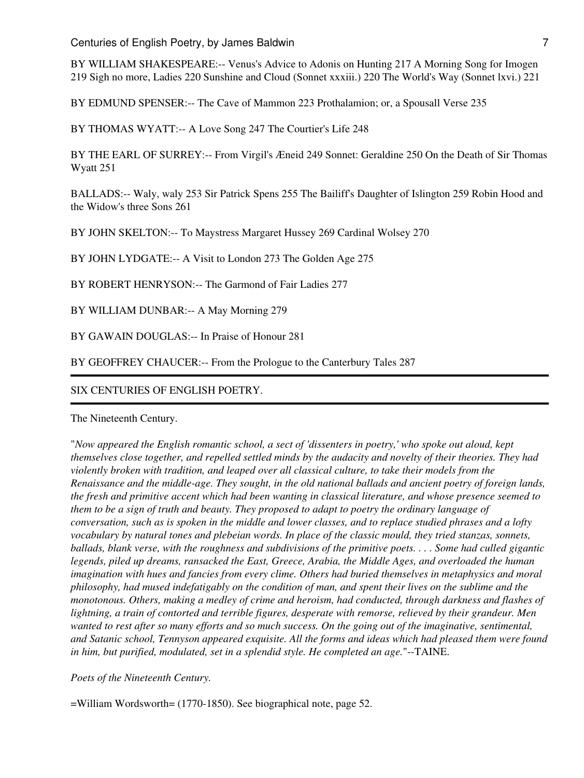BY WILLIAM SHAKESPEARE:-- Venus's Advice to Adonis on Hunting 217 A Morning Song for Imogen 219 Sigh no more, Ladies 220 Sunshine and Cloud (Sonnet xxxiii.) 220 The World's Way (Sonnet lxvi.) 221

BY EDMUND SPENSER:-- The Cave of Mammon 223 Prothalamion; or, a Spousall Verse 235

BY THOMAS WYATT:-- A Love Song 247 The Courtier's Life 248

BY THE EARL OF SURREY:-- From Virgil's Æneid 249 Sonnet: Geraldine 250 On the Death of Sir Thomas Wyatt 251

BALLADS:-- Waly, waly 253 Sir Patrick Spens 255 The Bailiff's Daughter of Islington 259 Robin Hood and the Widow's three Sons 261

BY JOHN SKELTON:-- To Maystress Margaret Hussey 269 Cardinal Wolsey 270

BY JOHN LYDGATE:-- A Visit to London 273 The Golden Age 275

BY ROBERT HENRYSON:-- The Garmond of Fair Ladies 277

BY WILLIAM DUNBAR:-- A May Morning 279

BY GAWAIN DOUGLAS:-- In Praise of Honour 281

BY GEOFFREY CHAUCER:-- From the Prologue to the Canterbury Tales 287

#### SIX CENTURIES OF ENGLISH POETRY.

The Nineteenth Century.

"*Now appeared the English romantic school, a sect of 'dissenters in poetry,' who spoke out aloud, kept themselves close together, and repelled settled minds by the audacity and novelty of their theories. They had violently broken with tradition, and leaped over all classical culture, to take their models from the Renaissance and the middle-age. They sought, in the old national ballads and ancient poetry of foreign lands, the fresh and primitive accent which had been wanting in classical literature, and whose presence seemed to them to be a sign of truth and beauty. They proposed to adapt to poetry the ordinary language of conversation, such as is spoken in the middle and lower classes, and to replace studied phrases and a lofty vocabulary by natural tones and plebeian words. In place of the classic mould, they tried stanzas, sonnets, ballads, blank verse, with the roughness and subdivisions of the primitive poets. . . . Some had culled gigantic legends, piled up dreams, ransacked the East, Greece, Arabia, the Middle Ages, and overloaded the human imagination with hues and fancies from every clime. Others had buried themselves in metaphysics and moral philosophy, had mused indefatigably on the condition of man, and spent their lives on the sublime and the monotonous. Others, making a medley of crime and heroism, had conducted, through darkness and flashes of lightning, a train of contorted and terrible figures, desperate with remorse, relieved by their grandeur. Men wanted to rest after so many efforts and so much success. On the going out of the imaginative, sentimental, and Satanic school, Tennyson appeared exquisite. All the forms and ideas which had pleased them were found in him, but purified, modulated, set in a splendid style. He completed an age.*"--TAINE.

*Poets of the Nineteenth Century.*

=William Wordsworth= (1770-1850). See biographical note, page 52.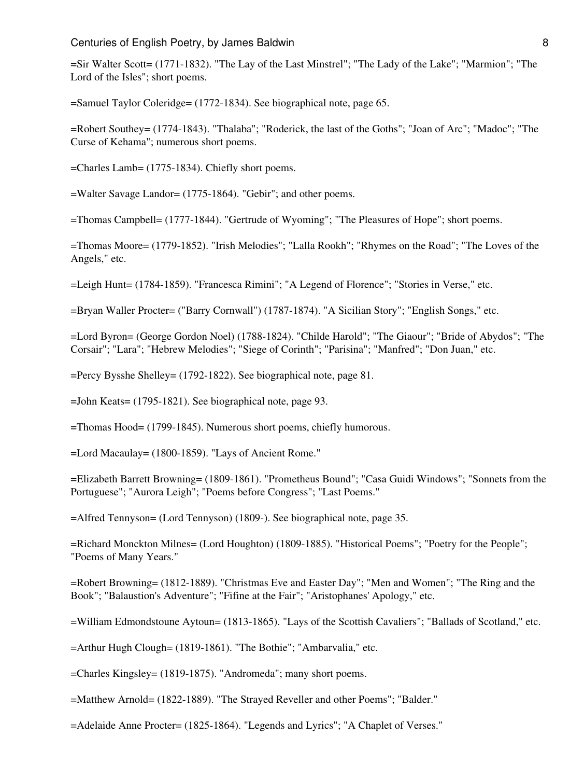#### Centuries of English Poetry, by James Baldwin 8 (2008) 2014 12:38

=Sir Walter Scott= (1771-1832). "The Lay of the Last Minstrel"; "The Lady of the Lake"; "Marmion"; "The Lord of the Isles"; short poems.

=Samuel Taylor Coleridge= (1772-1834). See biographical note, page 65.

=Robert Southey= (1774-1843). "Thalaba"; "Roderick, the last of the Goths"; "Joan of Arc"; "Madoc"; "The Curse of Kehama"; numerous short poems.

=Charles Lamb= (1775-1834). Chiefly short poems.

=Walter Savage Landor= (1775-1864). "Gebir"; and other poems.

=Thomas Campbell= (1777-1844). "Gertrude of Wyoming"; "The Pleasures of Hope"; short poems.

=Thomas Moore= (1779-1852). "Irish Melodies"; "Lalla Rookh"; "Rhymes on the Road"; "The Loves of the Angels," etc.

=Leigh Hunt= (1784-1859). "Francesca Rimini"; "A Legend of Florence"; "Stories in Verse," etc.

=Bryan Waller Procter= ("Barry Cornwall") (1787-1874). "A Sicilian Story"; "English Songs," etc.

=Lord Byron= (George Gordon Noel) (1788-1824). "Childe Harold"; "The Giaour"; "Bride of Abydos"; "The Corsair"; "Lara"; "Hebrew Melodies"; "Siege of Corinth"; "Parisina"; "Manfred"; "Don Juan," etc.

=Percy Bysshe Shelley= (1792-1822). See biographical note, page 81.

=John Keats= (1795-1821). See biographical note, page 93.

=Thomas Hood= (1799-1845). Numerous short poems, chiefly humorous.

=Lord Macaulay= (1800-1859). "Lays of Ancient Rome."

=Elizabeth Barrett Browning= (1809-1861). "Prometheus Bound"; "Casa Guidi Windows"; "Sonnets from the Portuguese"; "Aurora Leigh"; "Poems before Congress"; "Last Poems."

=Alfred Tennyson= (Lord Tennyson) (1809-). See biographical note, page 35.

=Richard Monckton Milnes= (Lord Houghton) (1809-1885). "Historical Poems"; "Poetry for the People"; "Poems of Many Years."

=Robert Browning= (1812-1889). "Christmas Eve and Easter Day"; "Men and Women"; "The Ring and the Book"; "Balaustion's Adventure"; "Fifine at the Fair"; "Aristophanes' Apology," etc.

=William Edmondstoune Aytoun= (1813-1865). "Lays of the Scottish Cavaliers"; "Ballads of Scotland," etc.

=Arthur Hugh Clough= (1819-1861). "The Bothie"; "Ambarvalia," etc.

=Charles Kingsley= (1819-1875). "Andromeda"; many short poems.

=Matthew Arnold= (1822-1889). "The Strayed Reveller and other Poems"; "Balder."

=Adelaide Anne Procter= (1825-1864). "Legends and Lyrics"; "A Chaplet of Verses."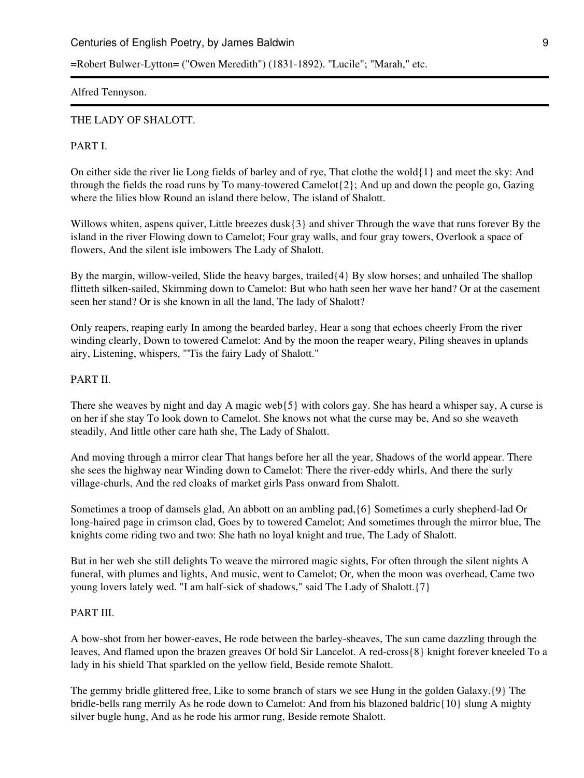## Centuries of English Poetry, by James Baldwin 9 and 19 and 19 and 19 and 19 and 19 and 19 and 19 and 19 and 19 and 19 and 19 and 19 and 19 and 19 and 19 and 19 and 19 and 19 and 19 and 19 and 19 and 19 and 19 and 19 and 19

=Robert Bulwer-Lytton= ("Owen Meredith") (1831-1892). "Lucile"; "Marah," etc.

Alfred Tennyson.

#### THE LADY OF SHALOTT.

## PART I.

On either side the river lie Long fields of barley and of rye, That clothe the wold $\{1\}$  and meet the sky: And through the fields the road runs by To many-towered Camelot{2}; And up and down the people go, Gazing where the lilies blow Round an island there below, The island of Shalott.

Willows whiten, aspens quiver, Little breezes dusk $\{3\}$  and shiver Through the wave that runs forever By the island in the river Flowing down to Camelot; Four gray walls, and four gray towers, Overlook a space of flowers, And the silent isle imbowers The Lady of Shalott.

By the margin, willow-veiled, Slide the heavy barges, trailed{4} By slow horses; and unhailed The shallop flitteth silken-sailed, Skimming down to Camelot: But who hath seen her wave her hand? Or at the casement seen her stand? Or is she known in all the land, The lady of Shalott?

Only reapers, reaping early In among the bearded barley, Hear a song that echoes cheerly From the river winding clearly, Down to towered Camelot: And by the moon the reaper weary, Piling sheaves in uplands airy, Listening, whispers, "'Tis the fairy Lady of Shalott."

## PART II.

There she weaves by night and day A magic web{5} with colors gay. She has heard a whisper say, A curse is on her if she stay To look down to Camelot. She knows not what the curse may be, And so she weaveth steadily, And little other care hath she, The Lady of Shalott.

And moving through a mirror clear That hangs before her all the year, Shadows of the world appear. There she sees the highway near Winding down to Camelot: There the river-eddy whirls, And there the surly village-churls, And the red cloaks of market girls Pass onward from Shalott.

Sometimes a troop of damsels glad, An abbott on an ambling pad,{6} Sometimes a curly shepherd-lad Or long-haired page in crimson clad, Goes by to towered Camelot; And sometimes through the mirror blue, The knights come riding two and two: She hath no loyal knight and true, The Lady of Shalott.

But in her web she still delights To weave the mirrored magic sights, For often through the silent nights A funeral, with plumes and lights, And music, went to Camelot; Or, when the moon was overhead, Came two young lovers lately wed. "I am half-sick of shadows," said The Lady of Shalott.{7}

## PART III.

A bow-shot from her bower-eaves, He rode between the barley-sheaves, The sun came dazzling through the leaves, And flamed upon the brazen greaves Of bold Sir Lancelot. A red-cross{8} knight forever kneeled To a lady in his shield That sparkled on the yellow field, Beside remote Shalott.

The gemmy bridle glittered free, Like to some branch of stars we see Hung in the golden Galaxy.{9} The bridle-bells rang merrily As he rode down to Camelot: And from his blazoned baldric{10} slung A mighty silver bugle hung, And as he rode his armor rung, Beside remote Shalott.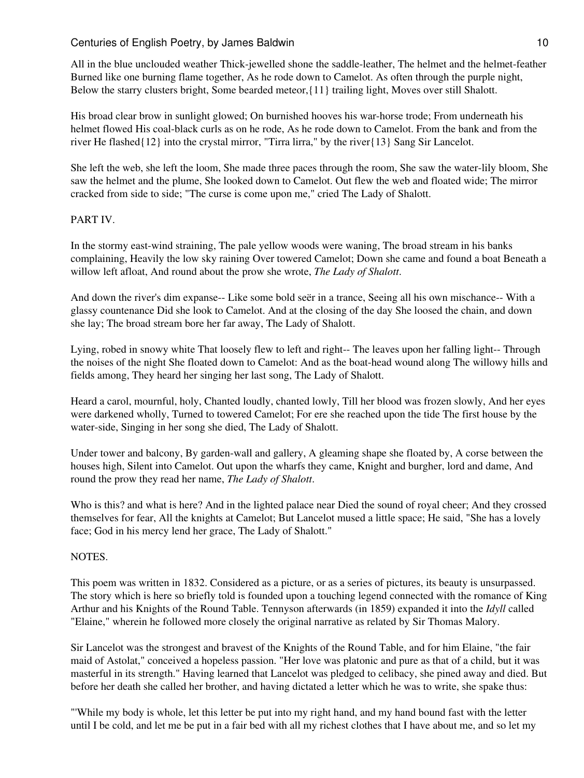# Centuries of English Poetry, by James Baldwin 10 and 10 and 10 and 10 and 10 and 10 and 10 and 10 and 10 and 10

All in the blue unclouded weather Thick-jewelled shone the saddle-leather, The helmet and the helmet-feather Burned like one burning flame together, As he rode down to Camelot. As often through the purple night, Below the starry clusters bright, Some bearded meteor,{11} trailing light, Moves over still Shalott.

His broad clear brow in sunlight glowed; On burnished hooves his war-horse trode; From underneath his helmet flowed His coal-black curls as on he rode, As he rode down to Camelot. From the bank and from the river He flashed{12} into the crystal mirror, "Tirra lirra," by the river{13} Sang Sir Lancelot.

She left the web, she left the loom, She made three paces through the room, She saw the water-lily bloom, She saw the helmet and the plume, She looked down to Camelot. Out flew the web and floated wide; The mirror cracked from side to side; "The curse is come upon me," cried The Lady of Shalott.

## PART IV.

In the stormy east-wind straining, The pale yellow woods were waning, The broad stream in his banks complaining, Heavily the low sky raining Over towered Camelot; Down she came and found a boat Beneath a willow left afloat, And round about the prow she wrote, *The Lady of Shalott*.

And down the river's dim expanse-- Like some bold seër in a trance, Seeing all his own mischance-- With a glassy countenance Did she look to Camelot. And at the closing of the day She loosed the chain, and down she lay; The broad stream bore her far away, The Lady of Shalott.

Lying, robed in snowy white That loosely flew to left and right-- The leaves upon her falling light-- Through the noises of the night She floated down to Camelot: And as the boat-head wound along The willowy hills and fields among, They heard her singing her last song, The Lady of Shalott.

Heard a carol, mournful, holy, Chanted loudly, chanted lowly, Till her blood was frozen slowly, And her eyes were darkened wholly, Turned to towered Camelot; For ere she reached upon the tide The first house by the water-side, Singing in her song she died, The Lady of Shalott.

Under tower and balcony, By garden-wall and gallery, A gleaming shape she floated by, A corse between the houses high, Silent into Camelot. Out upon the wharfs they came, Knight and burgher, lord and dame, And round the prow they read her name, *The Lady of Shalott*.

Who is this? and what is here? And in the lighted palace near Died the sound of royal cheer; And they crossed themselves for fear, All the knights at Camelot; But Lancelot mused a little space; He said, "She has a lovely face; God in his mercy lend her grace, The Lady of Shalott."

## NOTES.

This poem was written in 1832. Considered as a picture, or as a series of pictures, its beauty is unsurpassed. The story which is here so briefly told is founded upon a touching legend connected with the romance of King Arthur and his Knights of the Round Table. Tennyson afterwards (in 1859) expanded it into the *Idyll* called "Elaine," wherein he followed more closely the original narrative as related by Sir Thomas Malory.

Sir Lancelot was the strongest and bravest of the Knights of the Round Table, and for him Elaine, "the fair maid of Astolat," conceived a hopeless passion. "Her love was platonic and pure as that of a child, but it was masterful in its strength." Having learned that Lancelot was pledged to celibacy, she pined away and died. But before her death she called her brother, and having dictated a letter which he was to write, she spake thus:

"'While my body is whole, let this letter be put into my right hand, and my hand bound fast with the letter until I be cold, and let me be put in a fair bed with all my richest clothes that I have about me, and so let my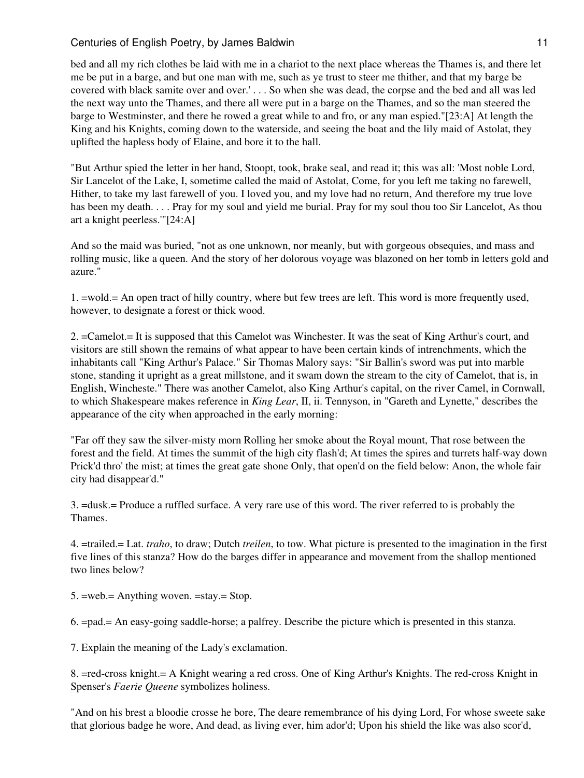# Centuries of English Poetry, by James Baldwin 11 and 11 and 11 and 11 and 11 and 11 and 11 and 11 and 11 and 11

bed and all my rich clothes be laid with me in a chariot to the next place whereas the Thames is, and there let me be put in a barge, and but one man with me, such as ye trust to steer me thither, and that my barge be covered with black samite over and over.' . . . So when she was dead, the corpse and the bed and all was led the next way unto the Thames, and there all were put in a barge on the Thames, and so the man steered the barge to Westminster, and there he rowed a great while to and fro, or any man espied."[23:A] At length the King and his Knights, coming down to the waterside, and seeing the boat and the lily maid of Astolat, they uplifted the hapless body of Elaine, and bore it to the hall.

"But Arthur spied the letter in her hand, Stoopt, took, brake seal, and read it; this was all: 'Most noble Lord, Sir Lancelot of the Lake, I, sometime called the maid of Astolat, Come, for you left me taking no farewell, Hither, to take my last farewell of you. I loved you, and my love had no return, And therefore my true love has been my death. . . . Pray for my soul and yield me burial. Pray for my soul thou too Sir Lancelot, As thou art a knight peerless.'"[24:A]

And so the maid was buried, "not as one unknown, nor meanly, but with gorgeous obsequies, and mass and rolling music, like a queen. And the story of her dolorous voyage was blazoned on her tomb in letters gold and azure."

1. =wold.= An open tract of hilly country, where but few trees are left. This word is more frequently used, however, to designate a forest or thick wood.

2. =Camelot.= It is supposed that this Camelot was Winchester. It was the seat of King Arthur's court, and visitors are still shown the remains of what appear to have been certain kinds of intrenchments, which the inhabitants call "King Arthur's Palace." Sir Thomas Malory says: "Sir Ballin's sword was put into marble stone, standing it upright as a great millstone, and it swam down the stream to the city of Camelot, that is, in English, Wincheste." There was another Camelot, also King Arthur's capital, on the river Camel, in Cornwall, to which Shakespeare makes reference in *King Lear*, II, ii. Tennyson, in "Gareth and Lynette," describes the appearance of the city when approached in the early morning:

"Far off they saw the silver-misty morn Rolling her smoke about the Royal mount, That rose between the forest and the field. At times the summit of the high city flash'd; At times the spires and turrets half-way down Prick'd thro' the mist; at times the great gate shone Only, that open'd on the field below: Anon, the whole fair city had disappear'd."

3. =dusk.= Produce a ruffled surface. A very rare use of this word. The river referred to is probably the Thames.

4. =trailed.= Lat. *traho*, to draw; Dutch *treilen*, to tow. What picture is presented to the imagination in the first five lines of this stanza? How do the barges differ in appearance and movement from the shallop mentioned two lines below?

5. =web.= Anything woven. =stay.= Stop.

6. =pad.= An easy-going saddle-horse; a palfrey. Describe the picture which is presented in this stanza.

7. Explain the meaning of the Lady's exclamation.

8. =red-cross knight.= A Knight wearing a red cross. One of King Arthur's Knights. The red-cross Knight in Spenser's *Faerie Queene* symbolizes holiness.

"And on his brest a bloodie crosse he bore, The deare remembrance of his dying Lord, For whose sweete sake that glorious badge he wore, And dead, as living ever, him ador'd; Upon his shield the like was also scor'd,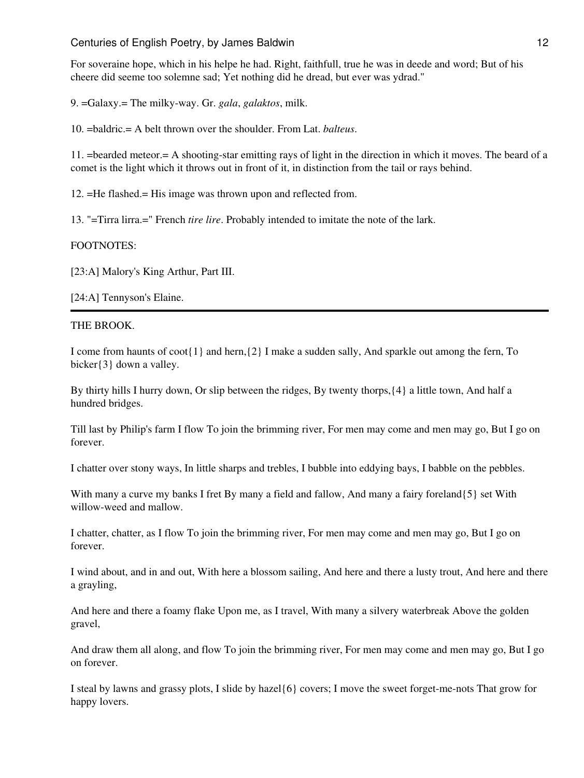For soveraine hope, which in his helpe he had. Right, faithfull, true he was in deede and word; But of his cheere did seeme too solemne sad; Yet nothing did he dread, but ever was ydrad."

9. =Galaxy.= The milky-way. Gr. *gala*, *galaktos*, milk.

10. =baldric.= A belt thrown over the shoulder. From Lat. *balteus*.

11. =bearded meteor.= A shooting-star emitting rays of light in the direction in which it moves. The beard of a comet is the light which it throws out in front of it, in distinction from the tail or rays behind.

12. =He flashed.= His image was thrown upon and reflected from.

13. "=Tirra lirra.=" French *tire lire*. Probably intended to imitate the note of the lark.

## FOOTNOTES:

[23:A] Malory's King Arthur, Part III.

[24:A] Tennyson's Elaine.

#### THE BROOK.

I come from haunts of coot{1} and hern,{2} I make a sudden sally, And sparkle out among the fern, To bicker{3} down a valley.

By thirty hills I hurry down, Or slip between the ridges, By twenty thorps,{4} a little town, And half a hundred bridges.

Till last by Philip's farm I flow To join the brimming river, For men may come and men may go, But I go on forever.

I chatter over stony ways, In little sharps and trebles, I bubble into eddying bays, I babble on the pebbles.

With many a curve my banks I fret By many a field and fallow, And many a fairy foreland{5} set With willow-weed and mallow.

I chatter, chatter, as I flow To join the brimming river, For men may come and men may go, But I go on forever.

I wind about, and in and out, With here a blossom sailing, And here and there a lusty trout, And here and there a grayling,

And here and there a foamy flake Upon me, as I travel, With many a silvery waterbreak Above the golden gravel,

And draw them all along, and flow To join the brimming river, For men may come and men may go, But I go on forever.

I steal by lawns and grassy plots, I slide by hazel{6} covers; I move the sweet forget-me-nots That grow for happy lovers.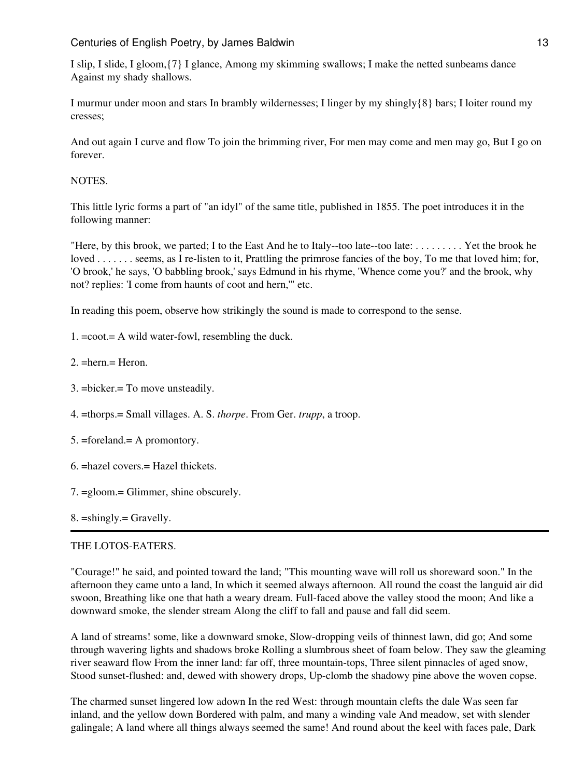I slip, I slide, I gloom,{7} I glance, Among my skimming swallows; I make the netted sunbeams dance Against my shady shallows.

I murmur under moon and stars In brambly wildernesses; I linger by my shingly{8} bars; I loiter round my cresses;

And out again I curve and flow To join the brimming river, For men may come and men may go, But I go on forever.

## **NOTES**

This little lyric forms a part of "an idyl" of the same title, published in 1855. The poet introduces it in the following manner:

"Here, by this brook, we parted; I to the East And he to Italy--too late--too late: . . . . . . . . . Yet the brook he loved . . . . . . . seems, as I re-listen to it, Prattling the primrose fancies of the boy, To me that loved him; for, 'O brook,' he says, 'O babbling brook,' says Edmund in his rhyme, 'Whence come you?' and the brook, why not? replies: 'I come from haunts of coot and hern,'" etc.

In reading this poem, observe how strikingly the sound is made to correspond to the sense.

- 1. =coot.= A wild water-fowl, resembling the duck.
- 2. =hern.= Heron.
- 3. =bicker.= To move unsteadily.
- 4. =thorps.= Small villages. A. S. *thorpe*. From Ger. *trupp*, a troop.
- 5. =foreland.= A promontory.
- 6. =hazel covers.= Hazel thickets.
- 7. =gloom.= Glimmer, shine obscurely.
- 8. =shingly.= Gravelly.

# THE LOTOS-EATERS.

"Courage!" he said, and pointed toward the land; "This mounting wave will roll us shoreward soon." In the afternoon they came unto a land, In which it seemed always afternoon. All round the coast the languid air did swoon, Breathing like one that hath a weary dream. Full-faced above the valley stood the moon; And like a downward smoke, the slender stream Along the cliff to fall and pause and fall did seem.

A land of streams! some, like a downward smoke, Slow-dropping veils of thinnest lawn, did go; And some through wavering lights and shadows broke Rolling a slumbrous sheet of foam below. They saw the gleaming river seaward flow From the inner land: far off, three mountain-tops, Three silent pinnacles of aged snow, Stood sunset-flushed: and, dewed with showery drops, Up-clomb the shadowy pine above the woven copse.

The charmed sunset lingered low adown In the red West: through mountain clefts the dale Was seen far inland, and the yellow down Bordered with palm, and many a winding vale And meadow, set with slender galingale; A land where all things always seemed the same! And round about the keel with faces pale, Dark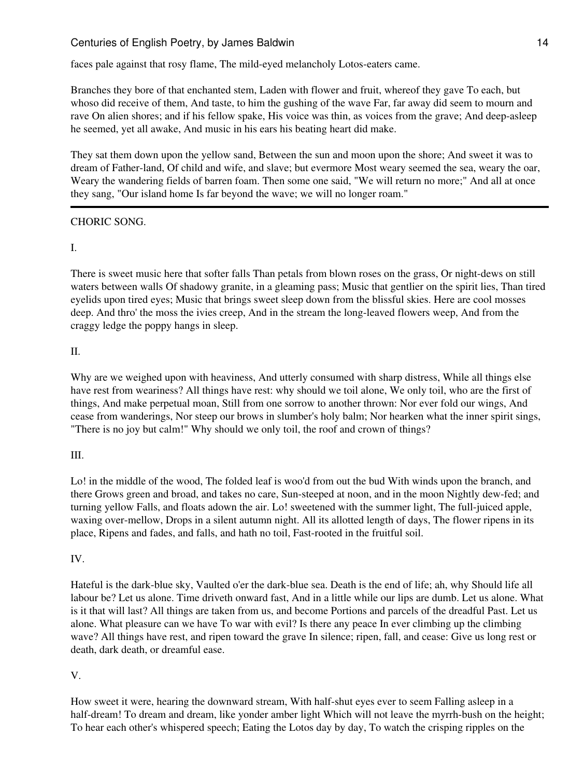faces pale against that rosy flame, The mild-eyed melancholy Lotos-eaters came.

Branches they bore of that enchanted stem, Laden with flower and fruit, whereof they gave To each, but whoso did receive of them, And taste, to him the gushing of the wave Far, far away did seem to mourn and rave On alien shores; and if his fellow spake, His voice was thin, as voices from the grave; And deep-asleep he seemed, yet all awake, And music in his ears his beating heart did make.

They sat them down upon the yellow sand, Between the sun and moon upon the shore; And sweet it was to dream of Father-land, Of child and wife, and slave; but evermore Most weary seemed the sea, weary the oar, Weary the wandering fields of barren foam. Then some one said, "We will return no more;" And all at once they sang, "Our island home Is far beyond the wave; we will no longer roam."

# CHORIC SONG.

## I.

There is sweet music here that softer falls Than petals from blown roses on the grass, Or night-dews on still waters between walls Of shadowy granite, in a gleaming pass; Music that gentlier on the spirit lies, Than tired eyelids upon tired eyes; Music that brings sweet sleep down from the blissful skies. Here are cool mosses deep. And thro' the moss the ivies creep, And in the stream the long-leaved flowers weep, And from the craggy ledge the poppy hangs in sleep.

## II.

Why are we weighed upon with heaviness, And utterly consumed with sharp distress, While all things else have rest from weariness? All things have rest: why should we toil alone, We only toil, who are the first of things, And make perpetual moan, Still from one sorrow to another thrown: Nor ever fold our wings, And cease from wanderings, Nor steep our brows in slumber's holy balm; Nor hearken what the inner spirit sings, "There is no joy but calm!" Why should we only toil, the roof and crown of things?

## III.

Lo! in the middle of the wood, The folded leaf is woo'd from out the bud With winds upon the branch, and there Grows green and broad, and takes no care, Sun-steeped at noon, and in the moon Nightly dew-fed; and turning yellow Falls, and floats adown the air. Lo! sweetened with the summer light, The full-juiced apple, waxing over-mellow, Drops in a silent autumn night. All its allotted length of days, The flower ripens in its place, Ripens and fades, and falls, and hath no toil, Fast-rooted in the fruitful soil.

## IV.

Hateful is the dark-blue sky, Vaulted o'er the dark-blue sea. Death is the end of life; ah, why Should life all labour be? Let us alone. Time driveth onward fast, And in a little while our lips are dumb. Let us alone. What is it that will last? All things are taken from us, and become Portions and parcels of the dreadful Past. Let us alone. What pleasure can we have To war with evil? Is there any peace In ever climbing up the climbing wave? All things have rest, and ripen toward the grave In silence; ripen, fall, and cease: Give us long rest or death, dark death, or dreamful ease.

# V.

How sweet it were, hearing the downward stream, With half-shut eyes ever to seem Falling asleep in a half-dream! To dream and dream, like yonder amber light Which will not leave the myrrh-bush on the height; To hear each other's whispered speech; Eating the Lotos day by day, To watch the crisping ripples on the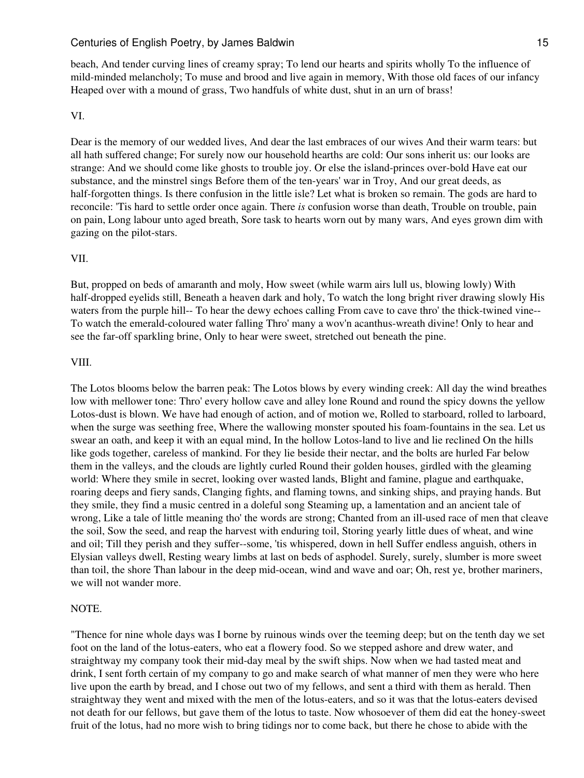beach, And tender curving lines of creamy spray; To lend our hearts and spirits wholly To the influence of mild-minded melancholy; To muse and brood and live again in memory, With those old faces of our infancy Heaped over with a mound of grass, Two handfuls of white dust, shut in an urn of brass!

#### VI.

Dear is the memory of our wedded lives, And dear the last embraces of our wives And their warm tears: but all hath suffered change; For surely now our household hearths are cold: Our sons inherit us: our looks are strange: And we should come like ghosts to trouble joy. Or else the island-princes over-bold Have eat our substance, and the minstrel sings Before them of the ten-years' war in Troy, And our great deeds, as half-forgotten things. Is there confusion in the little isle? Let what is broken so remain. The gods are hard to reconcile: 'Tis hard to settle order once again. There *is* confusion worse than death, Trouble on trouble, pain on pain, Long labour unto aged breath, Sore task to hearts worn out by many wars, And eyes grown dim with gazing on the pilot-stars.

#### VII.

But, propped on beds of amaranth and moly, How sweet (while warm airs lull us, blowing lowly) With half-dropped eyelids still, Beneath a heaven dark and holy, To watch the long bright river drawing slowly His waters from the purple hill-- To hear the dewy echoes calling From cave to cave thro' the thick-twined vine-- To watch the emerald-coloured water falling Thro' many a wov'n acanthus-wreath divine! Only to hear and see the far-off sparkling brine, Only to hear were sweet, stretched out beneath the pine.

## VIII.

The Lotos blooms below the barren peak: The Lotos blows by every winding creek: All day the wind breathes low with mellower tone: Thro' every hollow cave and alley lone Round and round the spicy downs the yellow Lotos-dust is blown. We have had enough of action, and of motion we, Rolled to starboard, rolled to larboard, when the surge was seething free, Where the wallowing monster spouted his foam-fountains in the sea. Let us swear an oath, and keep it with an equal mind, In the hollow Lotos-land to live and lie reclined On the hills like gods together, careless of mankind. For they lie beside their nectar, and the bolts are hurled Far below them in the valleys, and the clouds are lightly curled Round their golden houses, girdled with the gleaming world: Where they smile in secret, looking over wasted lands, Blight and famine, plague and earthquake, roaring deeps and fiery sands, Clanging fights, and flaming towns, and sinking ships, and praying hands. But they smile, they find a music centred in a doleful song Steaming up, a lamentation and an ancient tale of wrong, Like a tale of little meaning tho' the words are strong; Chanted from an ill-used race of men that cleave the soil, Sow the seed, and reap the harvest with enduring toil, Storing yearly little dues of wheat, and wine and oil; Till they perish and they suffer--some, 'tis whispered, down in hell Suffer endless anguish, others in Elysian valleys dwell, Resting weary limbs at last on beds of asphodel. Surely, surely, slumber is more sweet than toil, the shore Than labour in the deep mid-ocean, wind and wave and oar; Oh, rest ye, brother mariners, we will not wander more.

#### NOTE.

"Thence for nine whole days was I borne by ruinous winds over the teeming deep; but on the tenth day we set foot on the land of the lotus-eaters, who eat a flowery food. So we stepped ashore and drew water, and straightway my company took their mid-day meal by the swift ships. Now when we had tasted meat and drink, I sent forth certain of my company to go and make search of what manner of men they were who here live upon the earth by bread, and I chose out two of my fellows, and sent a third with them as herald. Then straightway they went and mixed with the men of the lotus-eaters, and so it was that the lotus-eaters devised not death for our fellows, but gave them of the lotus to taste. Now whosoever of them did eat the honey-sweet fruit of the lotus, had no more wish to bring tidings nor to come back, but there he chose to abide with the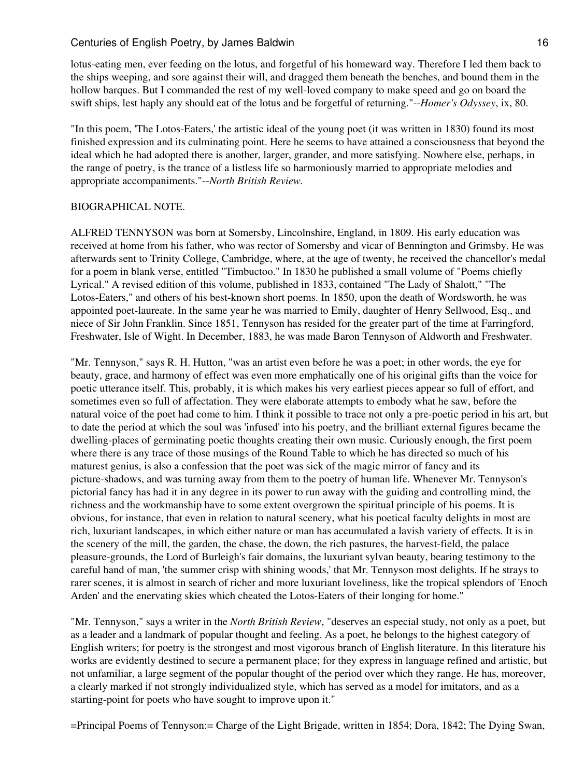lotus-eating men, ever feeding on the lotus, and forgetful of his homeward way. Therefore I led them back to the ships weeping, and sore against their will, and dragged them beneath the benches, and bound them in the hollow barques. But I commanded the rest of my well-loved company to make speed and go on board the swift ships, lest haply any should eat of the lotus and be forgetful of returning."--*Homer's Odyssey*, ix, 80.

"In this poem, 'The Lotos-Eaters,' the artistic ideal of the young poet (it was written in 1830) found its most finished expression and its culminating point. Here he seems to have attained a consciousness that beyond the ideal which he had adopted there is another, larger, grander, and more satisfying. Nowhere else, perhaps, in the range of poetry, is the trance of a listless life so harmoniously married to appropriate melodies and appropriate accompaniments."--*North British Review.*

#### BIOGRAPHICAL NOTE.

ALFRED TENNYSON was born at Somersby, Lincolnshire, England, in 1809. His early education was received at home from his father, who was rector of Somersby and vicar of Bennington and Grimsby. He was afterwards sent to Trinity College, Cambridge, where, at the age of twenty, he received the chancellor's medal for a poem in blank verse, entitled "Timbuctoo." In 1830 he published a small volume of "Poems chiefly Lyrical." A revised edition of this volume, published in 1833, contained "The Lady of Shalott," "The Lotos-Eaters," and others of his best-known short poems. In 1850, upon the death of Wordsworth, he was appointed poet-laureate. In the same year he was married to Emily, daughter of Henry Sellwood, Esq., and niece of Sir John Franklin. Since 1851, Tennyson has resided for the greater part of the time at Farringford, Freshwater, Isle of Wight. In December, 1883, he was made Baron Tennyson of Aldworth and Freshwater.

"Mr. Tennyson," says R. H. Hutton, "was an artist even before he was a poet; in other words, the eye for beauty, grace, and harmony of effect was even more emphatically one of his original gifts than the voice for poetic utterance itself. This, probably, it is which makes his very earliest pieces appear so full of effort, and sometimes even so full of affectation. They were elaborate attempts to embody what he saw, before the natural voice of the poet had come to him. I think it possible to trace not only a pre-poetic period in his art, but to date the period at which the soul was 'infused' into his poetry, and the brilliant external figures became the dwelling-places of germinating poetic thoughts creating their own music. Curiously enough, the first poem where there is any trace of those musings of the Round Table to which he has directed so much of his maturest genius, is also a confession that the poet was sick of the magic mirror of fancy and its picture-shadows, and was turning away from them to the poetry of human life. Whenever Mr. Tennyson's pictorial fancy has had it in any degree in its power to run away with the guiding and controlling mind, the richness and the workmanship have to some extent overgrown the spiritual principle of his poems. It is obvious, for instance, that even in relation to natural scenery, what his poetical faculty delights in most are rich, luxuriant landscapes, in which either nature or man has accumulated a lavish variety of effects. It is in the scenery of the mill, the garden, the chase, the down, the rich pastures, the harvest-field, the palace pleasure-grounds, the Lord of Burleigh's fair domains, the luxuriant sylvan beauty, bearing testimony to the careful hand of man, 'the summer crisp with shining woods,' that Mr. Tennyson most delights. If he strays to rarer scenes, it is almost in search of richer and more luxuriant loveliness, like the tropical splendors of 'Enoch Arden' and the enervating skies which cheated the Lotos-Eaters of their longing for home."

"Mr. Tennyson," says a writer in the *North British Review*, "deserves an especial study, not only as a poet, but as a leader and a landmark of popular thought and feeling. As a poet, he belongs to the highest category of English writers; for poetry is the strongest and most vigorous branch of English literature. In this literature his works are evidently destined to secure a permanent place; for they express in language refined and artistic, but not unfamiliar, a large segment of the popular thought of the period over which they range. He has, moreover, a clearly marked if not strongly individualized style, which has served as a model for imitators, and as a starting-point for poets who have sought to improve upon it."

=Principal Poems of Tennyson:= Charge of the Light Brigade, written in 1854; Dora, 1842; The Dying Swan,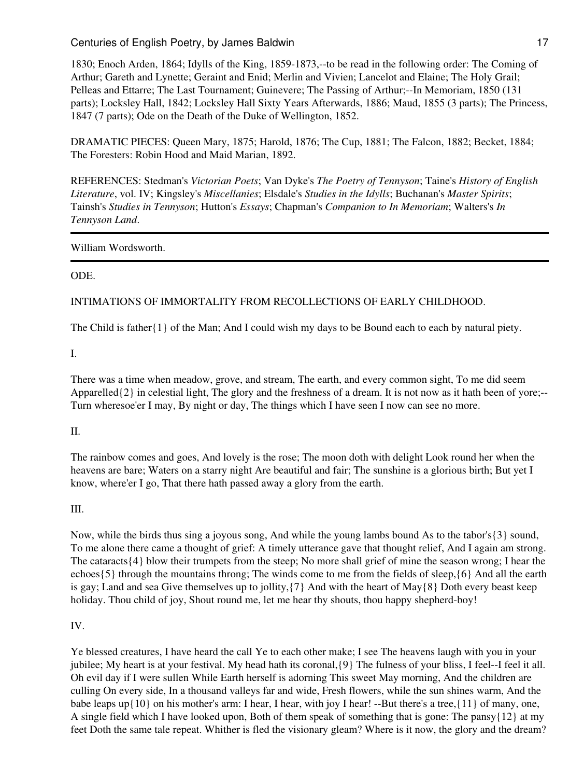1830; Enoch Arden, 1864; Idylls of the King, 1859-1873,--to be read in the following order: The Coming of Arthur; Gareth and Lynette; Geraint and Enid; Merlin and Vivien; Lancelot and Elaine; The Holy Grail; Pelleas and Ettarre; The Last Tournament; Guinevere; The Passing of Arthur;--In Memoriam, 1850 (131 parts); Locksley Hall, 1842; Locksley Hall Sixty Years Afterwards, 1886; Maud, 1855 (3 parts); The Princess, 1847 (7 parts); Ode on the Death of the Duke of Wellington, 1852.

DRAMATIC PIECES: Queen Mary, 1875; Harold, 1876; The Cup, 1881; The Falcon, 1882; Becket, 1884; The Foresters: Robin Hood and Maid Marian, 1892.

REFERENCES: Stedman's *Victorian Poets*; Van Dyke's *The Poetry of Tennyson*; Taine's *History of English Literature*, vol. IV; Kingsley's *Miscellanies*; Elsdale's *Studies in the Idylls*; Buchanan's *Master Spirits*; Tainsh's *Studies in Tennyson*; Hutton's *Essays*; Chapman's *Companion to In Memoriam*; Walters's *In Tennyson Land*.

## William Wordsworth.

# ODE.

# INTIMATIONS OF IMMORTALITY FROM RECOLLECTIONS OF EARLY CHILDHOOD.

The Child is father{1} of the Man; And I could wish my days to be Bound each to each by natural piety.

I.

There was a time when meadow, grove, and stream, The earth, and every common sight, To me did seem Apparelled $\{2\}$  in celestial light, The glory and the freshness of a dream. It is not now as it hath been of yore;--Turn wheresoe'er I may, By night or day, The things which I have seen I now can see no more.

## II.

The rainbow comes and goes, And lovely is the rose; The moon doth with delight Look round her when the heavens are bare; Waters on a starry night Are beautiful and fair; The sunshine is a glorious birth; But yet I know, where'er I go, That there hath passed away a glory from the earth.

# III.

Now, while the birds thus sing a joyous song, And while the young lambs bound As to the tabor's{3} sound, To me alone there came a thought of grief: A timely utterance gave that thought relief, And I again am strong. The cataracts{4} blow their trumpets from the steep; No more shall grief of mine the season wrong; I hear the echoes{5} through the mountains throng; The winds come to me from the fields of sleep,{6} And all the earth is gay; Land and sea Give themselves up to jollity, $\{7\}$  And with the heart of May $\{8\}$  Doth every beast keep holiday. Thou child of joy, Shout round me, let me hear thy shouts, thou happy shepherd-boy!

## IV.

Ye blessed creatures, I have heard the call Ye to each other make; I see The heavens laugh with you in your jubilee; My heart is at your festival. My head hath its coronal, {9} The fulness of your bliss, I feel--I feel it all. Oh evil day if I were sullen While Earth herself is adorning This sweet May morning, And the children are culling On every side, In a thousand valleys far and wide, Fresh flowers, while the sun shines warm, And the babe leaps up{10} on his mother's arm: I hear, I hear, with joy I hear! --But there's a tree,{11} of many, one, A single field which I have looked upon, Both of them speak of something that is gone: The pansy{12} at my feet Doth the same tale repeat. Whither is fled the visionary gleam? Where is it now, the glory and the dream?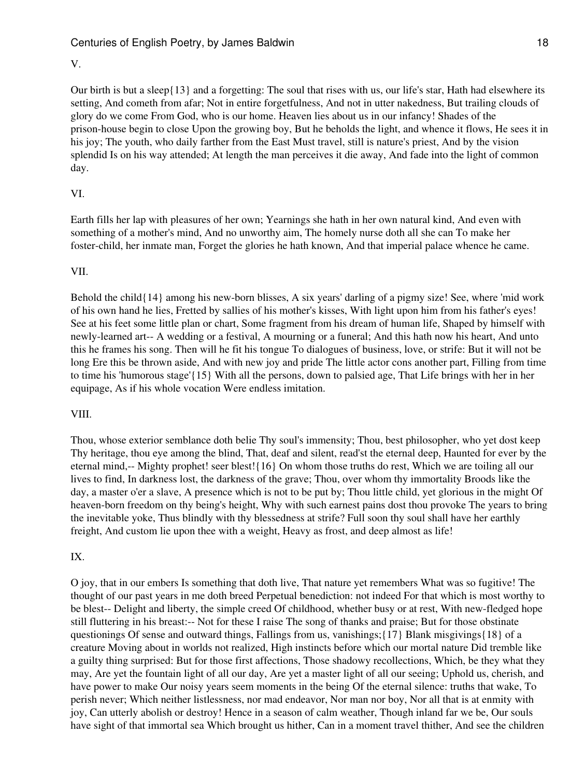#### V.

Our birth is but a sleep{13} and a forgetting: The soul that rises with us, our life's star, Hath had elsewhere its setting, And cometh from afar; Not in entire forgetfulness, And not in utter nakedness, But trailing clouds of glory do we come From God, who is our home. Heaven lies about us in our infancy! Shades of the prison-house begin to close Upon the growing boy, But he beholds the light, and whence it flows, He sees it in his joy; The youth, who daily farther from the East Must travel, still is nature's priest, And by the vision splendid Is on his way attended; At length the man perceives it die away, And fade into the light of common day.

## VI.

Earth fills her lap with pleasures of her own; Yearnings she hath in her own natural kind, And even with something of a mother's mind, And no unworthy aim, The homely nurse doth all she can To make her foster-child, her inmate man, Forget the glories he hath known, And that imperial palace whence he came.

#### VII.

Behold the child{14} among his new-born blisses, A six years' darling of a pigmy size! See, where 'mid work of his own hand he lies, Fretted by sallies of his mother's kisses, With light upon him from his father's eyes! See at his feet some little plan or chart, Some fragment from his dream of human life, Shaped by himself with newly-learned art-- A wedding or a festival, A mourning or a funeral; And this hath now his heart, And unto this he frames his song. Then will he fit his tongue To dialogues of business, love, or strife: But it will not be long Ere this be thrown aside, And with new joy and pride The little actor cons another part, Filling from time to time his 'humorous stage'{15} With all the persons, down to palsied age, That Life brings with her in her equipage, As if his whole vocation Were endless imitation.

#### VIII.

Thou, whose exterior semblance doth belie Thy soul's immensity; Thou, best philosopher, who yet dost keep Thy heritage, thou eye among the blind, That, deaf and silent, read'st the eternal deep, Haunted for ever by the eternal mind,-- Mighty prophet! seer blest!{16} On whom those truths do rest, Which we are toiling all our lives to find, In darkness lost, the darkness of the grave; Thou, over whom thy immortality Broods like the day, a master o'er a slave, A presence which is not to be put by; Thou little child, yet glorious in the might Of heaven-born freedom on thy being's height, Why with such earnest pains dost thou provoke The years to bring the inevitable yoke, Thus blindly with thy blessedness at strife? Full soon thy soul shall have her earthly freight, And custom lie upon thee with a weight, Heavy as frost, and deep almost as life!

#### IX.

O joy, that in our embers Is something that doth live, That nature yet remembers What was so fugitive! The thought of our past years in me doth breed Perpetual benediction: not indeed For that which is most worthy to be blest-- Delight and liberty, the simple creed Of childhood, whether busy or at rest, With new-fledged hope still fluttering in his breast:-- Not for these I raise The song of thanks and praise; But for those obstinate questionings Of sense and outward things, Fallings from us, vanishings;{17} Blank misgivings{18} of a creature Moving about in worlds not realized, High instincts before which our mortal nature Did tremble like a guilty thing surprised: But for those first affections, Those shadowy recollections, Which, be they what they may, Are yet the fountain light of all our day, Are yet a master light of all our seeing; Uphold us, cherish, and have power to make Our noisy years seem moments in the being Of the eternal silence: truths that wake, To perish never; Which neither listlessness, nor mad endeavor, Nor man nor boy, Nor all that is at enmity with joy, Can utterly abolish or destroy! Hence in a season of calm weather, Though inland far we be, Our souls have sight of that immortal sea Which brought us hither, Can in a moment travel thither, And see the children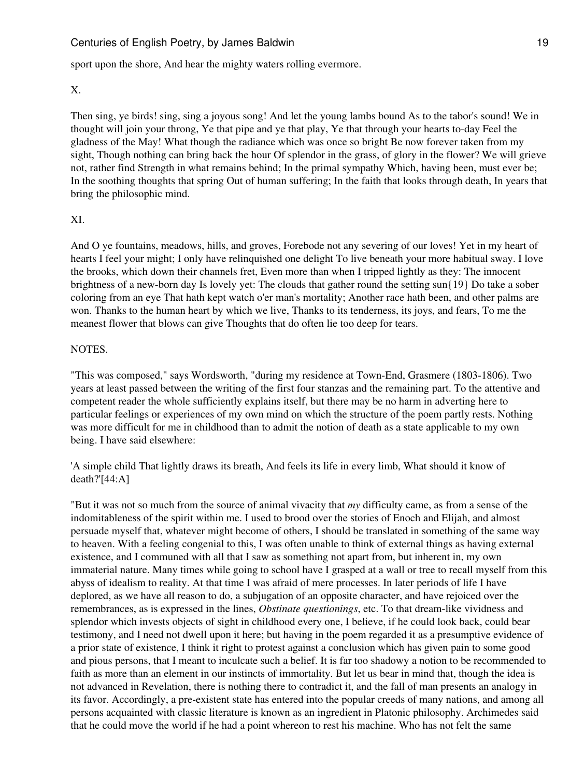sport upon the shore, And hear the mighty waters rolling evermore.

#### X.

Then sing, ye birds! sing, sing a joyous song! And let the young lambs bound As to the tabor's sound! We in thought will join your throng, Ye that pipe and ye that play, Ye that through your hearts to-day Feel the gladness of the May! What though the radiance which was once so bright Be now forever taken from my sight, Though nothing can bring back the hour Of splendor in the grass, of glory in the flower? We will grieve not, rather find Strength in what remains behind; In the primal sympathy Which, having been, must ever be; In the soothing thoughts that spring Out of human suffering; In the faith that looks through death, In years that bring the philosophic mind.

## XI.

And O ye fountains, meadows, hills, and groves, Forebode not any severing of our loves! Yet in my heart of hearts I feel your might; I only have relinquished one delight To live beneath your more habitual sway. I love the brooks, which down their channels fret, Even more than when I tripped lightly as they: The innocent brightness of a new-born day Is lovely yet: The clouds that gather round the setting sun{19} Do take a sober coloring from an eye That hath kept watch o'er man's mortality; Another race hath been, and other palms are won. Thanks to the human heart by which we live, Thanks to its tenderness, its joys, and fears, To me the meanest flower that blows can give Thoughts that do often lie too deep for tears.

#### NOTES.

"This was composed," says Wordsworth, "during my residence at Town-End, Grasmere (1803-1806). Two years at least passed between the writing of the first four stanzas and the remaining part. To the attentive and competent reader the whole sufficiently explains itself, but there may be no harm in adverting here to particular feelings or experiences of my own mind on which the structure of the poem partly rests. Nothing was more difficult for me in childhood than to admit the notion of death as a state applicable to my own being. I have said elsewhere:

'A simple child That lightly draws its breath, And feels its life in every limb, What should it know of death?'[44:A]

"But it was not so much from the source of animal vivacity that *my* difficulty came, as from a sense of the indomitableness of the spirit within me. I used to brood over the stories of Enoch and Elijah, and almost persuade myself that, whatever might become of others, I should be translated in something of the same way to heaven. With a feeling congenial to this, I was often unable to think of external things as having external existence, and I communed with all that I saw as something not apart from, but inherent in, my own immaterial nature. Many times while going to school have I grasped at a wall or tree to recall myself from this abyss of idealism to reality. At that time I was afraid of mere processes. In later periods of life I have deplored, as we have all reason to do, a subjugation of an opposite character, and have rejoiced over the remembrances, as is expressed in the lines, *Obstinate questionings*, etc. To that dream-like vividness and splendor which invests objects of sight in childhood every one, I believe, if he could look back, could bear testimony, and I need not dwell upon it here; but having in the poem regarded it as a presumptive evidence of a prior state of existence, I think it right to protest against a conclusion which has given pain to some good and pious persons, that I meant to inculcate such a belief. It is far too shadowy a notion to be recommended to faith as more than an element in our instincts of immortality. But let us bear in mind that, though the idea is not advanced in Revelation, there is nothing there to contradict it, and the fall of man presents an analogy in its favor. Accordingly, a pre-existent state has entered into the popular creeds of many nations, and among all persons acquainted with classic literature is known as an ingredient in Platonic philosophy. Archimedes said that he could move the world if he had a point whereon to rest his machine. Who has not felt the same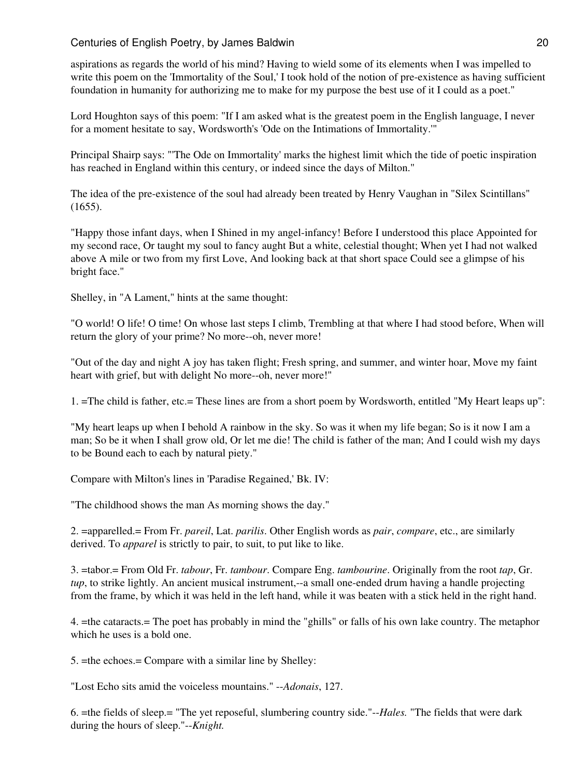aspirations as regards the world of his mind? Having to wield some of its elements when I was impelled to write this poem on the 'Immortality of the Soul,' I took hold of the notion of pre-existence as having sufficient foundation in humanity for authorizing me to make for my purpose the best use of it I could as a poet."

Lord Houghton says of this poem: "If I am asked what is the greatest poem in the English language, I never for a moment hesitate to say, Wordsworth's 'Ode on the Intimations of Immortality.'"

Principal Shairp says: "'The Ode on Immortality' marks the highest limit which the tide of poetic inspiration has reached in England within this century, or indeed since the days of Milton."

The idea of the pre-existence of the soul had already been treated by Henry Vaughan in "Silex Scintillans" (1655).

"Happy those infant days, when I Shined in my angel-infancy! Before I understood this place Appointed for my second race, Or taught my soul to fancy aught But a white, celestial thought; When yet I had not walked above A mile or two from my first Love, And looking back at that short space Could see a glimpse of his bright face."

Shelley, in "A Lament," hints at the same thought:

"O world! O life! O time! On whose last steps I climb, Trembling at that where I had stood before, When will return the glory of your prime? No more--oh, never more!

"Out of the day and night A joy has taken flight; Fresh spring, and summer, and winter hoar, Move my faint heart with grief, but with delight No more--oh, never more!"

1. =The child is father, etc.= These lines are from a short poem by Wordsworth, entitled "My Heart leaps up":

"My heart leaps up when I behold A rainbow in the sky. So was it when my life began; So is it now I am a man; So be it when I shall grow old, Or let me die! The child is father of the man; And I could wish my days to be Bound each to each by natural piety."

Compare with Milton's lines in 'Paradise Regained,' Bk. IV:

"The childhood shows the man As morning shows the day."

2. =apparelled.= From Fr. *pareil*, Lat. *parilis*. Other English words as *pair*, *compare*, etc., are similarly derived. To *apparel* is strictly to pair, to suit, to put like to like.

3. =tabor.= From Old Fr. *tabour*, Fr. *tambour*. Compare Eng. *tambourine*. Originally from the root *tap*, Gr. *tup*, to strike lightly. An ancient musical instrument,--a small one-ended drum having a handle projecting from the frame, by which it was held in the left hand, while it was beaten with a stick held in the right hand.

4. =the cataracts.= The poet has probably in mind the "ghills" or falls of his own lake country. The metaphor which he uses is a bold one.

5. =the echoes.= Compare with a similar line by Shelley:

"Lost Echo sits amid the voiceless mountains." --*Adonais*, 127.

6. =the fields of sleep.= "The yet reposeful, slumbering country side."--*Hales.* "The fields that were dark during the hours of sleep."--*Knight.*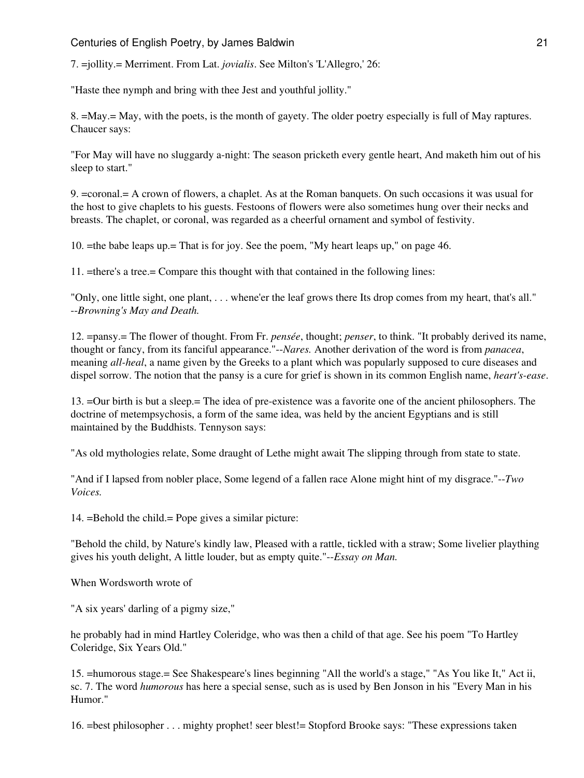7. =jollity.= Merriment. From Lat. *jovialis*. See Milton's 'L'Allegro,' 26:

"Haste thee nymph and bring with thee Jest and youthful jollity."

8. =May.= May, with the poets, is the month of gayety. The older poetry especially is full of May raptures. Chaucer says:

"For May will have no sluggardy a-night: The season pricketh every gentle heart, And maketh him out of his sleep to start."

9. =coronal.= A crown of flowers, a chaplet. As at the Roman banquets. On such occasions it was usual for the host to give chaplets to his guests. Festoons of flowers were also sometimes hung over their necks and breasts. The chaplet, or coronal, was regarded as a cheerful ornament and symbol of festivity.

10. =the babe leaps up.= That is for joy. See the poem, "My heart leaps up," on page 46.

11. =there's a tree.= Compare this thought with that contained in the following lines:

"Only, one little sight, one plant, . . . whene'er the leaf grows there Its drop comes from my heart, that's all." --*Browning's May and Death.*

12. =pansy.= The flower of thought. From Fr. *pensée*, thought; *penser*, to think. "It probably derived its name, thought or fancy, from its fanciful appearance."--*Nares.* Another derivation of the word is from *panacea*, meaning *all-heal*, a name given by the Greeks to a plant which was popularly supposed to cure diseases and dispel sorrow. The notion that the pansy is a cure for grief is shown in its common English name, *heart's-ease*.

13. =Our birth is but a sleep.= The idea of pre-existence was a favorite one of the ancient philosophers. The doctrine of metempsychosis, a form of the same idea, was held by the ancient Egyptians and is still maintained by the Buddhists. Tennyson says:

"As old mythologies relate, Some draught of Lethe might await The slipping through from state to state.

"And if I lapsed from nobler place, Some legend of a fallen race Alone might hint of my disgrace."--*Two Voices.*

14. =Behold the child.= Pope gives a similar picture:

"Behold the child, by Nature's kindly law, Pleased with a rattle, tickled with a straw; Some livelier plaything gives his youth delight, A little louder, but as empty quite."--*Essay on Man.*

When Wordsworth wrote of

"A six years' darling of a pigmy size,"

he probably had in mind Hartley Coleridge, who was then a child of that age. See his poem "To Hartley Coleridge, Six Years Old."

15. =humorous stage.= See Shakespeare's lines beginning "All the world's a stage," "As You like It," Act ii, sc. 7. The word *humorous* has here a special sense, such as is used by Ben Jonson in his "Every Man in his Humor."

16. =best philosopher . . . mighty prophet! seer blest!= Stopford Brooke says: "These expressions taken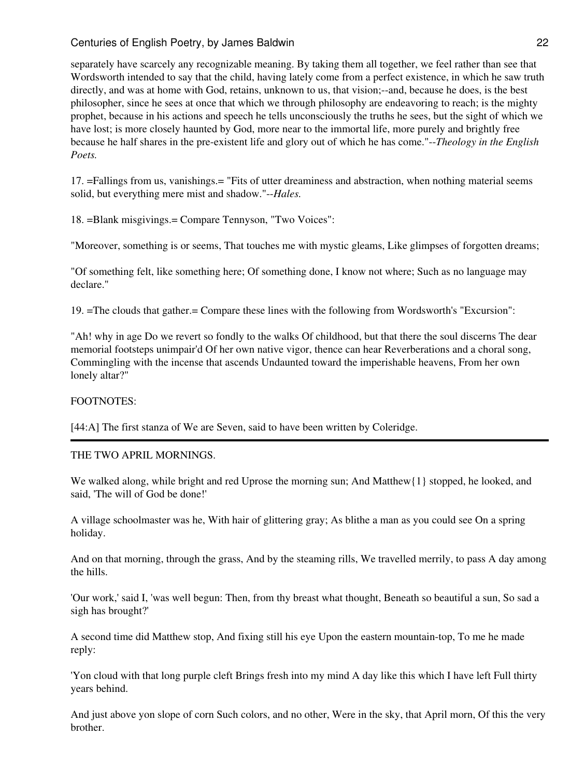separately have scarcely any recognizable meaning. By taking them all together, we feel rather than see that Wordsworth intended to say that the child, having lately come from a perfect existence, in which he saw truth directly, and was at home with God, retains, unknown to us, that vision;--and, because he does, is the best philosopher, since he sees at once that which we through philosophy are endeavoring to reach; is the mighty prophet, because in his actions and speech he tells unconsciously the truths he sees, but the sight of which we have lost; is more closely haunted by God, more near to the immortal life, more purely and brightly free because he half shares in the pre-existent life and glory out of which he has come."--*Theology in the English Poets.*

17. =Fallings from us, vanishings.= "Fits of utter dreaminess and abstraction, when nothing material seems solid, but everything mere mist and shadow."--*Hales.*

18. =Blank misgivings.= Compare Tennyson, "Two Voices":

"Moreover, something is or seems, That touches me with mystic gleams, Like glimpses of forgotten dreams;

"Of something felt, like something here; Of something done, I know not where; Such as no language may declare."

19. =The clouds that gather.= Compare these lines with the following from Wordsworth's "Excursion":

"Ah! why in age Do we revert so fondly to the walks Of childhood, but that there the soul discerns The dear memorial footsteps unimpair'd Of her own native vigor, thence can hear Reverberations and a choral song, Commingling with the incense that ascends Undaunted toward the imperishable heavens, From her own lonely altar?"

## FOOTNOTES:

[44:A] The first stanza of We are Seven, said to have been written by Coleridge.

## THE TWO APRIL MORNINGS.

We walked along, while bright and red Uprose the morning sun; And Matthew{1} stopped, he looked, and said, 'The will of God be done!'

A village schoolmaster was he, With hair of glittering gray; As blithe a man as you could see On a spring holiday.

And on that morning, through the grass, And by the steaming rills, We travelled merrily, to pass A day among the hills.

'Our work,' said I, 'was well begun: Then, from thy breast what thought, Beneath so beautiful a sun, So sad a sigh has brought?'

A second time did Matthew stop, And fixing still his eye Upon the eastern mountain-top, To me he made reply:

'Yon cloud with that long purple cleft Brings fresh into my mind A day like this which I have left Full thirty years behind.

And just above yon slope of corn Such colors, and no other, Were in the sky, that April morn, Of this the very brother.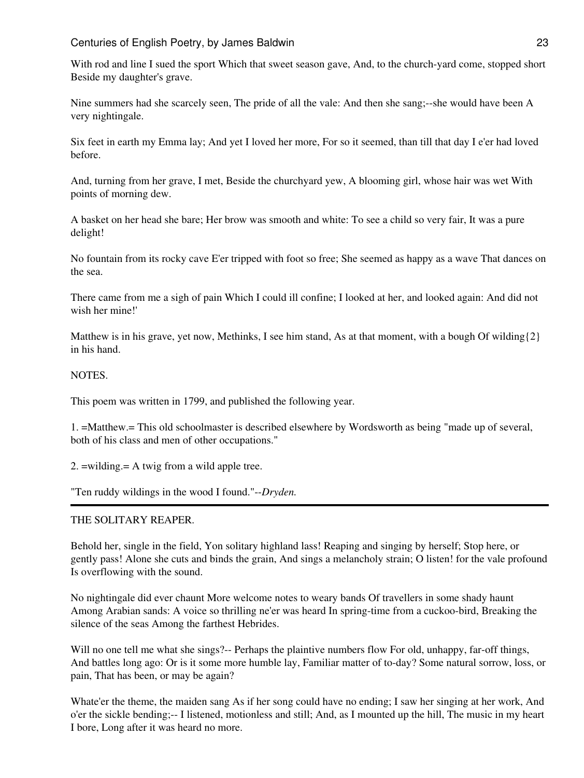With rod and line I sued the sport Which that sweet season gave, And, to the church-yard come, stopped short Beside my daughter's grave.

Nine summers had she scarcely seen, The pride of all the vale: And then she sang;--she would have been A very nightingale.

Six feet in earth my Emma lay; And yet I loved her more, For so it seemed, than till that day I e'er had loved before.

And, turning from her grave, I met, Beside the churchyard yew, A blooming girl, whose hair was wet With points of morning dew.

A basket on her head she bare; Her brow was smooth and white: To see a child so very fair, It was a pure delight!

No fountain from its rocky cave E'er tripped with foot so free; She seemed as happy as a wave That dances on the sea.

There came from me a sigh of pain Which I could ill confine; I looked at her, and looked again: And did not wish her mine!'

Matthew is in his grave, yet now, Methinks, I see him stand, As at that moment, with a bough Of wilding $\{2\}$ in his hand.

#### **NOTES**

This poem was written in 1799, and published the following year.

1. =Matthew.= This old schoolmaster is described elsewhere by Wordsworth as being "made up of several, both of his class and men of other occupations."

2. =wilding.= A twig from a wild apple tree.

"Ten ruddy wildings in the wood I found."--*Dryden.*

## THE SOLITARY REAPER.

Behold her, single in the field, Yon solitary highland lass! Reaping and singing by herself; Stop here, or gently pass! Alone she cuts and binds the grain, And sings a melancholy strain; O listen! for the vale profound Is overflowing with the sound.

No nightingale did ever chaunt More welcome notes to weary bands Of travellers in some shady haunt Among Arabian sands: A voice so thrilling ne'er was heard In spring-time from a cuckoo-bird, Breaking the silence of the seas Among the farthest Hebrides.

Will no one tell me what she sings?-- Perhaps the plaintive numbers flow For old, unhappy, far-off things, And battles long ago: Or is it some more humble lay, Familiar matter of to-day? Some natural sorrow, loss, or pain, That has been, or may be again?

Whate'er the theme, the maiden sang As if her song could have no ending; I saw her singing at her work, And o'er the sickle bending;-- I listened, motionless and still; And, as I mounted up the hill, The music in my heart I bore, Long after it was heard no more.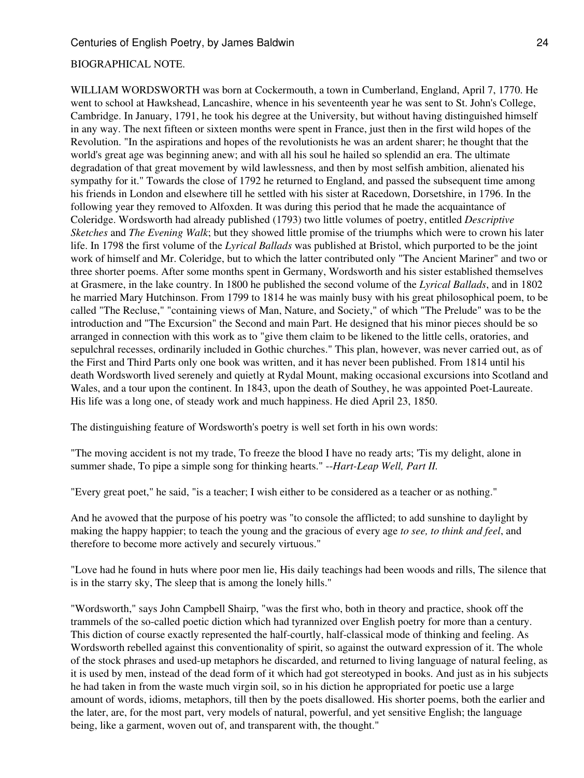#### BIOGRAPHICAL NOTE.

WILLIAM WORDSWORTH was born at Cockermouth, a town in Cumberland, England, April 7, 1770. He went to school at Hawkshead, Lancashire, whence in his seventeenth year he was sent to St. John's College, Cambridge. In January, 1791, he took his degree at the University, but without having distinguished himself in any way. The next fifteen or sixteen months were spent in France, just then in the first wild hopes of the Revolution. "In the aspirations and hopes of the revolutionists he was an ardent sharer; he thought that the world's great age was beginning anew; and with all his soul he hailed so splendid an era. The ultimate degradation of that great movement by wild lawlessness, and then by most selfish ambition, alienated his sympathy for it." Towards the close of 1792 he returned to England, and passed the subsequent time among his friends in London and elsewhere till he settled with his sister at Racedown, Dorsetshire, in 1796. In the following year they removed to Alfoxden. It was during this period that he made the acquaintance of Coleridge. Wordsworth had already published (1793) two little volumes of poetry, entitled *Descriptive Sketches* and *The Evening Walk*; but they showed little promise of the triumphs which were to crown his later life. In 1798 the first volume of the *Lyrical Ballads* was published at Bristol, which purported to be the joint work of himself and Mr. Coleridge, but to which the latter contributed only "The Ancient Mariner" and two or three shorter poems. After some months spent in Germany, Wordsworth and his sister established themselves at Grasmere, in the lake country. In 1800 he published the second volume of the *Lyrical Ballads*, and in 1802 he married Mary Hutchinson. From 1799 to 1814 he was mainly busy with his great philosophical poem, to be called "The Recluse," "containing views of Man, Nature, and Society," of which "The Prelude" was to be the introduction and "The Excursion" the Second and main Part. He designed that his minor pieces should be so arranged in connection with this work as to "give them claim to be likened to the little cells, oratories, and sepulchral recesses, ordinarily included in Gothic churches." This plan, however, was never carried out, as of the First and Third Parts only one book was written, and it has never been published. From 1814 until his death Wordsworth lived serenely and quietly at Rydal Mount, making occasional excursions into Scotland and Wales, and a tour upon the continent. In 1843, upon the death of Southey, he was appointed Poet-Laureate. His life was a long one, of steady work and much happiness. He died April 23, 1850.

The distinguishing feature of Wordsworth's poetry is well set forth in his own words:

"The moving accident is not my trade, To freeze the blood I have no ready arts; 'Tis my delight, alone in summer shade, To pipe a simple song for thinking hearts." --*Hart-Leap Well, Part II.*

"Every great poet," he said, "is a teacher; I wish either to be considered as a teacher or as nothing."

And he avowed that the purpose of his poetry was "to console the afflicted; to add sunshine to daylight by making the happy happier; to teach the young and the gracious of every age *to see, to think and feel*, and therefore to become more actively and securely virtuous."

"Love had he found in huts where poor men lie, His daily teachings had been woods and rills, The silence that is in the starry sky, The sleep that is among the lonely hills."

"Wordsworth," says John Campbell Shairp, "was the first who, both in theory and practice, shook off the trammels of the so-called poetic diction which had tyrannized over English poetry for more than a century. This diction of course exactly represented the half-courtly, half-classical mode of thinking and feeling. As Wordsworth rebelled against this conventionality of spirit, so against the outward expression of it. The whole of the stock phrases and used-up metaphors he discarded, and returned to living language of natural feeling, as it is used by men, instead of the dead form of it which had got stereotyped in books. And just as in his subjects he had taken in from the waste much virgin soil, so in his diction he appropriated for poetic use a large amount of words, idioms, metaphors, till then by the poets disallowed. His shorter poems, both the earlier and the later, are, for the most part, very models of natural, powerful, and yet sensitive English; the language being, like a garment, woven out of, and transparent with, the thought."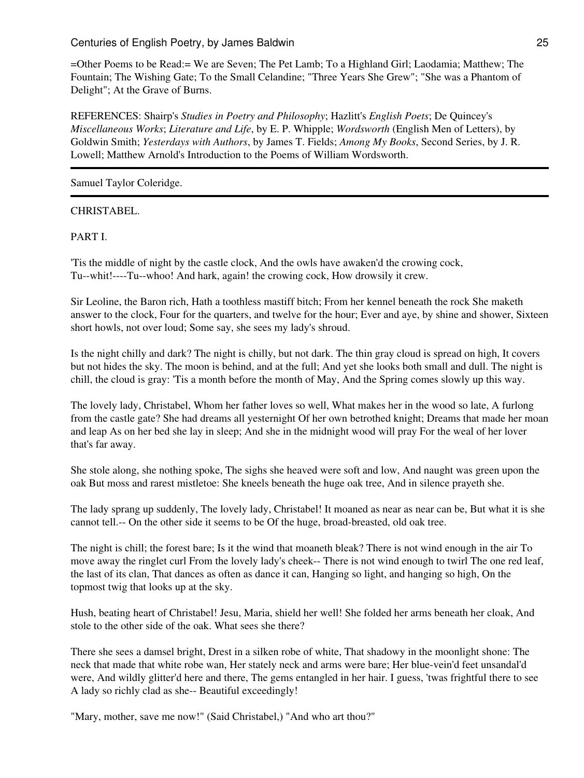=Other Poems to be Read:= We are Seven; The Pet Lamb; To a Highland Girl; Laodamia; Matthew; The Fountain; The Wishing Gate; To the Small Celandine; "Three Years She Grew"; "She was a Phantom of Delight"; At the Grave of Burns.

REFERENCES: Shairp's *Studies in Poetry and Philosophy*; Hazlitt's *English Poets*; De Quincey's *Miscellaneous Works*; *Literature and Life*, by E. P. Whipple; *Wordsworth* (English Men of Letters), by Goldwin Smith; *Yesterdays with Authors*, by James T. Fields; *Among My Books*, Second Series, by J. R. Lowell; Matthew Arnold's Introduction to the Poems of William Wordsworth.

Samuel Taylor Coleridge.

## CHRISTABEL.

PART I.

'Tis the middle of night by the castle clock, And the owls have awaken'd the crowing cock, Tu--whit!----Tu--whoo! And hark, again! the crowing cock, How drowsily it crew.

Sir Leoline, the Baron rich, Hath a toothless mastiff bitch; From her kennel beneath the rock She maketh answer to the clock, Four for the quarters, and twelve for the hour; Ever and aye, by shine and shower, Sixteen short howls, not over loud; Some say, she sees my lady's shroud.

Is the night chilly and dark? The night is chilly, but not dark. The thin gray cloud is spread on high, It covers but not hides the sky. The moon is behind, and at the full; And yet she looks both small and dull. The night is chill, the cloud is gray: 'Tis a month before the month of May, And the Spring comes slowly up this way.

The lovely lady, Christabel, Whom her father loves so well, What makes her in the wood so late, A furlong from the castle gate? She had dreams all yesternight Of her own betrothed knight; Dreams that made her moan and leap As on her bed she lay in sleep; And she in the midnight wood will pray For the weal of her lover that's far away.

She stole along, she nothing spoke, The sighs she heaved were soft and low, And naught was green upon the oak But moss and rarest mistletoe: She kneels beneath the huge oak tree, And in silence prayeth she.

The lady sprang up suddenly, The lovely lady, Christabel! It moaned as near as near can be, But what it is she cannot tell.-- On the other side it seems to be Of the huge, broad-breasted, old oak tree.

The night is chill; the forest bare; Is it the wind that moaneth bleak? There is not wind enough in the air To move away the ringlet curl From the lovely lady's cheek-- There is not wind enough to twirl The one red leaf, the last of its clan, That dances as often as dance it can, Hanging so light, and hanging so high, On the topmost twig that looks up at the sky.

Hush, beating heart of Christabel! Jesu, Maria, shield her well! She folded her arms beneath her cloak, And stole to the other side of the oak. What sees she there?

There she sees a damsel bright, Drest in a silken robe of white, That shadowy in the moonlight shone: The neck that made that white robe wan, Her stately neck and arms were bare; Her blue-vein'd feet unsandal'd were, And wildly glitter'd here and there, The gems entangled in her hair. I guess, 'twas frightful there to see A lady so richly clad as she-- Beautiful exceedingly!

"Mary, mother, save me now!" (Said Christabel,) "And who art thou?"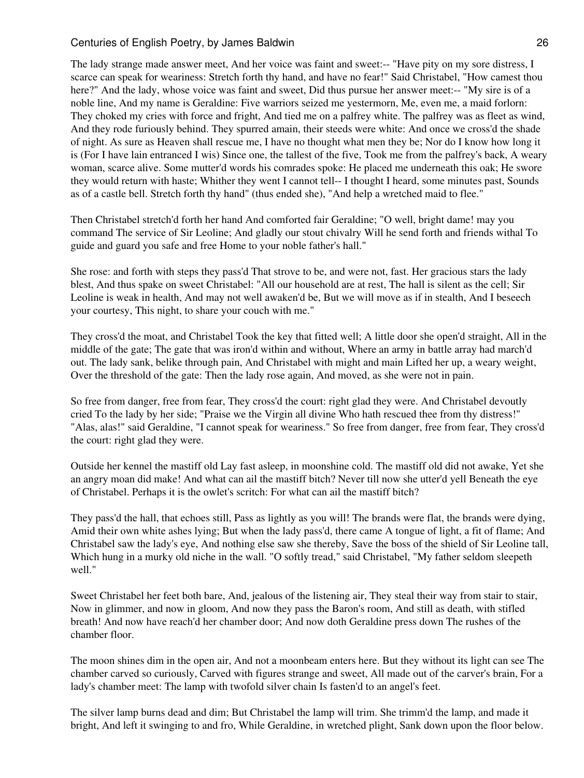The lady strange made answer meet, And her voice was faint and sweet:-- "Have pity on my sore distress, I scarce can speak for weariness: Stretch forth thy hand, and have no fear!" Said Christabel, "How camest thou here?" And the lady, whose voice was faint and sweet, Did thus pursue her answer meet:-- "My sire is of a noble line, And my name is Geraldine: Five warriors seized me yestermorn, Me, even me, a maid forlorn: They choked my cries with force and fright, And tied me on a palfrey white. The palfrey was as fleet as wind, And they rode furiously behind. They spurred amain, their steeds were white: And once we cross'd the shade of night. As sure as Heaven shall rescue me, I have no thought what men they be; Nor do I know how long it is (For I have lain entranced I wis) Since one, the tallest of the five, Took me from the palfrey's back, A weary woman, scarce alive. Some mutter'd words his comrades spoke: He placed me underneath this oak; He swore they would return with haste; Whither they went I cannot tell-- I thought I heard, some minutes past, Sounds as of a castle bell. Stretch forth thy hand" (thus ended she), "And help a wretched maid to flee."

Then Christabel stretch'd forth her hand And comforted fair Geraldine; "O well, bright dame! may you command The service of Sir Leoline; And gladly our stout chivalry Will he send forth and friends withal To guide and guard you safe and free Home to your noble father's hall."

She rose: and forth with steps they pass'd That strove to be, and were not, fast. Her gracious stars the lady blest, And thus spake on sweet Christabel: "All our household are at rest, The hall is silent as the cell; Sir Leoline is weak in health, And may not well awaken'd be, But we will move as if in stealth, And I beseech your courtesy, This night, to share your couch with me."

They cross'd the moat, and Christabel Took the key that fitted well; A little door she open'd straight, All in the middle of the gate; The gate that was iron'd within and without, Where an army in battle array had march'd out. The lady sank, belike through pain, And Christabel with might and main Lifted her up, a weary weight, Over the threshold of the gate: Then the lady rose again, And moved, as she were not in pain.

So free from danger, free from fear, They cross'd the court: right glad they were. And Christabel devoutly cried To the lady by her side; "Praise we the Virgin all divine Who hath rescued thee from thy distress!" "Alas, alas!" said Geraldine, "I cannot speak for weariness." So free from danger, free from fear, They cross'd the court: right glad they were.

Outside her kennel the mastiff old Lay fast asleep, in moonshine cold. The mastiff old did not awake, Yet she an angry moan did make! And what can ail the mastiff bitch? Never till now she utter'd yell Beneath the eye of Christabel. Perhaps it is the owlet's scritch: For what can ail the mastiff bitch?

They pass'd the hall, that echoes still, Pass as lightly as you will! The brands were flat, the brands were dying, Amid their own white ashes lying; But when the lady pass'd, there came A tongue of light, a fit of flame; And Christabel saw the lady's eye, And nothing else saw she thereby, Save the boss of the shield of Sir Leoline tall, Which hung in a murky old niche in the wall. "O softly tread," said Christabel, "My father seldom sleepeth well."

Sweet Christabel her feet both bare, And, jealous of the listening air, They steal their way from stair to stair, Now in glimmer, and now in gloom, And now they pass the Baron's room, And still as death, with stifled breath! And now have reach'd her chamber door; And now doth Geraldine press down The rushes of the chamber floor.

The moon shines dim in the open air, And not a moonbeam enters here. But they without its light can see The chamber carved so curiously, Carved with figures strange and sweet, All made out of the carver's brain, For a lady's chamber meet: The lamp with twofold silver chain Is fasten'd to an angel's feet.

The silver lamp burns dead and dim; But Christabel the lamp will trim. She trimm'd the lamp, and made it bright, And left it swinging to and fro, While Geraldine, in wretched plight, Sank down upon the floor below.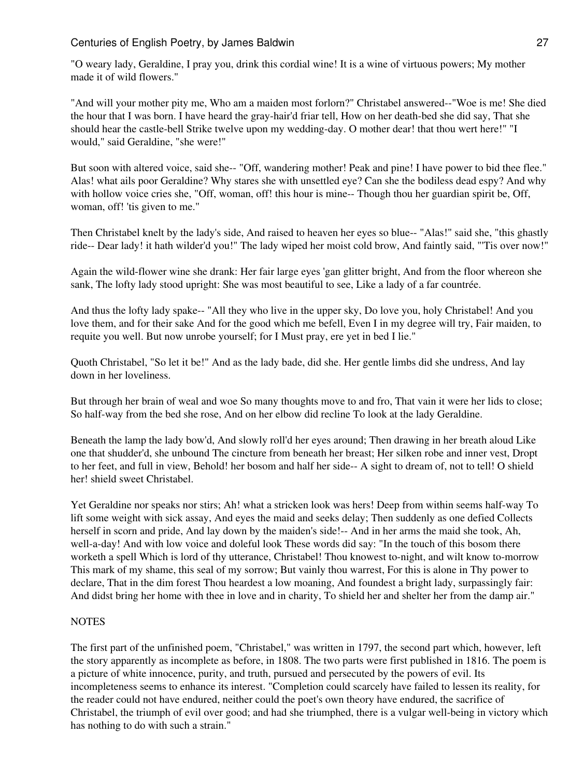"O weary lady, Geraldine, I pray you, drink this cordial wine! It is a wine of virtuous powers; My mother made it of wild flowers."

"And will your mother pity me, Who am a maiden most forlorn?" Christabel answered--"Woe is me! She died the hour that I was born. I have heard the gray-hair'd friar tell, How on her death-bed she did say, That she should hear the castle-bell Strike twelve upon my wedding-day. O mother dear! that thou wert here!" "I would," said Geraldine, "she were!"

But soon with altered voice, said she-- "Off, wandering mother! Peak and pine! I have power to bid thee flee." Alas! what ails poor Geraldine? Why stares she with unsettled eye? Can she the bodiless dead espy? And why with hollow voice cries she, "Off, woman, off! this hour is mine-- Though thou her guardian spirit be, Off, woman, off! 'tis given to me."

Then Christabel knelt by the lady's side, And raised to heaven her eyes so blue-- "Alas!" said she, "this ghastly ride-- Dear lady! it hath wilder'd you!" The lady wiped her moist cold brow, And faintly said, "'Tis over now!"

Again the wild-flower wine she drank: Her fair large eyes 'gan glitter bright, And from the floor whereon she sank, The lofty lady stood upright: She was most beautiful to see, Like a lady of a far countrée.

And thus the lofty lady spake-- "All they who live in the upper sky, Do love you, holy Christabel! And you love them, and for their sake And for the good which me befell, Even I in my degree will try, Fair maiden, to requite you well. But now unrobe yourself; for I Must pray, ere yet in bed I lie."

Quoth Christabel, "So let it be!" And as the lady bade, did she. Her gentle limbs did she undress, And lay down in her loveliness.

But through her brain of weal and woe So many thoughts move to and fro, That vain it were her lids to close; So half-way from the bed she rose, And on her elbow did recline To look at the lady Geraldine.

Beneath the lamp the lady bow'd, And slowly roll'd her eyes around; Then drawing in her breath aloud Like one that shudder'd, she unbound The cincture from beneath her breast; Her silken robe and inner vest, Dropt to her feet, and full in view, Behold! her bosom and half her side-- A sight to dream of, not to tell! O shield her! shield sweet Christabel.

Yet Geraldine nor speaks nor stirs; Ah! what a stricken look was hers! Deep from within seems half-way To lift some weight with sick assay, And eyes the maid and seeks delay; Then suddenly as one defied Collects herself in scorn and pride, And lay down by the maiden's side!-- And in her arms the maid she took, Ah, well-a-day! And with low voice and doleful look These words did say: "In the touch of this bosom there worketh a spell Which is lord of thy utterance, Christabel! Thou knowest to-night, and wilt know to-morrow This mark of my shame, this seal of my sorrow; But vainly thou warrest, For this is alone in Thy power to declare, That in the dim forest Thou heardest a low moaning, And foundest a bright lady, surpassingly fair: And didst bring her home with thee in love and in charity, To shield her and shelter her from the damp air."

# **NOTES**

The first part of the unfinished poem, "Christabel," was written in 1797, the second part which, however, left the story apparently as incomplete as before, in 1808. The two parts were first published in 1816. The poem is a picture of white innocence, purity, and truth, pursued and persecuted by the powers of evil. Its incompleteness seems to enhance its interest. "Completion could scarcely have failed to lessen its reality, for the reader could not have endured, neither could the poet's own theory have endured, the sacrifice of Christabel, the triumph of evil over good; and had she triumphed, there is a vulgar well-being in victory which has nothing to do with such a strain."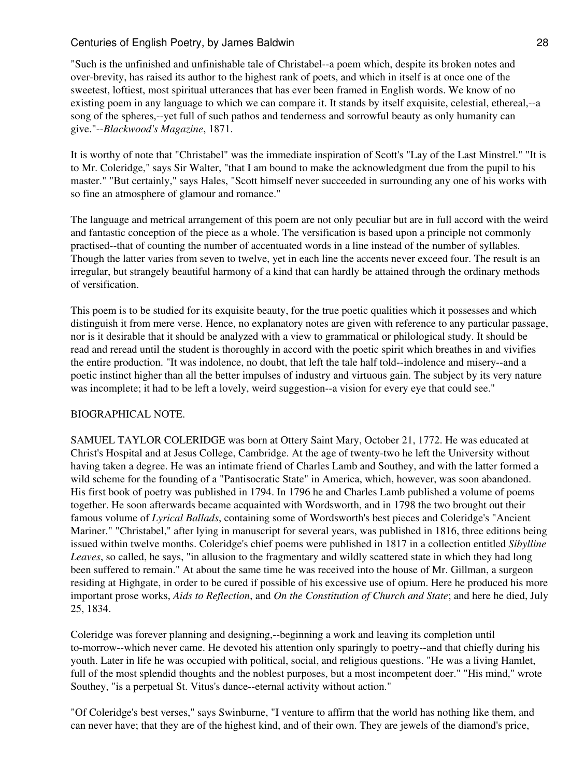"Such is the unfinished and unfinishable tale of Christabel--a poem which, despite its broken notes and over-brevity, has raised its author to the highest rank of poets, and which in itself is at once one of the sweetest, loftiest, most spiritual utterances that has ever been framed in English words. We know of no existing poem in any language to which we can compare it. It stands by itself exquisite, celestial, ethereal,--a song of the spheres,--yet full of such pathos and tenderness and sorrowful beauty as only humanity can give."--*Blackwood's Magazine*, 1871.

It is worthy of note that "Christabel" was the immediate inspiration of Scott's "Lay of the Last Minstrel." "It is to Mr. Coleridge," says Sir Walter, "that I am bound to make the acknowledgment due from the pupil to his master." "But certainly," says Hales, "Scott himself never succeeded in surrounding any one of his works with so fine an atmosphere of glamour and romance."

The language and metrical arrangement of this poem are not only peculiar but are in full accord with the weird and fantastic conception of the piece as a whole. The versification is based upon a principle not commonly practised--that of counting the number of accentuated words in a line instead of the number of syllables. Though the latter varies from seven to twelve, yet in each line the accents never exceed four. The result is an irregular, but strangely beautiful harmony of a kind that can hardly be attained through the ordinary methods of versification.

This poem is to be studied for its exquisite beauty, for the true poetic qualities which it possesses and which distinguish it from mere verse. Hence, no explanatory notes are given with reference to any particular passage, nor is it desirable that it should be analyzed with a view to grammatical or philological study. It should be read and reread until the student is thoroughly in accord with the poetic spirit which breathes in and vivifies the entire production. "It was indolence, no doubt, that left the tale half told--indolence and misery--and a poetic instinct higher than all the better impulses of industry and virtuous gain. The subject by its very nature was incomplete; it had to be left a lovely, weird suggestion--a vision for every eye that could see."

# BIOGRAPHICAL NOTE.

SAMUEL TAYLOR COLERIDGE was born at Ottery Saint Mary, October 21, 1772. He was educated at Christ's Hospital and at Jesus College, Cambridge. At the age of twenty-two he left the University without having taken a degree. He was an intimate friend of Charles Lamb and Southey, and with the latter formed a wild scheme for the founding of a "Pantisocratic State" in America, which, however, was soon abandoned. His first book of poetry was published in 1794. In 1796 he and Charles Lamb published a volume of poems together. He soon afterwards became acquainted with Wordsworth, and in 1798 the two brought out their famous volume of *Lyrical Ballads*, containing some of Wordsworth's best pieces and Coleridge's "Ancient Mariner." "Christabel," after lying in manuscript for several years, was published in 1816, three editions being issued within twelve months. Coleridge's chief poems were published in 1817 in a collection entitled *Sibylline Leaves*, so called, he says, "in allusion to the fragmentary and wildly scattered state in which they had long been suffered to remain." At about the same time he was received into the house of Mr. Gillman, a surgeon residing at Highgate, in order to be cured if possible of his excessive use of opium. Here he produced his more important prose works, *Aids to Reflection*, and *On the Constitution of Church and State*; and here he died, July 25, 1834.

Coleridge was forever planning and designing,--beginning a work and leaving its completion until to-morrow--which never came. He devoted his attention only sparingly to poetry--and that chiefly during his youth. Later in life he was occupied with political, social, and religious questions. "He was a living Hamlet, full of the most splendid thoughts and the noblest purposes, but a most incompetent doer." "His mind," wrote Southey, "is a perpetual St. Vitus's dance--eternal activity without action."

"Of Coleridge's best verses," says Swinburne, "I venture to affirm that the world has nothing like them, and can never have; that they are of the highest kind, and of their own. They are jewels of the diamond's price,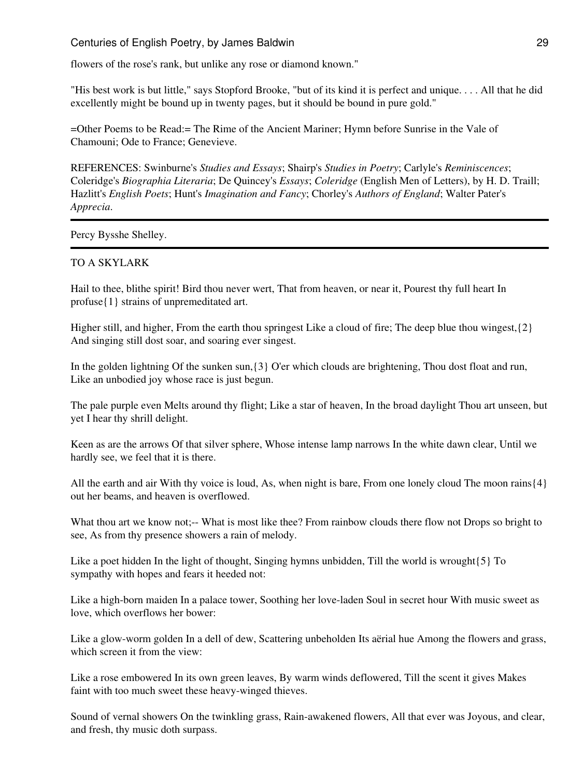flowers of the rose's rank, but unlike any rose or diamond known."

"His best work is but little," says Stopford Brooke, "but of its kind it is perfect and unique. . . . All that he did excellently might be bound up in twenty pages, but it should be bound in pure gold."

=Other Poems to be Read:= The Rime of the Ancient Mariner; Hymn before Sunrise in the Vale of Chamouni; Ode to France; Genevieve.

REFERENCES: Swinburne's *Studies and Essays*; Shairp's *Studies in Poetry*; Carlyle's *Reminiscences*; Coleridge's *Biographia Literaria*; De Quincey's *Essays*; *Coleridge* (English Men of Letters), by H. D. Traill; Hazlitt's *English Poets*; Hunt's *Imagination and Fancy*; Chorley's *Authors of England*; Walter Pater's *Apprecia*.

Percy Bysshe Shelley.

#### TO A SKYLARK

Hail to thee, blithe spirit! Bird thou never wert, That from heaven, or near it, Pourest thy full heart In profuse{1} strains of unpremeditated art.

Higher still, and higher, From the earth thou springest Like a cloud of fire; The deep blue thou wingest,{2} And singing still dost soar, and soaring ever singest.

In the golden lightning Of the sunken sun,{3} O'er which clouds are brightening, Thou dost float and run, Like an unbodied joy whose race is just begun.

The pale purple even Melts around thy flight; Like a star of heaven, In the broad daylight Thou art unseen, but yet I hear thy shrill delight.

Keen as are the arrows Of that silver sphere, Whose intense lamp narrows In the white dawn clear, Until we hardly see, we feel that it is there.

All the earth and air With thy voice is loud, As, when night is bare, From one lonely cloud The moon rains{4} out her beams, and heaven is overflowed.

What thou art we know not;-- What is most like thee? From rainbow clouds there flow not Drops so bright to see, As from thy presence showers a rain of melody.

Like a poet hidden In the light of thought, Singing hymns unbidden, Till the world is wrought{5} To sympathy with hopes and fears it heeded not:

Like a high-born maiden In a palace tower, Soothing her love-laden Soul in secret hour With music sweet as love, which overflows her bower:

Like a glow-worm golden In a dell of dew, Scattering unbeholden Its aërial hue Among the flowers and grass, which screen it from the view:

Like a rose embowered In its own green leaves, By warm winds deflowered, Till the scent it gives Makes faint with too much sweet these heavy-winged thieves.

Sound of vernal showers On the twinkling grass, Rain-awakened flowers, All that ever was Joyous, and clear, and fresh, thy music doth surpass.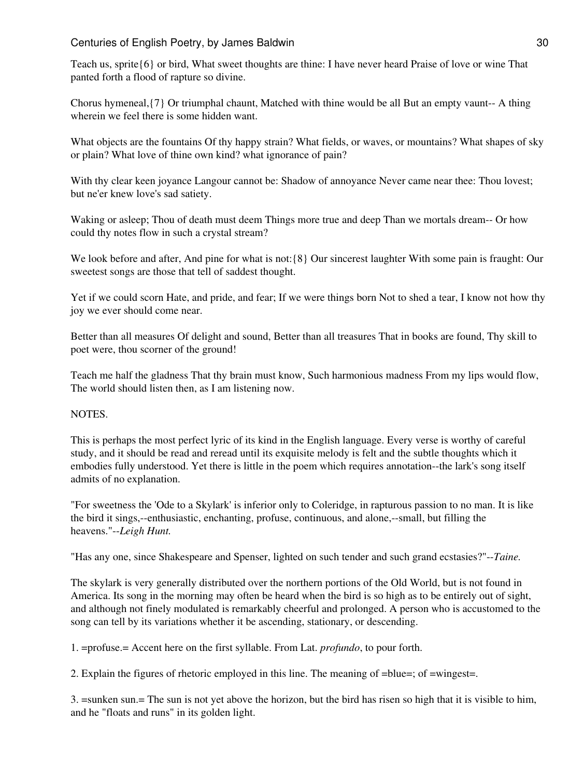Teach us, sprite{6} or bird, What sweet thoughts are thine: I have never heard Praise of love or wine That panted forth a flood of rapture so divine.

Chorus hymeneal,{7} Or triumphal chaunt, Matched with thine would be all But an empty vaunt-- A thing wherein we feel there is some hidden want.

What objects are the fountains Of thy happy strain? What fields, or waves, or mountains? What shapes of sky or plain? What love of thine own kind? what ignorance of pain?

With thy clear keen joyance Langour cannot be: Shadow of annoyance Never came near thee: Thou lovest; but ne'er knew love's sad satiety.

Waking or asleep; Thou of death must deem Things more true and deep Than we mortals dream-- Or how could thy notes flow in such a crystal stream?

We look before and after, And pine for what is not:{8} Our sincerest laughter With some pain is fraught: Our sweetest songs are those that tell of saddest thought.

Yet if we could scorn Hate, and pride, and fear; If we were things born Not to shed a tear, I know not how thy joy we ever should come near.

Better than all measures Of delight and sound, Better than all treasures That in books are found, Thy skill to poet were, thou scorner of the ground!

Teach me half the gladness That thy brain must know, Such harmonious madness From my lips would flow, The world should listen then, as I am listening now.

# NOTES.

This is perhaps the most perfect lyric of its kind in the English language. Every verse is worthy of careful study, and it should be read and reread until its exquisite melody is felt and the subtle thoughts which it embodies fully understood. Yet there is little in the poem which requires annotation--the lark's song itself admits of no explanation.

"For sweetness the 'Ode to a Skylark' is inferior only to Coleridge, in rapturous passion to no man. It is like the bird it sings,--enthusiastic, enchanting, profuse, continuous, and alone,--small, but filling the heavens."--*Leigh Hunt.*

"Has any one, since Shakespeare and Spenser, lighted on such tender and such grand ecstasies?"--*Taine.*

The skylark is very generally distributed over the northern portions of the Old World, but is not found in America. Its song in the morning may often be heard when the bird is so high as to be entirely out of sight, and although not finely modulated is remarkably cheerful and prolonged. A person who is accustomed to the song can tell by its variations whether it be ascending, stationary, or descending.

1. =profuse.= Accent here on the first syllable. From Lat. *profundo*, to pour forth.

2. Explain the figures of rhetoric employed in this line. The meaning of =blue=; of =wingest=.

3. =sunken sun.= The sun is not yet above the horizon, but the bird has risen so high that it is visible to him, and he "floats and runs" in its golden light.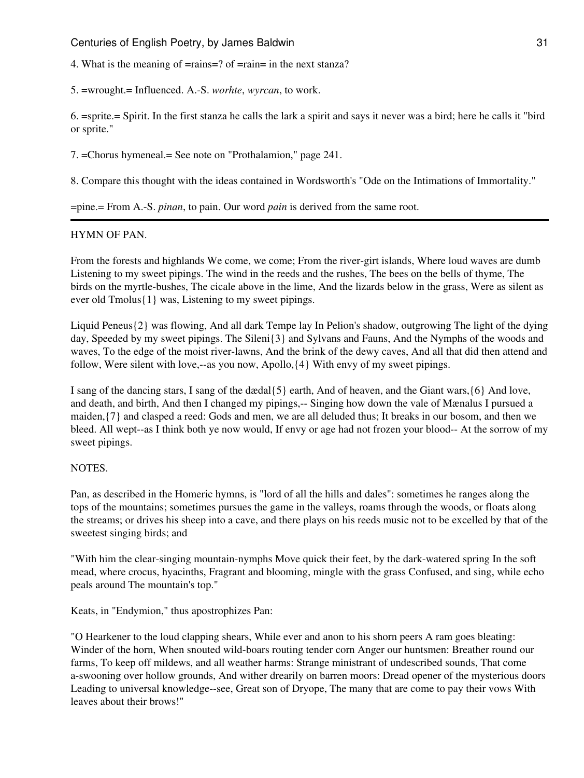4. What is the meaning of =rains=? of =rain= in the next stanza?

5. =wrought.= Influenced. A.-S. *worhte*, *wyrcan*, to work.

6. =sprite.= Spirit. In the first stanza he calls the lark a spirit and says it never was a bird; here he calls it "bird or sprite."

7. =Chorus hymeneal.= See note on "Prothalamion," page 241.

8. Compare this thought with the ideas contained in Wordsworth's "Ode on the Intimations of Immortality."

=pine.= From A.-S. *pinan*, to pain. Our word *pain* is derived from the same root.

## HYMN OF PAN.

From the forests and highlands We come, we come; From the river-girt islands, Where loud waves are dumb Listening to my sweet pipings. The wind in the reeds and the rushes, The bees on the bells of thyme, The birds on the myrtle-bushes, The cicale above in the lime, And the lizards below in the grass, Were as silent as ever old Tmolus{1} was, Listening to my sweet pipings.

Liquid Peneus{2} was flowing, And all dark Tempe lay In Pelion's shadow, outgrowing The light of the dying day, Speeded by my sweet pipings. The Sileni{3} and Sylvans and Fauns, And the Nymphs of the woods and waves, To the edge of the moist river-lawns, And the brink of the dewy caves, And all that did then attend and follow, Were silent with love,--as you now, Apollo,{4} With envy of my sweet pipings.

I sang of the dancing stars, I sang of the dædal{5} earth, And of heaven, and the Giant wars,{6} And love, and death, and birth, And then I changed my pipings,-- Singing how down the vale of Mænalus I pursued a maiden,{7} and clasped a reed: Gods and men, we are all deluded thus; It breaks in our bosom, and then we bleed. All wept--as I think both ye now would, If envy or age had not frozen your blood-- At the sorrow of my sweet pipings.

## **NOTES**

Pan, as described in the Homeric hymns, is "lord of all the hills and dales": sometimes he ranges along the tops of the mountains; sometimes pursues the game in the valleys, roams through the woods, or floats along the streams; or drives his sheep into a cave, and there plays on his reeds music not to be excelled by that of the sweetest singing birds; and

"With him the clear-singing mountain-nymphs Move quick their feet, by the dark-watered spring In the soft mead, where crocus, hyacinths, Fragrant and blooming, mingle with the grass Confused, and sing, while echo peals around The mountain's top."

Keats, in "Endymion," thus apostrophizes Pan:

"O Hearkener to the loud clapping shears, While ever and anon to his shorn peers A ram goes bleating: Winder of the horn, When snouted wild-boars routing tender corn Anger our huntsmen: Breather round our farms, To keep off mildews, and all weather harms: Strange ministrant of undescribed sounds, That come a-swooning over hollow grounds, And wither drearily on barren moors: Dread opener of the mysterious doors Leading to universal knowledge--see, Great son of Dryope, The many that are come to pay their vows With leaves about their brows!"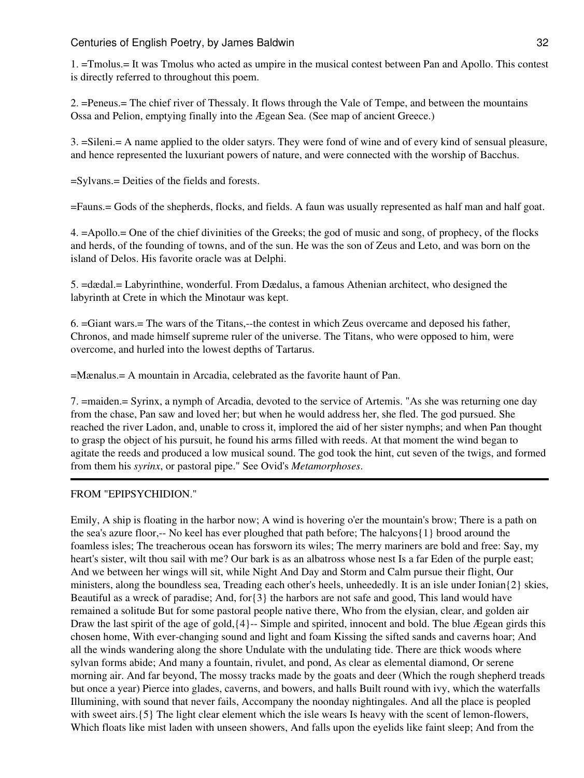1. =Tmolus.= It was Tmolus who acted as umpire in the musical contest between Pan and Apollo. This contest is directly referred to throughout this poem.

2. =Peneus.= The chief river of Thessaly. It flows through the Vale of Tempe, and between the mountains Ossa and Pelion, emptying finally into the Ægean Sea. (See map of ancient Greece.)

3. =Sileni.= A name applied to the older satyrs. They were fond of wine and of every kind of sensual pleasure, and hence represented the luxuriant powers of nature, and were connected with the worship of Bacchus.

=Sylvans.= Deities of the fields and forests.

=Fauns.= Gods of the shepherds, flocks, and fields. A faun was usually represented as half man and half goat.

4. =Apollo.= One of the chief divinities of the Greeks; the god of music and song, of prophecy, of the flocks and herds, of the founding of towns, and of the sun. He was the son of Zeus and Leto, and was born on the island of Delos. His favorite oracle was at Delphi.

5. =dædal.= Labyrinthine, wonderful. From Dædalus, a famous Athenian architect, who designed the labyrinth at Crete in which the Minotaur was kept.

6. =Giant wars.= The wars of the Titans,--the contest in which Zeus overcame and deposed his father, Chronos, and made himself supreme ruler of the universe. The Titans, who were opposed to him, were overcome, and hurled into the lowest depths of Tartarus.

=Mænalus.= A mountain in Arcadia, celebrated as the favorite haunt of Pan.

7. =maiden.= Syrinx, a nymph of Arcadia, devoted to the service of Artemis. "As she was returning one day from the chase, Pan saw and loved her; but when he would address her, she fled. The god pursued. She reached the river Ladon, and, unable to cross it, implored the aid of her sister nymphs; and when Pan thought to grasp the object of his pursuit, he found his arms filled with reeds. At that moment the wind began to agitate the reeds and produced a low musical sound. The god took the hint, cut seven of the twigs, and formed from them his *syrinx*, or pastoral pipe." See Ovid's *Metamorphoses*.

## FROM "EPIPSYCHIDION."

Emily, A ship is floating in the harbor now; A wind is hovering o'er the mountain's brow; There is a path on the sea's azure floor,-- No keel has ever ploughed that path before; The halcyons{1} brood around the foamless isles; The treacherous ocean has forsworn its wiles; The merry mariners are bold and free: Say, my heart's sister, wilt thou sail with me? Our bark is as an albatross whose nest Is a far Eden of the purple east; And we between her wings will sit, while Night And Day and Storm and Calm pursue their flight, Our ministers, along the boundless sea, Treading each other's heels, unheededly. It is an isle under Ionian $\{2\}$  skies, Beautiful as a wreck of paradise; And, for{3} the harbors are not safe and good, This land would have remained a solitude But for some pastoral people native there, Who from the elysian, clear, and golden air Draw the last spirit of the age of gold,{4}-- Simple and spirited, innocent and bold. The blue Ægean girds this chosen home, With ever-changing sound and light and foam Kissing the sifted sands and caverns hoar; And all the winds wandering along the shore Undulate with the undulating tide. There are thick woods where sylvan forms abide; And many a fountain, rivulet, and pond, As clear as elemental diamond, Or serene morning air. And far beyond, The mossy tracks made by the goats and deer (Which the rough shepherd treads but once a year) Pierce into glades, caverns, and bowers, and halls Built round with ivy, which the waterfalls Illumining, with sound that never fails, Accompany the noonday nightingales. And all the place is peopled with sweet airs. {5} The light clear element which the isle wears Is heavy with the scent of lemon-flowers, Which floats like mist laden with unseen showers, And falls upon the eyelids like faint sleep; And from the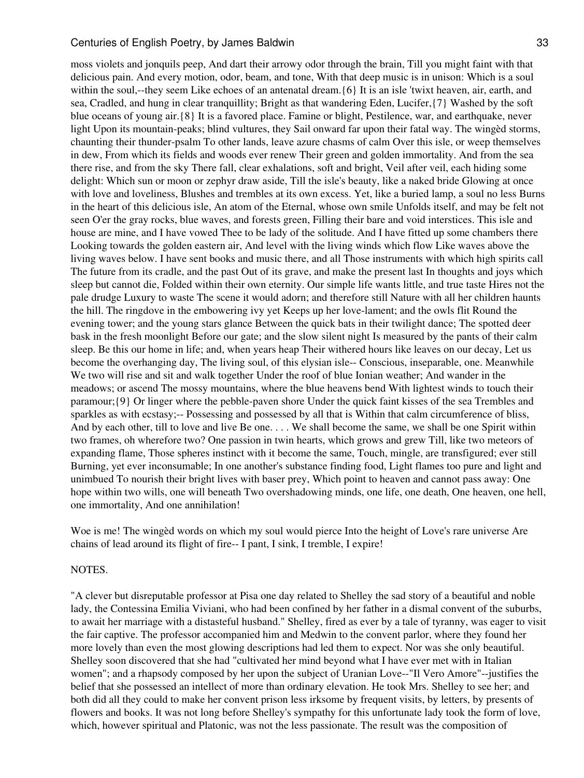moss violets and jonquils peep, And dart their arrowy odor through the brain, Till you might faint with that delicious pain. And every motion, odor, beam, and tone, With that deep music is in unison: Which is a soul within the soul,--they seem Like echoes of an antenatal dream.  $\{6\}$  It is an isle 'twixt heaven, air, earth, and sea, Cradled, and hung in clear tranquillity; Bright as that wandering Eden, Lucifer,{7} Washed by the soft blue oceans of young air.{8} It is a favored place. Famine or blight, Pestilence, war, and earthquake, never light Upon its mountain-peaks; blind vultures, they Sail onward far upon their fatal way. The wingèd storms, chaunting their thunder-psalm To other lands, leave azure chasms of calm Over this isle, or weep themselves in dew, From which its fields and woods ever renew Their green and golden immortality. And from the sea there rise, and from the sky There fall, clear exhalations, soft and bright, Veil after veil, each hiding some delight: Which sun or moon or zephyr draw aside, Till the isle's beauty, like a naked bride Glowing at once with love and loveliness, Blushes and trembles at its own excess. Yet, like a buried lamp, a soul no less Burns in the heart of this delicious isle, An atom of the Eternal, whose own smile Unfolds itself, and may be felt not seen O'er the gray rocks, blue waves, and forests green, Filling their bare and void interstices. This isle and house are mine, and I have vowed Thee to be lady of the solitude. And I have fitted up some chambers there Looking towards the golden eastern air, And level with the living winds which flow Like waves above the living waves below. I have sent books and music there, and all Those instruments with which high spirits call The future from its cradle, and the past Out of its grave, and make the present last In thoughts and joys which sleep but cannot die, Folded within their own eternity. Our simple life wants little, and true taste Hires not the pale drudge Luxury to waste The scene it would adorn; and therefore still Nature with all her children haunts the hill. The ringdove in the embowering ivy yet Keeps up her love-lament; and the owls flit Round the evening tower; and the young stars glance Between the quick bats in their twilight dance; The spotted deer bask in the fresh moonlight Before our gate; and the slow silent night Is measured by the pants of their calm sleep. Be this our home in life; and, when years heap Their withered hours like leaves on our decay, Let us become the overhanging day, The living soul, of this elysian isle-- Conscious, inseparable, one. Meanwhile We two will rise and sit and walk together Under the roof of blue Ionian weather; And wander in the meadows; or ascend The mossy mountains, where the blue heavens bend With lightest winds to touch their paramour;{9} Or linger where the pebble-paven shore Under the quick faint kisses of the sea Trembles and sparkles as with ecstasy;-- Possessing and possessed by all that is Within that calm circumference of bliss, And by each other, till to love and live Be one. . . . We shall become the same, we shall be one Spirit within two frames, oh wherefore two? One passion in twin hearts, which grows and grew Till, like two meteors of expanding flame, Those spheres instinct with it become the same, Touch, mingle, are transfigured; ever still Burning, yet ever inconsumable; In one another's substance finding food, Light flames too pure and light and unimbued To nourish their bright lives with baser prey, Which point to heaven and cannot pass away: One hope within two wills, one will beneath Two overshadowing minds, one life, one death, One heaven, one hell, one immortality, And one annihilation!

Woe is me! The wingèd words on which my soul would pierce Into the height of Love's rare universe Are chains of lead around its flight of fire-- I pant, I sink, I tremble, I expire!

#### NOTES.

"A clever but disreputable professor at Pisa one day related to Shelley the sad story of a beautiful and noble lady, the Contessina Emilia Viviani, who had been confined by her father in a dismal convent of the suburbs, to await her marriage with a distasteful husband." Shelley, fired as ever by a tale of tyranny, was eager to visit the fair captive. The professor accompanied him and Medwin to the convent parlor, where they found her more lovely than even the most glowing descriptions had led them to expect. Nor was she only beautiful. Shelley soon discovered that she had "cultivated her mind beyond what I have ever met with in Italian women"; and a rhapsody composed by her upon the subject of Uranian Love--"Il Vero Amore"--justifies the belief that she possessed an intellect of more than ordinary elevation. He took Mrs. Shelley to see her; and both did all they could to make her convent prison less irksome by frequent visits, by letters, by presents of flowers and books. It was not long before Shelley's sympathy for this unfortunate lady took the form of love, which, however spiritual and Platonic, was not the less passionate. The result was the composition of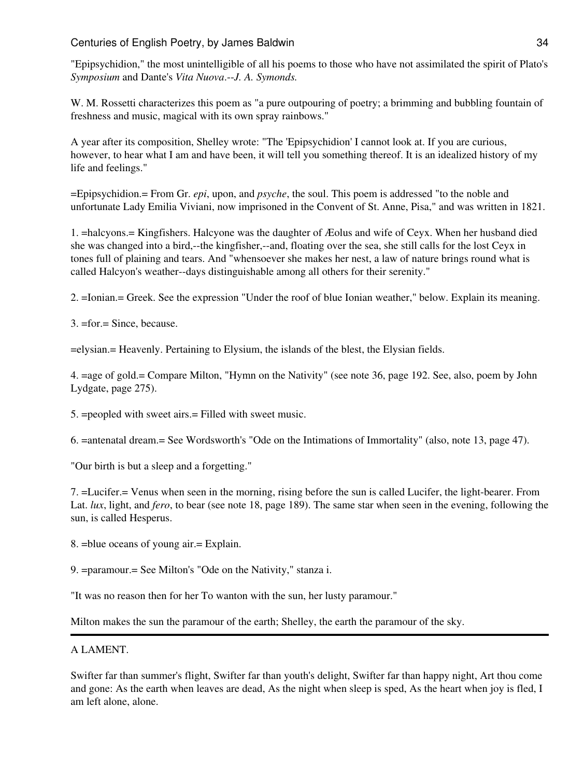"Epipsychidion," the most unintelligible of all his poems to those who have not assimilated the spirit of Plato's *Symposium* and Dante's *Vita Nuova*.--*J. A. Symonds.*

W. M. Rossetti characterizes this poem as "a pure outpouring of poetry; a brimming and bubbling fountain of freshness and music, magical with its own spray rainbows."

A year after its composition, Shelley wrote: "The 'Epipsychidion' I cannot look at. If you are curious, however, to hear what I am and have been, it will tell you something thereof. It is an idealized history of my life and feelings."

=Epipsychidion.= From Gr. *epi*, upon, and *psyche*, the soul. This poem is addressed "to the noble and unfortunate Lady Emilia Viviani, now imprisoned in the Convent of St. Anne, Pisa," and was written in 1821.

1. =halcyons.= Kingfishers. Halcyone was the daughter of Æolus and wife of Ceyx. When her husband died she was changed into a bird,--the kingfisher,--and, floating over the sea, she still calls for the lost Ceyx in tones full of plaining and tears. And "whensoever she makes her nest, a law of nature brings round what is called Halcyon's weather--days distinguishable among all others for their serenity."

2. =Ionian.= Greek. See the expression "Under the roof of blue Ionian weather," below. Explain its meaning.

3. =for.= Since, because.

=elysian.= Heavenly. Pertaining to Elysium, the islands of the blest, the Elysian fields.

4. =age of gold.= Compare Milton, "Hymn on the Nativity" (see note 36, page 192. See, also, poem by John Lydgate, page 275).

5. =peopled with sweet airs.= Filled with sweet music.

6. =antenatal dream.= See Wordsworth's "Ode on the Intimations of Immortality" (also, note 13, page 47).

"Our birth is but a sleep and a forgetting."

7. =Lucifer.= Venus when seen in the morning, rising before the sun is called Lucifer, the light-bearer. From Lat. *lux*, light, and *fero*, to bear (see note 18, page 189). The same star when seen in the evening, following the sun, is called Hesperus.

8. =blue oceans of young air.= Explain.

9. =paramour.= See Milton's "Ode on the Nativity," stanza i.

"It was no reason then for her To wanton with the sun, her lusty paramour."

Milton makes the sun the paramour of the earth; Shelley, the earth the paramour of the sky.

## A LAMENT.

Swifter far than summer's flight, Swifter far than youth's delight, Swifter far than happy night, Art thou come and gone: As the earth when leaves are dead, As the night when sleep is sped, As the heart when joy is fled, I am left alone, alone.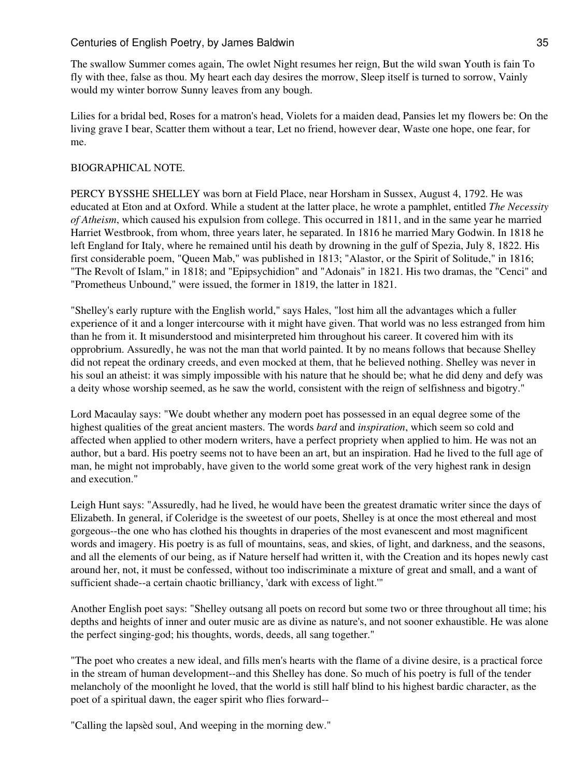The swallow Summer comes again, The owlet Night resumes her reign, But the wild swan Youth is fain To fly with thee, false as thou. My heart each day desires the morrow, Sleep itself is turned to sorrow, Vainly would my winter borrow Sunny leaves from any bough.

Lilies for a bridal bed, Roses for a matron's head, Violets for a maiden dead, Pansies let my flowers be: On the living grave I bear, Scatter them without a tear, Let no friend, however dear, Waste one hope, one fear, for me.

## BIOGRAPHICAL NOTE.

PERCY BYSSHE SHELLEY was born at Field Place, near Horsham in Sussex, August 4, 1792. He was educated at Eton and at Oxford. While a student at the latter place, he wrote a pamphlet, entitled *The Necessity of Atheism*, which caused his expulsion from college. This occurred in 1811, and in the same year he married Harriet Westbrook, from whom, three years later, he separated. In 1816 he married Mary Godwin. In 1818 he left England for Italy, where he remained until his death by drowning in the gulf of Spezia, July 8, 1822. His first considerable poem, "Queen Mab," was published in 1813; "Alastor, or the Spirit of Solitude," in 1816; "The Revolt of Islam," in 1818; and "Epipsychidion" and "Adonais" in 1821. His two dramas, the "Cenci" and "Prometheus Unbound," were issued, the former in 1819, the latter in 1821.

"Shelley's early rupture with the English world," says Hales, "lost him all the advantages which a fuller experience of it and a longer intercourse with it might have given. That world was no less estranged from him than he from it. It misunderstood and misinterpreted him throughout his career. It covered him with its opprobrium. Assuredly, he was not the man that world painted. It by no means follows that because Shelley did not repeat the ordinary creeds, and even mocked at them, that he believed nothing. Shelley was never in his soul an atheist: it was simply impossible with his nature that he should be; what he did deny and defy was a deity whose worship seemed, as he saw the world, consistent with the reign of selfishness and bigotry."

Lord Macaulay says: "We doubt whether any modern poet has possessed in an equal degree some of the highest qualities of the great ancient masters. The words *bard* and *inspiration*, which seem so cold and affected when applied to other modern writers, have a perfect propriety when applied to him. He was not an author, but a bard. His poetry seems not to have been an art, but an inspiration. Had he lived to the full age of man, he might not improbably, have given to the world some great work of the very highest rank in design and execution."

Leigh Hunt says: "Assuredly, had he lived, he would have been the greatest dramatic writer since the days of Elizabeth. In general, if Coleridge is the sweetest of our poets, Shelley is at once the most ethereal and most gorgeous--the one who has clothed his thoughts in draperies of the most evanescent and most magnificent words and imagery. His poetry is as full of mountains, seas, and skies, of light, and darkness, and the seasons, and all the elements of our being, as if Nature herself had written it, with the Creation and its hopes newly cast around her, not, it must be confessed, without too indiscriminate a mixture of great and small, and a want of sufficient shade--a certain chaotic brilliancy, 'dark with excess of light.'"

Another English poet says: "Shelley outsang all poets on record but some two or three throughout all time; his depths and heights of inner and outer music are as divine as nature's, and not sooner exhaustible. He was alone the perfect singing-god; his thoughts, words, deeds, all sang together."

"The poet who creates a new ideal, and fills men's hearts with the flame of a divine desire, is a practical force in the stream of human development--and this Shelley has done. So much of his poetry is full of the tender melancholy of the moonlight he loved, that the world is still half blind to his highest bardic character, as the poet of a spiritual dawn, the eager spirit who flies forward--

"Calling the lapsèd soul, And weeping in the morning dew."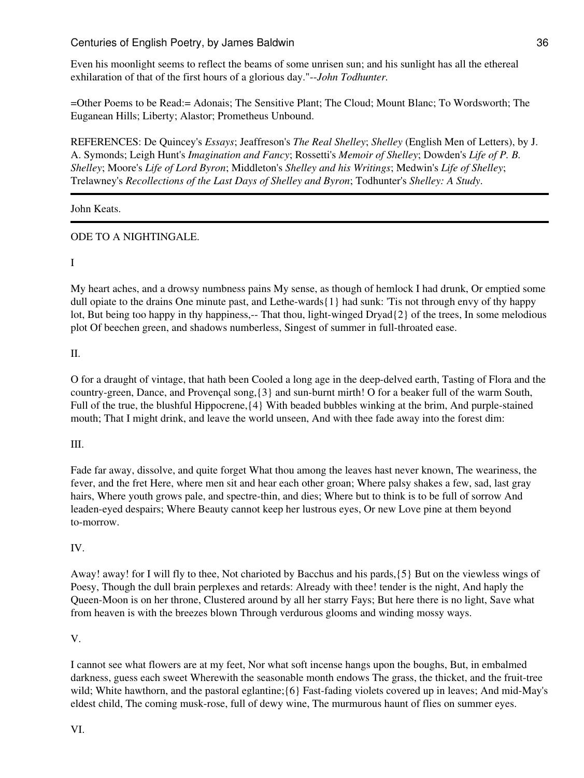Even his moonlight seems to reflect the beams of some unrisen sun; and his sunlight has all the ethereal exhilaration of that of the first hours of a glorious day."--*John Todhunter.*

=Other Poems to be Read:= Adonais; The Sensitive Plant; The Cloud; Mount Blanc; To Wordsworth; The Euganean Hills; Liberty; Alastor; Prometheus Unbound.

REFERENCES: De Quincey's *Essays*; Jeaffreson's *The Real Shelley*; *Shelley* (English Men of Letters), by J. A. Symonds; Leigh Hunt's *Imagination and Fancy*; Rossetti's *Memoir of Shelley*; Dowden's *Life of P. B. Shelley*; Moore's *Life of Lord Byron*; Middleton's *Shelley and his Writings*; Medwin's *Life of Shelley*; Trelawney's *Recollections of the Last Days of Shelley and Byron*; Todhunter's *Shelley: A Study*.

John Keats.

# ODE TO A NIGHTINGALE.

## I

My heart aches, and a drowsy numbness pains My sense, as though of hemlock I had drunk, Or emptied some dull opiate to the drains One minute past, and Lethe-wards{1} had sunk: 'Tis not through envy of thy happy lot, But being too happy in thy happiness,-- That thou, light-winged Dryad{2} of the trees, In some melodious plot Of beechen green, and shadows numberless, Singest of summer in full-throated ease.

II.

O for a draught of vintage, that hath been Cooled a long age in the deep-delved earth, Tasting of Flora and the country-green, Dance, and Provençal song,{3} and sun-burnt mirth! O for a beaker full of the warm South, Full of the true, the blushful Hippocrene,{4} With beaded bubbles winking at the brim, And purple-stained mouth; That I might drink, and leave the world unseen, And with thee fade away into the forest dim:

# III.

Fade far away, dissolve, and quite forget What thou among the leaves hast never known, The weariness, the fever, and the fret Here, where men sit and hear each other groan; Where palsy shakes a few, sad, last gray hairs, Where youth grows pale, and spectre-thin, and dies; Where but to think is to be full of sorrow And leaden-eyed despairs; Where Beauty cannot keep her lustrous eyes, Or new Love pine at them beyond to-morrow.

# IV.

Away! away! for I will fly to thee, Not charioted by Bacchus and his pards,{5} But on the viewless wings of Poesy, Though the dull brain perplexes and retards: Already with thee! tender is the night, And haply the Queen-Moon is on her throne, Clustered around by all her starry Fays; But here there is no light, Save what from heaven is with the breezes blown Through verdurous glooms and winding mossy ways.

# V.

I cannot see what flowers are at my feet, Nor what soft incense hangs upon the boughs, But, in embalmed darkness, guess each sweet Wherewith the seasonable month endows The grass, the thicket, and the fruit-tree wild; White hawthorn, and the pastoral eglantine; {6} Fast-fading violets covered up in leaves; And mid-May's eldest child, The coming musk-rose, full of dewy wine, The murmurous haunt of flies on summer eyes.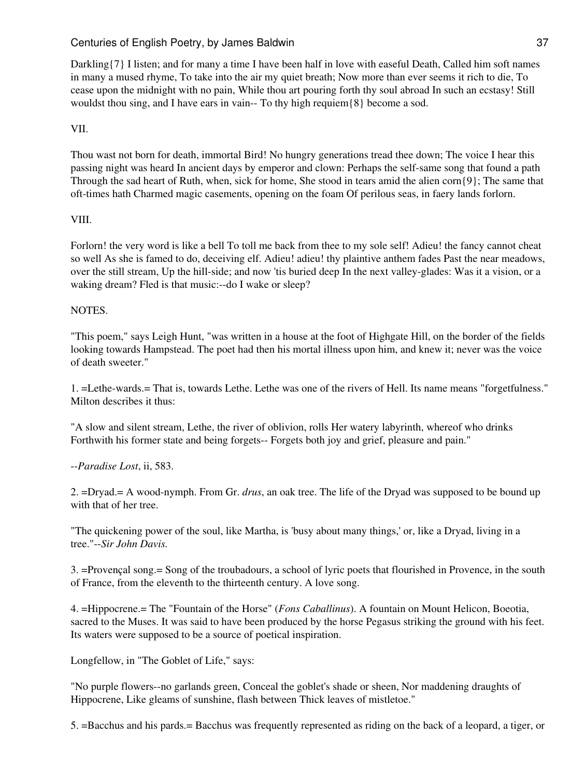Darkling  ${7}$  I listen; and for many a time I have been half in love with easeful Death, Called him soft names in many a mused rhyme, To take into the air my quiet breath; Now more than ever seems it rich to die, To cease upon the midnight with no pain, While thou art pouring forth thy soul abroad In such an ecstasy! Still wouldst thou sing, and I have ears in vain-- To thy high requiem  $\{8\}$  become a sod.

# VII.

Thou wast not born for death, immortal Bird! No hungry generations tread thee down; The voice I hear this passing night was heard In ancient days by emperor and clown: Perhaps the self-same song that found a path Through the sad heart of Ruth, when, sick for home, She stood in tears amid the alien corn{9}; The same that oft-times hath Charmed magic casements, opening on the foam Of perilous seas, in faery lands forlorn.

## VIII.

Forlorn! the very word is like a bell To toll me back from thee to my sole self! Adieu! the fancy cannot cheat so well As she is famed to do, deceiving elf. Adieu! adieu! thy plaintive anthem fades Past the near meadows, over the still stream, Up the hill-side; and now 'tis buried deep In the next valley-glades: Was it a vision, or a waking dream? Fled is that music:--do I wake or sleep?

## **NOTES**

"This poem," says Leigh Hunt, "was written in a house at the foot of Highgate Hill, on the border of the fields looking towards Hampstead. The poet had then his mortal illness upon him, and knew it; never was the voice of death sweeter."

1. =Lethe-wards.= That is, towards Lethe. Lethe was one of the rivers of Hell. Its name means "forgetfulness." Milton describes it thus:

"A slow and silent stream, Lethe, the river of oblivion, rolls Her watery labyrinth, whereof who drinks Forthwith his former state and being forgets-- Forgets both joy and grief, pleasure and pain."

### --*Paradise Lost*, ii, 583.

2. =Dryad.= A wood-nymph. From Gr. *drus*, an oak tree. The life of the Dryad was supposed to be bound up with that of her tree.

"The quickening power of the soul, like Martha, is 'busy about many things,' or, like a Dryad, living in a tree."--*Sir John Davis.*

3. =Provençal song.= Song of the troubadours, a school of lyric poets that flourished in Provence, in the south of France, from the eleventh to the thirteenth century. A love song.

4. =Hippocrene.= The "Fountain of the Horse" (*Fons Caballinus*). A fountain on Mount Helicon, Boeotia, sacred to the Muses. It was said to have been produced by the horse Pegasus striking the ground with his feet. Its waters were supposed to be a source of poetical inspiration.

Longfellow, in "The Goblet of Life," says:

"No purple flowers--no garlands green, Conceal the goblet's shade or sheen, Nor maddening draughts of Hippocrene, Like gleams of sunshine, flash between Thick leaves of mistletoe."

5. =Bacchus and his pards.= Bacchus was frequently represented as riding on the back of a leopard, a tiger, or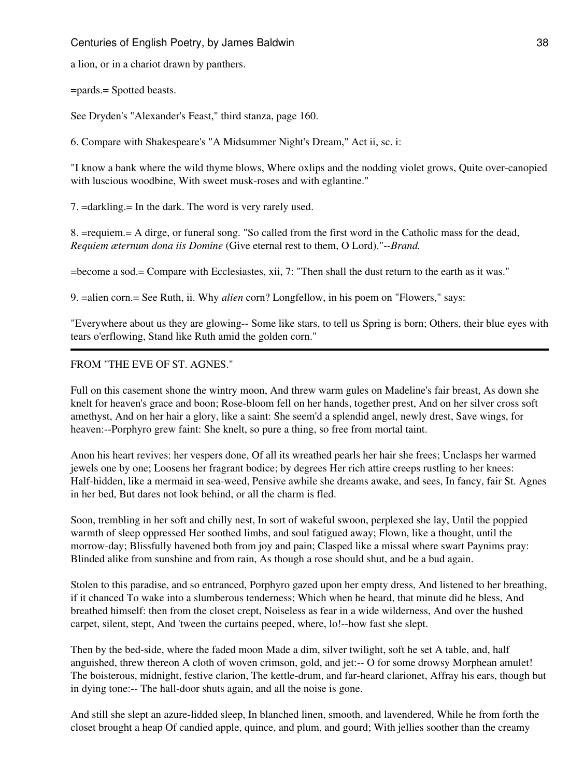a lion, or in a chariot drawn by panthers.

=pards.= Spotted beasts.

See Dryden's "Alexander's Feast," third stanza, page 160.

6. Compare with Shakespeare's "A Midsummer Night's Dream," Act ii, sc. i:

"I know a bank where the wild thyme blows, Where oxlips and the nodding violet grows, Quite over-canopied with luscious woodbine, With sweet musk-roses and with eglantine."

7. =darkling.= In the dark. The word is very rarely used.

8. =requiem.= A dirge, or funeral song. "So called from the first word in the Catholic mass for the dead, *Requiem æternum dona iis Domine* (Give eternal rest to them, O Lord)."--*Brand.*

=become a sod.= Compare with Ecclesiastes, xii, 7: "Then shall the dust return to the earth as it was."

9. =alien corn.= See Ruth, ii. Why *alien* corn? Longfellow, in his poem on "Flowers," says:

"Everywhere about us they are glowing-- Some like stars, to tell us Spring is born; Others, their blue eyes with tears o'erflowing, Stand like Ruth amid the golden corn."

### FROM "THE EVE OF ST. AGNES."

Full on this casement shone the wintry moon, And threw warm gules on Madeline's fair breast, As down she knelt for heaven's grace and boon; Rose-bloom fell on her hands, together prest, And on her silver cross soft amethyst, And on her hair a glory, like a saint: She seem'd a splendid angel, newly drest, Save wings, for heaven:--Porphyro grew faint: She knelt, so pure a thing, so free from mortal taint.

Anon his heart revives: her vespers done, Of all its wreathed pearls her hair she frees; Unclasps her warmed jewels one by one; Loosens her fragrant bodice; by degrees Her rich attire creeps rustling to her knees: Half-hidden, like a mermaid in sea-weed, Pensive awhile she dreams awake, and sees, In fancy, fair St. Agnes in her bed, But dares not look behind, or all the charm is fled.

Soon, trembling in her soft and chilly nest, In sort of wakeful swoon, perplexed she lay, Until the poppied warmth of sleep oppressed Her soothed limbs, and soul fatigued away; Flown, like a thought, until the morrow-day; Blissfully havened both from joy and pain; Clasped like a missal where swart Paynims pray: Blinded alike from sunshine and from rain, As though a rose should shut, and be a bud again.

Stolen to this paradise, and so entranced, Porphyro gazed upon her empty dress, And listened to her breathing, if it chanced To wake into a slumberous tenderness; Which when he heard, that minute did he bless, And breathed himself: then from the closet crept, Noiseless as fear in a wide wilderness, And over the hushed carpet, silent, stept, And 'tween the curtains peeped, where, lo!--how fast she slept.

Then by the bed-side, where the faded moon Made a dim, silver twilight, soft he set A table, and, half anguished, threw thereon A cloth of woven crimson, gold, and jet:-- O for some drowsy Morphean amulet! The boisterous, midnight, festive clarion, The kettle-drum, and far-heard clarionet, Affray his ears, though but in dying tone:-- The hall-door shuts again, and all the noise is gone.

And still she slept an azure-lidded sleep, In blanched linen, smooth, and lavendered, While he from forth the closet brought a heap Of candied apple, quince, and plum, and gourd; With jellies soother than the creamy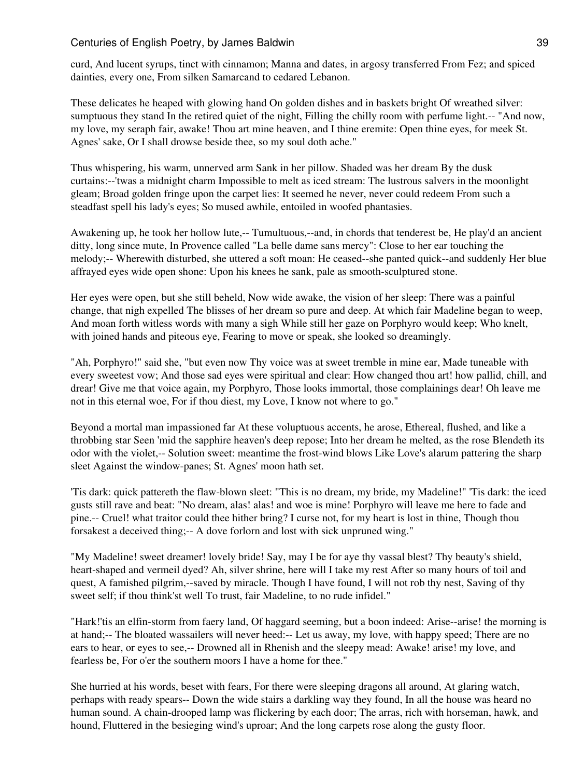curd, And lucent syrups, tinct with cinnamon; Manna and dates, in argosy transferred From Fez; and spiced dainties, every one, From silken Samarcand to cedared Lebanon.

These delicates he heaped with glowing hand On golden dishes and in baskets bright Of wreathed silver: sumptuous they stand In the retired quiet of the night, Filling the chilly room with perfume light.-- "And now, my love, my seraph fair, awake! Thou art mine heaven, and I thine eremite: Open thine eyes, for meek St. Agnes' sake, Or I shall drowse beside thee, so my soul doth ache."

Thus whispering, his warm, unnerved arm Sank in her pillow. Shaded was her dream By the dusk curtains:--'twas a midnight charm Impossible to melt as iced stream: The lustrous salvers in the moonlight gleam; Broad golden fringe upon the carpet lies: It seemed he never, never could redeem From such a steadfast spell his lady's eyes; So mused awhile, entoiled in woofed phantasies.

Awakening up, he took her hollow lute,-- Tumultuous,--and, in chords that tenderest be, He play'd an ancient ditty, long since mute, In Provence called "La belle dame sans mercy": Close to her ear touching the melody;-- Wherewith disturbed, she uttered a soft moan: He ceased--she panted quick--and suddenly Her blue affrayed eyes wide open shone: Upon his knees he sank, pale as smooth-sculptured stone.

Her eyes were open, but she still beheld, Now wide awake, the vision of her sleep: There was a painful change, that nigh expelled The blisses of her dream so pure and deep. At which fair Madeline began to weep, And moan forth witless words with many a sigh While still her gaze on Porphyro would keep; Who knelt, with joined hands and piteous eye, Fearing to move or speak, she looked so dreamingly.

"Ah, Porphyro!" said she, "but even now Thy voice was at sweet tremble in mine ear, Made tuneable with every sweetest vow; And those sad eyes were spiritual and clear: How changed thou art! how pallid, chill, and drear! Give me that voice again, my Porphyro, Those looks immortal, those complainings dear! Oh leave me not in this eternal woe, For if thou diest, my Love, I know not where to go."

Beyond a mortal man impassioned far At these voluptuous accents, he arose, Ethereal, flushed, and like a throbbing star Seen 'mid the sapphire heaven's deep repose; Into her dream he melted, as the rose Blendeth its odor with the violet,-- Solution sweet: meantime the frost-wind blows Like Love's alarum pattering the sharp sleet Against the window-panes; St. Agnes' moon hath set.

'Tis dark: quick pattereth the flaw-blown sleet: "This is no dream, my bride, my Madeline!" 'Tis dark: the iced gusts still rave and beat: "No dream, alas! alas! and woe is mine! Porphyro will leave me here to fade and pine.-- Cruel! what traitor could thee hither bring? I curse not, for my heart is lost in thine, Though thou forsakest a deceived thing;-- A dove forlorn and lost with sick unpruned wing."

"My Madeline! sweet dreamer! lovely bride! Say, may I be for aye thy vassal blest? Thy beauty's shield, heart-shaped and vermeil dyed? Ah, silver shrine, here will I take my rest After so many hours of toil and quest, A famished pilgrim,--saved by miracle. Though I have found, I will not rob thy nest, Saving of thy sweet self; if thou think'st well To trust, fair Madeline, to no rude infidel."

"Hark!'tis an elfin-storm from faery land, Of haggard seeming, but a boon indeed: Arise--arise! the morning is at hand;-- The bloated wassailers will never heed:-- Let us away, my love, with happy speed; There are no ears to hear, or eyes to see,-- Drowned all in Rhenish and the sleepy mead: Awake! arise! my love, and fearless be, For o'er the southern moors I have a home for thee."

She hurried at his words, beset with fears, For there were sleeping dragons all around, At glaring watch, perhaps with ready spears-- Down the wide stairs a darkling way they found, In all the house was heard no human sound. A chain-drooped lamp was flickering by each door; The arras, rich with horseman, hawk, and hound, Fluttered in the besieging wind's uproar; And the long carpets rose along the gusty floor.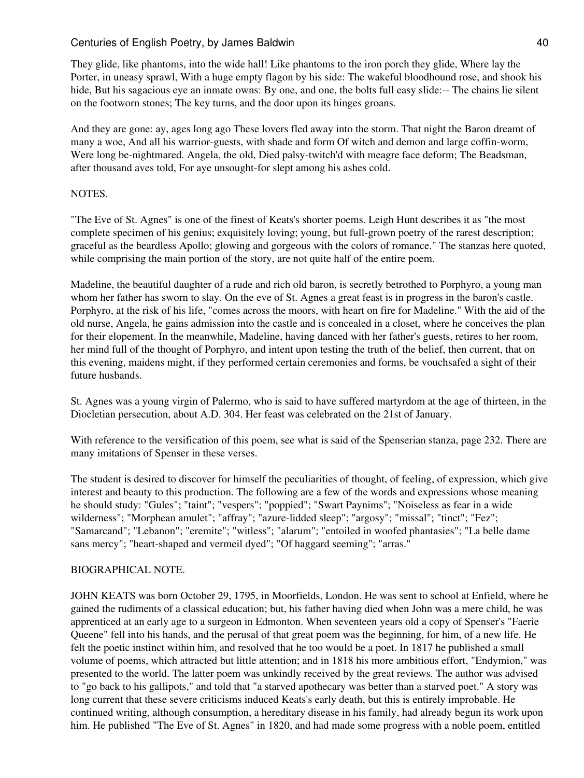They glide, like phantoms, into the wide hall! Like phantoms to the iron porch they glide, Where lay the Porter, in uneasy sprawl, With a huge empty flagon by his side: The wakeful bloodhound rose, and shook his hide, But his sagacious eye an inmate owns: By one, and one, the bolts full easy slide:-- The chains lie silent on the footworn stones; The key turns, and the door upon its hinges groans.

And they are gone: ay, ages long ago These lovers fled away into the storm. That night the Baron dreamt of many a woe, And all his warrior-guests, with shade and form Of witch and demon and large coffin-worm, Were long be-nightmared. Angela, the old, Died palsy-twitch'd with meagre face deform; The Beadsman, after thousand aves told, For aye unsought-for slept among his ashes cold.

## NOTES.

"The Eve of St. Agnes" is one of the finest of Keats's shorter poems. Leigh Hunt describes it as "the most complete specimen of his genius; exquisitely loving; young, but full-grown poetry of the rarest description; graceful as the beardless Apollo; glowing and gorgeous with the colors of romance." The stanzas here quoted, while comprising the main portion of the story, are not quite half of the entire poem.

Madeline, the beautiful daughter of a rude and rich old baron, is secretly betrothed to Porphyro, a young man whom her father has sworn to slay. On the eve of St. Agnes a great feast is in progress in the baron's castle. Porphyro, at the risk of his life, "comes across the moors, with heart on fire for Madeline." With the aid of the old nurse, Angela, he gains admission into the castle and is concealed in a closet, where he conceives the plan for their elopement. In the meanwhile, Madeline, having danced with her father's guests, retires to her room, her mind full of the thought of Porphyro, and intent upon testing the truth of the belief, then current, that on this evening, maidens might, if they performed certain ceremonies and forms, be vouchsafed a sight of their future husbands.

St. Agnes was a young virgin of Palermo, who is said to have suffered martyrdom at the age of thirteen, in the Diocletian persecution, about A.D. 304. Her feast was celebrated on the 21st of January.

With reference to the versification of this poem, see what is said of the Spenserian stanza, page 232. There are many imitations of Spenser in these verses.

The student is desired to discover for himself the peculiarities of thought, of feeling, of expression, which give interest and beauty to this production. The following are a few of the words and expressions whose meaning he should study: "Gules"; "taint"; "vespers"; "poppied"; "Swart Paynims"; "Noiseless as fear in a wide wilderness"; "Morphean amulet"; "affray"; "azure-lidded sleep"; "argosy"; "missal"; "tinct"; "Fez"; "Samarcand"; "Lebanon"; "eremite"; "witless"; "alarum"; "entoiled in woofed phantasies"; "La belle dame sans mercy"; "heart-shaped and vermeil dyed"; "Of haggard seeming"; "arras."

### BIOGRAPHICAL NOTE.

JOHN KEATS was born October 29, 1795, in Moorfields, London. He was sent to school at Enfield, where he gained the rudiments of a classical education; but, his father having died when John was a mere child, he was apprenticed at an early age to a surgeon in Edmonton. When seventeen years old a copy of Spenser's "Faerie Queene" fell into his hands, and the perusal of that great poem was the beginning, for him, of a new life. He felt the poetic instinct within him, and resolved that he too would be a poet. In 1817 he published a small volume of poems, which attracted but little attention; and in 1818 his more ambitious effort, "Endymion," was presented to the world. The latter poem was unkindly received by the great reviews. The author was advised to "go back to his gallipots," and told that "a starved apothecary was better than a starved poet." A story was long current that these severe criticisms induced Keats's early death, but this is entirely improbable. He continued writing, although consumption, a hereditary disease in his family, had already begun its work upon him. He published "The Eve of St. Agnes" in 1820, and had made some progress with a noble poem, entitled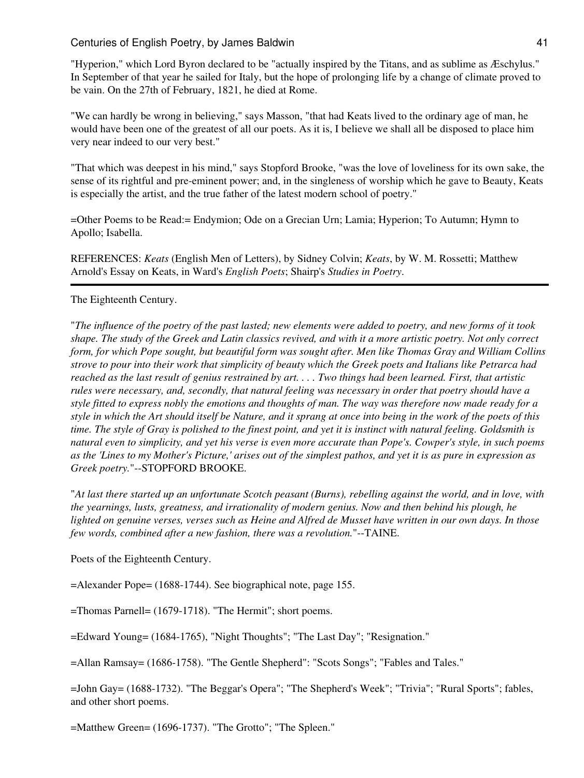"Hyperion," which Lord Byron declared to be "actually inspired by the Titans, and as sublime as Æschylus." In September of that year he sailed for Italy, but the hope of prolonging life by a change of climate proved to be vain. On the 27th of February, 1821, he died at Rome.

"We can hardly be wrong in believing," says Masson, "that had Keats lived to the ordinary age of man, he would have been one of the greatest of all our poets. As it is, I believe we shall all be disposed to place him very near indeed to our very best."

"That which was deepest in his mind," says Stopford Brooke, "was the love of loveliness for its own sake, the sense of its rightful and pre-eminent power; and, in the singleness of worship which he gave to Beauty, Keats is especially the artist, and the true father of the latest modern school of poetry."

=Other Poems to be Read:= Endymion; Ode on a Grecian Urn; Lamia; Hyperion; To Autumn; Hymn to Apollo; Isabella.

REFERENCES: *Keats* (English Men of Letters), by Sidney Colvin; *Keats*, by W. M. Rossetti; Matthew Arnold's Essay on Keats, in Ward's *English Poets*; Shairp's *Studies in Poetry*.

### The Eighteenth Century.

"*The influence of the poetry of the past lasted; new elements were added to poetry, and new forms of it took shape. The study of the Greek and Latin classics revived, and with it a more artistic poetry. Not only correct form, for which Pope sought, but beautiful form was sought after. Men like Thomas Gray and William Collins strove to pour into their work that simplicity of beauty which the Greek poets and Italians like Petrarca had reached as the last result of genius restrained by art. . . . Two things had been learned. First, that artistic rules were necessary, and, secondly, that natural feeling was necessary in order that poetry should have a style fitted to express nobly the emotions and thoughts of man. The way was therefore now made ready for a style in which the Art should itself be Nature, and it sprang at once into being in the work of the poets of this time. The style of Gray is polished to the finest point, and yet it is instinct with natural feeling. Goldsmith is natural even to simplicity, and yet his verse is even more accurate than Pope's. Cowper's style, in such poems as the 'Lines to my Mother's Picture,' arises out of the simplest pathos, and yet it is as pure in expression as Greek poetry.*"--STOPFORD BROOKE.

"*At last there started up an unfortunate Scotch peasant (Burns), rebelling against the world, and in love, with the yearnings, lusts, greatness, and irrationality of modern genius. Now and then behind his plough, he lighted on genuine verses, verses such as Heine and Alfred de Musset have written in our own days. In those few words, combined after a new fashion, there was a revolution.*"--TAINE.

Poets of the Eighteenth Century.

=Alexander Pope= (1688-1744). See biographical note, page 155.

=Thomas Parnell= (1679-1718). "The Hermit"; short poems.

=Edward Young= (1684-1765), "Night Thoughts"; "The Last Day"; "Resignation."

=Allan Ramsay= (1686-1758). "The Gentle Shepherd": "Scots Songs"; "Fables and Tales."

=John Gay= (1688-1732). "The Beggar's Opera"; "The Shepherd's Week"; "Trivia"; "Rural Sports"; fables, and other short poems.

=Matthew Green= (1696-1737). "The Grotto"; "The Spleen."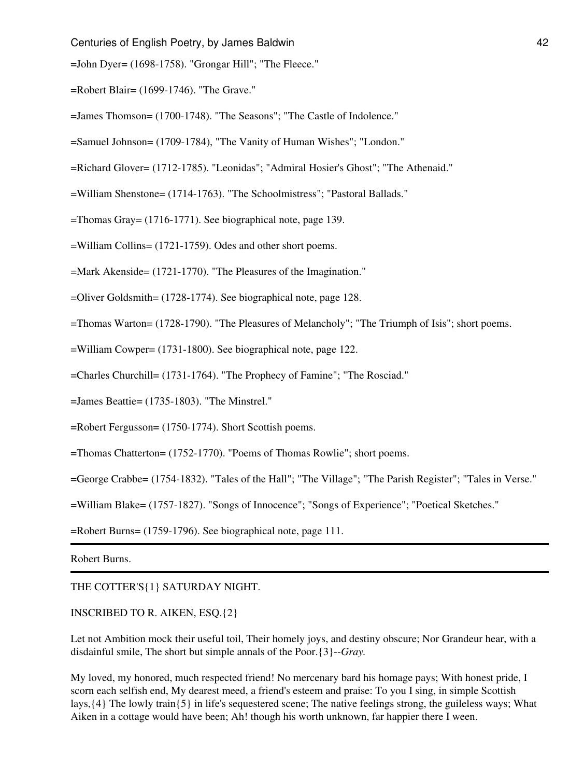=John Dyer= (1698-1758). "Grongar Hill"; "The Fleece."

- =Robert Blair= (1699-1746). "The Grave."
- =James Thomson= (1700-1748). "The Seasons"; "The Castle of Indolence."
- =Samuel Johnson= (1709-1784), "The Vanity of Human Wishes"; "London."
- =Richard Glover= (1712-1785). "Leonidas"; "Admiral Hosier's Ghost"; "The Athenaid."
- =William Shenstone= (1714-1763). "The Schoolmistress"; "Pastoral Ballads."
- =Thomas Gray= (1716-1771). See biographical note, page 139.
- =William Collins= (1721-1759). Odes and other short poems.
- =Mark Akenside= (1721-1770). "The Pleasures of the Imagination."
- =Oliver Goldsmith= (1728-1774). See biographical note, page 128.
- =Thomas Warton= (1728-1790). "The Pleasures of Melancholy"; "The Triumph of Isis"; short poems.
- =William Cowper= (1731-1800). See biographical note, page 122.
- =Charles Churchill= (1731-1764). "The Prophecy of Famine"; "The Rosciad."
- =James Beattie= (1735-1803). "The Minstrel."
- =Robert Fergusson= (1750-1774). Short Scottish poems.
- =Thomas Chatterton= (1752-1770). "Poems of Thomas Rowlie"; short poems.
- =George Crabbe= (1754-1832). "Tales of the Hall"; "The Village"; "The Parish Register"; "Tales in Verse."
- =William Blake= (1757-1827). "Songs of Innocence"; "Songs of Experience"; "Poetical Sketches."
- =Robert Burns= (1759-1796). See biographical note, page 111.

Robert Burns.

#### THE COTTER'S{1} SATURDAY NIGHT.

#### INSCRIBED TO R. AIKEN, ESQ.{2}

Let not Ambition mock their useful toil, Their homely joys, and destiny obscure; Nor Grandeur hear, with a disdainful smile, The short but simple annals of the Poor.{3}--*Gray.*

My loved, my honored, much respected friend! No mercenary bard his homage pays; With honest pride, I scorn each selfish end, My dearest meed, a friend's esteem and praise: To you I sing, in simple Scottish lays,{4} The lowly train{5} in life's sequestered scene; The native feelings strong, the guileless ways; What Aiken in a cottage would have been; Ah! though his worth unknown, far happier there I ween.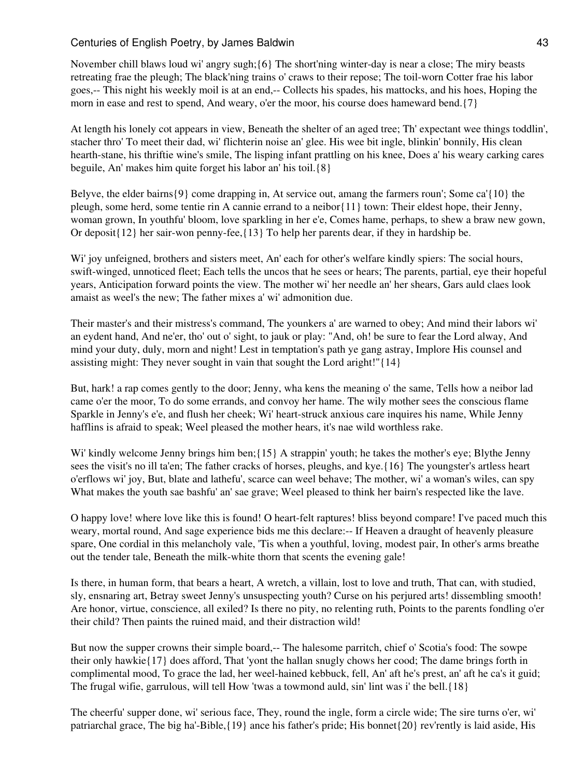November chill blaws loud wi' angry sugh;{6} The short'ning winter-day is near a close; The miry beasts retreating frae the pleugh; The black'ning trains o' craws to their repose; The toil-worn Cotter frae his labor goes,-- This night his weekly moil is at an end,-- Collects his spades, his mattocks, and his hoes, Hoping the morn in ease and rest to spend, And weary, o'er the moor, his course does hameward bend.{7}

At length his lonely cot appears in view, Beneath the shelter of an aged tree; Th' expectant wee things toddlin', stacher thro' To meet their dad, wi' flichterin noise an' glee. His wee bit ingle, blinkin' bonnily, His clean hearth-stane, his thriftie wine's smile, The lisping infant prattling on his knee, Does a' his weary carking cares beguile, An' makes him quite forget his labor an' his toil.{8}

Belyve, the elder bairns{9} come drapping in, At service out, amang the farmers roun'; Some ca'{10} the pleugh, some herd, some tentie rin A cannie errand to a neibor{11} town: Their eldest hope, their Jenny, woman grown, In youthfu' bloom, love sparkling in her e'e, Comes hame, perhaps, to shew a braw new gown, Or deposit{12} her sair-won penny-fee,{13} To help her parents dear, if they in hardship be.

Wi' joy unfeigned, brothers and sisters meet, An' each for other's welfare kindly spiers: The social hours, swift-winged, unnoticed fleet; Each tells the uncos that he sees or hears; The parents, partial, eye their hopeful years, Anticipation forward points the view. The mother wi' her needle an' her shears, Gars auld claes look amaist as weel's the new; The father mixes a' wi' admonition due.

Their master's and their mistress's command, The younkers a' are warned to obey; And mind their labors wi' an eydent hand, And ne'er, tho' out o' sight, to jauk or play: "And, oh! be sure to fear the Lord alway, And mind your duty, duly, morn and night! Lest in temptation's path ye gang astray, Implore His counsel and assisting might: They never sought in vain that sought the Lord aright!"{14}

But, hark! a rap comes gently to the door; Jenny, wha kens the meaning o' the same, Tells how a neibor lad came o'er the moor, To do some errands, and convoy her hame. The wily mother sees the conscious flame Sparkle in Jenny's e'e, and flush her cheek; Wi' heart-struck anxious care inquires his name, While Jenny hafflins is afraid to speak; Weel pleased the mother hears, it's nae wild worthless rake.

Wi' kindly welcome Jenny brings him ben; {15} A strappin' youth; he takes the mother's eye; Blythe Jenny sees the visit's no ill ta'en; The father cracks of horses, pleughs, and kye.{16} The youngster's artless heart o'erflows wi' joy, But, blate and lathefu', scarce can weel behave; The mother, wi' a woman's wiles, can spy What makes the youth sae bashfu' an' sae grave; Weel pleased to think her bairn's respected like the lave.

O happy love! where love like this is found! O heart-felt raptures! bliss beyond compare! I've paced much this weary, mortal round, And sage experience bids me this declare:-- If Heaven a draught of heavenly pleasure spare, One cordial in this melancholy vale, 'Tis when a youthful, loving, modest pair, In other's arms breathe out the tender tale, Beneath the milk-white thorn that scents the evening gale!

Is there, in human form, that bears a heart, A wretch, a villain, lost to love and truth, That can, with studied, sly, ensnaring art, Betray sweet Jenny's unsuspecting youth? Curse on his perjured arts! dissembling smooth! Are honor, virtue, conscience, all exiled? Is there no pity, no relenting ruth, Points to the parents fondling o'er their child? Then paints the ruined maid, and their distraction wild!

But now the supper crowns their simple board,-- The halesome parritch, chief o' Scotia's food: The sowpe their only hawkie{17} does afford, That 'yont the hallan snugly chows her cood; The dame brings forth in complimental mood, To grace the lad, her weel-hained kebbuck, fell, An' aft he's prest, an' aft he ca's it guid; The frugal wifie, garrulous, will tell How 'twas a towmond auld, sin' lint was i' the bell.{18}

The cheerfu' supper done, wi' serious face, They, round the ingle, form a circle wide; The sire turns o'er, wi' patriarchal grace, The big ha'-Bible,{19} ance his father's pride; His bonnet{20} rev'rently is laid aside, His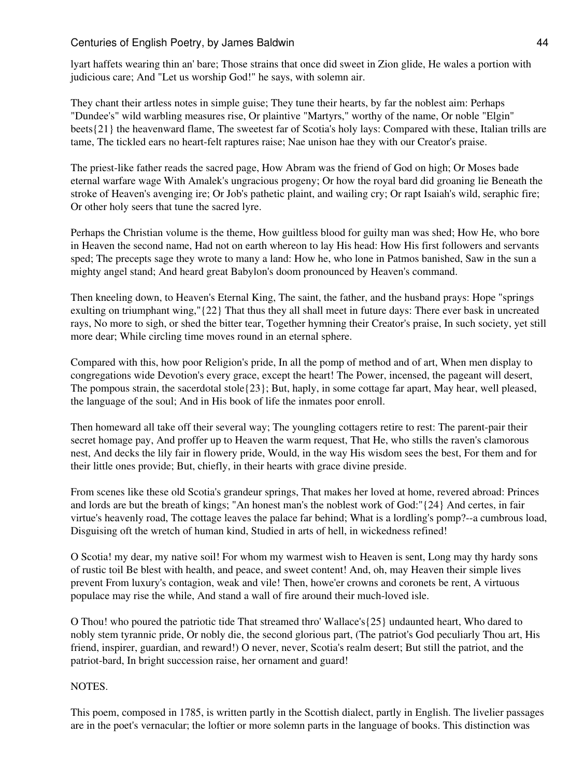lyart haffets wearing thin an' bare; Those strains that once did sweet in Zion glide, He wales a portion with judicious care; And "Let us worship God!" he says, with solemn air.

They chant their artless notes in simple guise; They tune their hearts, by far the noblest aim: Perhaps "Dundee's" wild warbling measures rise, Or plaintive "Martyrs," worthy of the name, Or noble "Elgin" beets{21} the heavenward flame, The sweetest far of Scotia's holy lays: Compared with these, Italian trills are tame, The tickled ears no heart-felt raptures raise; Nae unison hae they with our Creator's praise.

The priest-like father reads the sacred page, How Abram was the friend of God on high; Or Moses bade eternal warfare wage With Amalek's ungracious progeny; Or how the royal bard did groaning lie Beneath the stroke of Heaven's avenging ire; Or Job's pathetic plaint, and wailing cry; Or rapt Isaiah's wild, seraphic fire; Or other holy seers that tune the sacred lyre.

Perhaps the Christian volume is the theme, How guiltless blood for guilty man was shed; How He, who bore in Heaven the second name, Had not on earth whereon to lay His head: How His first followers and servants sped; The precepts sage they wrote to many a land: How he, who lone in Patmos banished, Saw in the sun a mighty angel stand; And heard great Babylon's doom pronounced by Heaven's command.

Then kneeling down, to Heaven's Eternal King, The saint, the father, and the husband prays: Hope "springs exulting on triumphant wing,"{22} That thus they all shall meet in future days: There ever bask in uncreated rays, No more to sigh, or shed the bitter tear, Together hymning their Creator's praise, In such society, yet still more dear; While circling time moves round in an eternal sphere.

Compared with this, how poor Religion's pride, In all the pomp of method and of art, When men display to congregations wide Devotion's every grace, except the heart! The Power, incensed, the pageant will desert, The pompous strain, the sacerdotal stole{23}; But, haply, in some cottage far apart, May hear, well pleased, the language of the soul; And in His book of life the inmates poor enroll.

Then homeward all take off their several way; The youngling cottagers retire to rest: The parent-pair their secret homage pay, And proffer up to Heaven the warm request, That He, who stills the raven's clamorous nest, And decks the lily fair in flowery pride, Would, in the way His wisdom sees the best, For them and for their little ones provide; But, chiefly, in their hearts with grace divine preside.

From scenes like these old Scotia's grandeur springs, That makes her loved at home, revered abroad: Princes and lords are but the breath of kings; "An honest man's the noblest work of God:"{24} And certes, in fair virtue's heavenly road, The cottage leaves the palace far behind; What is a lordling's pomp?--a cumbrous load, Disguising oft the wretch of human kind, Studied in arts of hell, in wickedness refined!

O Scotia! my dear, my native soil! For whom my warmest wish to Heaven is sent, Long may thy hardy sons of rustic toil Be blest with health, and peace, and sweet content! And, oh, may Heaven their simple lives prevent From luxury's contagion, weak and vile! Then, howe'er crowns and coronets be rent, A virtuous populace may rise the while, And stand a wall of fire around their much-loved isle.

O Thou! who poured the patriotic tide That streamed thro' Wallace's{25} undaunted heart, Who dared to nobly stem tyrannic pride, Or nobly die, the second glorious part, (The patriot's God peculiarly Thou art, His friend, inspirer, guardian, and reward!) O never, never, Scotia's realm desert; But still the patriot, and the patriot-bard, In bright succession raise, her ornament and guard!

NOTES.

This poem, composed in 1785, is written partly in the Scottish dialect, partly in English. The livelier passages are in the poet's vernacular; the loftier or more solemn parts in the language of books. This distinction was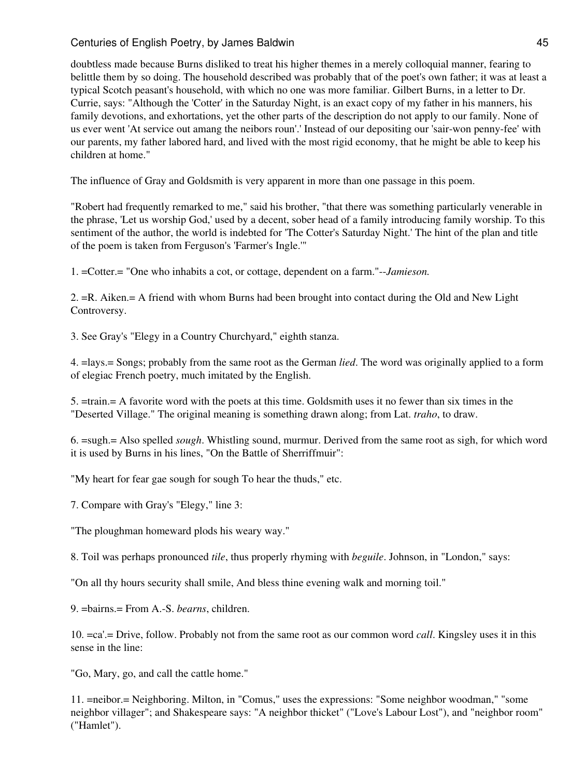doubtless made because Burns disliked to treat his higher themes in a merely colloquial manner, fearing to belittle them by so doing. The household described was probably that of the poet's own father; it was at least a typical Scotch peasant's household, with which no one was more familiar. Gilbert Burns, in a letter to Dr. Currie, says: "Although the 'Cotter' in the Saturday Night, is an exact copy of my father in his manners, his family devotions, and exhortations, yet the other parts of the description do not apply to our family. None of us ever went 'At service out amang the neibors roun'.' Instead of our depositing our 'sair-won penny-fee' with our parents, my father labored hard, and lived with the most rigid economy, that he might be able to keep his children at home."

The influence of Gray and Goldsmith is very apparent in more than one passage in this poem.

"Robert had frequently remarked to me," said his brother, "that there was something particularly venerable in the phrase, 'Let us worship God,' used by a decent, sober head of a family introducing family worship. To this sentiment of the author, the world is indebted for 'The Cotter's Saturday Night.' The hint of the plan and title of the poem is taken from Ferguson's 'Farmer's Ingle.'"

1. =Cotter.= "One who inhabits a cot, or cottage, dependent on a farm."--*Jamieson.*

2. =R. Aiken.= A friend with whom Burns had been brought into contact during the Old and New Light Controversy.

3. See Gray's "Elegy in a Country Churchyard," eighth stanza.

4. =lays.= Songs; probably from the same root as the German *lied*. The word was originally applied to a form of elegiac French poetry, much imitated by the English.

5. =train.= A favorite word with the poets at this time. Goldsmith uses it no fewer than six times in the "Deserted Village." The original meaning is something drawn along; from Lat. *traho*, to draw.

6. =sugh.= Also spelled *sough*. Whistling sound, murmur. Derived from the same root as sigh, for which word it is used by Burns in his lines, "On the Battle of Sherriffmuir":

"My heart for fear gae sough for sough To hear the thuds," etc.

7. Compare with Gray's "Elegy," line 3:

"The ploughman homeward plods his weary way."

8. Toil was perhaps pronounced *tile*, thus properly rhyming with *beguile*. Johnson, in "London," says:

"On all thy hours security shall smile, And bless thine evening walk and morning toil."

9. =bairns.= From A.-S. *bearns*, children.

10. =ca'.= Drive, follow. Probably not from the same root as our common word *call*. Kingsley uses it in this sense in the line:

"Go, Mary, go, and call the cattle home."

11. =neibor.= Neighboring. Milton, in "Comus," uses the expressions: "Some neighbor woodman," "some neighbor villager"; and Shakespeare says: "A neighbor thicket" ("Love's Labour Lost"), and "neighbor room" ("Hamlet").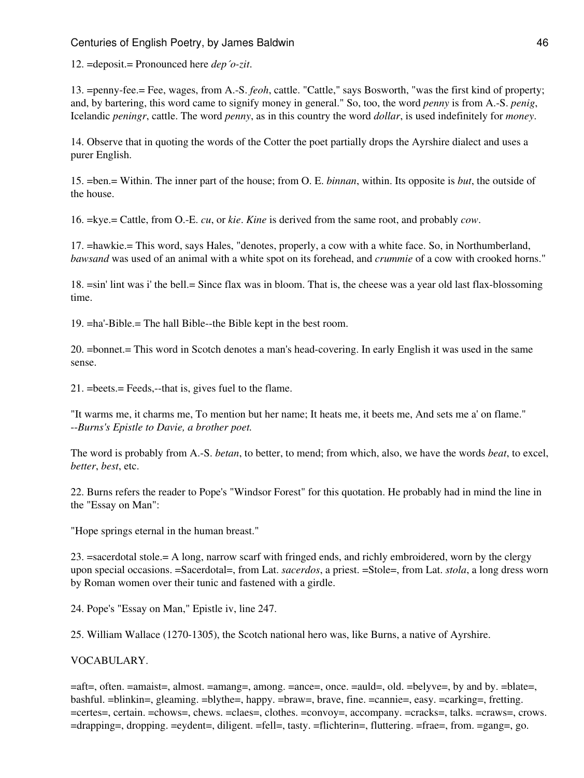12. =deposit.= Pronounced here *dep´o-zit*.

13. =penny-fee.= Fee, wages, from A.-S. *feoh*, cattle. "Cattle," says Bosworth, "was the first kind of property; and, by bartering, this word came to signify money in general." So, too, the word *penny* is from A.-S. *penig*, Icelandic *peningr*, cattle. The word *penny*, as in this country the word *dollar*, is used indefinitely for *money*.

14. Observe that in quoting the words of the Cotter the poet partially drops the Ayrshire dialect and uses a purer English.

15. =ben.= Within. The inner part of the house; from O. E. *binnan*, within. Its opposite is *but*, the outside of the house.

16. =kye.= Cattle, from O.-E. *cu*, or *kie*. *Kine* is derived from the same root, and probably *cow*.

17. =hawkie.= This word, says Hales, "denotes, properly, a cow with a white face. So, in Northumberland, *bawsand* was used of an animal with a white spot on its forehead, and *crummie* of a cow with crooked horns."

18. =sin' lint was i' the bell.= Since flax was in bloom. That is, the cheese was a year old last flax-blossoming time.

19. =ha'-Bible.= The hall Bible--the Bible kept in the best room.

20. =bonnet.= This word in Scotch denotes a man's head-covering. In early English it was used in the same sense.

21. =beets.= Feeds,--that is, gives fuel to the flame.

"It warms me, it charms me, To mention but her name; It heats me, it beets me, And sets me a' on flame." --*Burns's Epistle to Davie, a brother poet.*

The word is probably from A.-S. *betan*, to better, to mend; from which, also, we have the words *beat*, to excel, *better*, *best*, etc.

22. Burns refers the reader to Pope's "Windsor Forest" for this quotation. He probably had in mind the line in the "Essay on Man":

"Hope springs eternal in the human breast."

23. =sacerdotal stole.= A long, narrow scarf with fringed ends, and richly embroidered, worn by the clergy upon special occasions. =Sacerdotal=, from Lat. *sacerdos*, a priest. =Stole=, from Lat. *stola*, a long dress worn by Roman women over their tunic and fastened with a girdle.

24. Pope's "Essay on Man," Epistle iv, line 247.

25. William Wallace (1270-1305), the Scotch national hero was, like Burns, a native of Ayrshire.

#### VOCABULARY.

=aft=, often. =amaist=, almost. =amang=, among. =ance=, once. =auld=, old. =belyve=, by and by. =blate=, bashful. =blinkin=, gleaming. =blythe=, happy. =braw=, brave, fine. =cannie=, easy. =carking=, fretting. =certes=, certain. =chows=, chews. =claes=, clothes. =convoy=, accompany. =cracks=, talks. =craws=, crows. =drapping=, dropping. =eydent=, diligent. =fell=, tasty. =flichterin=, fluttering. =frae=, from. =gang=, go.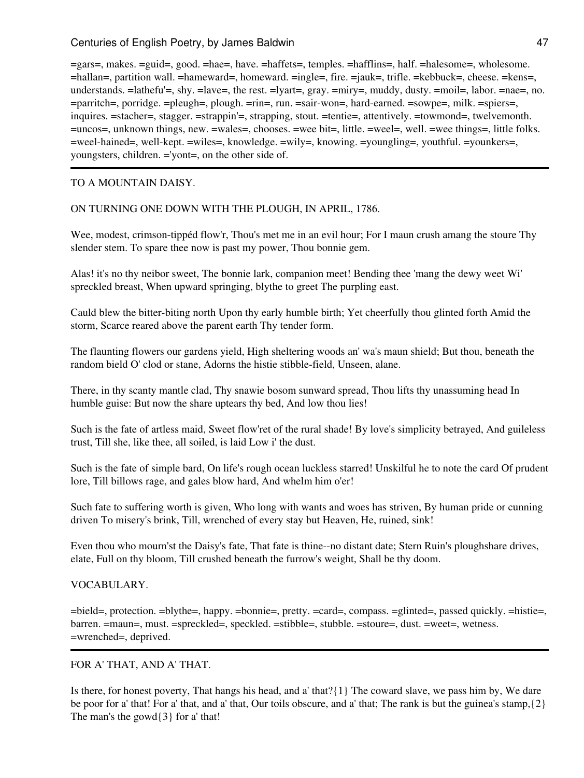=gars=, makes. =guid=, good. =hae=, have. =haffets=, temples. =hafflins=, half. =halesome=, wholesome. =hallan=, partition wall. =hameward=, homeward. =ingle=, fire. =jauk=, trifle. =kebbuck=, cheese. =kens=, understands. =lathefu'=, shy. =lave=, the rest. =lyart=, gray. =miry=, muddy, dusty. =moil=, labor. =nae=, no. =parritch=, porridge. =pleugh=, plough. =rin=, run. =sair-won=, hard-earned. =sowpe=, milk. =spiers=, inquires. =stacher=, stagger. =strappin'=, strapping, stout. =tentie=, attentively. =towmond=, twelvemonth. =uncos=, unknown things, new. =wales=, chooses. =wee bit=, little. =weel=, well. =wee things=, little folks. =weel-hained=, well-kept. =wiles=, knowledge. =wily=, knowing. =youngling=, youthful. =younkers=, youngsters, children. ='yont=, on the other side of.

### TO A MOUNTAIN DAISY.

### ON TURNING ONE DOWN WITH THE PLOUGH, IN APRIL, 1786.

Wee, modest, crimson-tippéd flow'r, Thou's met me in an evil hour; For I maun crush amang the stoure Thy slender stem. To spare thee now is past my power, Thou bonnie gem.

Alas! it's no thy neibor sweet, The bonnie lark, companion meet! Bending thee 'mang the dewy weet Wi' spreckled breast, When upward springing, blythe to greet The purpling east.

Cauld blew the bitter-biting north Upon thy early humble birth; Yet cheerfully thou glinted forth Amid the storm, Scarce reared above the parent earth Thy tender form.

The flaunting flowers our gardens yield, High sheltering woods an' wa's maun shield; But thou, beneath the random bield O' clod or stane, Adorns the histie stibble-field, Unseen, alane.

There, in thy scanty mantle clad, Thy snawie bosom sunward spread, Thou lifts thy unassuming head In humble guise: But now the share uptears thy bed, And low thou lies!

Such is the fate of artless maid, Sweet flow'ret of the rural shade! By love's simplicity betrayed, And guileless trust, Till she, like thee, all soiled, is laid Low i' the dust.

Such is the fate of simple bard, On life's rough ocean luckless starred! Unskilful he to note the card Of prudent lore, Till billows rage, and gales blow hard, And whelm him o'er!

Such fate to suffering worth is given, Who long with wants and woes has striven, By human pride or cunning driven To misery's brink, Till, wrenched of every stay but Heaven, He, ruined, sink!

Even thou who mourn'st the Daisy's fate, That fate is thine--no distant date; Stern Ruin's ploughshare drives, elate, Full on thy bloom, Till crushed beneath the furrow's weight, Shall be thy doom.

### VOCABULARY.

=bield=, protection. =blythe=, happy. =bonnie=, pretty. =card=, compass. =glinted=, passed quickly. =histie=, barren. =maun=, must. =spreckled=, speckled. =stibble=, stubble. =stoure=, dust. =weet=, wetness. =wrenched=, deprived.

# FOR A' THAT, AND A' THAT.

Is there, for honest poverty, That hangs his head, and a' that?{1} The coward slave, we pass him by, We dare be poor for a' that! For a' that, and a' that, Our toils obscure, and a' that; The rank is but the guinea's stamp,{2} The man's the gowd{3} for a' that!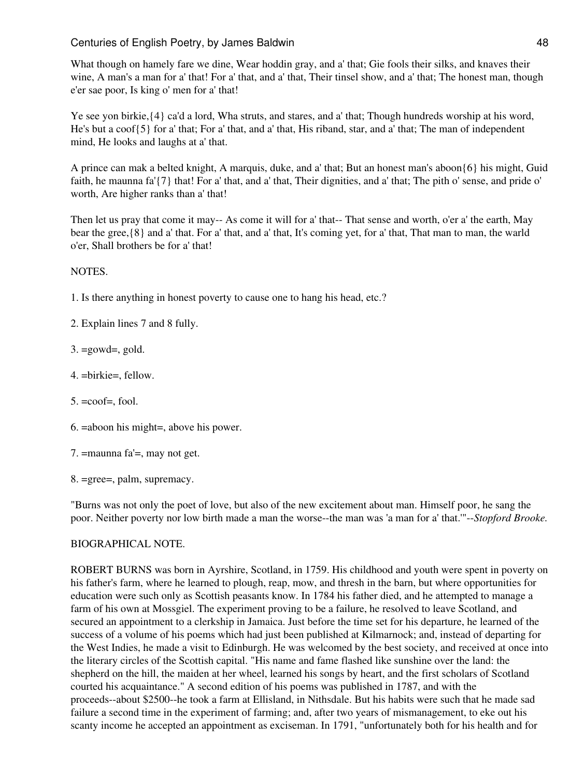What though on hamely fare we dine, Wear hoddin gray, and a' that; Gie fools their silks, and knaves their wine, A man's a man for a' that! For a' that, and a' that, Their tinsel show, and a' that; The honest man, though e'er sae poor, Is king o' men for a' that!

Ye see yon birkie,{4} ca'd a lord, Wha struts, and stares, and a' that; Though hundreds worship at his word, He's but a coof{5} for a' that; For a' that, and a' that, His riband, star, and a' that; The man of independent mind, He looks and laughs at a' that.

A prince can mak a belted knight, A marquis, duke, and a' that; But an honest man's aboon{6} his might, Guid faith, he maunna fa'{7} that! For a' that, and a' that, Their dignities, and a' that; The pith o' sense, and pride o' worth, Are higher ranks than a' that!

Then let us pray that come it may-- As come it will for a' that-- That sense and worth, o'er a' the earth, May bear the gree,{8} and a' that. For a' that, and a' that, It's coming yet, for a' that, That man to man, the warld o'er, Shall brothers be for a' that!

## NOTES.

- 1. Is there anything in honest poverty to cause one to hang his head, etc.?
- 2. Explain lines 7 and 8 fully.
- $3. = \text{gowd} =$ , gold.
- 4. =birkie=, fellow.
- $5. = \text{coof} = \text{fool}.$
- 6. =aboon his might=, above his power.
- 7. =maunna fa'=, may not get.
- 8. =gree=, palm, supremacy.

"Burns was not only the poet of love, but also of the new excitement about man. Himself poor, he sang the poor. Neither poverty nor low birth made a man the worse--the man was 'a man for a' that.'"--*Stopford Brooke.*

### BIOGRAPHICAL NOTE.

ROBERT BURNS was born in Ayrshire, Scotland, in 1759. His childhood and youth were spent in poverty on his father's farm, where he learned to plough, reap, mow, and thresh in the barn, but where opportunities for education were such only as Scottish peasants know. In 1784 his father died, and he attempted to manage a farm of his own at Mossgiel. The experiment proving to be a failure, he resolved to leave Scotland, and secured an appointment to a clerkship in Jamaica. Just before the time set for his departure, he learned of the success of a volume of his poems which had just been published at Kilmarnock; and, instead of departing for the West Indies, he made a visit to Edinburgh. He was welcomed by the best society, and received at once into the literary circles of the Scottish capital. "His name and fame flashed like sunshine over the land: the shepherd on the hill, the maiden at her wheel, learned his songs by heart, and the first scholars of Scotland courted his acquaintance." A second edition of his poems was published in 1787, and with the proceeds--about \$2500--he took a farm at Ellisland, in Nithsdale. But his habits were such that he made sad failure a second time in the experiment of farming; and, after two years of mismanagement, to eke out his scanty income he accepted an appointment as exciseman. In 1791, "unfortunately both for his health and for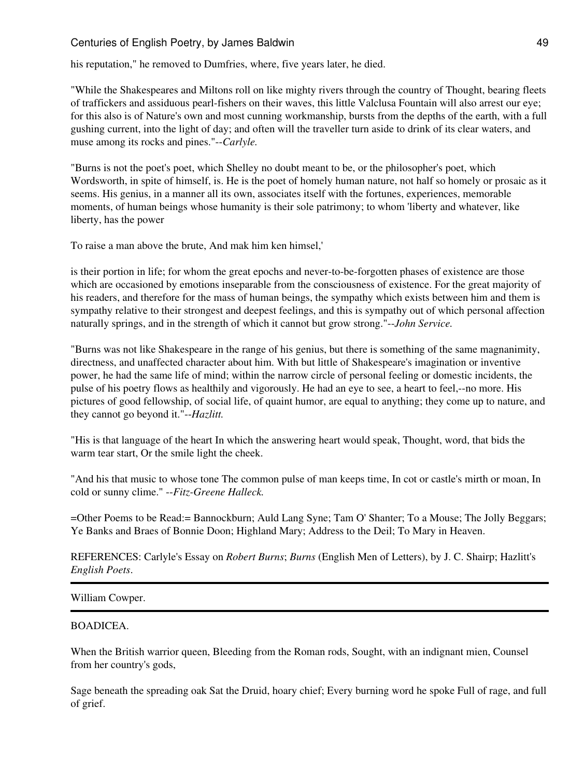his reputation," he removed to Dumfries, where, five years later, he died.

"While the Shakespeares and Miltons roll on like mighty rivers through the country of Thought, bearing fleets of traffickers and assiduous pearl-fishers on their waves, this little Valclusa Fountain will also arrest our eye; for this also is of Nature's own and most cunning workmanship, bursts from the depths of the earth, with a full gushing current, into the light of day; and often will the traveller turn aside to drink of its clear waters, and muse among its rocks and pines."--*Carlyle.*

"Burns is not the poet's poet, which Shelley no doubt meant to be, or the philosopher's poet, which Wordsworth, in spite of himself, is. He is the poet of homely human nature, not half so homely or prosaic as it seems. His genius, in a manner all its own, associates itself with the fortunes, experiences, memorable moments, of human beings whose humanity is their sole patrimony; to whom 'liberty and whatever, like liberty, has the power

To raise a man above the brute, And mak him ken himsel,'

is their portion in life; for whom the great epochs and never-to-be-forgotten phases of existence are those which are occasioned by emotions inseparable from the consciousness of existence. For the great majority of his readers, and therefore for the mass of human beings, the sympathy which exists between him and them is sympathy relative to their strongest and deepest feelings, and this is sympathy out of which personal affection naturally springs, and in the strength of which it cannot but grow strong."--*John Service.*

"Burns was not like Shakespeare in the range of his genius, but there is something of the same magnanimity, directness, and unaffected character about him. With but little of Shakespeare's imagination or inventive power, he had the same life of mind; within the narrow circle of personal feeling or domestic incidents, the pulse of his poetry flows as healthily and vigorously. He had an eye to see, a heart to feel,--no more. His pictures of good fellowship, of social life, of quaint humor, are equal to anything; they come up to nature, and they cannot go beyond it."--*Hazlitt.*

"His is that language of the heart In which the answering heart would speak, Thought, word, that bids the warm tear start, Or the smile light the cheek.

"And his that music to whose tone The common pulse of man keeps time, In cot or castle's mirth or moan, In cold or sunny clime." --*Fitz-Greene Halleck.*

=Other Poems to be Read:= Bannockburn; Auld Lang Syne; Tam O' Shanter; To a Mouse; The Jolly Beggars; Ye Banks and Braes of Bonnie Doon; Highland Mary; Address to the Deil; To Mary in Heaven.

REFERENCES: Carlyle's Essay on *Robert Burns*; *Burns* (English Men of Letters), by J. C. Shairp; Hazlitt's *English Poets*.

## William Cowper.

### BOADICEA.

When the British warrior queen, Bleeding from the Roman rods, Sought, with an indignant mien, Counsel from her country's gods,

Sage beneath the spreading oak Sat the Druid, hoary chief; Every burning word he spoke Full of rage, and full of grief.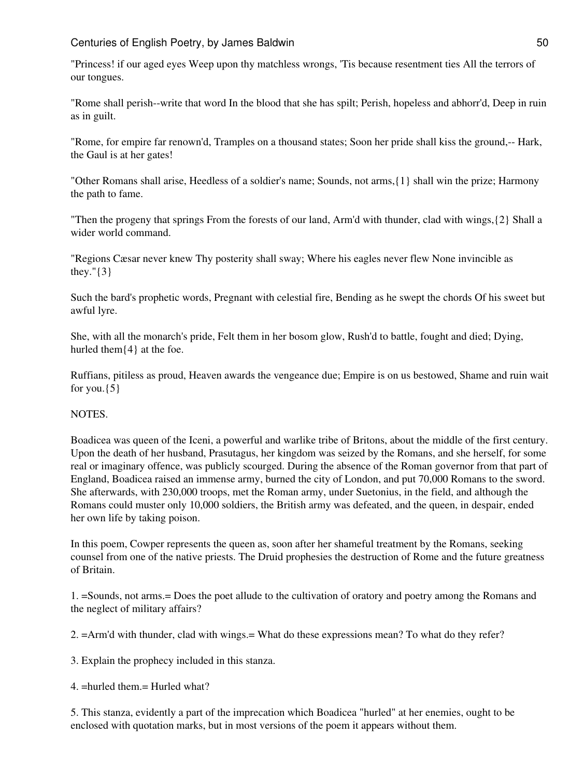"Princess! if our aged eyes Weep upon thy matchless wrongs, 'Tis because resentment ties All the terrors of our tongues.

"Rome shall perish--write that word In the blood that she has spilt; Perish, hopeless and abhorr'd, Deep in ruin as in guilt.

"Rome, for empire far renown'd, Tramples on a thousand states; Soon her pride shall kiss the ground,-- Hark, the Gaul is at her gates!

"Other Romans shall arise, Heedless of a soldier's name; Sounds, not arms,{1} shall win the prize; Harmony the path to fame.

"Then the progeny that springs From the forests of our land, Arm'd with thunder, clad with wings,{2} Shall a wider world command.

"Regions Cæsar never knew Thy posterity shall sway; Where his eagles never flew None invincible as they."{3}

Such the bard's prophetic words, Pregnant with celestial fire, Bending as he swept the chords Of his sweet but awful lyre.

She, with all the monarch's pride, Felt them in her bosom glow, Rush'd to battle, fought and died; Dying, hurled them $\{4\}$  at the foe.

Ruffians, pitiless as proud, Heaven awards the vengeance due; Empire is on us bestowed, Shame and ruin wait for you. $\{5\}$ 

# NOTES.

Boadicea was queen of the Iceni, a powerful and warlike tribe of Britons, about the middle of the first century. Upon the death of her husband, Prasutagus, her kingdom was seized by the Romans, and she herself, for some real or imaginary offence, was publicly scourged. During the absence of the Roman governor from that part of England, Boadicea raised an immense army, burned the city of London, and put 70,000 Romans to the sword. She afterwards, with 230,000 troops, met the Roman army, under Suetonius, in the field, and although the Romans could muster only 10,000 soldiers, the British army was defeated, and the queen, in despair, ended her own life by taking poison.

In this poem, Cowper represents the queen as, soon after her shameful treatment by the Romans, seeking counsel from one of the native priests. The Druid prophesies the destruction of Rome and the future greatness of Britain.

1. =Sounds, not arms.= Does the poet allude to the cultivation of oratory and poetry among the Romans and the neglect of military affairs?

2. =Arm'd with thunder, clad with wings.= What do these expressions mean? To what do they refer?

3. Explain the prophecy included in this stanza.

4. =hurled them.= Hurled what?

5. This stanza, evidently a part of the imprecation which Boadicea "hurled" at her enemies, ought to be enclosed with quotation marks, but in most versions of the poem it appears without them.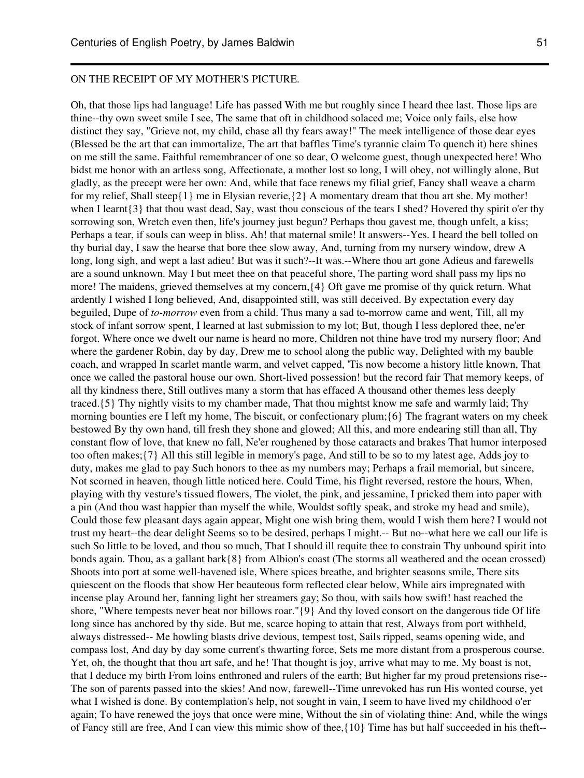#### ON THE RECEIPT OF MY MOTHER'S PICTURE.

Oh, that those lips had language! Life has passed With me but roughly since I heard thee last. Those lips are thine--thy own sweet smile I see, The same that oft in childhood solaced me; Voice only fails, else how distinct they say, "Grieve not, my child, chase all thy fears away!" The meek intelligence of those dear eyes (Blessed be the art that can immortalize, The art that baffles Time's tyrannic claim To quench it) here shines on me still the same. Faithful remembrancer of one so dear, O welcome guest, though unexpected here! Who bidst me honor with an artless song, Affectionate, a mother lost so long, I will obey, not willingly alone, But gladly, as the precept were her own: And, while that face renews my filial grief, Fancy shall weave a charm for my relief, Shall steep{1} me in Elysian reverie,  $\{2\}$  A momentary dream that thou art she. My mother! when I learnt{3} that thou wast dead, Say, wast thou conscious of the tears I shed? Hovered thy spirit o'er thy sorrowing son, Wretch even then, life's journey just begun? Perhaps thou gavest me, though unfelt, a kiss; Perhaps a tear, if souls can weep in bliss. Ah! that maternal smile! It answers--Yes. I heard the bell tolled on thy burial day, I saw the hearse that bore thee slow away, And, turning from my nursery window, drew A long, long sigh, and wept a last adieu! But was it such?--It was.--Where thou art gone Adieus and farewells are a sound unknown. May I but meet thee on that peaceful shore, The parting word shall pass my lips no more! The maidens, grieved themselves at my concern,{4} Oft gave me promise of thy quick return. What ardently I wished I long believed, And, disappointed still, was still deceived. By expectation every day beguiled, Dupe of *to-morrow* even from a child. Thus many a sad to-morrow came and went, Till, all my stock of infant sorrow spent, I learned at last submission to my lot; But, though I less deplored thee, ne'er forgot. Where once we dwelt our name is heard no more, Children not thine have trod my nursery floor; And where the gardener Robin, day by day, Drew me to school along the public way, Delighted with my bauble coach, and wrapped In scarlet mantle warm, and velvet capped, 'Tis now become a history little known, That once we called the pastoral house our own. Short-lived possession! but the record fair That memory keeps, of all thy kindness there, Still outlives many a storm that has effaced A thousand other themes less deeply traced.{5} Thy nightly visits to my chamber made, That thou mightst know me safe and warmly laid; Thy morning bounties ere I left my home, The biscuit, or confectionary plum;{6} The fragrant waters on my cheek bestowed By thy own hand, till fresh they shone and glowed; All this, and more endearing still than all, Thy constant flow of love, that knew no fall, Ne'er roughened by those cataracts and brakes That humor interposed too often makes;{7} All this still legible in memory's page, And still to be so to my latest age, Adds joy to duty, makes me glad to pay Such honors to thee as my numbers may; Perhaps a frail memorial, but sincere, Not scorned in heaven, though little noticed here. Could Time, his flight reversed, restore the hours, When, playing with thy vesture's tissued flowers, The violet, the pink, and jessamine, I pricked them into paper with a pin (And thou wast happier than myself the while, Wouldst softly speak, and stroke my head and smile), Could those few pleasant days again appear, Might one wish bring them, would I wish them here? I would not trust my heart--the dear delight Seems so to be desired, perhaps I might.-- But no--what here we call our life is such So little to be loved, and thou so much, That I should ill requite thee to constrain Thy unbound spirit into bonds again. Thou, as a gallant bark{8} from Albion's coast (The storms all weathered and the ocean crossed) Shoots into port at some well-havened isle, Where spices breathe, and brighter seasons smile, There sits quiescent on the floods that show Her beauteous form reflected clear below, While airs impregnated with incense play Around her, fanning light her streamers gay; So thou, with sails how swift! hast reached the shore, "Where tempests never beat nor billows roar."{9} And thy loved consort on the dangerous tide Of life long since has anchored by thy side. But me, scarce hoping to attain that rest, Always from port withheld, always distressed-- Me howling blasts drive devious, tempest tost, Sails ripped, seams opening wide, and compass lost, And day by day some current's thwarting force, Sets me more distant from a prosperous course. Yet, oh, the thought that thou art safe, and he! That thought is joy, arrive what may to me. My boast is not, that I deduce my birth From loins enthroned and rulers of the earth; But higher far my proud pretensions rise-- The son of parents passed into the skies! And now, farewell--Time unrevoked has run His wonted course, yet what I wished is done. By contemplation's help, not sought in vain, I seem to have lived my childhood o'er again; To have renewed the joys that once were mine, Without the sin of violating thine: And, while the wings of Fancy still are free, And I can view this mimic show of thee,{10} Time has but half succeeded in his theft--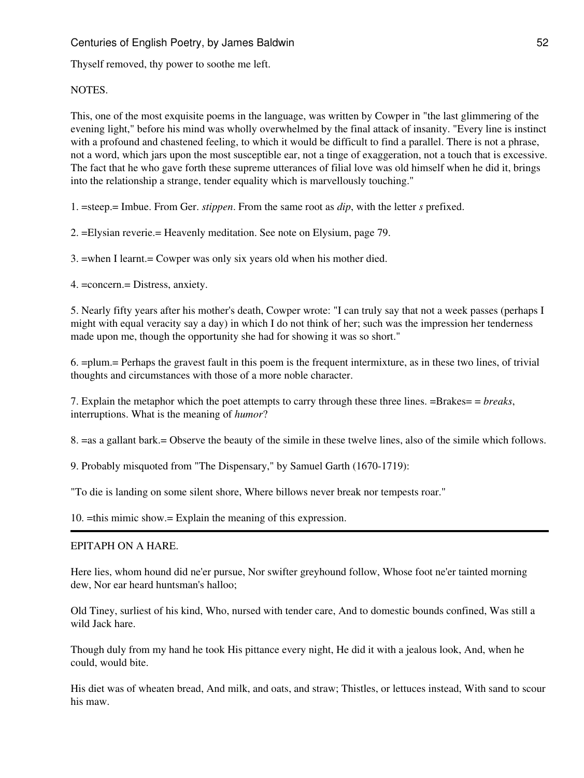Thyself removed, thy power to soothe me left.

# NOTES.

This, one of the most exquisite poems in the language, was written by Cowper in "the last glimmering of the evening light," before his mind was wholly overwhelmed by the final attack of insanity. "Every line is instinct with a profound and chastened feeling, to which it would be difficult to find a parallel. There is not a phrase, not a word, which jars upon the most susceptible ear, not a tinge of exaggeration, not a touch that is excessive. The fact that he who gave forth these supreme utterances of filial love was old himself when he did it, brings into the relationship a strange, tender equality which is marvellously touching."

1. =steep.= Imbue. From Ger. *stippen*. From the same root as *dip*, with the letter *s* prefixed.

- 2. =Elysian reverie.= Heavenly meditation. See note on Elysium, page 79.
- 3. =when I learnt.= Cowper was only six years old when his mother died.
- 4. =concern.= Distress, anxiety.

5. Nearly fifty years after his mother's death, Cowper wrote: "I can truly say that not a week passes (perhaps I might with equal veracity say a day) in which I do not think of her; such was the impression her tenderness made upon me, though the opportunity she had for showing it was so short."

6. =plum.= Perhaps the gravest fault in this poem is the frequent intermixture, as in these two lines, of trivial thoughts and circumstances with those of a more noble character.

7. Explain the metaphor which the poet attempts to carry through these three lines. =Brakes= = *breaks*, interruptions. What is the meaning of *humor*?

8. =as a gallant bark.= Observe the beauty of the simile in these twelve lines, also of the simile which follows.

9. Probably misquoted from "The Dispensary," by Samuel Garth (1670-1719):

"To die is landing on some silent shore, Where billows never break nor tempests roar."

10. =this mimic show.= Explain the meaning of this expression.

# EPITAPH ON A HARE.

Here lies, whom hound did ne'er pursue, Nor swifter greyhound follow, Whose foot ne'er tainted morning dew, Nor ear heard huntsman's halloo;

Old Tiney, surliest of his kind, Who, nursed with tender care, And to domestic bounds confined, Was still a wild Jack hare.

Though duly from my hand he took His pittance every night, He did it with a jealous look, And, when he could, would bite.

His diet was of wheaten bread, And milk, and oats, and straw; Thistles, or lettuces instead, With sand to scour his maw.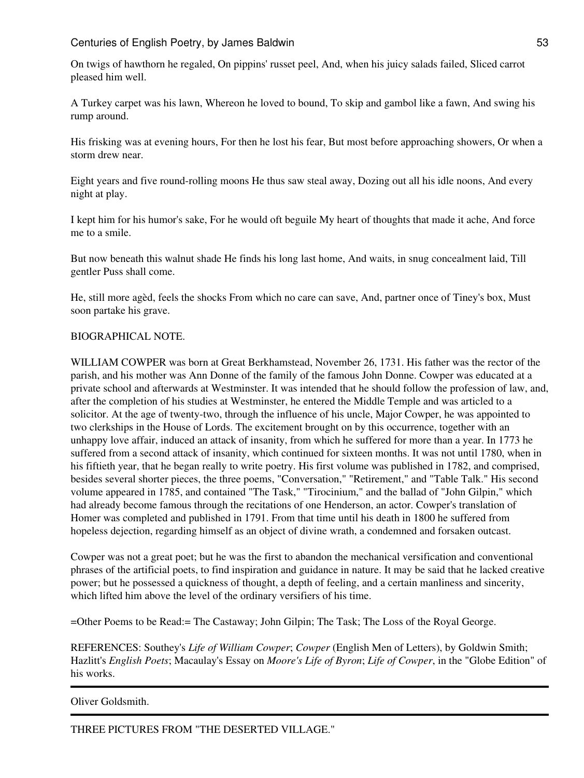On twigs of hawthorn he regaled, On pippins' russet peel, And, when his juicy salads failed, Sliced carrot pleased him well.

A Turkey carpet was his lawn, Whereon he loved to bound, To skip and gambol like a fawn, And swing his rump around.

His frisking was at evening hours, For then he lost his fear, But most before approaching showers, Or when a storm drew near.

Eight years and five round-rolling moons He thus saw steal away, Dozing out all his idle noons, And every night at play.

I kept him for his humor's sake, For he would oft beguile My heart of thoughts that made it ache, And force me to a smile.

But now beneath this walnut shade He finds his long last home, And waits, in snug concealment laid, Till gentler Puss shall come.

He, still more agèd, feels the shocks From which no care can save, And, partner once of Tiney's box, Must soon partake his grave.

#### BIOGRAPHICAL NOTE.

WILLIAM COWPER was born at Great Berkhamstead, November 26, 1731. His father was the rector of the parish, and his mother was Ann Donne of the family of the famous John Donne. Cowper was educated at a private school and afterwards at Westminster. It was intended that he should follow the profession of law, and, after the completion of his studies at Westminster, he entered the Middle Temple and was articled to a solicitor. At the age of twenty-two, through the influence of his uncle, Major Cowper, he was appointed to two clerkships in the House of Lords. The excitement brought on by this occurrence, together with an unhappy love affair, induced an attack of insanity, from which he suffered for more than a year. In 1773 he suffered from a second attack of insanity, which continued for sixteen months. It was not until 1780, when in his fiftieth year, that he began really to write poetry. His first volume was published in 1782, and comprised, besides several shorter pieces, the three poems, "Conversation," "Retirement," and "Table Talk." His second volume appeared in 1785, and contained "The Task," "Tirocinium," and the ballad of "John Gilpin," which had already become famous through the recitations of one Henderson, an actor. Cowper's translation of Homer was completed and published in 1791. From that time until his death in 1800 he suffered from hopeless dejection, regarding himself as an object of divine wrath, a condemned and forsaken outcast.

Cowper was not a great poet; but he was the first to abandon the mechanical versification and conventional phrases of the artificial poets, to find inspiration and guidance in nature. It may be said that he lacked creative power; but he possessed a quickness of thought, a depth of feeling, and a certain manliness and sincerity, which lifted him above the level of the ordinary versifiers of his time.

=Other Poems to be Read:= The Castaway; John Gilpin; The Task; The Loss of the Royal George.

REFERENCES: Southey's *Life of William Cowper*; *Cowper* (English Men of Letters), by Goldwin Smith; Hazlitt's *English Poets*; Macaulay's Essay on *Moore's Life of Byron*; *Life of Cowper*, in the "Globe Edition" of his works.

Oliver Goldsmith.

THREE PICTURES FROM "THE DESERTED VILLAGE."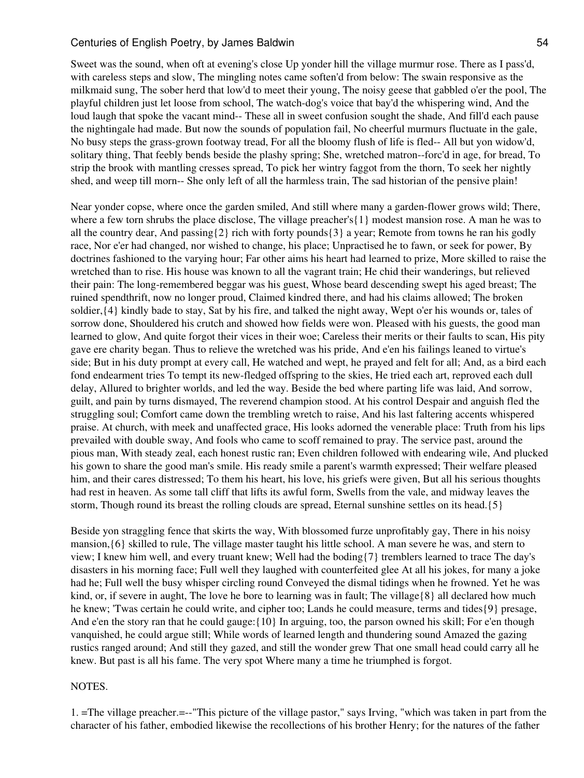Sweet was the sound, when oft at evening's close Up yonder hill the village murmur rose. There as I pass'd, with careless steps and slow, The mingling notes came soften'd from below: The swain responsive as the milkmaid sung, The sober herd that low'd to meet their young, The noisy geese that gabbled o'er the pool, The playful children just let loose from school, The watch-dog's voice that bay'd the whispering wind, And the loud laugh that spoke the vacant mind-- These all in sweet confusion sought the shade, And fill'd each pause the nightingale had made. But now the sounds of population fail, No cheerful murmurs fluctuate in the gale, No busy steps the grass-grown footway tread, For all the bloomy flush of life is fled-- All but yon widow'd, solitary thing, That feebly bends beside the plashy spring; She, wretched matron--forc'd in age, for bread, To strip the brook with mantling cresses spread, To pick her wintry faggot from the thorn, To seek her nightly shed, and weep till morn-- She only left of all the harmless train, The sad historian of the pensive plain!

Near yonder copse, where once the garden smiled, And still where many a garden-flower grows wild; There, where a few torn shrubs the place disclose, The village preacher's{1} modest mansion rose. A man he was to all the country dear, And passing $\{2\}$  rich with forty pounds $\{3\}$  a year; Remote from towns he ran his godly race, Nor e'er had changed, nor wished to change, his place; Unpractised he to fawn, or seek for power, By doctrines fashioned to the varying hour; Far other aims his heart had learned to prize, More skilled to raise the wretched than to rise. His house was known to all the vagrant train; He chid their wanderings, but relieved their pain: The long-remembered beggar was his guest, Whose beard descending swept his aged breast; The ruined spendthrift, now no longer proud, Claimed kindred there, and had his claims allowed; The broken soldier,{4} kindly bade to stay, Sat by his fire, and talked the night away, Wept o'er his wounds or, tales of sorrow done, Shouldered his crutch and showed how fields were won. Pleased with his guests, the good man learned to glow, And quite forgot their vices in their woe; Careless their merits or their faults to scan, His pity gave ere charity began. Thus to relieve the wretched was his pride, And e'en his failings leaned to virtue's side; But in his duty prompt at every call, He watched and wept, he prayed and felt for all; And, as a bird each fond endearment tries To tempt its new-fledged offspring to the skies, He tried each art, reproved each dull delay, Allured to brighter worlds, and led the way. Beside the bed where parting life was laid, And sorrow, guilt, and pain by turns dismayed, The reverend champion stood. At his control Despair and anguish fled the struggling soul; Comfort came down the trembling wretch to raise, And his last faltering accents whispered praise. At church, with meek and unaffected grace, His looks adorned the venerable place: Truth from his lips prevailed with double sway, And fools who came to scoff remained to pray. The service past, around the pious man, With steady zeal, each honest rustic ran; Even children followed with endearing wile, And plucked his gown to share the good man's smile. His ready smile a parent's warmth expressed; Their welfare pleased him, and their cares distressed; To them his heart, his love, his griefs were given, But all his serious thoughts had rest in heaven. As some tall cliff that lifts its awful form, Swells from the vale, and midway leaves the storm, Though round its breast the rolling clouds are spread, Eternal sunshine settles on its head.{5}

Beside yon straggling fence that skirts the way, With blossomed furze unprofitably gay, There in his noisy mansion,{6} skilled to rule, The village master taught his little school. A man severe he was, and stern to view; I knew him well, and every truant knew; Well had the boding{7} tremblers learned to trace The day's disasters in his morning face; Full well they laughed with counterfeited glee At all his jokes, for many a joke had he; Full well the busy whisper circling round Conveyed the dismal tidings when he frowned. Yet he was kind, or, if severe in aught. The love he bore to learning was in fault; The village $\{8\}$  all declared how much he knew; 'Twas certain he could write, and cipher too; Lands he could measure, terms and tides{9} presage, And e'en the story ran that he could gauge:{10} In arguing, too, the parson owned his skill; For e'en though vanquished, he could argue still; While words of learned length and thundering sound Amazed the gazing rustics ranged around; And still they gazed, and still the wonder grew That one small head could carry all he knew. But past is all his fame. The very spot Where many a time he triumphed is forgot.

#### NOTES.

1. =The village preacher.=--"This picture of the village pastor," says Irving, "which was taken in part from the character of his father, embodied likewise the recollections of his brother Henry; for the natures of the father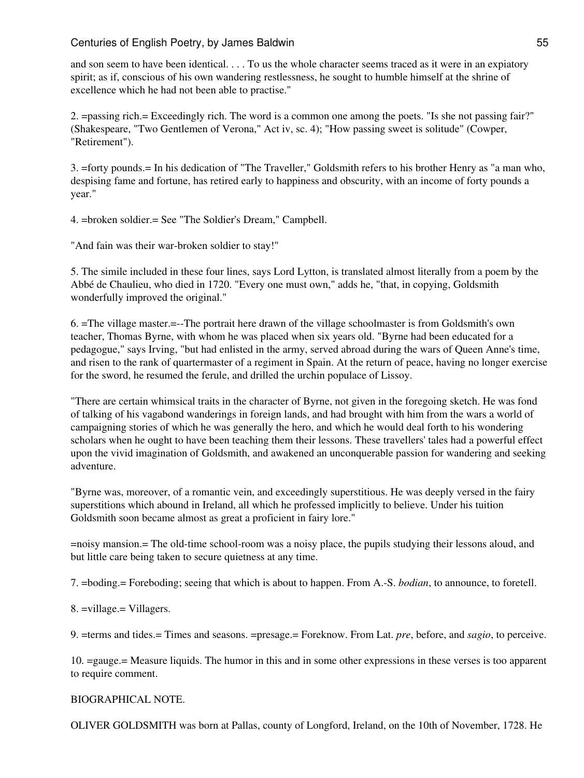and son seem to have been identical. . . . To us the whole character seems traced as it were in an expiatory spirit; as if, conscious of his own wandering restlessness, he sought to humble himself at the shrine of excellence which he had not been able to practise."

2. =passing rich.= Exceedingly rich. The word is a common one among the poets. "Is she not passing fair?" (Shakespeare, "Two Gentlemen of Verona," Act iv, sc. 4); "How passing sweet is solitude" (Cowper, "Retirement").

3. =forty pounds.= In his dedication of "The Traveller," Goldsmith refers to his brother Henry as "a man who, despising fame and fortune, has retired early to happiness and obscurity, with an income of forty pounds a year."

4. =broken soldier.= See "The Soldier's Dream," Campbell.

"And fain was their war-broken soldier to stay!"

5. The simile included in these four lines, says Lord Lytton, is translated almost literally from a poem by the Abbé de Chaulieu, who died in 1720. "Every one must own," adds he, "that, in copying, Goldsmith wonderfully improved the original."

6. =The village master.=--The portrait here drawn of the village schoolmaster is from Goldsmith's own teacher, Thomas Byrne, with whom he was placed when six years old. "Byrne had been educated for a pedagogue," says Irving, "but had enlisted in the army, served abroad during the wars of Queen Anne's time, and risen to the rank of quartermaster of a regiment in Spain. At the return of peace, having no longer exercise for the sword, he resumed the ferule, and drilled the urchin populace of Lissoy.

"There are certain whimsical traits in the character of Byrne, not given in the foregoing sketch. He was fond of talking of his vagabond wanderings in foreign lands, and had brought with him from the wars a world of campaigning stories of which he was generally the hero, and which he would deal forth to his wondering scholars when he ought to have been teaching them their lessons. These travellers' tales had a powerful effect upon the vivid imagination of Goldsmith, and awakened an unconquerable passion for wandering and seeking adventure.

"Byrne was, moreover, of a romantic vein, and exceedingly superstitious. He was deeply versed in the fairy superstitions which abound in Ireland, all which he professed implicitly to believe. Under his tuition Goldsmith soon became almost as great a proficient in fairy lore."

=noisy mansion.= The old-time school-room was a noisy place, the pupils studying their lessons aloud, and but little care being taken to secure quietness at any time.

7. =boding.= Foreboding; seeing that which is about to happen. From A.-S. *bodian*, to announce, to foretell.

8. =village.= Villagers.

9. =terms and tides.= Times and seasons. =presage.= Foreknow. From Lat. *pre*, before, and *sagio*, to perceive.

10. =gauge.= Measure liquids. The humor in this and in some other expressions in these verses is too apparent to require comment.

### BIOGRAPHICAL NOTE.

OLIVER GOLDSMITH was born at Pallas, county of Longford, Ireland, on the 10th of November, 1728. He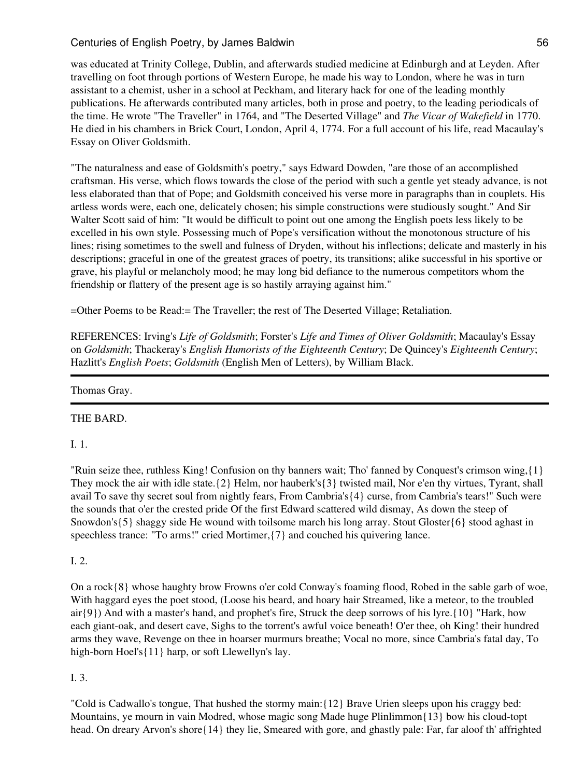was educated at Trinity College, Dublin, and afterwards studied medicine at Edinburgh and at Leyden. After travelling on foot through portions of Western Europe, he made his way to London, where he was in turn assistant to a chemist, usher in a school at Peckham, and literary hack for one of the leading monthly publications. He afterwards contributed many articles, both in prose and poetry, to the leading periodicals of the time. He wrote "The Traveller" in 1764, and "The Deserted Village" and *The Vicar of Wakefield* in 1770. He died in his chambers in Brick Court, London, April 4, 1774. For a full account of his life, read Macaulay's Essay on Oliver Goldsmith.

"The naturalness and ease of Goldsmith's poetry," says Edward Dowden, "are those of an accomplished craftsman. His verse, which flows towards the close of the period with such a gentle yet steady advance, is not less elaborated than that of Pope; and Goldsmith conceived his verse more in paragraphs than in couplets. His artless words were, each one, delicately chosen; his simple constructions were studiously sought." And Sir Walter Scott said of him: "It would be difficult to point out one among the English poets less likely to be excelled in his own style. Possessing much of Pope's versification without the monotonous structure of his lines; rising sometimes to the swell and fulness of Dryden, without his inflections; delicate and masterly in his descriptions; graceful in one of the greatest graces of poetry, its transitions; alike successful in his sportive or grave, his playful or melancholy mood; he may long bid defiance to the numerous competitors whom the friendship or flattery of the present age is so hastily arraying against him."

=Other Poems to be Read:= The Traveller; the rest of The Deserted Village; Retaliation.

REFERENCES: Irving's *Life of Goldsmith*; Forster's *Life and Times of Oliver Goldsmith*; Macaulay's Essay on *Goldsmith*; Thackeray's *English Humorists of the Eighteenth Century*; De Quincey's *Eighteenth Century*; Hazlitt's *English Poets*; *Goldsmith* (English Men of Letters), by William Black.

Thomas Gray.

# THE BARD.

I. 1.

"Ruin seize thee, ruthless King! Confusion on thy banners wait; Tho' fanned by Conquest's crimson wing,{1} They mock the air with idle state.{2} Helm, nor hauberk's{3} twisted mail, Nor e'en thy virtues, Tyrant, shall avail To save thy secret soul from nightly fears, From Cambria's{4} curse, from Cambria's tears!" Such were the sounds that o'er the crested pride Of the first Edward scattered wild dismay, As down the steep of Snowdon's{5} shaggy side He wound with toilsome march his long array. Stout Gloster{6} stood aghast in speechless trance: "To arms!" cried Mortimer,{7} and couched his quivering lance.

# I. 2.

On a rock{8} whose haughty brow Frowns o'er cold Conway's foaming flood, Robed in the sable garb of woe, With haggard eyes the poet stood, (Loose his beard, and hoary hair Streamed, like a meteor, to the troubled  $air{9}$ ) And with a master's hand, and prophet's fire, Struck the deep sorrows of his lyre. ${10}$  "Hark, how each giant-oak, and desert cave, Sighs to the torrent's awful voice beneath! O'er thee, oh King! their hundred arms they wave, Revenge on thee in hoarser murmurs breathe; Vocal no more, since Cambria's fatal day, To high-born Hoel's{11} harp, or soft Llewellyn's lay.

# I. 3.

"Cold is Cadwallo's tongue, That hushed the stormy main:{12} Brave Urien sleeps upon his craggy bed: Mountains, ye mourn in vain Modred, whose magic song Made huge Plinlimmon{13} bow his cloud-topt head. On dreary Arvon's shore{14} they lie, Smeared with gore, and ghastly pale: Far, far aloof th' affrighted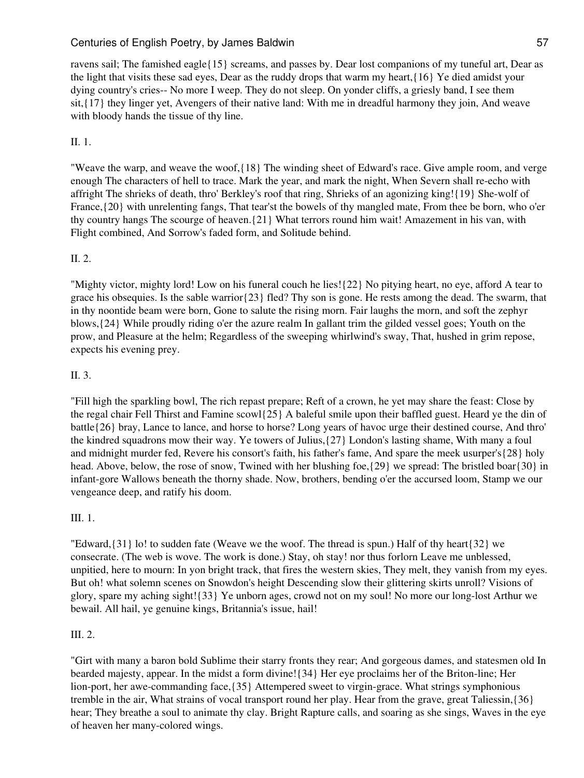ravens sail; The famished eagle{15} screams, and passes by. Dear lost companions of my tuneful art, Dear as the light that visits these sad eyes, Dear as the ruddy drops that warm my heart,{16} Ye died amidst your dying country's cries-- No more I weep. They do not sleep. On yonder cliffs, a griesly band, I see them sit,{17} they linger yet, Avengers of their native land: With me in dreadful harmony they join, And weave with bloody hands the tissue of thy line.

# II. 1.

"Weave the warp, and weave the woof,{18} The winding sheet of Edward's race. Give ample room, and verge enough The characters of hell to trace. Mark the year, and mark the night, When Severn shall re-echo with affright The shrieks of death, thro' Berkley's roof that ring, Shrieks of an agonizing king!{19} She-wolf of France,{20} with unrelenting fangs, That tear'st the bowels of thy mangled mate, From thee be born, who o'er thy country hangs The scourge of heaven.{21} What terrors round him wait! Amazement in his van, with Flight combined, And Sorrow's faded form, and Solitude behind.

# II. 2.

"Mighty victor, mighty lord! Low on his funeral couch he lies!{22} No pitying heart, no eye, afford A tear to grace his obsequies. Is the sable warrior{23} fled? Thy son is gone. He rests among the dead. The swarm, that in thy noontide beam were born, Gone to salute the rising morn. Fair laughs the morn, and soft the zephyr blows,{24} While proudly riding o'er the azure realm In gallant trim the gilded vessel goes; Youth on the prow, and Pleasure at the helm; Regardless of the sweeping whirlwind's sway, That, hushed in grim repose, expects his evening prey.

# II. 3.

"Fill high the sparkling bowl, The rich repast prepare; Reft of a crown, he yet may share the feast: Close by the regal chair Fell Thirst and Famine scowl{25} A baleful smile upon their baffled guest. Heard ye the din of battle{26} bray, Lance to lance, and horse to horse? Long years of havoc urge their destined course, And thro' the kindred squadrons mow their way. Ye towers of Julius,{27} London's lasting shame, With many a foul and midnight murder fed, Revere his consort's faith, his father's fame, And spare the meek usurper's{28} holy head. Above, below, the rose of snow, Twined with her blushing foe, ${29}$  we spread: The bristled boar ${30}$  in infant-gore Wallows beneath the thorny shade. Now, brothers, bending o'er the accursed loom, Stamp we our vengeance deep, and ratify his doom.

# III. 1.

"Edward, $\{31\}$  lo! to sudden fate (Weave we the woof. The thread is spun.) Half of thy heart $\{32\}$  we consecrate. (The web is wove. The work is done.) Stay, oh stay! nor thus forlorn Leave me unblessed, unpitied, here to mourn: In yon bright track, that fires the western skies, They melt, they vanish from my eyes. But oh! what solemn scenes on Snowdon's height Descending slow their glittering skirts unroll? Visions of glory, spare my aching sight!{33} Ye unborn ages, crowd not on my soul! No more our long-lost Arthur we bewail. All hail, ye genuine kings, Britannia's issue, hail!

# III. 2.

"Girt with many a baron bold Sublime their starry fronts they rear; And gorgeous dames, and statesmen old In bearded majesty, appear. In the midst a form divine!{34} Her eye proclaims her of the Briton-line; Her lion-port, her awe-commanding face,{35} Attempered sweet to virgin-grace. What strings symphonious tremble in the air, What strains of vocal transport round her play. Hear from the grave, great Taliessin,{36} hear; They breathe a soul to animate thy clay. Bright Rapture calls, and soaring as she sings, Waves in the eye of heaven her many-colored wings.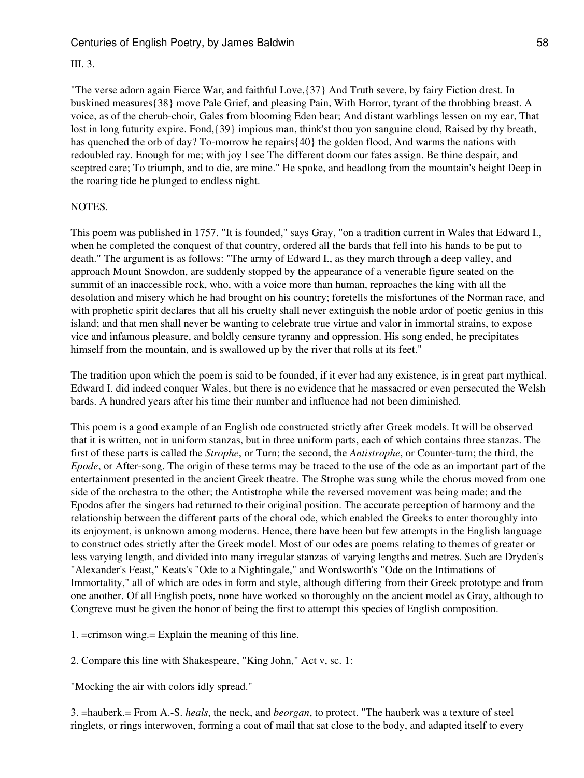## III. 3.

"The verse adorn again Fierce War, and faithful Love,{37} And Truth severe, by fairy Fiction drest. In buskined measures{38} move Pale Grief, and pleasing Pain, With Horror, tyrant of the throbbing breast. A voice, as of the cherub-choir, Gales from blooming Eden bear; And distant warblings lessen on my ear, That lost in long futurity expire. Fond,{39} impious man, think'st thou yon sanguine cloud, Raised by thy breath, has quenched the orb of day? To-morrow he repairs{40} the golden flood, And warms the nations with redoubled ray. Enough for me; with joy I see The different doom our fates assign. Be thine despair, and sceptred care; To triumph, and to die, are mine." He spoke, and headlong from the mountain's height Deep in the roaring tide he plunged to endless night.

### NOTES.

This poem was published in 1757. "It is founded," says Gray, "on a tradition current in Wales that Edward I., when he completed the conquest of that country, ordered all the bards that fell into his hands to be put to death." The argument is as follows: "The army of Edward I., as they march through a deep valley, and approach Mount Snowdon, are suddenly stopped by the appearance of a venerable figure seated on the summit of an inaccessible rock, who, with a voice more than human, reproaches the king with all the desolation and misery which he had brought on his country; foretells the misfortunes of the Norman race, and with prophetic spirit declares that all his cruelty shall never extinguish the noble ardor of poetic genius in this island; and that men shall never be wanting to celebrate true virtue and valor in immortal strains, to expose vice and infamous pleasure, and boldly censure tyranny and oppression. His song ended, he precipitates himself from the mountain, and is swallowed up by the river that rolls at its feet."

The tradition upon which the poem is said to be founded, if it ever had any existence, is in great part mythical. Edward I. did indeed conquer Wales, but there is no evidence that he massacred or even persecuted the Welsh bards. A hundred years after his time their number and influence had not been diminished.

This poem is a good example of an English ode constructed strictly after Greek models. It will be observed that it is written, not in uniform stanzas, but in three uniform parts, each of which contains three stanzas. The first of these parts is called the *Strophe*, or Turn; the second, the *Antistrophe*, or Counter-turn; the third, the *Epode*, or After-song. The origin of these terms may be traced to the use of the ode as an important part of the entertainment presented in the ancient Greek theatre. The Strophe was sung while the chorus moved from one side of the orchestra to the other; the Antistrophe while the reversed movement was being made; and the Epodos after the singers had returned to their original position. The accurate perception of harmony and the relationship between the different parts of the choral ode, which enabled the Greeks to enter thoroughly into its enjoyment, is unknown among moderns. Hence, there have been but few attempts in the English language to construct odes strictly after the Greek model. Most of our odes are poems relating to themes of greater or less varying length, and divided into many irregular stanzas of varying lengths and metres. Such are Dryden's "Alexander's Feast," Keats's "Ode to a Nightingale," and Wordsworth's "Ode on the Intimations of Immortality," all of which are odes in form and style, although differing from their Greek prototype and from one another. Of all English poets, none have worked so thoroughly on the ancient model as Gray, although to Congreve must be given the honor of being the first to attempt this species of English composition.

1. =crimson wing.= Explain the meaning of this line.

2. Compare this line with Shakespeare, "King John," Act v, sc. 1:

"Mocking the air with colors idly spread."

3. =hauberk.= From A.-S. *heals*, the neck, and *beorgan*, to protect. "The hauberk was a texture of steel ringlets, or rings interwoven, forming a coat of mail that sat close to the body, and adapted itself to every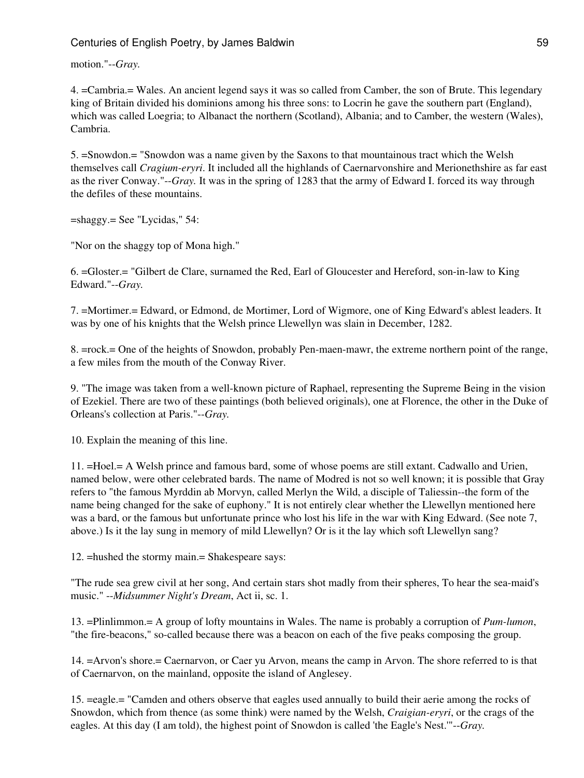motion."--*Gray.*

4. =Cambria.= Wales. An ancient legend says it was so called from Camber, the son of Brute. This legendary king of Britain divided his dominions among his three sons: to Locrin he gave the southern part (England), which was called Loegria; to Albanact the northern (Scotland), Albania; and to Camber, the western (Wales), Cambria.

5. =Snowdon.= "Snowdon was a name given by the Saxons to that mountainous tract which the Welsh themselves call *Cragium-eryri*. It included all the highlands of Caernarvonshire and Merionethshire as far east as the river Conway."--*Gray.* It was in the spring of 1283 that the army of Edward I. forced its way through the defiles of these mountains.

=shaggy.= See "Lycidas," 54:

"Nor on the shaggy top of Mona high."

6. =Gloster.= "Gilbert de Clare, surnamed the Red, Earl of Gloucester and Hereford, son-in-law to King Edward."--*Gray.*

7. =Mortimer.= Edward, or Edmond, de Mortimer, Lord of Wigmore, one of King Edward's ablest leaders. It was by one of his knights that the Welsh prince Llewellyn was slain in December, 1282.

8. =rock.= One of the heights of Snowdon, probably Pen-maen-mawr, the extreme northern point of the range, a few miles from the mouth of the Conway River.

9. "The image was taken from a well-known picture of Raphael, representing the Supreme Being in the vision of Ezekiel. There are two of these paintings (both believed originals), one at Florence, the other in the Duke of Orleans's collection at Paris."--*Gray.*

10. Explain the meaning of this line.

11. =Hoel.= A Welsh prince and famous bard, some of whose poems are still extant. Cadwallo and Urien, named below, were other celebrated bards. The name of Modred is not so well known; it is possible that Gray refers to "the famous Myrddin ab Morvyn, called Merlyn the Wild, a disciple of Taliessin--the form of the name being changed for the sake of euphony." It is not entirely clear whether the Llewellyn mentioned here was a bard, or the famous but unfortunate prince who lost his life in the war with King Edward. (See note 7, above.) Is it the lay sung in memory of mild Llewellyn? Or is it the lay which soft Llewellyn sang?

12. =hushed the stormy main.= Shakespeare says:

"The rude sea grew civil at her song, And certain stars shot madly from their spheres, To hear the sea-maid's music." --*Midsummer Night's Dream*, Act ii, sc. 1.

13. =Plinlimmon.= A group of lofty mountains in Wales. The name is probably a corruption of *Pum-lumon*, "the fire-beacons," so-called because there was a beacon on each of the five peaks composing the group.

14. =Arvon's shore.= Caernarvon, or Caer yu Arvon, means the camp in Arvon. The shore referred to is that of Caernarvon, on the mainland, opposite the island of Anglesey.

15. =eagle.= "Camden and others observe that eagles used annually to build their aerie among the rocks of Snowdon, which from thence (as some think) were named by the Welsh, *Craigian-eryri*, or the crags of the eagles. At this day (I am told), the highest point of Snowdon is called 'the Eagle's Nest.'"--*Gray.*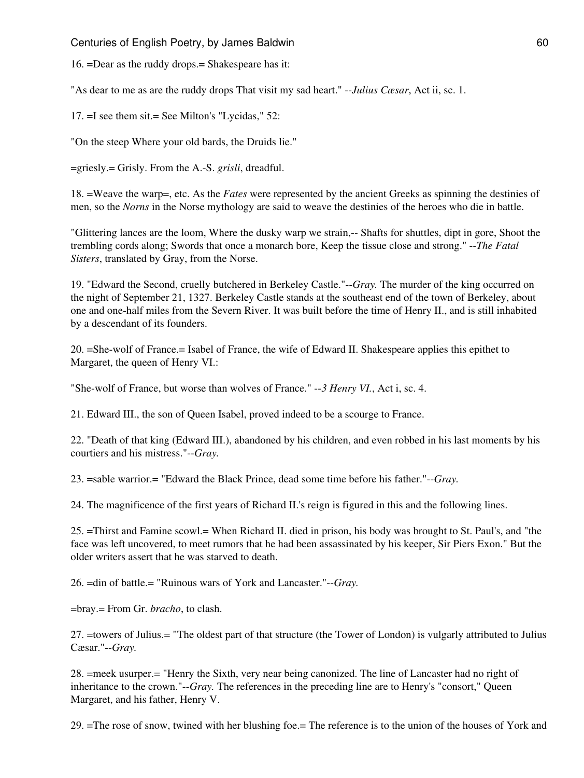Centuries of English Poetry, by James Baldwin 60 and 10 and 10 and 10 and 10 and 10 and 10 and 10 and 10 and 10 and 10 and 10 and 10 and 10 and 10 and 10 and 10 and 10 and 10 and 10 and 10 and 10 and 10 and 10 and 10 and 1

16. =Dear as the ruddy drops.= Shakespeare has it:

"As dear to me as are the ruddy drops That visit my sad heart." --*Julius Cæsar*, Act ii, sc. 1.

17. =I see them sit.= See Milton's "Lycidas," 52:

"On the steep Where your old bards, the Druids lie."

=griesly.= Grisly. From the A.-S. *grisli*, dreadful.

18. =Weave the warp=, etc. As the *Fates* were represented by the ancient Greeks as spinning the destinies of men, so the *Norns* in the Norse mythology are said to weave the destinies of the heroes who die in battle.

"Glittering lances are the loom, Where the dusky warp we strain,-- Shafts for shuttles, dipt in gore, Shoot the trembling cords along; Swords that once a monarch bore, Keep the tissue close and strong." --*The Fatal Sisters*, translated by Gray, from the Norse.

19. "Edward the Second, cruelly butchered in Berkeley Castle."--*Gray.* The murder of the king occurred on the night of September 21, 1327. Berkeley Castle stands at the southeast end of the town of Berkeley, about one and one-half miles from the Severn River. It was built before the time of Henry II., and is still inhabited by a descendant of its founders.

20. =She-wolf of France.= Isabel of France, the wife of Edward II. Shakespeare applies this epithet to Margaret, the queen of Henry VI.:

"She-wolf of France, but worse than wolves of France." --*3 Henry VI.*, Act i, sc. 4.

21. Edward III., the son of Queen Isabel, proved indeed to be a scourge to France.

22. "Death of that king (Edward III.), abandoned by his children, and even robbed in his last moments by his courtiers and his mistress."--*Gray.*

23. =sable warrior.= "Edward the Black Prince, dead some time before his father."--*Gray.*

24. The magnificence of the first years of Richard II.'s reign is figured in this and the following lines.

25. =Thirst and Famine scowl.= When Richard II. died in prison, his body was brought to St. Paul's, and "the face was left uncovered, to meet rumors that he had been assassinated by his keeper, Sir Piers Exon." But the older writers assert that he was starved to death.

26. =din of battle.= "Ruinous wars of York and Lancaster."--*Gray.*

=bray.= From Gr. *bracho*, to clash.

27. =towers of Julius.= "The oldest part of that structure (the Tower of London) is vulgarly attributed to Julius Cæsar."--*Gray.*

28. =meek usurper.= "Henry the Sixth, very near being canonized. The line of Lancaster had no right of inheritance to the crown."--*Gray.* The references in the preceding line are to Henry's "consort," Queen Margaret, and his father, Henry V.

29. =The rose of snow, twined with her blushing foe.= The reference is to the union of the houses of York and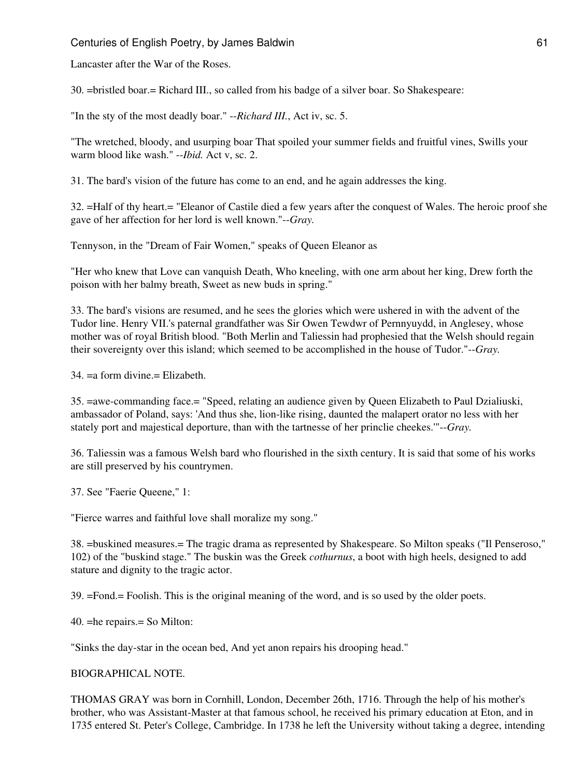Lancaster after the War of the Roses.

30. =bristled boar.= Richard III., so called from his badge of a silver boar. So Shakespeare:

"In the sty of the most deadly boar." --*Richard III.*, Act iv, sc. 5.

"The wretched, bloody, and usurping boar That spoiled your summer fields and fruitful vines, Swills your warm blood like wash." --*Ibid.* Act v, sc. 2.

31. The bard's vision of the future has come to an end, and he again addresses the king.

32. =Half of thy heart.= "Eleanor of Castile died a few years after the conquest of Wales. The heroic proof she gave of her affection for her lord is well known."--*Gray.*

Tennyson, in the "Dream of Fair Women," speaks of Queen Eleanor as

"Her who knew that Love can vanquish Death, Who kneeling, with one arm about her king, Drew forth the poison with her balmy breath, Sweet as new buds in spring."

33. The bard's visions are resumed, and he sees the glories which were ushered in with the advent of the Tudor line. Henry VII.'s paternal grandfather was Sir Owen Tewdwr of Pernnyuydd, in Anglesey, whose mother was of royal British blood. "Both Merlin and Taliessin had prophesied that the Welsh should regain their sovereignty over this island; which seemed to be accomplished in the house of Tudor."--*Gray.*

 $34. = a$  form divine.  $=$  Elizabeth.

35. =awe-commanding face.= "Speed, relating an audience given by Queen Elizabeth to Paul Dzialiuski, ambassador of Poland, says: 'And thus she, lion-like rising, daunted the malapert orator no less with her stately port and majestical deporture, than with the tartnesse of her princlie cheekes.'"--*Gray.*

36. Taliessin was a famous Welsh bard who flourished in the sixth century. It is said that some of his works are still preserved by his countrymen.

37. See "Faerie Queene," 1:

"Fierce warres and faithful love shall moralize my song."

38. =buskined measures.= The tragic drama as represented by Shakespeare. So Milton speaks ("Il Penseroso," 102) of the "buskind stage." The buskin was the Greek *cothurnus*, a boot with high heels, designed to add stature and dignity to the tragic actor.

39. =Fond.= Foolish. This is the original meaning of the word, and is so used by the older poets.

40. =he repairs.= So Milton:

"Sinks the day-star in the ocean bed, And yet anon repairs his drooping head."

#### BIOGRAPHICAL NOTE.

THOMAS GRAY was born in Cornhill, London, December 26th, 1716. Through the help of his mother's brother, who was Assistant-Master at that famous school, he received his primary education at Eton, and in 1735 entered St. Peter's College, Cambridge. In 1738 he left the University without taking a degree, intending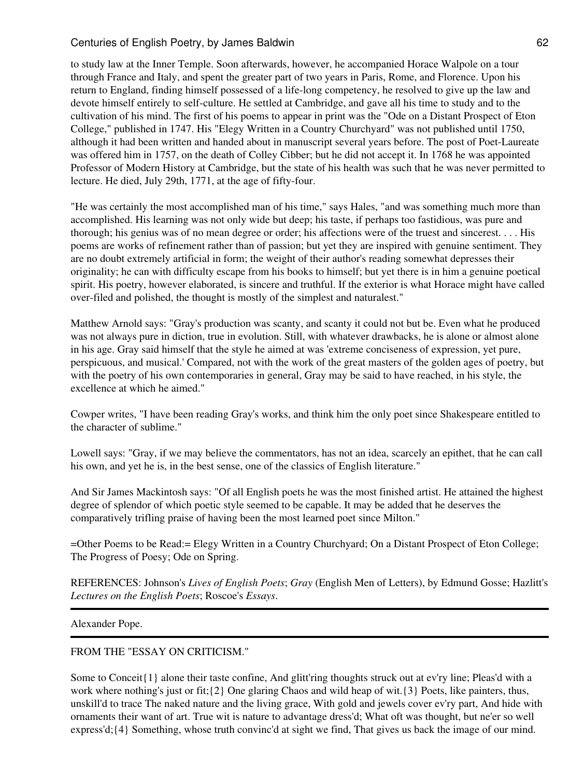to study law at the Inner Temple. Soon afterwards, however, he accompanied Horace Walpole on a tour through France and Italy, and spent the greater part of two years in Paris, Rome, and Florence. Upon his return to England, finding himself possessed of a life-long competency, he resolved to give up the law and devote himself entirely to self-culture. He settled at Cambridge, and gave all his time to study and to the cultivation of his mind. The first of his poems to appear in print was the "Ode on a Distant Prospect of Eton College," published in 1747. His "Elegy Written in a Country Churchyard" was not published until 1750, although it had been written and handed about in manuscript several years before. The post of Poet-Laureate was offered him in 1757, on the death of Colley Cibber; but he did not accept it. In 1768 he was appointed Professor of Modern History at Cambridge, but the state of his health was such that he was never permitted to lecture. He died, July 29th, 1771, at the age of fifty-four.

"He was certainly the most accomplished man of his time," says Hales, "and was something much more than accomplished. His learning was not only wide but deep; his taste, if perhaps too fastidious, was pure and thorough; his genius was of no mean degree or order; his affections were of the truest and sincerest. . . . His poems are works of refinement rather than of passion; but yet they are inspired with genuine sentiment. They are no doubt extremely artificial in form; the weight of their author's reading somewhat depresses their originality; he can with difficulty escape from his books to himself; but yet there is in him a genuine poetical spirit. His poetry, however elaborated, is sincere and truthful. If the exterior is what Horace might have called over-filed and polished, the thought is mostly of the simplest and naturalest."

Matthew Arnold says: "Gray's production was scanty, and scanty it could not but be. Even what he produced was not always pure in diction, true in evolution. Still, with whatever drawbacks, he is alone or almost alone in his age. Gray said himself that the style he aimed at was 'extreme conciseness of expression, yet pure, perspicuous, and musical.' Compared, not with the work of the great masters of the golden ages of poetry, but with the poetry of his own contemporaries in general, Gray may be said to have reached, in his style, the excellence at which he aimed."

Cowper writes, "I have been reading Gray's works, and think him the only poet since Shakespeare entitled to the character of sublime."

Lowell says: "Gray, if we may believe the commentators, has not an idea, scarcely an epithet, that he can call his own, and yet he is, in the best sense, one of the classics of English literature."

And Sir James Mackintosh says: "Of all English poets he was the most finished artist. He attained the highest degree of splendor of which poetic style seemed to be capable. It may be added that he deserves the comparatively trifling praise of having been the most learned poet since Milton."

=Other Poems to be Read:= Elegy Written in a Country Churchyard; On a Distant Prospect of Eton College; The Progress of Poesy; Ode on Spring.

REFERENCES: Johnson's *Lives of English Poets*; *Gray* (English Men of Letters), by Edmund Gosse; Hazlitt's *Lectures on the English Poets*; Roscoe's *Essays*.

Alexander Pope.

# FROM THE "ESSAY ON CRITICISM."

Some to Conceit {1} alone their taste confine, And glitt'ring thoughts struck out at ev'ry line; Pleas'd with a work where nothing's just or fit;{2} One glaring Chaos and wild heap of wit.{3} Poets, like painters, thus, unskill'd to trace The naked nature and the living grace, With gold and jewels cover ev'ry part, And hide with ornaments their want of art. True wit is nature to advantage dress'd; What oft was thought, but ne'er so well express'd;{4} Something, whose truth convinc'd at sight we find, That gives us back the image of our mind.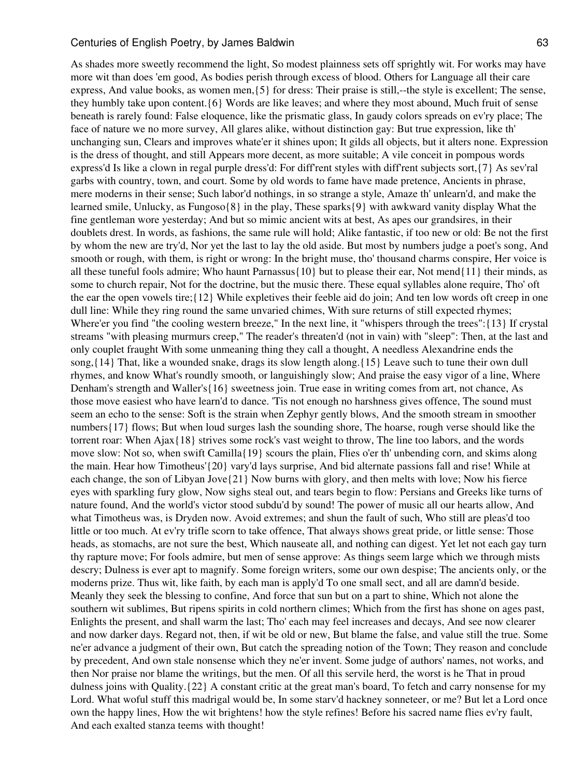As shades more sweetly recommend the light, So modest plainness sets off sprightly wit. For works may have more wit than does 'em good, As bodies perish through excess of blood. Others for Language all their care express, And value books, as women men,{5} for dress: Their praise is still,--the style is excellent; The sense, they humbly take upon content.{6} Words are like leaves; and where they most abound, Much fruit of sense beneath is rarely found: False eloquence, like the prismatic glass, In gaudy colors spreads on ev'ry place; The face of nature we no more survey, All glares alike, without distinction gay: But true expression, like th' unchanging sun, Clears and improves whate'er it shines upon; It gilds all objects, but it alters none. Expression is the dress of thought, and still Appears more decent, as more suitable; A vile conceit in pompous words express'd Is like a clown in regal purple dress'd: For diff'rent styles with diff'rent subjects sort,{7} As sev'ral garbs with country, town, and court. Some by old words to fame have made pretence, Ancients in phrase, mere moderns in their sense; Such labor'd nothings, in so strange a style, Amaze th' unlearn'd, and make the learned smile, Unlucky, as Fungoso{8} in the play, These sparks{9} with awkward vanity display What the fine gentleman wore yesterday; And but so mimic ancient wits at best, As apes our grandsires, in their doublets drest. In words, as fashions, the same rule will hold; Alike fantastic, if too new or old: Be not the first by whom the new are try'd, Nor yet the last to lay the old aside. But most by numbers judge a poet's song, And smooth or rough, with them, is right or wrong: In the bright muse, tho' thousand charms conspire, Her voice is all these tuneful fools admire; Who haunt Parnassus{10} but to please their ear, Not mend{11} their minds, as some to church repair, Not for the doctrine, but the music there. These equal syllables alone require, Tho' oft the ear the open vowels tire;{12} While expletives their feeble aid do join; And ten low words oft creep in one dull line: While they ring round the same unvaried chimes, With sure returns of still expected rhymes; Where'er you find "the cooling western breeze," In the next line, it "whispers through the trees": {13} If crystal streams "with pleasing murmurs creep," The reader's threaten'd (not in vain) with "sleep": Then, at the last and only couplet fraught With some unmeaning thing they call a thought, A needless Alexandrine ends the song,{14} That, like a wounded snake, drags its slow length along.{15} Leave such to tune their own dull rhymes, and know What's roundly smooth, or languishingly slow; And praise the easy vigor of a line, Where Denham's strength and Waller's{16} sweetness join. True ease in writing comes from art, not chance, As those move easiest who have learn'd to dance. 'Tis not enough no harshness gives offence, The sound must seem an echo to the sense: Soft is the strain when Zephyr gently blows, And the smooth stream in smoother numbers{17} flows; But when loud surges lash the sounding shore, The hoarse, rough verse should like the torrent roar: When Ajax{18} strives some rock's vast weight to throw, The line too labors, and the words move slow: Not so, when swift Camilla{19} scours the plain, Flies o'er th' unbending corn, and skims along the main. Hear how Timotheus'{20} vary'd lays surprise, And bid alternate passions fall and rise! While at each change, the son of Libyan Jove{21} Now burns with glory, and then melts with love; Now his fierce eyes with sparkling fury glow, Now sighs steal out, and tears begin to flow: Persians and Greeks like turns of nature found, And the world's victor stood subdu'd by sound! The power of music all our hearts allow, And what Timotheus was, is Dryden now. Avoid extremes; and shun the fault of such, Who still are pleas'd too little or too much. At ev'ry trifle scorn to take offence, That always shows great pride, or little sense: Those heads, as stomachs, are not sure the best, Which nauseate all, and nothing can digest. Yet let not each gay turn thy rapture move; For fools admire, but men of sense approve: As things seem large which we through mists descry; Dulness is ever apt to magnify. Some foreign writers, some our own despise; The ancients only, or the moderns prize. Thus wit, like faith, by each man is apply'd To one small sect, and all are damn'd beside. Meanly they seek the blessing to confine, And force that sun but on a part to shine, Which not alone the southern wit sublimes, But ripens spirits in cold northern climes; Which from the first has shone on ages past, Enlights the present, and shall warm the last; Tho' each may feel increases and decays, And see now clearer and now darker days. Regard not, then, if wit be old or new, But blame the false, and value still the true. Some ne'er advance a judgment of their own, But catch the spreading notion of the Town; They reason and conclude by precedent, And own stale nonsense which they ne'er invent. Some judge of authors' names, not works, and then Nor praise nor blame the writings, but the men. Of all this servile herd, the worst is he That in proud dulness joins with Quality.{22} A constant critic at the great man's board, To fetch and carry nonsense for my Lord. What woful stuff this madrigal would be, In some starv'd hackney sonneteer, or me? But let a Lord once own the happy lines, How the wit brightens! how the style refines! Before his sacred name flies ev'ry fault, And each exalted stanza teems with thought!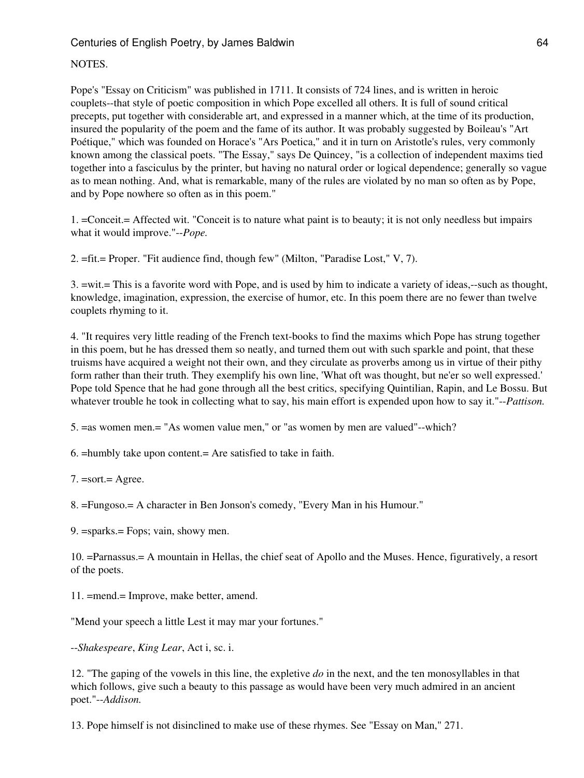## NOTES.

Pope's "Essay on Criticism" was published in 1711. It consists of 724 lines, and is written in heroic couplets--that style of poetic composition in which Pope excelled all others. It is full of sound critical precepts, put together with considerable art, and expressed in a manner which, at the time of its production, insured the popularity of the poem and the fame of its author. It was probably suggested by Boileau's "Art Poétique," which was founded on Horace's "Ars Poetica," and it in turn on Aristotle's rules, very commonly known among the classical poets. "The Essay," says De Quincey, "is a collection of independent maxims tied together into a fasciculus by the printer, but having no natural order or logical dependence; generally so vague as to mean nothing. And, what is remarkable, many of the rules are violated by no man so often as by Pope, and by Pope nowhere so often as in this poem."

1. =Conceit.= Affected wit. "Conceit is to nature what paint is to beauty; it is not only needless but impairs what it would improve."--*Pope.*

2. =fit.= Proper. "Fit audience find, though few" (Milton, "Paradise Lost," V, 7).

3. =wit.= This is a favorite word with Pope, and is used by him to indicate a variety of ideas,--such as thought, knowledge, imagination, expression, the exercise of humor, etc. In this poem there are no fewer than twelve couplets rhyming to it.

4. "It requires very little reading of the French text-books to find the maxims which Pope has strung together in this poem, but he has dressed them so neatly, and turned them out with such sparkle and point, that these truisms have acquired a weight not their own, and they circulate as proverbs among us in virtue of their pithy form rather than their truth. They exemplify his own line, 'What oft was thought, but ne'er so well expressed.' Pope told Spence that he had gone through all the best critics, specifying Quintilian, Rapin, and Le Bossu. But whatever trouble he took in collecting what to say, his main effort is expended upon how to say it."--*Pattison.*

5. =as women men.= "As women value men," or "as women by men are valued"--which?

6. =humbly take upon content.= Are satisfied to take in faith.

7. =sort.= Agree.

8. =Fungoso.= A character in Ben Jonson's comedy, "Every Man in his Humour."

9. =sparks.= Fops; vain, showy men.

10. =Parnassus.= A mountain in Hellas, the chief seat of Apollo and the Muses. Hence, figuratively, a resort of the poets.

11. =mend.= Improve, make better, amend.

"Mend your speech a little Lest it may mar your fortunes."

--*Shakespeare*, *King Lear*, Act i, sc. i.

12. "The gaping of the vowels in this line, the expletive *do* in the next, and the ten monosyllables in that which follows, give such a beauty to this passage as would have been very much admired in an ancient poet."--*Addison.*

13. Pope himself is not disinclined to make use of these rhymes. See "Essay on Man," 271.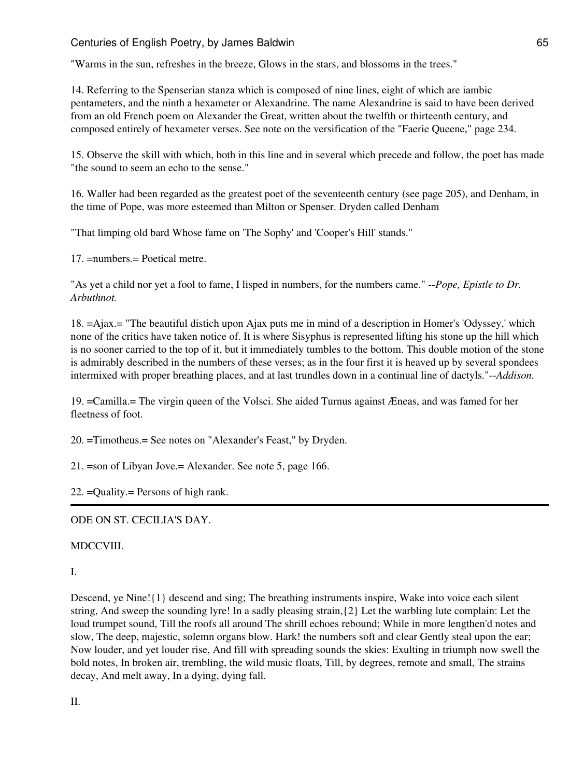"Warms in the sun, refreshes in the breeze, Glows in the stars, and blossoms in the trees."

14. Referring to the Spenserian stanza which is composed of nine lines, eight of which are iambic pentameters, and the ninth a hexameter or Alexandrine. The name Alexandrine is said to have been derived from an old French poem on Alexander the Great, written about the twelfth or thirteenth century, and composed entirely of hexameter verses. See note on the versification of the "Faerie Queene," page 234.

15. Observe the skill with which, both in this line and in several which precede and follow, the poet has made "the sound to seem an echo to the sense."

16. Waller had been regarded as the greatest poet of the seventeenth century (see page 205), and Denham, in the time of Pope, was more esteemed than Milton or Spenser. Dryden called Denham

"That limping old bard Whose fame on 'The Sophy' and 'Cooper's Hill' stands."

17. =numbers.= Poetical metre.

"As yet a child nor yet a fool to fame, I lisped in numbers, for the numbers came." --*Pope, Epistle to Dr. Arbuthnot.*

18. =Ajax.= "The beautiful distich upon Ajax puts me in mind of a description in Homer's 'Odyssey,' which none of the critics have taken notice of. It is where Sisyphus is represented lifting his stone up the hill which is no sooner carried to the top of it, but it immediately tumbles to the bottom. This double motion of the stone is admirably described in the numbers of these verses; as in the four first it is heaved up by several spondees intermixed with proper breathing places, and at last trundles down in a continual line of dactyls."--*Addison.*

19. =Camilla.= The virgin queen of the Volsci. She aided Turnus against Æneas, and was famed for her fleetness of foot.

20. =Timotheus.= See notes on "Alexander's Feast," by Dryden.

21. =son of Libyan Jove.= Alexander. See note 5, page 166.

22. =Quality.= Persons of high rank.

ODE ON ST. CECILIA'S DAY.

#### MDCCVIII.

#### I.

Descend, ye Nine!{1} descend and sing; The breathing instruments inspire, Wake into voice each silent string, And sweep the sounding lyre! In a sadly pleasing strain,{2} Let the warbling lute complain: Let the loud trumpet sound, Till the roofs all around The shrill echoes rebound; While in more lengthen'd notes and slow, The deep, majestic, solemn organs blow. Hark! the numbers soft and clear Gently steal upon the ear; Now louder, and yet louder rise, And fill with spreading sounds the skies: Exulting in triumph now swell the bold notes, In broken air, trembling, the wild music floats, Till, by degrees, remote and small, The strains decay, And melt away, In a dying, dying fall.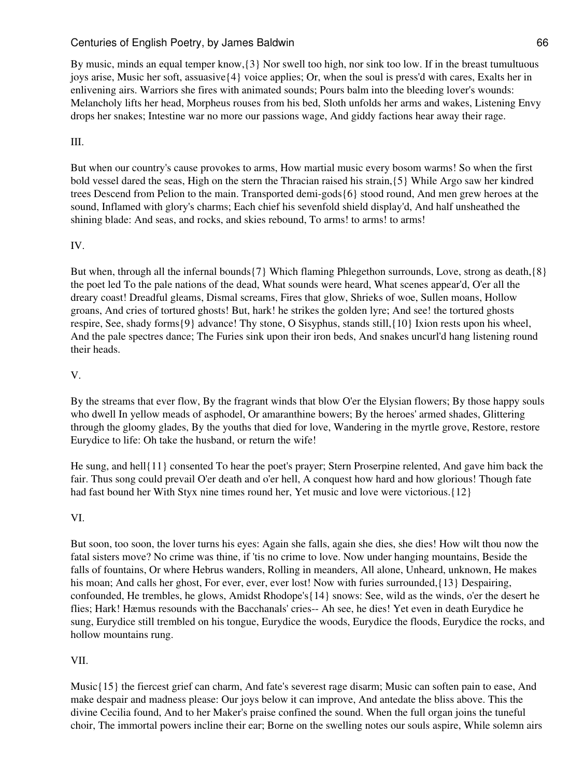By music, minds an equal temper know,{3} Nor swell too high, nor sink too low. If in the breast tumultuous joys arise, Music her soft, assuasive{4} voice applies; Or, when the soul is press'd with cares, Exalts her in enlivening airs. Warriors she fires with animated sounds; Pours balm into the bleeding lover's wounds: Melancholy lifts her head, Morpheus rouses from his bed, Sloth unfolds her arms and wakes, Listening Envy drops her snakes; Intestine war no more our passions wage, And giddy factions hear away their rage.

# III.

But when our country's cause provokes to arms, How martial music every bosom warms! So when the first bold vessel dared the seas, High on the stern the Thracian raised his strain,{5} While Argo saw her kindred trees Descend from Pelion to the main. Transported demi-gods{6} stood round, And men grew heroes at the sound, Inflamed with glory's charms; Each chief his sevenfold shield display'd, And half unsheathed the shining blade: And seas, and rocks, and skies rebound, To arms! to arms! to arms!

# IV.

But when, through all the infernal bounds{7} Which flaming Phlegethon surrounds, Love, strong as death,{8} the poet led To the pale nations of the dead, What sounds were heard, What scenes appear'd, O'er all the dreary coast! Dreadful gleams, Dismal screams, Fires that glow, Shrieks of woe, Sullen moans, Hollow groans, And cries of tortured ghosts! But, hark! he strikes the golden lyre; And see! the tortured ghosts respire, See, shady forms{9} advance! Thy stone, O Sisyphus, stands still,{10} Ixion rests upon his wheel, And the pale spectres dance; The Furies sink upon their iron beds, And snakes uncurl'd hang listening round their heads.

# V.

By the streams that ever flow, By the fragrant winds that blow O'er the Elysian flowers; By those happy souls who dwell In yellow meads of asphodel, Or amaranthine bowers; By the heroes' armed shades, Glittering through the gloomy glades, By the youths that died for love, Wandering in the myrtle grove, Restore, restore Eurydice to life: Oh take the husband, or return the wife!

He sung, and hell{11} consented To hear the poet's prayer; Stern Proserpine relented, And gave him back the fair. Thus song could prevail O'er death and o'er hell, A conquest how hard and how glorious! Though fate had fast bound her With Styx nine times round her, Yet music and love were victorious.{12}

# VI.

But soon, too soon, the lover turns his eyes: Again she falls, again she dies, she dies! How wilt thou now the fatal sisters move? No crime was thine, if 'tis no crime to love. Now under hanging mountains, Beside the falls of fountains, Or where Hebrus wanders, Rolling in meanders, All alone, Unheard, unknown, He makes his moan; And calls her ghost, For ever, ever, ever lost! Now with furies surrounded,  $\{13\}$  Despairing, confounded, He trembles, he glows, Amidst Rhodope's{14} snows: See, wild as the winds, o'er the desert he flies; Hark! Hæmus resounds with the Bacchanals' cries-- Ah see, he dies! Yet even in death Eurydice he sung, Eurydice still trembled on his tongue, Eurydice the woods, Eurydice the floods, Eurydice the rocks, and hollow mountains rung.

# VII.

Music{15} the fiercest grief can charm, And fate's severest rage disarm; Music can soften pain to ease, And make despair and madness please: Our joys below it can improve, And antedate the bliss above. This the divine Cecilia found, And to her Maker's praise confined the sound. When the full organ joins the tuneful choir, The immortal powers incline their ear; Borne on the swelling notes our souls aspire, While solemn airs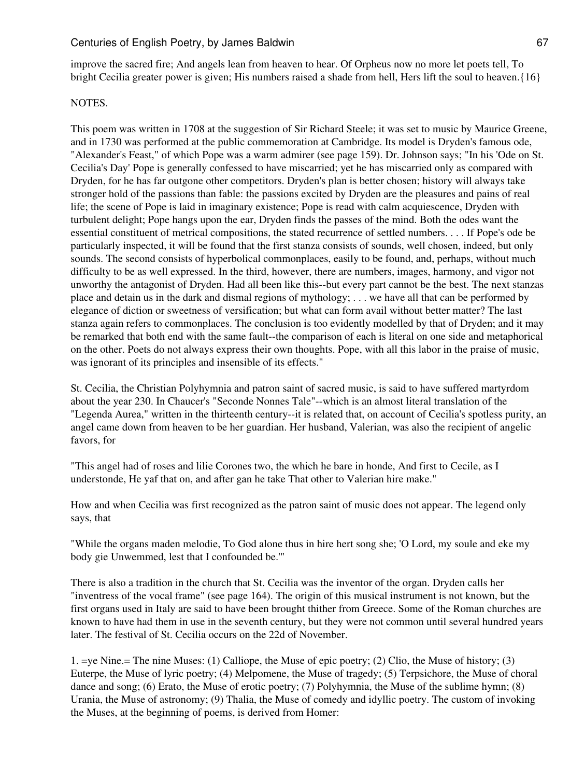improve the sacred fire; And angels lean from heaven to hear. Of Orpheus now no more let poets tell, To bright Cecilia greater power is given; His numbers raised a shade from hell, Hers lift the soul to heaven.{16}

#### NOTES.

This poem was written in 1708 at the suggestion of Sir Richard Steele; it was set to music by Maurice Greene, and in 1730 was performed at the public commemoration at Cambridge. Its model is Dryden's famous ode, "Alexander's Feast," of which Pope was a warm admirer (see page 159). Dr. Johnson says; "In his 'Ode on St. Cecilia's Day' Pope is generally confessed to have miscarried; yet he has miscarried only as compared with Dryden, for he has far outgone other competitors. Dryden's plan is better chosen; history will always take stronger hold of the passions than fable: the passions excited by Dryden are the pleasures and pains of real life; the scene of Pope is laid in imaginary existence; Pope is read with calm acquiescence, Dryden with turbulent delight; Pope hangs upon the ear, Dryden finds the passes of the mind. Both the odes want the essential constituent of metrical compositions, the stated recurrence of settled numbers. . . . If Pope's ode be particularly inspected, it will be found that the first stanza consists of sounds, well chosen, indeed, but only sounds. The second consists of hyperbolical commonplaces, easily to be found, and, perhaps, without much difficulty to be as well expressed. In the third, however, there are numbers, images, harmony, and vigor not unworthy the antagonist of Dryden. Had all been like this--but every part cannot be the best. The next stanzas place and detain us in the dark and dismal regions of mythology; . . . we have all that can be performed by elegance of diction or sweetness of versification; but what can form avail without better matter? The last stanza again refers to commonplaces. The conclusion is too evidently modelled by that of Dryden; and it may be remarked that both end with the same fault--the comparison of each is literal on one side and metaphorical on the other. Poets do not always express their own thoughts. Pope, with all this labor in the praise of music, was ignorant of its principles and insensible of its effects."

St. Cecilia, the Christian Polyhymnia and patron saint of sacred music, is said to have suffered martyrdom about the year 230. In Chaucer's "Seconde Nonnes Tale"--which is an almost literal translation of the "Legenda Aurea," written in the thirteenth century--it is related that, on account of Cecilia's spotless purity, an angel came down from heaven to be her guardian. Her husband, Valerian, was also the recipient of angelic favors, for

"This angel had of roses and lilie Corones two, the which he bare in honde, And first to Cecile, as I understonde, He yaf that on, and after gan he take That other to Valerian hire make."

How and when Cecilia was first recognized as the patron saint of music does not appear. The legend only says, that

"While the organs maden melodie, To God alone thus in hire hert song she; 'O Lord, my soule and eke my body gie Unwemmed, lest that I confounded be.'"

There is also a tradition in the church that St. Cecilia was the inventor of the organ. Dryden calls her "inventress of the vocal frame" (see page 164). The origin of this musical instrument is not known, but the first organs used in Italy are said to have been brought thither from Greece. Some of the Roman churches are known to have had them in use in the seventh century, but they were not common until several hundred years later. The festival of St. Cecilia occurs on the 22d of November.

1. =ye Nine.= The nine Muses: (1) Calliope, the Muse of epic poetry; (2) Clio, the Muse of history; (3) Euterpe, the Muse of lyric poetry; (4) Melpomene, the Muse of tragedy; (5) Terpsichore, the Muse of choral dance and song; (6) Erato, the Muse of erotic poetry; (7) Polyhymnia, the Muse of the sublime hymn; (8) Urania, the Muse of astronomy; (9) Thalia, the Muse of comedy and idyllic poetry. The custom of invoking the Muses, at the beginning of poems, is derived from Homer: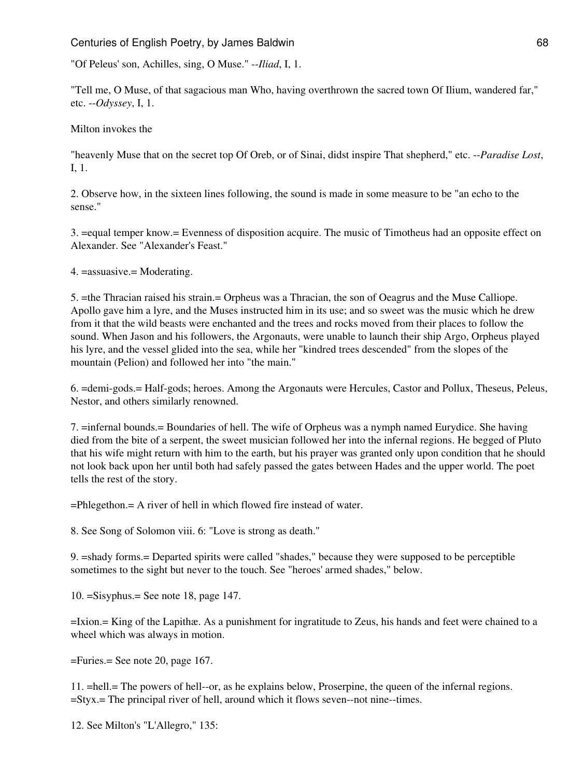"Of Peleus' son, Achilles, sing, O Muse." --*Iliad*, I, 1.

"Tell me, O Muse, of that sagacious man Who, having overthrown the sacred town Of Ilium, wandered far," etc. --*Odyssey*, I, 1.

Milton invokes the

"heavenly Muse that on the secret top Of Oreb, or of Sinai, didst inspire That shepherd," etc. --*Paradise Lost*, I, 1.

2. Observe how, in the sixteen lines following, the sound is made in some measure to be "an echo to the sense."

3. =equal temper know.= Evenness of disposition acquire. The music of Timotheus had an opposite effect on Alexander. See "Alexander's Feast."

4. =assuasive.= Moderating.

5. =the Thracian raised his strain.= Orpheus was a Thracian, the son of Oeagrus and the Muse Calliope. Apollo gave him a lyre, and the Muses instructed him in its use; and so sweet was the music which he drew from it that the wild beasts were enchanted and the trees and rocks moved from their places to follow the sound. When Jason and his followers, the Argonauts, were unable to launch their ship Argo, Orpheus played his lyre, and the vessel glided into the sea, while her "kindred trees descended" from the slopes of the mountain (Pelion) and followed her into "the main."

6. =demi-gods.= Half-gods; heroes. Among the Argonauts were Hercules, Castor and Pollux, Theseus, Peleus, Nestor, and others similarly renowned.

7. =infernal bounds.= Boundaries of hell. The wife of Orpheus was a nymph named Eurydice. She having died from the bite of a serpent, the sweet musician followed her into the infernal regions. He begged of Pluto that his wife might return with him to the earth, but his prayer was granted only upon condition that he should not look back upon her until both had safely passed the gates between Hades and the upper world. The poet tells the rest of the story.

=Phlegethon.= A river of hell in which flowed fire instead of water.

8. See Song of Solomon viii. 6: "Love is strong as death."

9. =shady forms.= Departed spirits were called "shades," because they were supposed to be perceptible sometimes to the sight but never to the touch. See "heroes' armed shades," below.

10. =Sisyphus.= See note 18, page 147.

=Ixion.= King of the Lapithæ. As a punishment for ingratitude to Zeus, his hands and feet were chained to a wheel which was always in motion.

=Furies.= See note 20, page 167.

11. =hell.= The powers of hell--or, as he explains below, Proserpine, the queen of the infernal regions. =Styx.= The principal river of hell, around which it flows seven--not nine--times.

12. See Milton's "L'Allegro," 135: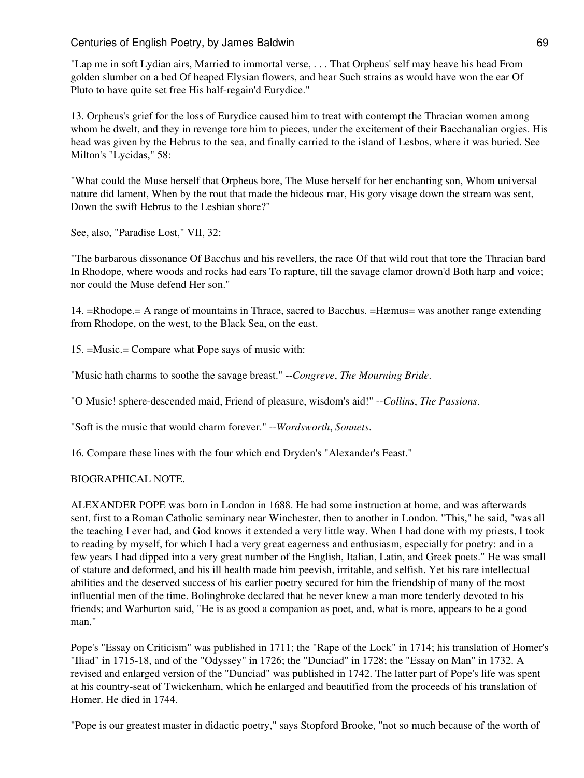"Lap me in soft Lydian airs, Married to immortal verse, . . . That Orpheus' self may heave his head From golden slumber on a bed Of heaped Elysian flowers, and hear Such strains as would have won the ear Of Pluto to have quite set free His half-regain'd Eurydice."

13. Orpheus's grief for the loss of Eurydice caused him to treat with contempt the Thracian women among whom he dwelt, and they in revenge tore him to pieces, under the excitement of their Bacchanalian orgies. His head was given by the Hebrus to the sea, and finally carried to the island of Lesbos, where it was buried. See Milton's "Lycidas," 58:

"What could the Muse herself that Orpheus bore, The Muse herself for her enchanting son, Whom universal nature did lament, When by the rout that made the hideous roar, His gory visage down the stream was sent, Down the swift Hebrus to the Lesbian shore?"

See, also, "Paradise Lost," VII, 32:

"The barbarous dissonance Of Bacchus and his revellers, the race Of that wild rout that tore the Thracian bard In Rhodope, where woods and rocks had ears To rapture, till the savage clamor drown'd Both harp and voice; nor could the Muse defend Her son."

14. =Rhodope.= A range of mountains in Thrace, sacred to Bacchus. =Hæmus= was another range extending from Rhodope, on the west, to the Black Sea, on the east.

15. =Music.= Compare what Pope says of music with:

"Music hath charms to soothe the savage breast." --*Congreve*, *The Mourning Bride*.

"O Music! sphere-descended maid, Friend of pleasure, wisdom's aid!" --*Collins*, *The Passions*.

"Soft is the music that would charm forever." --*Wordsworth*, *Sonnets*.

16. Compare these lines with the four which end Dryden's "Alexander's Feast."

### BIOGRAPHICAL NOTE.

ALEXANDER POPE was born in London in 1688. He had some instruction at home, and was afterwards sent, first to a Roman Catholic seminary near Winchester, then to another in London. "This," he said, "was all the teaching I ever had, and God knows it extended a very little way. When I had done with my priests, I took to reading by myself, for which I had a very great eagerness and enthusiasm, especially for poetry: and in a few years I had dipped into a very great number of the English, Italian, Latin, and Greek poets." He was small of stature and deformed, and his ill health made him peevish, irritable, and selfish. Yet his rare intellectual abilities and the deserved success of his earlier poetry secured for him the friendship of many of the most influential men of the time. Bolingbroke declared that he never knew a man more tenderly devoted to his friends; and Warburton said, "He is as good a companion as poet, and, what is more, appears to be a good man."

Pope's "Essay on Criticism" was published in 1711; the "Rape of the Lock" in 1714; his translation of Homer's "Iliad" in 1715-18, and of the "Odyssey" in 1726; the "Dunciad" in 1728; the "Essay on Man" in 1732. A revised and enlarged version of the "Dunciad" was published in 1742. The latter part of Pope's life was spent at his country-seat of Twickenham, which he enlarged and beautified from the proceeds of his translation of Homer. He died in 1744.

"Pope is our greatest master in didactic poetry," says Stopford Brooke, "not so much because of the worth of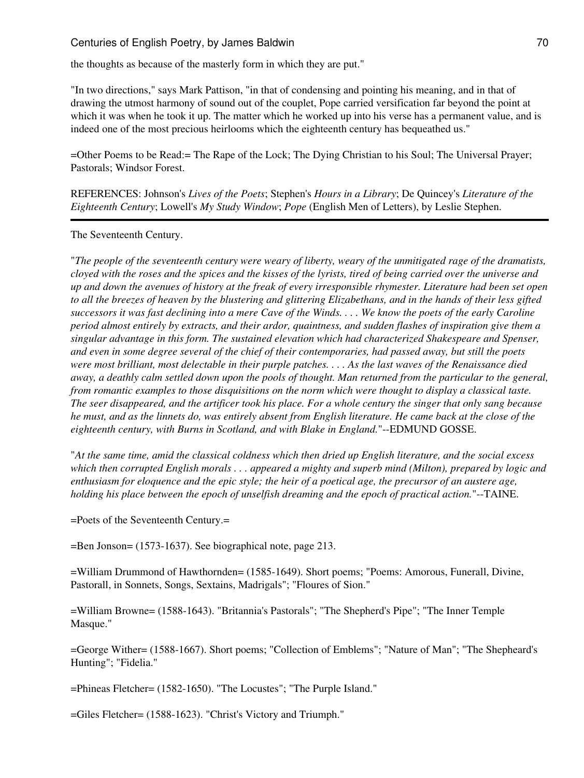the thoughts as because of the masterly form in which they are put."

"In two directions," says Mark Pattison, "in that of condensing and pointing his meaning, and in that of drawing the utmost harmony of sound out of the couplet, Pope carried versification far beyond the point at which it was when he took it up. The matter which he worked up into his verse has a permanent value, and is indeed one of the most precious heirlooms which the eighteenth century has bequeathed us."

=Other Poems to be Read:= The Rape of the Lock; The Dying Christian to his Soul; The Universal Prayer; Pastorals; Windsor Forest.

REFERENCES: Johnson's *Lives of the Poets*; Stephen's *Hours in a Library*; De Quincey's *Literature of the Eighteenth Century*; Lowell's *My Study Window*; *Pope* (English Men of Letters), by Leslie Stephen.

The Seventeenth Century.

"*The people of the seventeenth century were weary of liberty, weary of the unmitigated rage of the dramatists, cloyed with the roses and the spices and the kisses of the lyrists, tired of being carried over the universe and up and down the avenues of history at the freak of every irresponsible rhymester. Literature had been set open to all the breezes of heaven by the blustering and glittering Elizabethans, and in the hands of their less gifted successors it was fast declining into a mere Cave of the Winds. . . . We know the poets of the early Caroline period almost entirely by extracts, and their ardor, quaintness, and sudden flashes of inspiration give them a singular advantage in this form. The sustained elevation which had characterized Shakespeare and Spenser, and even in some degree several of the chief of their contemporaries, had passed away, but still the poets were most brilliant, most delectable in their purple patches. . . . As the last waves of the Renaissance died away, a deathly calm settled down upon the pools of thought. Man returned from the particular to the general, from romantic examples to those disquisitions on the norm which were thought to display a classical taste. The seer disappeared, and the artificer took his place. For a whole century the singer that only sang because he must, and as the linnets do, was entirely absent from English literature. He came back at the close of the eighteenth century, with Burns in Scotland, and with Blake in England.*"--EDMUND GOSSE.

"*At the same time, amid the classical coldness which then dried up English literature, and the social excess which then corrupted English morals . . . appeared a mighty and superb mind (Milton), prepared by logic and enthusiasm for eloquence and the epic style; the heir of a poetical age, the precursor of an austere age, holding his place between the epoch of unselfish dreaming and the epoch of practical action.*"--TAINE.

=Poets of the Seventeenth Century.=

=Ben Jonson= (1573-1637). See biographical note, page 213.

=William Drummond of Hawthornden= (1585-1649). Short poems; "Poems: Amorous, Funerall, Divine, Pastorall, in Sonnets, Songs, Sextains, Madrigals"; "Floures of Sion."

=William Browne= (1588-1643). "Britannia's Pastorals"; "The Shepherd's Pipe"; "The Inner Temple Masque."

=George Wither= (1588-1667). Short poems; "Collection of Emblems"; "Nature of Man"; "The Shepheard's Hunting"; "Fidelia."

=Phineas Fletcher= (1582-1650). "The Locustes"; "The Purple Island."

=Giles Fletcher= (1588-1623). "Christ's Victory and Triumph."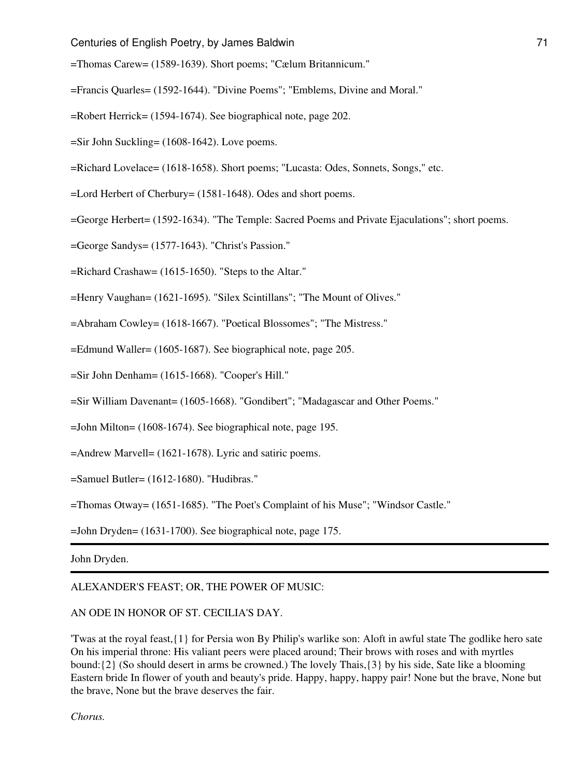=Thomas Carew= (1589-1639). Short poems; "Cælum Britannicum."

=Francis Quarles= (1592-1644). "Divine Poems"; "Emblems, Divine and Moral."

=Robert Herrick= (1594-1674). See biographical note, page 202.

=Sir John Suckling= (1608-1642). Love poems.

=Richard Lovelace= (1618-1658). Short poems; "Lucasta: Odes, Sonnets, Songs," etc.

=Lord Herbert of Cherbury= (1581-1648). Odes and short poems.

=George Herbert= (1592-1634). "The Temple: Sacred Poems and Private Ejaculations"; short poems.

=George Sandys= (1577-1643). "Christ's Passion."

=Richard Crashaw= (1615-1650). "Steps to the Altar."

=Henry Vaughan= (1621-1695). "Silex Scintillans"; "The Mount of Olives."

=Abraham Cowley= (1618-1667). "Poetical Blossomes"; "The Mistress."

=Edmund Waller= (1605-1687). See biographical note, page 205.

=Sir John Denham= (1615-1668). "Cooper's Hill."

=Sir William Davenant= (1605-1668). "Gondibert"; "Madagascar and Other Poems."

=John Milton= (1608-1674). See biographical note, page 195.

=Andrew Marvell= (1621-1678). Lyric and satiric poems.

=Samuel Butler= (1612-1680). "Hudibras."

=Thomas Otway= (1651-1685). "The Poet's Complaint of his Muse"; "Windsor Castle."

=John Dryden= (1631-1700). See biographical note, page 175.

John Dryden.

#### ALEXANDER'S FEAST; OR, THE POWER OF MUSIC:

## AN ODE IN HONOR OF ST. CECILIA'S DAY.

'Twas at the royal feast,{1} for Persia won By Philip's warlike son: Aloft in awful state The godlike hero sate On his imperial throne: His valiant peers were placed around; Their brows with roses and with myrtles bound:{2} (So should desert in arms be crowned.) The lovely Thais,{3} by his side, Sate like a blooming Eastern bride In flower of youth and beauty's pride. Happy, happy, happy pair! None but the brave, None but the brave, None but the brave deserves the fair.

*Chorus.*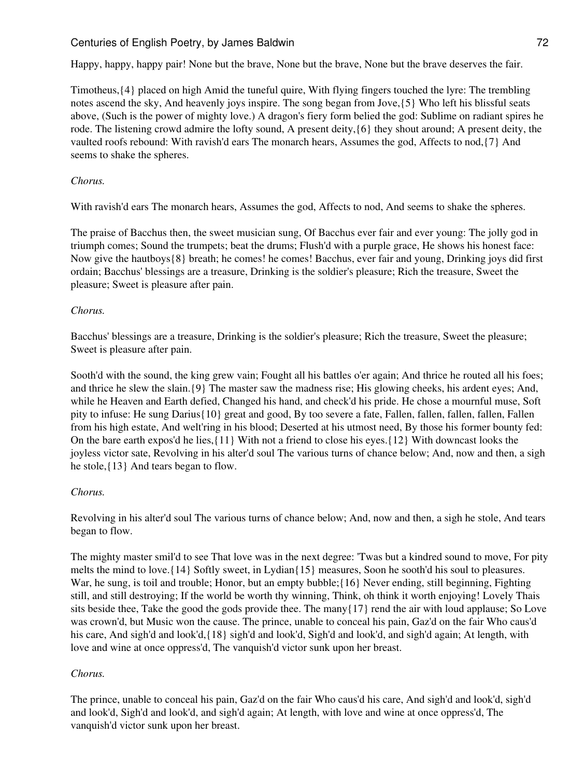Happy, happy, happy pair! None but the brave, None but the brave, None but the brave deserves the fair.

Timotheus,{4} placed on high Amid the tuneful quire, With flying fingers touched the lyre: The trembling notes ascend the sky, And heavenly joys inspire. The song began from Jove,{5} Who left his blissful seats above, (Such is the power of mighty love.) A dragon's fiery form belied the god: Sublime on radiant spires he rode. The listening crowd admire the lofty sound, A present deity,{6} they shout around; A present deity, the vaulted roofs rebound: With ravish'd ears The monarch hears, Assumes the god, Affects to nod,{7} And seems to shake the spheres.

## *Chorus.*

With ravish'd ears The monarch hears, Assumes the god, Affects to nod, And seems to shake the spheres.

The praise of Bacchus then, the sweet musician sung, Of Bacchus ever fair and ever young: The jolly god in triumph comes; Sound the trumpets; beat the drums; Flush'd with a purple grace, He shows his honest face: Now give the hautboys{8} breath; he comes! he comes! Bacchus, ever fair and young, Drinking joys did first ordain; Bacchus' blessings are a treasure, Drinking is the soldier's pleasure; Rich the treasure, Sweet the pleasure; Sweet is pleasure after pain.

## *Chorus.*

Bacchus' blessings are a treasure, Drinking is the soldier's pleasure; Rich the treasure, Sweet the pleasure; Sweet is pleasure after pain.

Sooth'd with the sound, the king grew vain; Fought all his battles o'er again; And thrice he routed all his foes; and thrice he slew the slain.{9} The master saw the madness rise; His glowing cheeks, his ardent eyes; And, while he Heaven and Earth defied, Changed his hand, and check'd his pride. He chose a mournful muse, Soft pity to infuse: He sung Darius{10} great and good, By too severe a fate, Fallen, fallen, fallen, fallen, Fallen from his high estate, And welt'ring in his blood; Deserted at his utmost need, By those his former bounty fed: On the bare earth expos'd he lies,{11} With not a friend to close his eyes.{12} With downcast looks the joyless victor sate, Revolving in his alter'd soul The various turns of chance below; And, now and then, a sigh he stole,{13} And tears began to flow.

### *Chorus.*

Revolving in his alter'd soul The various turns of chance below; And, now and then, a sigh he stole, And tears began to flow.

The mighty master smil'd to see That love was in the next degree: 'Twas but a kindred sound to move, For pity melts the mind to love.{14} Softly sweet, in Lydian{15} measures, Soon he sooth'd his soul to pleasures. War, he sung, is toil and trouble; Honor, but an empty bubble; {16} Never ending, still beginning, Fighting still, and still destroying; If the world be worth thy winning, Think, oh think it worth enjoying! Lovely Thais sits beside thee, Take the good the gods provide thee. The many{17} rend the air with loud applause; So Love was crown'd, but Music won the cause. The prince, unable to conceal his pain, Gaz'd on the fair Who caus'd his care, And sigh'd and look'd,{18} sigh'd and look'd, Sigh'd and look'd, and sigh'd again; At length, with love and wine at once oppress'd, The vanquish'd victor sunk upon her breast.

# *Chorus.*

The prince, unable to conceal his pain, Gaz'd on the fair Who caus'd his care, And sigh'd and look'd, sigh'd and look'd, Sigh'd and look'd, and sigh'd again; At length, with love and wine at once oppress'd, The vanquish'd victor sunk upon her breast.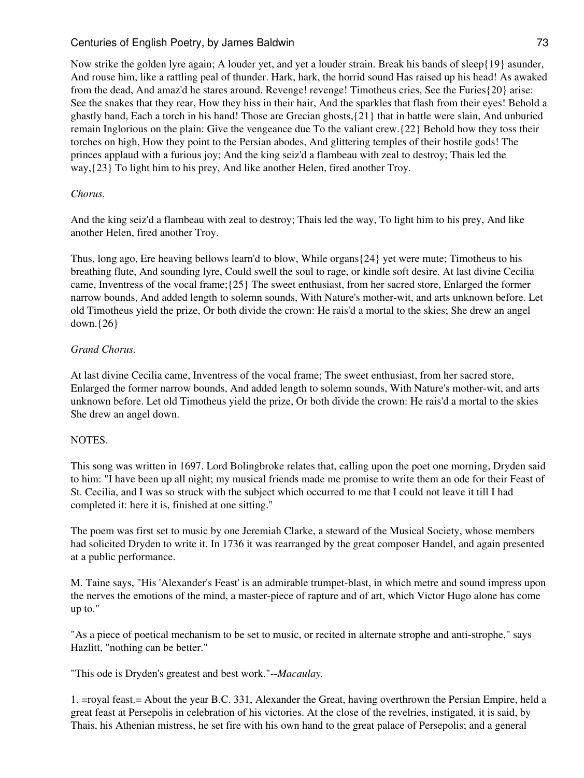Now strike the golden lyre again; A louder yet, and yet a louder strain. Break his bands of sleep{19} asunder, And rouse him, like a rattling peal of thunder. Hark, hark, the horrid sound Has raised up his head! As awaked from the dead, And amaz'd he stares around. Revenge! revenge! Timotheus cries, See the Furies{20} arise: See the snakes that they rear, How they hiss in their hair, And the sparkles that flash from their eyes! Behold a ghastly band, Each a torch in his hand! Those are Grecian ghosts,{21} that in battle were slain, And unburied remain Inglorious on the plain: Give the vengeance due To the valiant crew.{22} Behold how they toss their torches on high, How they point to the Persian abodes, And glittering temples of their hostile gods! The princes applaud with a furious joy; And the king seiz'd a flambeau with zeal to destroy; Thais led the way,{23} To light him to his prey, And like another Helen, fired another Troy.

## *Chorus.*

And the king seiz'd a flambeau with zeal to destroy; Thais led the way, To light him to his prey, And like another Helen, fired another Troy.

Thus, long ago, Ere heaving bellows learn'd to blow, While organs{24} yet were mute; Timotheus to his breathing flute, And sounding lyre, Could swell the soul to rage, or kindle soft desire. At last divine Cecilia came, Inventress of the vocal frame;{25} The sweet enthusiast, from her sacred store, Enlarged the former narrow bounds, And added length to solemn sounds, With Nature's mother-wit, and arts unknown before. Let old Timotheus yield the prize, Or both divide the crown: He rais'd a mortal to the skies; She drew an angel down.{26}

## *Grand Chorus.*

At last divine Cecilia came, Inventress of the vocal frame; The sweet enthusiast, from her sacred store, Enlarged the former narrow bounds, And added length to solemn sounds, With Nature's mother-wit, and arts unknown before. Let old Timotheus yield the prize, Or both divide the crown: He rais'd a mortal to the skies She drew an angel down.

## NOTES.

This song was written in 1697. Lord Bolingbroke relates that, calling upon the poet one morning, Dryden said to him: "I have been up all night; my musical friends made me promise to write them an ode for their Feast of St. Cecilia, and I was so struck with the subject which occurred to me that I could not leave it till I had completed it: here it is, finished at one sitting."

The poem was first set to music by one Jeremiah Clarke, a steward of the Musical Society, whose members had solicited Dryden to write it. In 1736 it was rearranged by the great composer Handel, and again presented at a public performance.

M. Taine says, "His 'Alexander's Feast' is an admirable trumpet-blast, in which metre and sound impress upon the nerves the emotions of the mind, a master-piece of rapture and of art, which Victor Hugo alone has come up to."

"As a piece of poetical mechanism to be set to music, or recited in alternate strophe and anti-strophe," says Hazlitt, "nothing can be better."

"This ode is Dryden's greatest and best work."--*Macaulay.*

1. =royal feast.= About the year B.C. 331, Alexander the Great, having overthrown the Persian Empire, held a great feast at Persepolis in celebration of his victories. At the close of the revelries, instigated, it is said, by Thais, his Athenian mistress, he set fire with his own hand to the great palace of Persepolis; and a general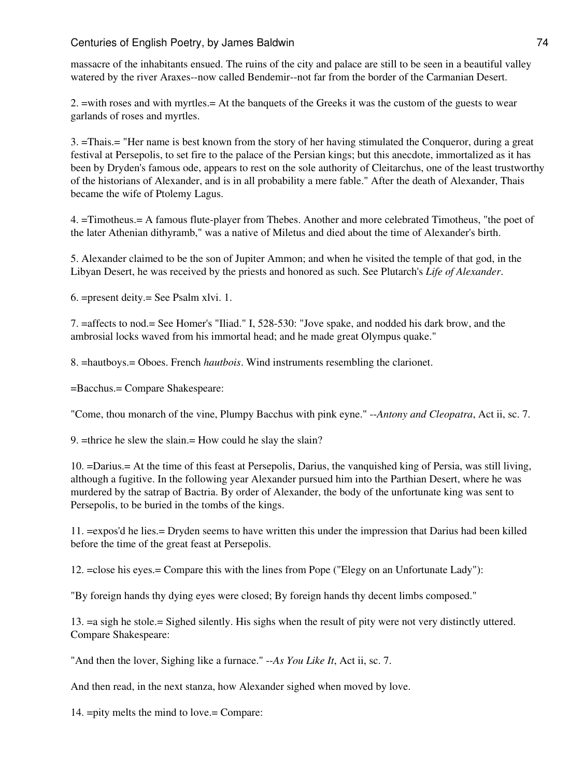massacre of the inhabitants ensued. The ruins of the city and palace are still to be seen in a beautiful valley watered by the river Araxes--now called Bendemir--not far from the border of the Carmanian Desert.

2. =with roses and with myrtles.= At the banquets of the Greeks it was the custom of the guests to wear garlands of roses and myrtles.

3. =Thais.= "Her name is best known from the story of her having stimulated the Conqueror, during a great festival at Persepolis, to set fire to the palace of the Persian kings; but this anecdote, immortalized as it has been by Dryden's famous ode, appears to rest on the sole authority of Cleitarchus, one of the least trustworthy of the historians of Alexander, and is in all probability a mere fable." After the death of Alexander, Thais became the wife of Ptolemy Lagus.

4. =Timotheus.= A famous flute-player from Thebes. Another and more celebrated Timotheus, "the poet of the later Athenian dithyramb," was a native of Miletus and died about the time of Alexander's birth.

5. Alexander claimed to be the son of Jupiter Ammon; and when he visited the temple of that god, in the Libyan Desert, he was received by the priests and honored as such. See Plutarch's *Life of Alexander*.

6. =present deity.= See Psalm xlvi. 1.

7. =affects to nod.= See Homer's "Iliad." I, 528-530: "Jove spake, and nodded his dark brow, and the ambrosial locks waved from his immortal head; and he made great Olympus quake."

8. =hautboys.= Oboes. French *hautbois*. Wind instruments resembling the clarionet.

=Bacchus.= Compare Shakespeare:

"Come, thou monarch of the vine, Plumpy Bacchus with pink eyne." --*Antony and Cleopatra*, Act ii, sc. 7.

9. =thrice he slew the slain.= How could he slay the slain?

10. =Darius.= At the time of this feast at Persepolis, Darius, the vanquished king of Persia, was still living, although a fugitive. In the following year Alexander pursued him into the Parthian Desert, where he was murdered by the satrap of Bactria. By order of Alexander, the body of the unfortunate king was sent to Persepolis, to be buried in the tombs of the kings.

11. =expos'd he lies.= Dryden seems to have written this under the impression that Darius had been killed before the time of the great feast at Persepolis.

12. =close his eyes.= Compare this with the lines from Pope ("Elegy on an Unfortunate Lady"):

"By foreign hands thy dying eyes were closed; By foreign hands thy decent limbs composed."

13. =a sigh he stole.= Sighed silently. His sighs when the result of pity were not very distinctly uttered. Compare Shakespeare:

"And then the lover, Sighing like a furnace." --*As You Like It*, Act ii, sc. 7.

And then read, in the next stanza, how Alexander sighed when moved by love.

14. =pity melts the mind to love.= Compare: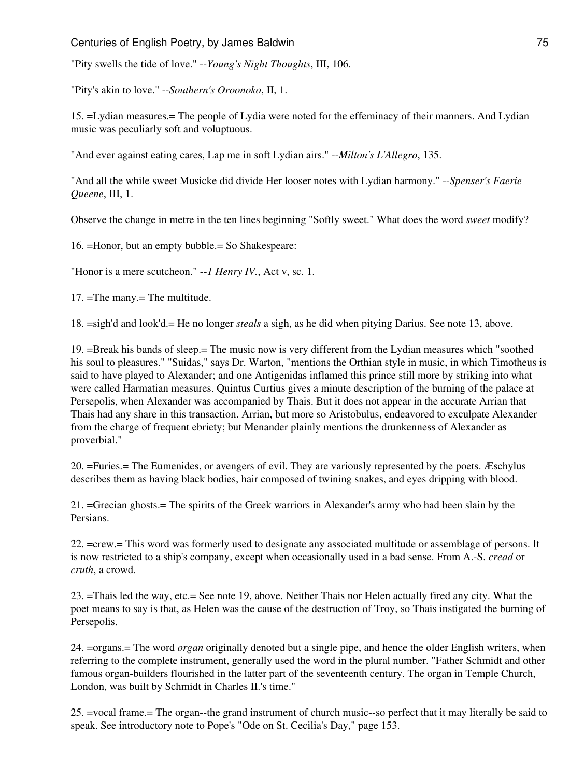"Pity swells the tide of love." --*Young's Night Thoughts*, III, 106.

"Pity's akin to love." --*Southern's Oroonoko*, II, 1.

15. =Lydian measures.= The people of Lydia were noted for the effeminacy of their manners. And Lydian music was peculiarly soft and voluptuous.

"And ever against eating cares, Lap me in soft Lydian airs." --*Milton's L'Allegro*, 135.

"And all the while sweet Musicke did divide Her looser notes with Lydian harmony." --*Spenser's Faerie Queene*, III, 1.

Observe the change in metre in the ten lines beginning "Softly sweet." What does the word *sweet* modify?

16. =Honor, but an empty bubble.= So Shakespeare:

"Honor is a mere scutcheon." --*1 Henry IV.*, Act v, sc. 1.

17. =The many.= The multitude.

18. =sigh'd and look'd.= He no longer *steals* a sigh, as he did when pitying Darius. See note 13, above.

19. =Break his bands of sleep.= The music now is very different from the Lydian measures which "soothed his soul to pleasures." "Suidas," says Dr. Warton, "mentions the Orthian style in music, in which Timotheus is said to have played to Alexander; and one Antigenidas inflamed this prince still more by striking into what were called Harmatian measures. Quintus Curtius gives a minute description of the burning of the palace at Persepolis, when Alexander was accompanied by Thais. But it does not appear in the accurate Arrian that Thais had any share in this transaction. Arrian, but more so Aristobulus, endeavored to exculpate Alexander from the charge of frequent ebriety; but Menander plainly mentions the drunkenness of Alexander as proverbial."

20. =Furies.= The Eumenides, or avengers of evil. They are variously represented by the poets. Æschylus describes them as having black bodies, hair composed of twining snakes, and eyes dripping with blood.

21. =Grecian ghosts.= The spirits of the Greek warriors in Alexander's army who had been slain by the Persians.

22. =crew.= This word was formerly used to designate any associated multitude or assemblage of persons. It is now restricted to a ship's company, except when occasionally used in a bad sense. From A.-S. *cread* or *cruth*, a crowd.

23. =Thais led the way, etc.= See note 19, above. Neither Thais nor Helen actually fired any city. What the poet means to say is that, as Helen was the cause of the destruction of Troy, so Thais instigated the burning of Persepolis.

24. =organs.= The word *organ* originally denoted but a single pipe, and hence the older English writers, when referring to the complete instrument, generally used the word in the plural number. "Father Schmidt and other famous organ-builders flourished in the latter part of the seventeenth century. The organ in Temple Church, London, was built by Schmidt in Charles II.'s time."

25. =vocal frame.= The organ--the grand instrument of church music--so perfect that it may literally be said to speak. See introductory note to Pope's "Ode on St. Cecilia's Day," page 153.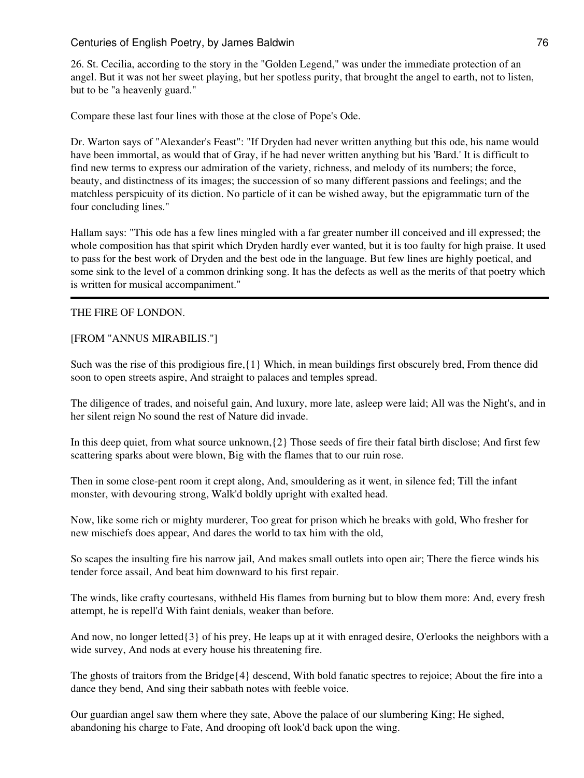26. St. Cecilia, according to the story in the "Golden Legend," was under the immediate protection of an angel. But it was not her sweet playing, but her spotless purity, that brought the angel to earth, not to listen, but to be "a heavenly guard."

Compare these last four lines with those at the close of Pope's Ode.

Dr. Warton says of "Alexander's Feast": "If Dryden had never written anything but this ode, his name would have been immortal, as would that of Gray, if he had never written anything but his 'Bard.' It is difficult to find new terms to express our admiration of the variety, richness, and melody of its numbers; the force, beauty, and distinctness of its images; the succession of so many different passions and feelings; and the matchless perspicuity of its diction. No particle of it can be wished away, but the epigrammatic turn of the four concluding lines."

Hallam says: "This ode has a few lines mingled with a far greater number ill conceived and ill expressed; the whole composition has that spirit which Dryden hardly ever wanted, but it is too faulty for high praise. It used to pass for the best work of Dryden and the best ode in the language. But few lines are highly poetical, and some sink to the level of a common drinking song. It has the defects as well as the merits of that poetry which is written for musical accompaniment."

### THE FIRE OF LONDON.

### [FROM "ANNUS MIRABILIS."]

Such was the rise of this prodigious fire,{1} Which, in mean buildings first obscurely bred, From thence did soon to open streets aspire, And straight to palaces and temples spread.

The diligence of trades, and noiseful gain, And luxury, more late, asleep were laid; All was the Night's, and in her silent reign No sound the rest of Nature did invade.

In this deep quiet, from what source unknown,{2} Those seeds of fire their fatal birth disclose; And first few scattering sparks about were blown, Big with the flames that to our ruin rose.

Then in some close-pent room it crept along, And, smouldering as it went, in silence fed; Till the infant monster, with devouring strong, Walk'd boldly upright with exalted head.

Now, like some rich or mighty murderer, Too great for prison which he breaks with gold, Who fresher for new mischiefs does appear, And dares the world to tax him with the old,

So scapes the insulting fire his narrow jail, And makes small outlets into open air; There the fierce winds his tender force assail, And beat him downward to his first repair.

The winds, like crafty courtesans, withheld His flames from burning but to blow them more: And, every fresh attempt, he is repell'd With faint denials, weaker than before.

And now, no longer letted  $\{3\}$  of his prey, He leaps up at it with enraged desire, O'erlooks the neighbors with a wide survey, And nods at every house his threatening fire.

The ghosts of traitors from the Bridge{4} descend, With bold fanatic spectres to rejoice; About the fire into a dance they bend, And sing their sabbath notes with feeble voice.

Our guardian angel saw them where they sate, Above the palace of our slumbering King; He sighed, abandoning his charge to Fate, And drooping oft look'd back upon the wing.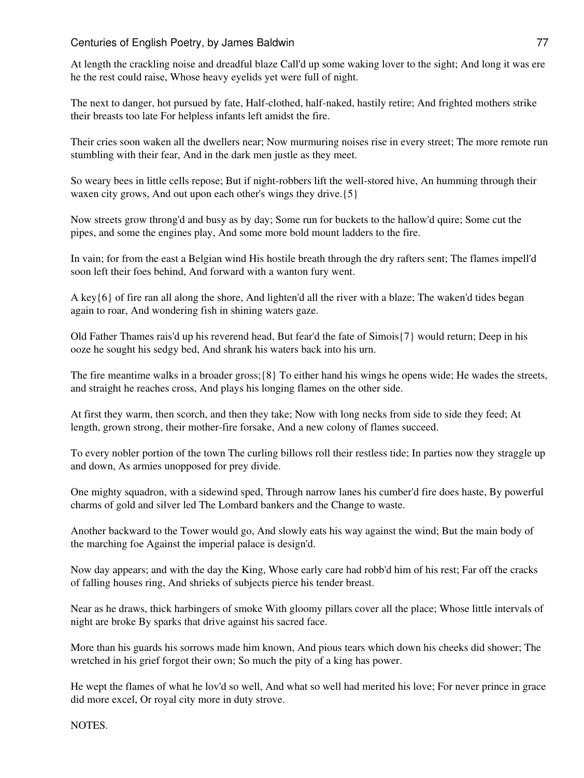At length the crackling noise and dreadful blaze Call'd up some waking lover to the sight; And long it was ere he the rest could raise, Whose heavy eyelids yet were full of night.

The next to danger, hot pursued by fate, Half-clothed, half-naked, hastily retire; And frighted mothers strike their breasts too late For helpless infants left amidst the fire.

Their cries soon waken all the dwellers near; Now murmuring noises rise in every street; The more remote run stumbling with their fear, And in the dark men justle as they meet.

So weary bees in little cells repose; But if night-robbers lift the well-stored hive, An humming through their waxen city grows, And out upon each other's wings they drive.  $\{5\}$ 

Now streets grow throng'd and busy as by day; Some run for buckets to the hallow'd quire; Some cut the pipes, and some the engines play, And some more bold mount ladders to the fire.

In vain; for from the east a Belgian wind His hostile breath through the dry rafters sent; The flames impell'd soon left their foes behind, And forward with a wanton fury went.

A key{6} of fire ran all along the shore, And lighten'd all the river with a blaze; The waken'd tides began again to roar, And wondering fish in shining waters gaze.

Old Father Thames rais'd up his reverend head, But fear'd the fate of Simois{7} would return; Deep in his ooze he sought his sedgy bed, And shrank his waters back into his urn.

The fire meantime walks in a broader gross;{8} To either hand his wings he opens wide; He wades the streets, and straight he reaches cross, And plays his longing flames on the other side.

At first they warm, then scorch, and then they take; Now with long necks from side to side they feed; At length, grown strong, their mother-fire forsake, And a new colony of flames succeed.

To every nobler portion of the town The curling billows roll their restless tide; In parties now they straggle up and down, As armies unopposed for prey divide.

One mighty squadron, with a sidewind sped, Through narrow lanes his cumber'd fire does haste, By powerful charms of gold and silver led The Lombard bankers and the Change to waste.

Another backward to the Tower would go, And slowly eats his way against the wind; But the main body of the marching foe Against the imperial palace is design'd.

Now day appears; and with the day the King, Whose early care had robb'd him of his rest; Far off the cracks of falling houses ring, And shrieks of subjects pierce his tender breast.

Near as he draws, thick harbingers of smoke With gloomy pillars cover all the place; Whose little intervals of night are broke By sparks that drive against his sacred face.

More than his guards his sorrows made him known, And pious tears which down his cheeks did shower; The wretched in his grief forgot their own; So much the pity of a king has power.

He wept the flames of what he lov'd so well, And what so well had merited his love; For never prince in grace did more excel, Or royal city more in duty strove.

NOTES.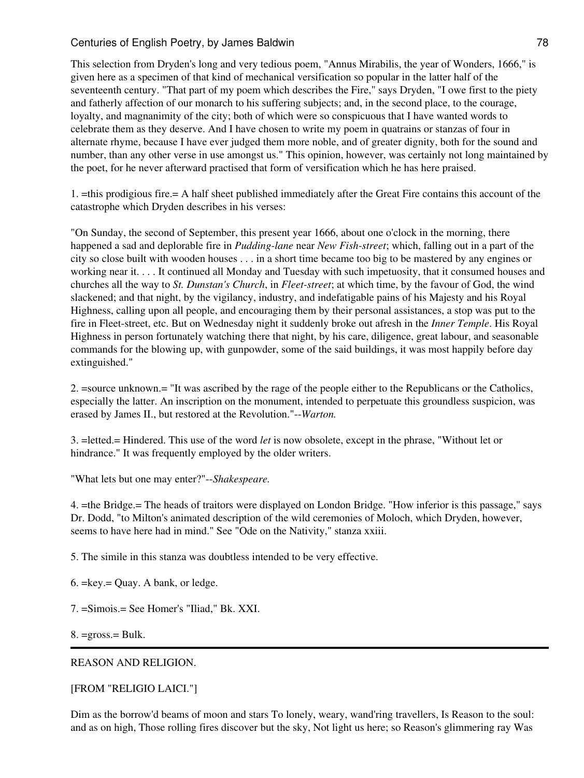This selection from Dryden's long and very tedious poem, "Annus Mirabilis, the year of Wonders, 1666," is given here as a specimen of that kind of mechanical versification so popular in the latter half of the seventeenth century. "That part of my poem which describes the Fire," says Dryden, "I owe first to the piety and fatherly affection of our monarch to his suffering subjects; and, in the second place, to the courage, loyalty, and magnanimity of the city; both of which were so conspicuous that I have wanted words to celebrate them as they deserve. And I have chosen to write my poem in quatrains or stanzas of four in alternate rhyme, because I have ever judged them more noble, and of greater dignity, both for the sound and number, than any other verse in use amongst us." This opinion, however, was certainly not long maintained by the poet, for he never afterward practised that form of versification which he has here praised.

1. =this prodigious fire.= A half sheet published immediately after the Great Fire contains this account of the catastrophe which Dryden describes in his verses:

"On Sunday, the second of September, this present year 1666, about one o'clock in the morning, there happened a sad and deplorable fire in *Pudding-lane* near *New Fish-street*; which, falling out in a part of the city so close built with wooden houses . . . in a short time became too big to be mastered by any engines or working near it. . . . It continued all Monday and Tuesday with such impetuosity, that it consumed houses and churches all the way to *St. Dunstan's Church*, in *Fleet-street*; at which time, by the favour of God, the wind slackened; and that night, by the vigilancy, industry, and indefatigable pains of his Majesty and his Royal Highness, calling upon all people, and encouraging them by their personal assistances, a stop was put to the fire in Fleet-street, etc. But on Wednesday night it suddenly broke out afresh in the *Inner Temple*. His Royal Highness in person fortunately watching there that night, by his care, diligence, great labour, and seasonable commands for the blowing up, with gunpowder, some of the said buildings, it was most happily before day extinguished."

2. =source unknown.= "It was ascribed by the rage of the people either to the Republicans or the Catholics, especially the latter. An inscription on the monument, intended to perpetuate this groundless suspicion, was erased by James II., but restored at the Revolution."--*Warton.*

3. =letted.= Hindered. This use of the word *let* is now obsolete, except in the phrase, "Without let or hindrance." It was frequently employed by the older writers.

"What lets but one may enter?"--*Shakespeare.*

4. =the Bridge.= The heads of traitors were displayed on London Bridge. "How inferior is this passage," says Dr. Dodd, "to Milton's animated description of the wild ceremonies of Moloch, which Dryden, however, seems to have here had in mind." See "Ode on the Nativity," stanza xxiii.

5. The simile in this stanza was doubtless intended to be very effective.

- 6. =key.= Quay. A bank, or ledge.
- 7. =Simois.= See Homer's "Iliad," Bk. XXI.

 $8. = \text{gross} = \text{Bulk}.$ 

#### REASON AND RELIGION.

#### [FROM "RELIGIO LAICI."]

Dim as the borrow'd beams of moon and stars To lonely, weary, wand'ring travellers, Is Reason to the soul: and as on high, Those rolling fires discover but the sky, Not light us here; so Reason's glimmering ray Was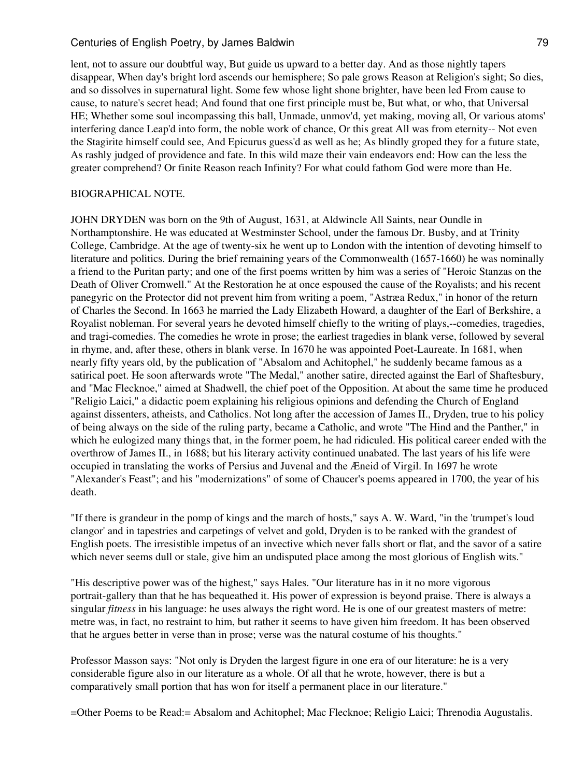lent, not to assure our doubtful way, But guide us upward to a better day. And as those nightly tapers disappear, When day's bright lord ascends our hemisphere; So pale grows Reason at Religion's sight; So dies, and so dissolves in supernatural light. Some few whose light shone brighter, have been led From cause to cause, to nature's secret head; And found that one first principle must be, But what, or who, that Universal HE; Whether some soul incompassing this ball, Unmade, unmov'd, yet making, moving all, Or various atoms' interfering dance Leap'd into form, the noble work of chance, Or this great All was from eternity-- Not even the Stagirite himself could see, And Epicurus guess'd as well as he; As blindly groped they for a future state, As rashly judged of providence and fate. In this wild maze their vain endeavors end: How can the less the greater comprehend? Or finite Reason reach Infinity? For what could fathom God were more than He.

#### BIOGRAPHICAL NOTE.

JOHN DRYDEN was born on the 9th of August, 1631, at Aldwincle All Saints, near Oundle in Northamptonshire. He was educated at Westminster School, under the famous Dr. Busby, and at Trinity College, Cambridge. At the age of twenty-six he went up to London with the intention of devoting himself to literature and politics. During the brief remaining years of the Commonwealth (1657-1660) he was nominally a friend to the Puritan party; and one of the first poems written by him was a series of "Heroic Stanzas on the Death of Oliver Cromwell." At the Restoration he at once espoused the cause of the Royalists; and his recent panegyric on the Protector did not prevent him from writing a poem, "Astræa Redux," in honor of the return of Charles the Second. In 1663 he married the Lady Elizabeth Howard, a daughter of the Earl of Berkshire, a Royalist nobleman. For several years he devoted himself chiefly to the writing of plays,--comedies, tragedies, and tragi-comedies. The comedies he wrote in prose; the earliest tragedies in blank verse, followed by several in rhyme, and, after these, others in blank verse. In 1670 he was appointed Poet-Laureate. In 1681, when nearly fifty years old, by the publication of "Absalom and Achitophel," he suddenly became famous as a satirical poet. He soon afterwards wrote "The Medal," another satire, directed against the Earl of Shaftesbury, and "Mac Flecknoe," aimed at Shadwell, the chief poet of the Opposition. At about the same time he produced "Religio Laici," a didactic poem explaining his religious opinions and defending the Church of England against dissenters, atheists, and Catholics. Not long after the accession of James II., Dryden, true to his policy of being always on the side of the ruling party, became a Catholic, and wrote "The Hind and the Panther," in which he eulogized many things that, in the former poem, he had ridiculed. His political career ended with the overthrow of James II., in 1688; but his literary activity continued unabated. The last years of his life were occupied in translating the works of Persius and Juvenal and the Æneid of Virgil. In 1697 he wrote "Alexander's Feast"; and his "modernizations" of some of Chaucer's poems appeared in 1700, the year of his death.

"If there is grandeur in the pomp of kings and the march of hosts," says A. W. Ward, "in the 'trumpet's loud clangor' and in tapestries and carpetings of velvet and gold, Dryden is to be ranked with the grandest of English poets. The irresistible impetus of an invective which never falls short or flat, and the savor of a satire which never seems dull or stale, give him an undisputed place among the most glorious of English wits."

"His descriptive power was of the highest," says Hales. "Our literature has in it no more vigorous portrait-gallery than that he has bequeathed it. His power of expression is beyond praise. There is always a singular *fitness* in his language: he uses always the right word. He is one of our greatest masters of metre: metre was, in fact, no restraint to him, but rather it seems to have given him freedom. It has been observed that he argues better in verse than in prose; verse was the natural costume of his thoughts."

Professor Masson says: "Not only is Dryden the largest figure in one era of our literature: he is a very considerable figure also in our literature as a whole. Of all that he wrote, however, there is but a comparatively small portion that has won for itself a permanent place in our literature."

=Other Poems to be Read:= Absalom and Achitophel; Mac Flecknoe; Religio Laici; Threnodia Augustalis.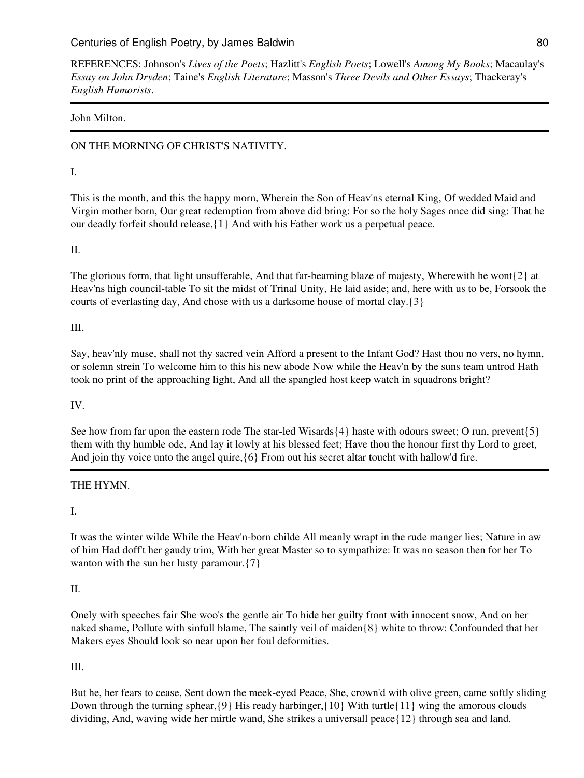REFERENCES: Johnson's *Lives of the Poets*; Hazlitt's *English Poets*; Lowell's *Among My Books*; Macaulay's *Essay on John Dryden*; Taine's *English Literature*; Masson's *Three Devils and Other Essays*; Thackeray's *English Humorists*.

## John Milton.

# ON THE MORNING OF CHRIST'S NATIVITY.

## I.

This is the month, and this the happy morn, Wherein the Son of Heav'ns eternal King, Of wedded Maid and Virgin mother born, Our great redemption from above did bring: For so the holy Sages once did sing: That he our deadly forfeit should release,{1} And with his Father work us a perpetual peace.

## II.

The glorious form, that light unsufferable, And that far-beaming blaze of majesty, Wherewith he wont{2} at Heav'ns high council-table To sit the midst of Trinal Unity, He laid aside; and, here with us to be, Forsook the courts of everlasting day, And chose with us a darksome house of mortal clay.{3}

## III.

Say, heav'nly muse, shall not thy sacred vein Afford a present to the Infant God? Hast thou no vers, no hymn, or solemn strein To welcome him to this his new abode Now while the Heav'n by the suns team untrod Hath took no print of the approaching light, And all the spangled host keep watch in squadrons bright?

## IV.

See how from far upon the eastern rode The star-led Wisards {4} haste with odours sweet; O run, prevent {5} them with thy humble ode, And lay it lowly at his blessed feet; Have thou the honour first thy Lord to greet, And join thy voice unto the angel quire,{6} From out his secret altar toucht with hallow'd fire.

## THE HYMN.

I.

It was the winter wilde While the Heav'n-born childe All meanly wrapt in the rude manger lies; Nature in aw of him Had doff't her gaudy trim, With her great Master so to sympathize: It was no season then for her To wanton with the sun her lusty paramour.  $\{7\}$ 

## II.

Onely with speeches fair She woo's the gentle air To hide her guilty front with innocent snow, And on her naked shame, Pollute with sinfull blame, The saintly veil of maiden{8} white to throw: Confounded that her Makers eyes Should look so near upon her foul deformities.

## III.

But he, her fears to cease, Sent down the meek-eyed Peace, She, crown'd with olive green, came softly sliding Down through the turning sphear,{9} His ready harbinger,{10} With turtle{11} wing the amorous clouds dividing, And, waving wide her mirtle wand, She strikes a universall peace{12} through sea and land.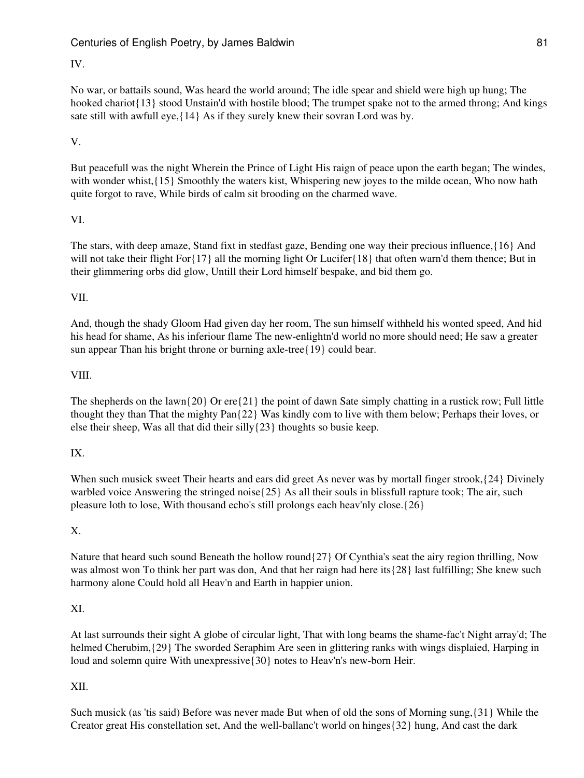## IV.

No war, or battails sound, Was heard the world around; The idle spear and shield were high up hung; The hooked chariot{13} stood Unstain'd with hostile blood; The trumpet spake not to the armed throng; And kings sate still with awfull eye,{14} As if they surely knew their sovran Lord was by.

## V.

But peacefull was the night Wherein the Prince of Light His raign of peace upon the earth began; The windes, with wonder whist, {15} Smoothly the waters kist, Whispering new joyes to the milde ocean, Who now hath quite forgot to rave, While birds of calm sit brooding on the charmed wave.

### VI.

The stars, with deep amaze, Stand fixt in stedfast gaze, Bending one way their precious influence,{16} And will not take their flight For $\{17\}$  all the morning light Or Lucifer $\{18\}$  that often warn'd them thence; But in their glimmering orbs did glow, Untill their Lord himself bespake, and bid them go.

### VII.

And, though the shady Gloom Had given day her room, The sun himself withheld his wonted speed, And hid his head for shame, As his inferiour flame The new-enlightn'd world no more should need; He saw a greater sun appear Than his bright throne or burning axle-tree{19} could bear.

### VIII.

The shepherds on the lawn $\{20\}$  Or ere $\{21\}$  the point of dawn Sate simply chatting in a rustick row; Full little thought they than That the mighty Pan{22} Was kindly com to live with them below; Perhaps their loves, or else their sheep, Was all that did their silly{23} thoughts so busie keep.

## IX.

When such musick sweet Their hearts and ears did greet As never was by mortall finger strook,  $\{24\}$  Divinely warbled voice Answering the stringed noise $\{25\}$  As all their souls in blissfull rapture took; The air, such pleasure loth to lose, With thousand echo's still prolongs each heav'nly close.{26}

#### X.

Nature that heard such sound Beneath the hollow round{27} Of Cynthia's seat the airy region thrilling, Now was almost won To think her part was don, And that her raign had here its{28} last fulfilling; She knew such harmony alone Could hold all Heav'n and Earth in happier union.

#### XI.

At last surrounds their sight A globe of circular light, That with long beams the shame-fac't Night array'd; The helmed Cherubim,{29} The sworded Seraphim Are seen in glittering ranks with wings displaied, Harping in loud and solemn quire With unexpressive{30} notes to Heav'n's new-born Heir.

#### XII.

Such musick (as 'tis said) Before was never made But when of old the sons of Morning sung,{31} While the Creator great His constellation set, And the well-ballanc't world on hinges{32} hung, And cast the dark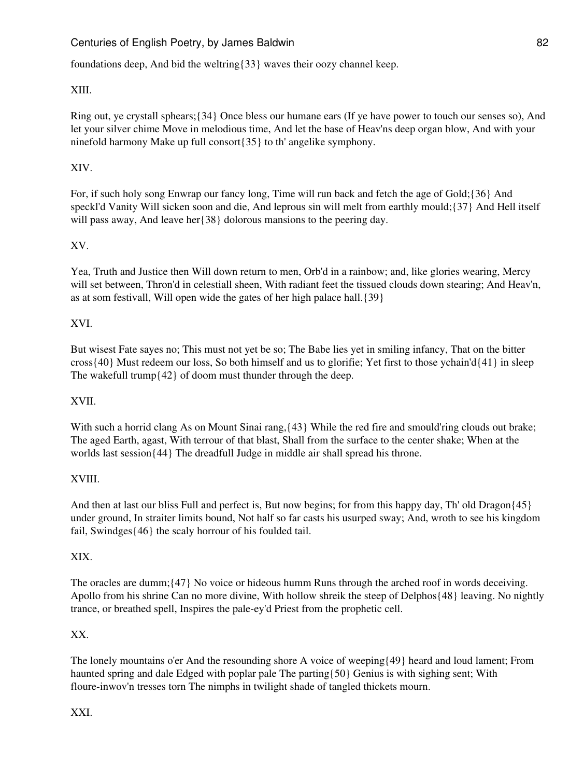foundations deep, And bid the weltring{33} waves their oozy channel keep.

## XIII.

Ring out, ye crystall sphears;{34} Once bless our humane ears (If ye have power to touch our senses so), And let your silver chime Move in melodious time, And let the base of Heav'ns deep organ blow, And with your ninefold harmony Make up full consort{35} to th' angelike symphony.

## XIV.

For, if such holy song Enwrap our fancy long, Time will run back and fetch the age of Gold;{36} And speckl'd Vanity Will sicken soon and die, And leprous sin will melt from earthly mould;{37} And Hell itself will pass away, And leave her ${38}$  dolorous mansions to the peering day.

## XV.

Yea, Truth and Justice then Will down return to men, Orb'd in a rainbow; and, like glories wearing, Mercy will set between, Thron'd in celestiall sheen, With radiant feet the tissued clouds down stearing; And Heav'n, as at som festivall, Will open wide the gates of her high palace hall.{39}

## XVI.

But wisest Fate sayes no; This must not yet be so; The Babe lies yet in smiling infancy, That on the bitter cross{40} Must redeem our loss, So both himself and us to glorifie; Yet first to those ychain'd{41} in sleep The wakefull trump $\{42\}$  of doom must thunder through the deep.

## XVII.

With such a horrid clang As on Mount Sinai rang,  $\{43\}$  While the red fire and smould'ring clouds out brake; The aged Earth, agast, With terrour of that blast, Shall from the surface to the center shake; When at the worlds last session{44} The dreadfull Judge in middle air shall spread his throne.

## XVIII.

And then at last our bliss Full and perfect is, But now begins; for from this happy day, Th' old Dragon{45} under ground, In straiter limits bound, Not half so far casts his usurped sway; And, wroth to see his kingdom fail, Swindges{46} the scaly horrour of his foulded tail.

## XIX.

The oracles are dumm;{47} No voice or hideous humm Runs through the arched roof in words deceiving. Apollo from his shrine Can no more divine, With hollow shreik the steep of Delphos{48} leaving. No nightly trance, or breathed spell, Inspires the pale-ey'd Priest from the prophetic cell.

## XX.

The lonely mountains o'er And the resounding shore A voice of weeping{49} heard and loud lament; From haunted spring and dale Edged with poplar pale The parting{50} Genius is with sighing sent; With floure-inwov'n tresses torn The nimphs in twilight shade of tangled thickets mourn.

XXI.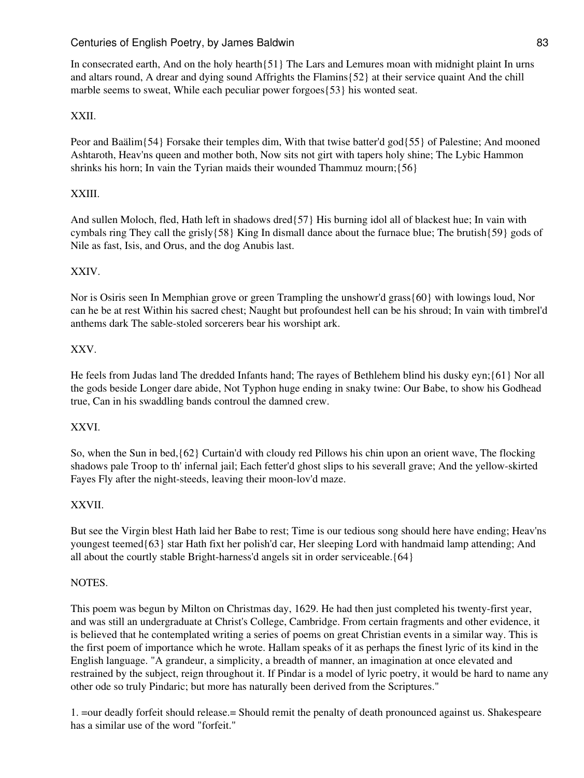In consecrated earth, And on the holy hearth{51} The Lars and Lemures moan with midnight plaint In urns and altars round, A drear and dying sound Affrights the Flamins{52} at their service quaint And the chill marble seems to sweat, While each peculiar power forgoes{53} his wonted seat.

## XXII.

Peor and Baälim{54} Forsake their temples dim, With that twise batter'd god{55} of Palestine; And mooned Ashtaroth, Heav'ns queen and mother both, Now sits not girt with tapers holy shine; The Lybic Hammon shrinks his horn; In vain the Tyrian maids their wounded Thammuz mourn;{56}

## XXIII.

And sullen Moloch, fled, Hath left in shadows dred{57} His burning idol all of blackest hue; In vain with cymbals ring They call the grisly{58} King In dismall dance about the furnace blue; The brutish{59} gods of Nile as fast, Isis, and Orus, and the dog Anubis last.

## XXIV.

Nor is Osiris seen In Memphian grove or green Trampling the unshowr'd grass{60} with lowings loud, Nor can he be at rest Within his sacred chest; Naught but profoundest hell can be his shroud; In vain with timbrel'd anthems dark The sable-stoled sorcerers bear his worshipt ark.

## XXV.

He feels from Judas land The dredded Infants hand; The rayes of Bethlehem blind his dusky eyn;{61} Nor all the gods beside Longer dare abide, Not Typhon huge ending in snaky twine: Our Babe, to show his Godhead true, Can in his swaddling bands controul the damned crew.

#### XXVI.

So, when the Sun in bed,{62} Curtain'd with cloudy red Pillows his chin upon an orient wave, The flocking shadows pale Troop to th' infernal jail; Each fetter'd ghost slips to his severall grave; And the yellow-skirted Fayes Fly after the night-steeds, leaving their moon-lov'd maze.

## XXVII.

But see the Virgin blest Hath laid her Babe to rest; Time is our tedious song should here have ending; Heav'ns youngest teemed{63} star Hath fixt her polish'd car, Her sleeping Lord with handmaid lamp attending; And all about the courtly stable Bright-harness'd angels sit in order serviceable.{64}

### NOTES.

This poem was begun by Milton on Christmas day, 1629. He had then just completed his twenty-first year, and was still an undergraduate at Christ's College, Cambridge. From certain fragments and other evidence, it is believed that he contemplated writing a series of poems on great Christian events in a similar way. This is the first poem of importance which he wrote. Hallam speaks of it as perhaps the finest lyric of its kind in the English language. "A grandeur, a simplicity, a breadth of manner, an imagination at once elevated and restrained by the subject, reign throughout it. If Pindar is a model of lyric poetry, it would be hard to name any other ode so truly Pindaric; but more has naturally been derived from the Scriptures."

1. =our deadly forfeit should release.= Should remit the penalty of death pronounced against us. Shakespeare has a similar use of the word "forfeit."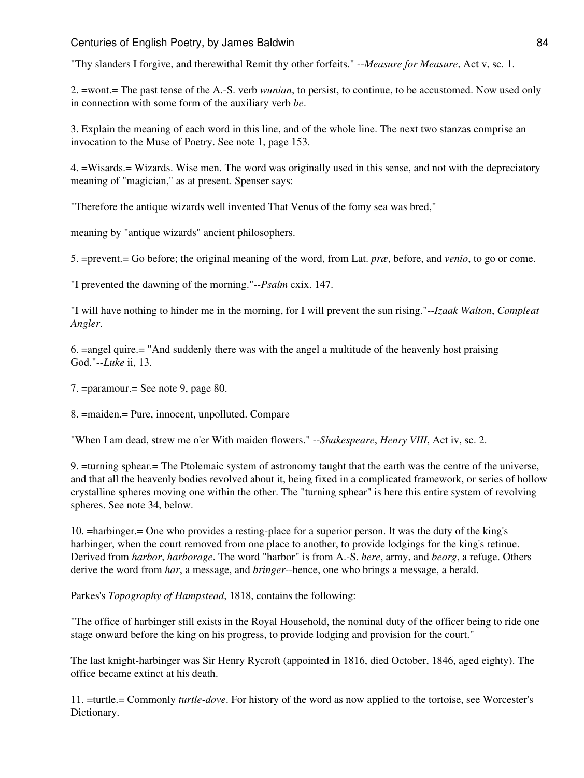"Thy slanders I forgive, and therewithal Remit thy other forfeits." --*Measure for Measure*, Act v, sc. 1.

2. =wont.= The past tense of the A.-S. verb *wunian*, to persist, to continue, to be accustomed. Now used only in connection with some form of the auxiliary verb *be*.

3. Explain the meaning of each word in this line, and of the whole line. The next two stanzas comprise an invocation to the Muse of Poetry. See note 1, page 153.

4. =Wisards.= Wizards. Wise men. The word was originally used in this sense, and not with the depreciatory meaning of "magician," as at present. Spenser says:

"Therefore the antique wizards well invented That Venus of the fomy sea was bred,"

meaning by "antique wizards" ancient philosophers.

5. =prevent.= Go before; the original meaning of the word, from Lat. *præ*, before, and *venio*, to go or come.

"I prevented the dawning of the morning."--*Psalm* cxix. 147.

"I will have nothing to hinder me in the morning, for I will prevent the sun rising."--*Izaak Walton*, *Compleat Angler*.

6. =angel quire.= "And suddenly there was with the angel a multitude of the heavenly host praising God."--*Luke* ii, 13.

7. =paramour.= See note 9, page 80.

8. =maiden.= Pure, innocent, unpolluted. Compare

"When I am dead, strew me o'er With maiden flowers." --*Shakespeare*, *Henry VIII*, Act iv, sc. 2.

9. =turning sphear.= The Ptolemaic system of astronomy taught that the earth was the centre of the universe, and that all the heavenly bodies revolved about it, being fixed in a complicated framework, or series of hollow crystalline spheres moving one within the other. The "turning sphear" is here this entire system of revolving spheres. See note 34, below.

10. =harbinger.= One who provides a resting-place for a superior person. It was the duty of the king's harbinger, when the court removed from one place to another, to provide lodgings for the king's retinue. Derived from *harbor*, *harborage*. The word "harbor" is from A.-S. *here*, army, and *beorg*, a refuge. Others derive the word from *har*, a message, and *bringer*--hence, one who brings a message, a herald.

Parkes's *Topography of Hampstead*, 1818, contains the following:

"The office of harbinger still exists in the Royal Household, the nominal duty of the officer being to ride one stage onward before the king on his progress, to provide lodging and provision for the court."

The last knight-harbinger was Sir Henry Rycroft (appointed in 1816, died October, 1846, aged eighty). The office became extinct at his death.

11. =turtle.= Commonly *turtle-dove*. For history of the word as now applied to the tortoise, see Worcester's Dictionary.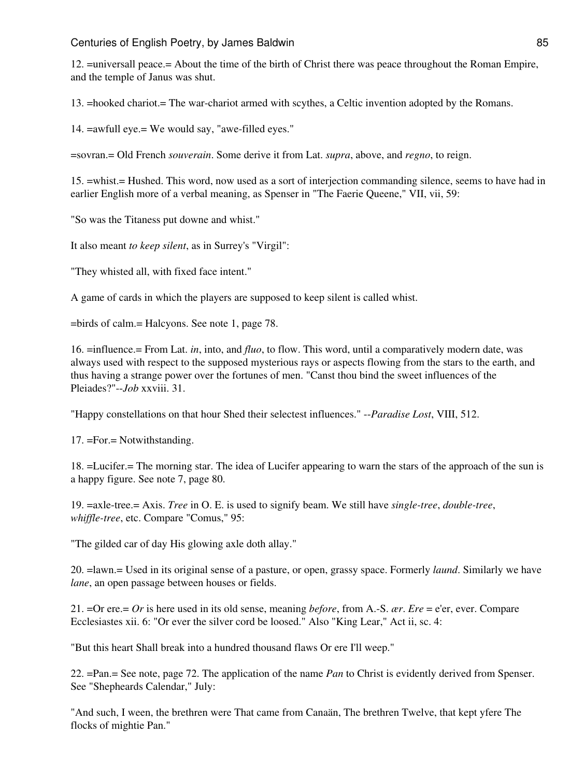12. =universall peace.= About the time of the birth of Christ there was peace throughout the Roman Empire, and the temple of Janus was shut.

13. =hooked chariot.= The war-chariot armed with scythes, a Celtic invention adopted by the Romans.

14. =awfull eye.= We would say, "awe-filled eyes."

=sovran.= Old French *souverain*. Some derive it from Lat. *supra*, above, and *regno*, to reign.

15. =whist.= Hushed. This word, now used as a sort of interjection commanding silence, seems to have had in earlier English more of a verbal meaning, as Spenser in "The Faerie Queene," VII, vii, 59:

"So was the Titaness put downe and whist."

It also meant *to keep silent*, as in Surrey's "Virgil":

"They whisted all, with fixed face intent."

A game of cards in which the players are supposed to keep silent is called whist.

=birds of calm.= Halcyons. See note 1, page 78.

16. =influence.= From Lat. *in*, into, and *fluo*, to flow. This word, until a comparatively modern date, was always used with respect to the supposed mysterious rays or aspects flowing from the stars to the earth, and thus having a strange power over the fortunes of men. "Canst thou bind the sweet influences of the Pleiades?"--*Job* xxviii. 31.

"Happy constellations on that hour Shed their selectest influences." --*Paradise Lost*, VIII, 512.

17. =For.= Notwithstanding.

18. =Lucifer.= The morning star. The idea of Lucifer appearing to warn the stars of the approach of the sun is a happy figure. See note 7, page 80.

19. =axle-tree.= Axis. *Tree* in O. E. is used to signify beam. We still have *single-tree*, *double-tree*, *whiffle-tree*, etc. Compare "Comus," 95:

"The gilded car of day His glowing axle doth allay."

20. =lawn.= Used in its original sense of a pasture, or open, grassy space. Formerly *laund*. Similarly we have *lane*, an open passage between houses or fields.

21. =Or ere.= *Or* is here used in its old sense, meaning *before*, from A.-S. *ær*. *Ere* = e'er, ever. Compare Ecclesiastes xii. 6: "Or ever the silver cord be loosed." Also "King Lear," Act ii, sc. 4:

"But this heart Shall break into a hundred thousand flaws Or ere I'll weep."

22. =Pan.= See note, page 72. The application of the name *Pan* to Christ is evidently derived from Spenser. See "Shepheards Calendar," July:

"And such, I ween, the brethren were That came from Canaän, The brethren Twelve, that kept yfere The flocks of mightie Pan."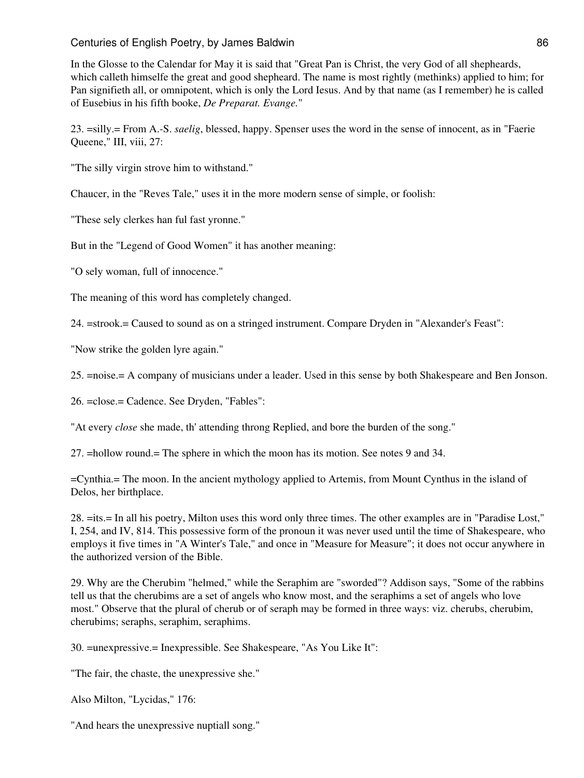### Centuries of English Poetry, by James Baldwin 86 and 1999 and 1999 and 1999 and 1999 and 1999 and 1999 and 199

In the Glosse to the Calendar for May it is said that "Great Pan is Christ, the very God of all shepheards, which calleth himselfe the great and good shepheard. The name is most rightly (methinks) applied to him; for Pan signifieth all, or omnipotent, which is only the Lord Iesus. And by that name (as I remember) he is called of Eusebius in his fifth booke, *De Preparat. Evange.*"

23. =silly.= From A.-S. *saelig*, blessed, happy. Spenser uses the word in the sense of innocent, as in "Faerie Queene," III, viii, 27:

"The silly virgin strove him to withstand."

Chaucer, in the "Reves Tale," uses it in the more modern sense of simple, or foolish:

"These sely clerkes han ful fast yronne."

But in the "Legend of Good Women" it has another meaning:

"O sely woman, full of innocence."

The meaning of this word has completely changed.

24. =strook.= Caused to sound as on a stringed instrument. Compare Dryden in "Alexander's Feast":

"Now strike the golden lyre again."

25. =noise.= A company of musicians under a leader. Used in this sense by both Shakespeare and Ben Jonson.

26. =close.= Cadence. See Dryden, "Fables":

"At every *close* she made, th' attending throng Replied, and bore the burden of the song."

27. =hollow round.= The sphere in which the moon has its motion. See notes 9 and 34.

=Cynthia.= The moon. In the ancient mythology applied to Artemis, from Mount Cynthus in the island of Delos, her birthplace.

28. =its.= In all his poetry, Milton uses this word only three times. The other examples are in "Paradise Lost," I, 254, and IV, 814. This possessive form of the pronoun it was never used until the time of Shakespeare, who employs it five times in "A Winter's Tale," and once in "Measure for Measure"; it does not occur anywhere in the authorized version of the Bible.

29. Why are the Cherubim "helmed," while the Seraphim are "sworded"? Addison says, "Some of the rabbins tell us that the cherubims are a set of angels who know most, and the seraphims a set of angels who love most." Observe that the plural of cherub or of seraph may be formed in three ways: viz. cherubs, cherubim, cherubims; seraphs, seraphim, seraphims.

30. =unexpressive.= Inexpressible. See Shakespeare, "As You Like It":

"The fair, the chaste, the unexpressive she."

Also Milton, "Lycidas," 176:

"And hears the unexpressive nuptiall song."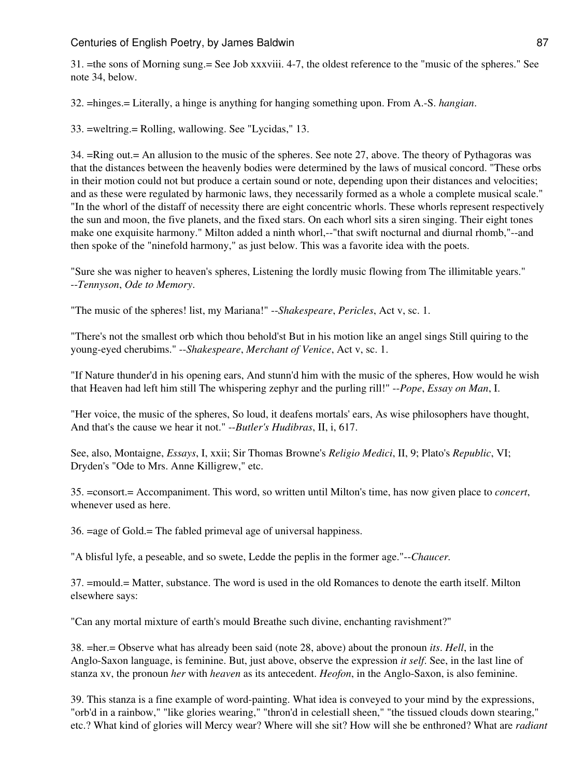31. =the sons of Morning sung.= See Job xxxviii. 4-7, the oldest reference to the "music of the spheres." See note 34, below.

32. =hinges.= Literally, a hinge is anything for hanging something upon. From A.-S. *hangian*.

33. =weltring.= Rolling, wallowing. See "Lycidas," 13.

34. =Ring out.= An allusion to the music of the spheres. See note 27, above. The theory of Pythagoras was that the distances between the heavenly bodies were determined by the laws of musical concord. "These orbs in their motion could not but produce a certain sound or note, depending upon their distances and velocities; and as these were regulated by harmonic laws, they necessarily formed as a whole a complete musical scale." "In the whorl of the distaff of necessity there are eight concentric whorls. These whorls represent respectively the sun and moon, the five planets, and the fixed stars. On each whorl sits a siren singing. Their eight tones make one exquisite harmony." Milton added a ninth whorl,--"that swift nocturnal and diurnal rhomb,"--and then spoke of the "ninefold harmony," as just below. This was a favorite idea with the poets.

"Sure she was nigher to heaven's spheres, Listening the lordly music flowing from The illimitable years." --*Tennyson*, *Ode to Memory*.

"The music of the spheres! list, my Mariana!" --*Shakespeare*, *Pericles*, Act v, sc. 1.

"There's not the smallest orb which thou behold'st But in his motion like an angel sings Still quiring to the young-eyed cherubims." --*Shakespeare*, *Merchant of Venice*, Act v, sc. 1.

"If Nature thunder'd in his opening ears, And stunn'd him with the music of the spheres, How would he wish that Heaven had left him still The whispering zephyr and the purling rill!" --*Pope*, *Essay on Man*, I.

"Her voice, the music of the spheres, So loud, it deafens mortals' ears, As wise philosophers have thought, And that's the cause we hear it not." --*Butler's Hudibras*, II, i, 617.

See, also, Montaigne, *Essays*, I, xxii; Sir Thomas Browne's *Religio Medici*, II, 9; Plato's *Republic*, VI; Dryden's "Ode to Mrs. Anne Killigrew," etc.

35. =consort.= Accompaniment. This word, so written until Milton's time, has now given place to *concert*, whenever used as here.

36. =age of Gold.= The fabled primeval age of universal happiness.

"A blisful lyfe, a peseable, and so swete, Ledde the peplis in the former age."--*Chaucer.*

37. =mould.= Matter, substance. The word is used in the old Romances to denote the earth itself. Milton elsewhere says:

"Can any mortal mixture of earth's mould Breathe such divine, enchanting ravishment?"

38. =her.= Observe what has already been said (note 28, above) about the pronoun *its*. *Hell*, in the Anglo-Saxon language, is feminine. But, just above, observe the expression *it self*. See, in the last line of stanza xv, the pronoun *her* with *heaven* as its antecedent. *Heofon*, in the Anglo-Saxon, is also feminine.

39. This stanza is a fine example of word-painting. What idea is conveyed to your mind by the expressions, "orb'd in a rainbow," "like glories wearing," "thron'd in celestiall sheen," "the tissued clouds down stearing," etc.? What kind of glories will Mercy wear? Where will she sit? How will she be enthroned? What are *radiant*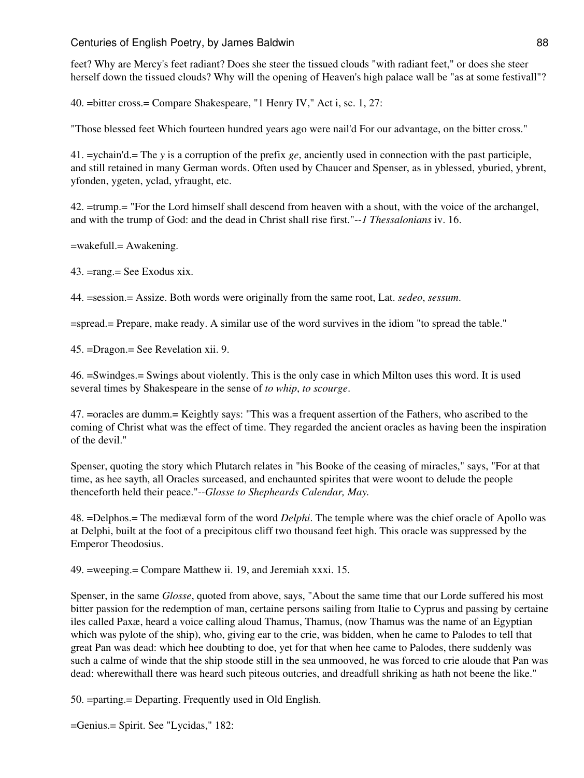### Centuries of English Poetry, by James Baldwin 88 and 1999 and 1999 and 1999 and 1999 and 1999 and 1999 and 199

feet? Why are Mercy's feet radiant? Does she steer the tissued clouds "with radiant feet," or does she steer herself down the tissued clouds? Why will the opening of Heaven's high palace wall be "as at some festivall"?

40. =bitter cross.= Compare Shakespeare, "1 Henry IV," Act i, sc. 1, 27:

"Those blessed feet Which fourteen hundred years ago were nail'd For our advantage, on the bitter cross."

41. =ychain'd.= The *y* is a corruption of the prefix *ge*, anciently used in connection with the past participle, and still retained in many German words. Often used by Chaucer and Spenser, as in yblessed, yburied, ybrent, yfonden, ygeten, yclad, yfraught, etc.

42. =trump.= "For the Lord himself shall descend from heaven with a shout, with the voice of the archangel, and with the trump of God: and the dead in Christ shall rise first."--*1 Thessalonians* iv. 16.

=wakefull.= Awakening.

43. =rang.= See Exodus xix.

44. =session.= Assize. Both words were originally from the same root, Lat. *sedeo*, *sessum*.

=spread.= Prepare, make ready. A similar use of the word survives in the idiom "to spread the table."

45. =Dragon.= See Revelation xii. 9.

46. =Swindges.= Swings about violently. This is the only case in which Milton uses this word. It is used several times by Shakespeare in the sense of *to whip*, *to scourge*.

47. =oracles are dumm.= Keightly says: "This was a frequent assertion of the Fathers, who ascribed to the coming of Christ what was the effect of time. They regarded the ancient oracles as having been the inspiration of the devil."

Spenser, quoting the story which Plutarch relates in "his Booke of the ceasing of miracles," says, "For at that time, as hee sayth, all Oracles surceased, and enchaunted spirites that were woont to delude the people thenceforth held their peace."--*Glosse to Shepheards Calendar, May.*

48. =Delphos.= The mediæval form of the word *Delphi*. The temple where was the chief oracle of Apollo was at Delphi, built at the foot of a precipitous cliff two thousand feet high. This oracle was suppressed by the Emperor Theodosius.

49. =weeping.= Compare Matthew ii. 19, and Jeremiah xxxi. 15.

Spenser, in the same *Glosse*, quoted from above, says, "About the same time that our Lorde suffered his most bitter passion for the redemption of man, certaine persons sailing from Italie to Cyprus and passing by certaine iles called Paxæ, heard a voice calling aloud Thamus, Thamus, (now Thamus was the name of an Egyptian which was pylote of the ship), who, giving ear to the crie, was bidden, when he came to Palodes to tell that great Pan was dead: which hee doubting to doe, yet for that when hee came to Palodes, there suddenly was such a calme of winde that the ship stoode still in the sea unmooved, he was forced to crie aloude that Pan was dead: wherewithall there was heard such piteous outcries, and dreadfull shriking as hath not beene the like."

50. =parting.= Departing. Frequently used in Old English.

=Genius.= Spirit. See "Lycidas," 182: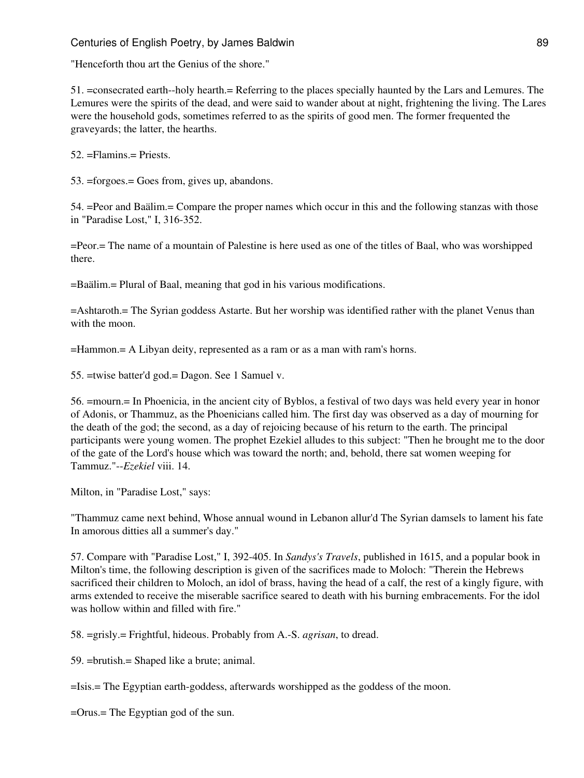### Centuries of English Poetry, by James Baldwin 89 and 1998 and 1998 and 1998 and 1998 and 1998 and 1998 and 199

"Henceforth thou art the Genius of the shore."

51. =consecrated earth--holy hearth.= Referring to the places specially haunted by the Lars and Lemures. The Lemures were the spirits of the dead, and were said to wander about at night, frightening the living. The Lares were the household gods, sometimes referred to as the spirits of good men. The former frequented the graveyards; the latter, the hearths.

52. =Flamins.= Priests.

53. =forgoes.= Goes from, gives up, abandons.

54. =Peor and Baälim.= Compare the proper names which occur in this and the following stanzas with those in "Paradise Lost," I, 316-352.

=Peor.= The name of a mountain of Palestine is here used as one of the titles of Baal, who was worshipped there.

=Baälim.= Plural of Baal, meaning that god in his various modifications.

=Ashtaroth.= The Syrian goddess Astarte. But her worship was identified rather with the planet Venus than with the moon.

=Hammon.= A Libyan deity, represented as a ram or as a man with ram's horns.

55. =twise batter'd god.= Dagon. See 1 Samuel v.

56. =mourn.= In Phoenicia, in the ancient city of Byblos, a festival of two days was held every year in honor of Adonis, or Thammuz, as the Phoenicians called him. The first day was observed as a day of mourning for the death of the god; the second, as a day of rejoicing because of his return to the earth. The principal participants were young women. The prophet Ezekiel alludes to this subject: "Then he brought me to the door of the gate of the Lord's house which was toward the north; and, behold, there sat women weeping for Tammuz."--*Ezekiel* viii. 14.

Milton, in "Paradise Lost," says:

"Thammuz came next behind, Whose annual wound in Lebanon allur'd The Syrian damsels to lament his fate In amorous ditties all a summer's day."

57. Compare with "Paradise Lost," I, 392-405. In *Sandys's Travels*, published in 1615, and a popular book in Milton's time, the following description is given of the sacrifices made to Moloch: "Therein the Hebrews sacrificed their children to Moloch, an idol of brass, having the head of a calf, the rest of a kingly figure, with arms extended to receive the miserable sacrifice seared to death with his burning embracements. For the idol was hollow within and filled with fire."

58. =grisly.= Frightful, hideous. Probably from A.-S. *agrisan*, to dread.

59. =brutish.= Shaped like a brute; animal.

=Isis.= The Egyptian earth-goddess, afterwards worshipped as the goddess of the moon.

=Orus.= The Egyptian god of the sun.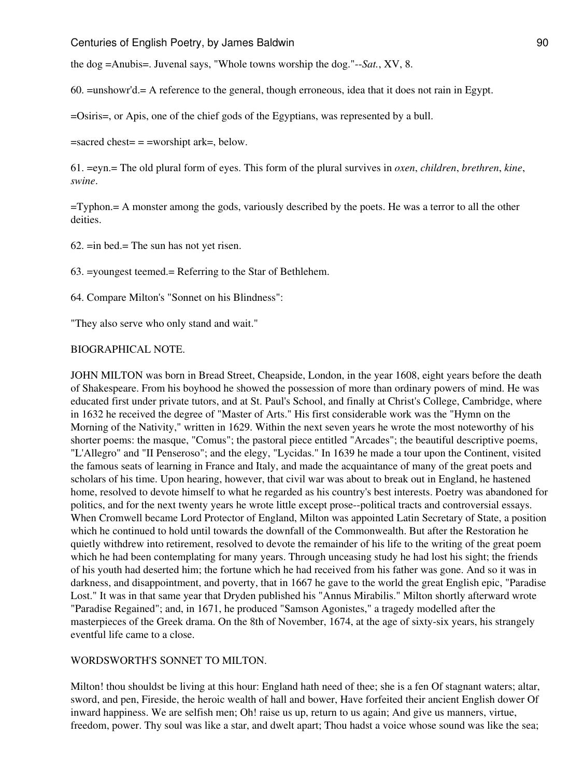the dog =Anubis=. Juvenal says, "Whole towns worship the dog."--*Sat.*, XV, 8.

60. =unshowr'd.= A reference to the general, though erroneous, idea that it does not rain in Egypt.

=Osiris=, or Apis, one of the chief gods of the Egyptians, was represented by a bull.

 $=$ sacred chest $=$   $=$   $=$ worshipt ark $=$ , below.

61. =eyn.= The old plural form of eyes. This form of the plural survives in *oxen*, *children*, *brethren*, *kine*, *swine*.

=Typhon.= A monster among the gods, variously described by the poets. He was a terror to all the other deities.

 $62.$  = in bed. = The sun has not yet risen.

63. =youngest teemed.= Referring to the Star of Bethlehem.

64. Compare Milton's "Sonnet on his Blindness":

"They also serve who only stand and wait."

#### BIOGRAPHICAL NOTE.

JOHN MILTON was born in Bread Street, Cheapside, London, in the year 1608, eight years before the death of Shakespeare. From his boyhood he showed the possession of more than ordinary powers of mind. He was educated first under private tutors, and at St. Paul's School, and finally at Christ's College, Cambridge, where in 1632 he received the degree of "Master of Arts." His first considerable work was the "Hymn on the Morning of the Nativity," written in 1629. Within the next seven years he wrote the most noteworthy of his shorter poems: the masque, "Comus"; the pastoral piece entitled "Arcades"; the beautiful descriptive poems, "L'Allegro" and "II Penseroso"; and the elegy, "Lycidas." In 1639 he made a tour upon the Continent, visited the famous seats of learning in France and Italy, and made the acquaintance of many of the great poets and scholars of his time. Upon hearing, however, that civil war was about to break out in England, he hastened home, resolved to devote himself to what he regarded as his country's best interests. Poetry was abandoned for politics, and for the next twenty years he wrote little except prose--political tracts and controversial essays. When Cromwell became Lord Protector of England, Milton was appointed Latin Secretary of State, a position which he continued to hold until towards the downfall of the Commonwealth. But after the Restoration he quietly withdrew into retirement, resolved to devote the remainder of his life to the writing of the great poem which he had been contemplating for many years. Through unceasing study he had lost his sight; the friends of his youth had deserted him; the fortune which he had received from his father was gone. And so it was in darkness, and disappointment, and poverty, that in 1667 he gave to the world the great English epic, "Paradise Lost." It was in that same year that Dryden published his "Annus Mirabilis." Milton shortly afterward wrote "Paradise Regained"; and, in 1671, he produced "Samson Agonistes," a tragedy modelled after the masterpieces of the Greek drama. On the 8th of November, 1674, at the age of sixty-six years, his strangely eventful life came to a close.

#### WORDSWORTH'S SONNET TO MILTON.

Milton! thou shouldst be living at this hour: England hath need of thee; she is a fen Of stagnant waters; altar, sword, and pen, Fireside, the heroic wealth of hall and bower, Have forfeited their ancient English dower Of inward happiness. We are selfish men; Oh! raise us up, return to us again; And give us manners, virtue, freedom, power. Thy soul was like a star, and dwelt apart; Thou hadst a voice whose sound was like the sea;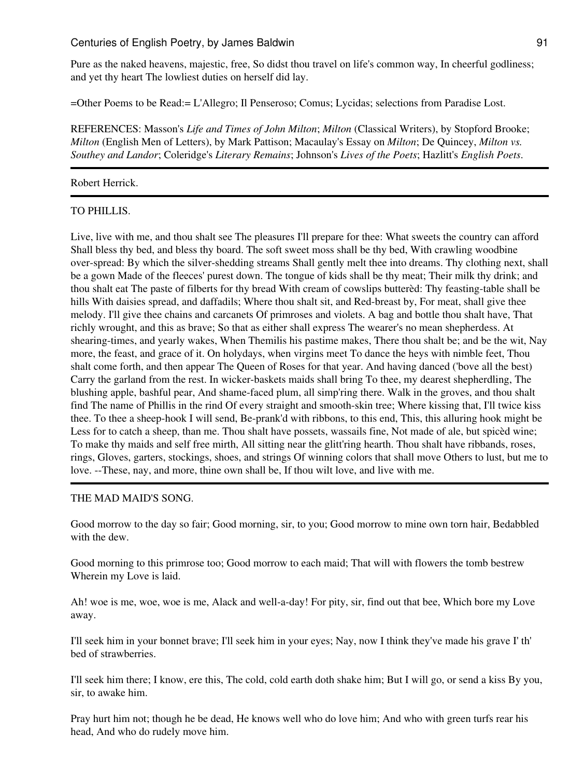Pure as the naked heavens, majestic, free, So didst thou travel on life's common way, In cheerful godliness; and yet thy heart The lowliest duties on herself did lay.

=Other Poems to be Read:= L'Allegro; Il Penseroso; Comus; Lycidas; selections from Paradise Lost.

REFERENCES: Masson's *Life and Times of John Milton*; *Milton* (Classical Writers), by Stopford Brooke; *Milton* (English Men of Letters), by Mark Pattison; Macaulay's Essay on *Milton*; De Quincey, *Milton vs. Southey and Landor*; Coleridge's *Literary Remains*; Johnson's *Lives of the Poets*; Hazlitt's *English Poets*.

#### Robert Herrick.

### TO PHILLIS.

Live, live with me, and thou shalt see The pleasures I'll prepare for thee: What sweets the country can afford Shall bless thy bed, and bless thy board. The soft sweet moss shall be thy bed, With crawling woodbine over-spread: By which the silver-shedding streams Shall gently melt thee into dreams. Thy clothing next, shall be a gown Made of the fleeces' purest down. The tongue of kids shall be thy meat; Their milk thy drink; and thou shalt eat The paste of filberts for thy bread With cream of cowslips butterèd: Thy feasting-table shall be hills With daisies spread, and daffadils; Where thou shalt sit, and Red-breast by, For meat, shall give thee melody. I'll give thee chains and carcanets Of primroses and violets. A bag and bottle thou shalt have, That richly wrought, and this as brave; So that as either shall express The wearer's no mean shepherdess. At shearing-times, and yearly wakes, When Themilis his pastime makes, There thou shalt be; and be the wit, Nay more, the feast, and grace of it. On holydays, when virgins meet To dance the heys with nimble feet, Thou shalt come forth, and then appear The Queen of Roses for that year. And having danced ('bove all the best) Carry the garland from the rest. In wicker-baskets maids shall bring To thee, my dearest shepherdling, The blushing apple, bashful pear, And shame-faced plum, all simp'ring there. Walk in the groves, and thou shalt find The name of Phillis in the rind Of every straight and smooth-skin tree; Where kissing that, I'll twice kiss thee. To thee a sheep-hook I will send, Be-prank'd with ribbons, to this end, This, this alluring hook might be Less for to catch a sheep, than me. Thou shalt have possets, wassails fine, Not made of ale, but spicèd wine; To make thy maids and self free mirth, All sitting near the glitt'ring hearth. Thou shalt have ribbands, roses, rings, Gloves, garters, stockings, shoes, and strings Of winning colors that shall move Others to lust, but me to love. --These, nay, and more, thine own shall be, If thou wilt love, and live with me.

#### THE MAD MAID'S SONG.

Good morrow to the day so fair; Good morning, sir, to you; Good morrow to mine own torn hair, Bedabbled with the dew.

Good morning to this primrose too; Good morrow to each maid; That will with flowers the tomb bestrew Wherein my Love is laid.

Ah! woe is me, woe, woe is me, Alack and well-a-day! For pity, sir, find out that bee, Which bore my Love away.

I'll seek him in your bonnet brave; I'll seek him in your eyes; Nay, now I think they've made his grave I' th' bed of strawberries.

I'll seek him there; I know, ere this, The cold, cold earth doth shake him; But I will go, or send a kiss By you, sir, to awake him.

Pray hurt him not; though he be dead, He knows well who do love him; And who with green turfs rear his head, And who do rudely move him.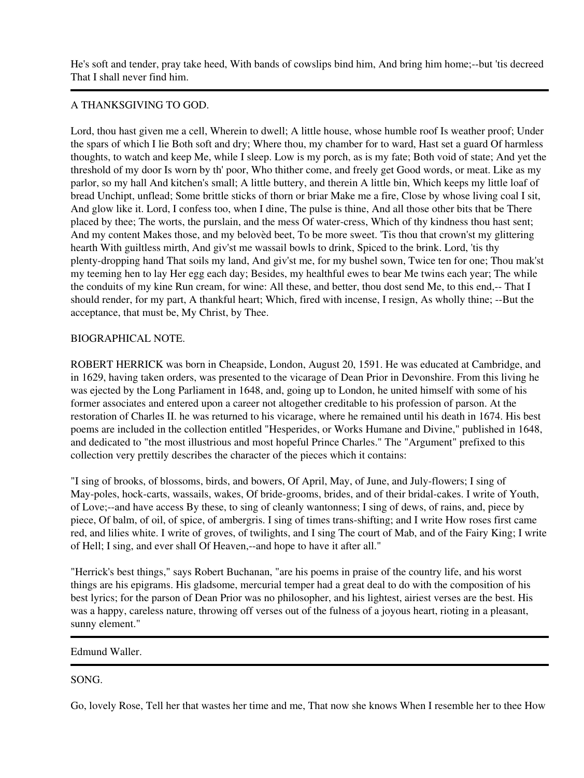He's soft and tender, pray take heed, With bands of cowslips bind him, And bring him home;--but 'tis decreed That I shall never find him.

### A THANKSGIVING TO GOD.

Lord, thou hast given me a cell, Wherein to dwell; A little house, whose humble roof Is weather proof; Under the spars of which I lie Both soft and dry; Where thou, my chamber for to ward, Hast set a guard Of harmless thoughts, to watch and keep Me, while I sleep. Low is my porch, as is my fate; Both void of state; And yet the threshold of my door Is worn by th' poor, Who thither come, and freely get Good words, or meat. Like as my parlor, so my hall And kitchen's small; A little buttery, and therein A little bin, Which keeps my little loaf of bread Unchipt, unflead; Some brittle sticks of thorn or briar Make me a fire, Close by whose living coal I sit, And glow like it. Lord, I confess too, when I dine, The pulse is thine, And all those other bits that be There placed by thee; The worts, the purslain, and the mess Of water-cress, Which of thy kindness thou hast sent; And my content Makes those, and my belovèd beet, To be more sweet. 'Tis thou that crown'st my glittering hearth With guiltless mirth, And giv'st me wassail bowls to drink, Spiced to the brink. Lord, 'tis thy plenty-dropping hand That soils my land, And giv'st me, for my bushel sown, Twice ten for one; Thou mak'st my teeming hen to lay Her egg each day; Besides, my healthful ewes to bear Me twins each year; The while the conduits of my kine Run cream, for wine: All these, and better, thou dost send Me, to this end,-- That I should render, for my part, A thankful heart; Which, fired with incense, I resign, As wholly thine; --But the acceptance, that must be, My Christ, by Thee.

### BIOGRAPHICAL NOTE.

ROBERT HERRICK was born in Cheapside, London, August 20, 1591. He was educated at Cambridge, and in 1629, having taken orders, was presented to the vicarage of Dean Prior in Devonshire. From this living he was ejected by the Long Parliament in 1648, and, going up to London, he united himself with some of his former associates and entered upon a career not altogether creditable to his profession of parson. At the restoration of Charles II. he was returned to his vicarage, where he remained until his death in 1674. His best poems are included in the collection entitled "Hesperides, or Works Humane and Divine," published in 1648, and dedicated to "the most illustrious and most hopeful Prince Charles." The "Argument" prefixed to this collection very prettily describes the character of the pieces which it contains:

"I sing of brooks, of blossoms, birds, and bowers, Of April, May, of June, and July-flowers; I sing of May-poles, hock-carts, wassails, wakes, Of bride-grooms, brides, and of their bridal-cakes. I write of Youth, of Love;--and have access By these, to sing of cleanly wantonness; I sing of dews, of rains, and, piece by piece, Of balm, of oil, of spice, of ambergris. I sing of times trans-shifting; and I write How roses first came red, and lilies white. I write of groves, of twilights, and I sing The court of Mab, and of the Fairy King; I write of Hell; I sing, and ever shall Of Heaven,--and hope to have it after all."

"Herrick's best things," says Robert Buchanan, "are his poems in praise of the country life, and his worst things are his epigrams. His gladsome, mercurial temper had a great deal to do with the composition of his best lyrics; for the parson of Dean Prior was no philosopher, and his lightest, airiest verses are the best. His was a happy, careless nature, throwing off verses out of the fulness of a joyous heart, rioting in a pleasant, sunny element."

#### Edmund Waller.

## SONG.

Go, lovely Rose, Tell her that wastes her time and me, That now she knows When I resemble her to thee How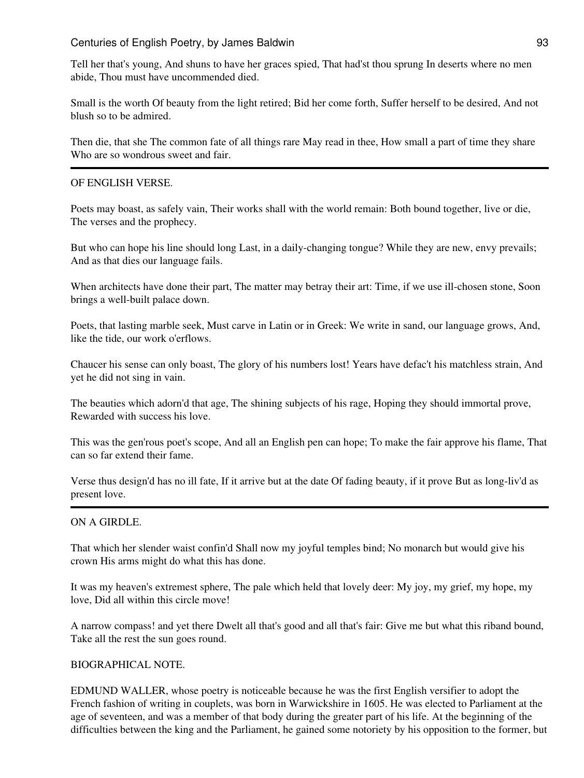Tell her that's young, And shuns to have her graces spied, That had'st thou sprung In deserts where no men abide, Thou must have uncommended died.

Small is the worth Of beauty from the light retired; Bid her come forth, Suffer herself to be desired, And not blush so to be admired.

Then die, that she The common fate of all things rare May read in thee, How small a part of time they share Who are so wondrous sweet and fair.

#### OF ENGLISH VERSE.

Poets may boast, as safely vain, Their works shall with the world remain: Both bound together, live or die, The verses and the prophecy.

But who can hope his line should long Last, in a daily-changing tongue? While they are new, envy prevails; And as that dies our language fails.

When architects have done their part, The matter may betray their art: Time, if we use ill-chosen stone, Soon brings a well-built palace down.

Poets, that lasting marble seek, Must carve in Latin or in Greek: We write in sand, our language grows, And, like the tide, our work o'erflows.

Chaucer his sense can only boast, The glory of his numbers lost! Years have defac't his matchless strain, And yet he did not sing in vain.

The beauties which adorn'd that age, The shining subjects of his rage, Hoping they should immortal prove, Rewarded with success his love.

This was the gen'rous poet's scope, And all an English pen can hope; To make the fair approve his flame, That can so far extend their fame.

Verse thus design'd has no ill fate, If it arrive but at the date Of fading beauty, if it prove But as long-liv'd as present love.

#### ON A GIRDLE.

That which her slender waist confin'd Shall now my joyful temples bind; No monarch but would give his crown His arms might do what this has done.

It was my heaven's extremest sphere, The pale which held that lovely deer: My joy, my grief, my hope, my love, Did all within this circle move!

A narrow compass! and yet there Dwelt all that's good and all that's fair: Give me but what this riband bound, Take all the rest the sun goes round.

#### BIOGRAPHICAL NOTE.

EDMUND WALLER, whose poetry is noticeable because he was the first English versifier to adopt the French fashion of writing in couplets, was born in Warwickshire in 1605. He was elected to Parliament at the age of seventeen, and was a member of that body during the greater part of his life. At the beginning of the difficulties between the king and the Parliament, he gained some notoriety by his opposition to the former, but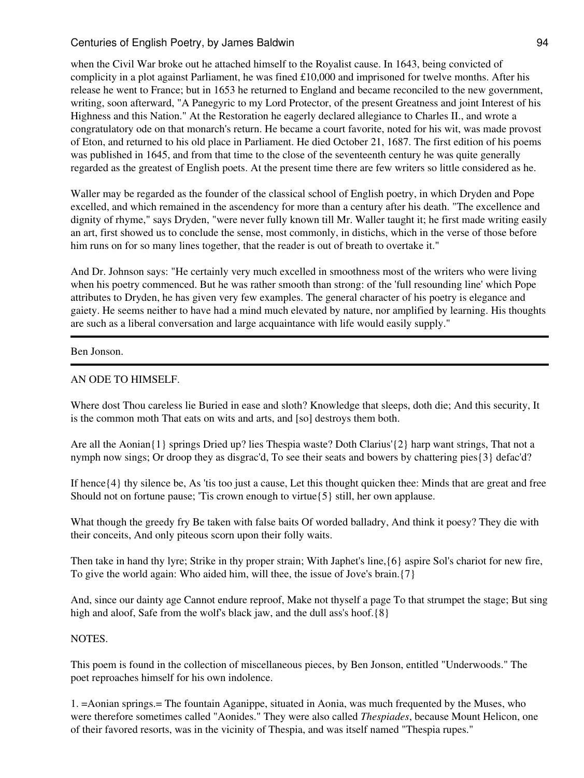when the Civil War broke out he attached himself to the Royalist cause. In 1643, being convicted of complicity in a plot against Parliament, he was fined £10,000 and imprisoned for twelve months. After his release he went to France; but in 1653 he returned to England and became reconciled to the new government, writing, soon afterward, "A Panegyric to my Lord Protector, of the present Greatness and joint Interest of his Highness and this Nation." At the Restoration he eagerly declared allegiance to Charles II., and wrote a congratulatory ode on that monarch's return. He became a court favorite, noted for his wit, was made provost of Eton, and returned to his old place in Parliament. He died October 21, 1687. The first edition of his poems was published in 1645, and from that time to the close of the seventeenth century he was quite generally regarded as the greatest of English poets. At the present time there are few writers so little considered as he.

Waller may be regarded as the founder of the classical school of English poetry, in which Dryden and Pope excelled, and which remained in the ascendency for more than a century after his death. "The excellence and dignity of rhyme," says Dryden, "were never fully known till Mr. Waller taught it; he first made writing easily an art, first showed us to conclude the sense, most commonly, in distichs, which in the verse of those before him runs on for so many lines together, that the reader is out of breath to overtake it."

And Dr. Johnson says: "He certainly very much excelled in smoothness most of the writers who were living when his poetry commenced. But he was rather smooth than strong: of the 'full resounding line' which Pope attributes to Dryden, he has given very few examples. The general character of his poetry is elegance and gaiety. He seems neither to have had a mind much elevated by nature, nor amplified by learning. His thoughts are such as a liberal conversation and large acquaintance with life would easily supply."

#### Ben Jonson.

### AN ODE TO HIMSELF.

Where dost Thou careless lie Buried in ease and sloth? Knowledge that sleeps, doth die; And this security, It is the common moth That eats on wits and arts, and [so] destroys them both.

Are all the Aonian{1} springs Dried up? lies Thespia waste? Doth Clarius'{2} harp want strings, That not a nymph now sings; Or droop they as disgrac'd, To see their seats and bowers by chattering pies{3} defac'd?

If hence{4} thy silence be, As 'tis too just a cause, Let this thought quicken thee: Minds that are great and free Should not on fortune pause; 'Tis crown enough to virtue{5} still, her own applause.

What though the greedy fry Be taken with false baits Of worded balladry, And think it poesy? They die with their conceits, And only piteous scorn upon their folly waits.

Then take in hand thy lyre; Strike in thy proper strain; With Japhet's line,{6} aspire Sol's chariot for new fire, To give the world again: Who aided him, will thee, the issue of Jove's brain.{7}

And, since our dainty age Cannot endure reproof, Make not thyself a page To that strumpet the stage; But sing high and aloof, Safe from the wolf's black jaw, and the dull ass's hoof.  ${8}$ 

#### NOTES.

This poem is found in the collection of miscellaneous pieces, by Ben Jonson, entitled "Underwoods." The poet reproaches himself for his own indolence.

1. =Aonian springs.= The fountain Aganippe, situated in Aonia, was much frequented by the Muses, who were therefore sometimes called "Aonides." They were also called *Thespiades*, because Mount Helicon, one of their favored resorts, was in the vicinity of Thespia, and was itself named "Thespia rupes."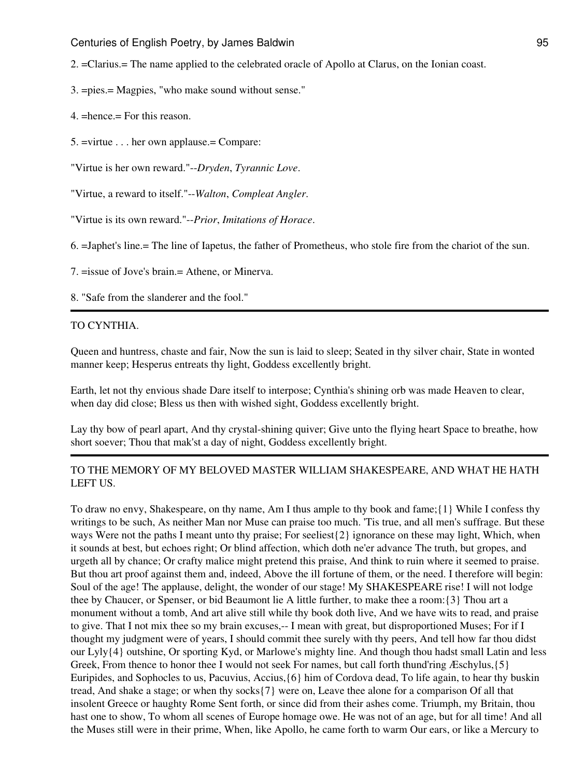2. =Clarius.= The name applied to the celebrated oracle of Apollo at Clarus, on the Ionian coast.

- 3. =pies.= Magpies, "who make sound without sense."
- 4. =hence.= For this reason.
- 5. =virtue . . . her own applause.= Compare:

"Virtue is her own reward."--*Dryden*, *Tyrannic Love*.

- "Virtue, a reward to itself."--*Walton*, *Compleat Angler*.
- "Virtue is its own reward."--*Prior*, *Imitations of Horace*.

6. =Japhet's line.= The line of Iapetus, the father of Prometheus, who stole fire from the chariot of the sun.

7. =issue of Jove's brain.= Athene, or Minerva.

8. "Safe from the slanderer and the fool."

#### TO CYNTHIA.

Queen and huntress, chaste and fair, Now the sun is laid to sleep; Seated in thy silver chair, State in wonted manner keep; Hesperus entreats thy light, Goddess excellently bright.

Earth, let not thy envious shade Dare itself to interpose; Cynthia's shining orb was made Heaven to clear, when day did close; Bless us then with wished sight, Goddess excellently bright.

Lay thy bow of pearl apart, And thy crystal-shining quiver; Give unto the flying heart Space to breathe, how short soever; Thou that mak'st a day of night, Goddess excellently bright.

### TO THE MEMORY OF MY BELOVED MASTER WILLIAM SHAKESPEARE, AND WHAT HE HATH LEFT US.

To draw no envy, Shakespeare, on thy name, Am I thus ample to thy book and fame;{1} While I confess thy writings to be such, As neither Man nor Muse can praise too much. 'Tis true, and all men's suffrage. But these ways Were not the paths I meant unto thy praise; For seeliest{2} ignorance on these may light, Which, when it sounds at best, but echoes right; Or blind affection, which doth ne'er advance The truth, but gropes, and urgeth all by chance; Or crafty malice might pretend this praise, And think to ruin where it seemed to praise. But thou art proof against them and, indeed, Above the ill fortune of them, or the need. I therefore will begin: Soul of the age! The applause, delight, the wonder of our stage! My SHAKESPEARE rise! I will not lodge thee by Chaucer, or Spenser, or bid Beaumont lie A little further, to make thee a room:{3} Thou art a monument without a tomb, And art alive still while thy book doth live, And we have wits to read, and praise to give. That I not mix thee so my brain excuses,-- I mean with great, but disproportioned Muses; For if I thought my judgment were of years, I should commit thee surely with thy peers, And tell how far thou didst our Lyly{4} outshine, Or sporting Kyd, or Marlowe's mighty line. And though thou hadst small Latin and less Greek, From thence to honor thee I would not seek For names, but call forth thund'ring Æschylus, {5} Euripides, and Sophocles to us, Pacuvius, Accius,{6} him of Cordova dead, To life again, to hear thy buskin tread, And shake a stage; or when thy socks{7} were on, Leave thee alone for a comparison Of all that insolent Greece or haughty Rome Sent forth, or since did from their ashes come. Triumph, my Britain, thou hast one to show, To whom all scenes of Europe homage owe. He was not of an age, but for all time! And all the Muses still were in their prime, When, like Apollo, he came forth to warm Our ears, or like a Mercury to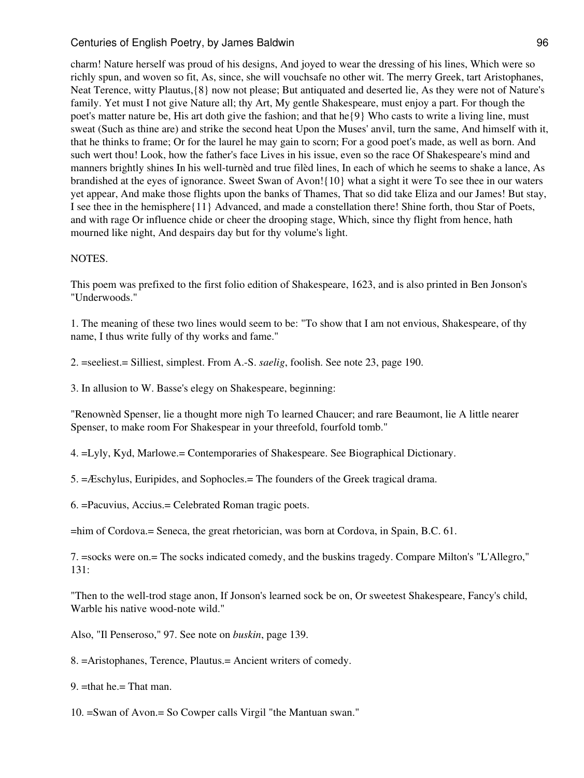charm! Nature herself was proud of his designs, And joyed to wear the dressing of his lines, Which were so richly spun, and woven so fit, As, since, she will vouchsafe no other wit. The merry Greek, tart Aristophanes, Neat Terence, witty Plautus,{8} now not please; But antiquated and deserted lie, As they were not of Nature's family. Yet must I not give Nature all; thy Art, My gentle Shakespeare, must enjoy a part. For though the poet's matter nature be, His art doth give the fashion; and that he{9} Who casts to write a living line, must sweat (Such as thine are) and strike the second heat Upon the Muses' anvil, turn the same, And himself with it, that he thinks to frame; Or for the laurel he may gain to scorn; For a good poet's made, as well as born. And such wert thou! Look, how the father's face Lives in his issue, even so the race Of Shakespeare's mind and manners brightly shines In his well-turnèd and true filèd lines, In each of which he seems to shake a lance, As brandished at the eyes of ignorance. Sweet Swan of Avon!{10} what a sight it were To see thee in our waters yet appear, And make those flights upon the banks of Thames, That so did take Eliza and our James! But stay, I see thee in the hemisphere{11} Advanced, and made a constellation there! Shine forth, thou Star of Poets, and with rage Or influence chide or cheer the drooping stage, Which, since thy flight from hence, hath mourned like night, And despairs day but for thy volume's light.

#### NOTES.

This poem was prefixed to the first folio edition of Shakespeare, 1623, and is also printed in Ben Jonson's "Underwoods."

1. The meaning of these two lines would seem to be: "To show that I am not envious, Shakespeare, of thy name, I thus write fully of thy works and fame."

2. =seeliest.= Silliest, simplest. From A.-S. *saelig*, foolish. See note 23, page 190.

3. In allusion to W. Basse's elegy on Shakespeare, beginning:

"Renownèd Spenser, lie a thought more nigh To learned Chaucer; and rare Beaumont, lie A little nearer Spenser, to make room For Shakespear in your threefold, fourfold tomb."

4. =Lyly, Kyd, Marlowe.= Contemporaries of Shakespeare. See Biographical Dictionary.

5. =Æschylus, Euripides, and Sophocles.= The founders of the Greek tragical drama.

6. =Pacuvius, Accius.= Celebrated Roman tragic poets.

=him of Cordova.= Seneca, the great rhetorician, was born at Cordova, in Spain, B.C. 61.

7. =socks were on.= The socks indicated comedy, and the buskins tragedy. Compare Milton's "L'Allegro," 131:

"Then to the well-trod stage anon, If Jonson's learned sock be on, Or sweetest Shakespeare, Fancy's child, Warble his native wood-note wild."

Also, "Il Penseroso," 97. See note on *buskin*, page 139.

8. =Aristophanes, Terence, Plautus.= Ancient writers of comedy.

9. =that he.= That man.

10. =Swan of Avon.= So Cowper calls Virgil "the Mantuan swan."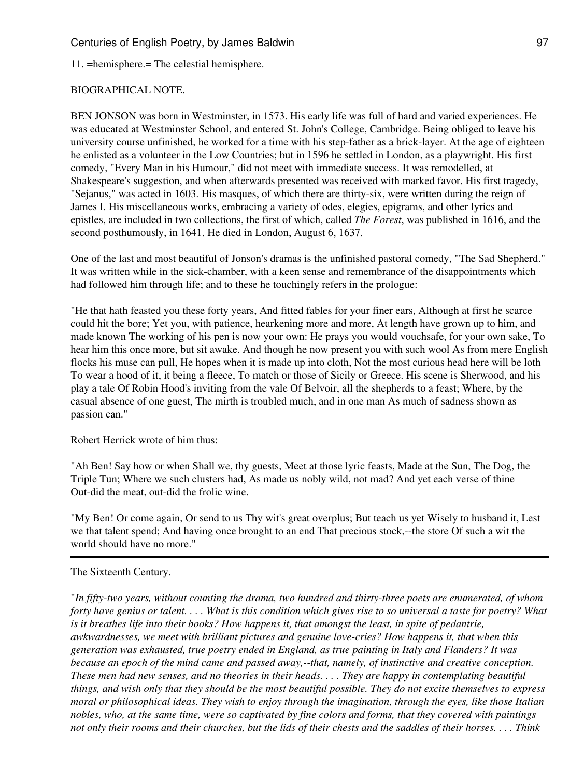11. =hemisphere.= The celestial hemisphere.

#### BIOGRAPHICAL NOTE.

BEN JONSON was born in Westminster, in 1573. His early life was full of hard and varied experiences. He was educated at Westminster School, and entered St. John's College, Cambridge. Being obliged to leave his university course unfinished, he worked for a time with his step-father as a brick-layer. At the age of eighteen he enlisted as a volunteer in the Low Countries; but in 1596 he settled in London, as a playwright. His first comedy, "Every Man in his Humour," did not meet with immediate success. It was remodelled, at Shakespeare's suggestion, and when afterwards presented was received with marked favor. His first tragedy, "Sejanus," was acted in 1603. His masques, of which there are thirty-six, were written during the reign of James I. His miscellaneous works, embracing a variety of odes, elegies, epigrams, and other lyrics and epistles, are included in two collections, the first of which, called *The Forest*, was published in 1616, and the second posthumously, in 1641. He died in London, August 6, 1637.

One of the last and most beautiful of Jonson's dramas is the unfinished pastoral comedy, "The Sad Shepherd." It was written while in the sick-chamber, with a keen sense and remembrance of the disappointments which had followed him through life; and to these he touchingly refers in the prologue:

"He that hath feasted you these forty years, And fitted fables for your finer ears, Although at first he scarce could hit the bore; Yet you, with patience, hearkening more and more, At length have grown up to him, and made known The working of his pen is now your own: He prays you would vouchsafe, for your own sake, To hear him this once more, but sit awake. And though he now present you with such wool As from mere English flocks his muse can pull, He hopes when it is made up into cloth, Not the most curious head here will be loth To wear a hood of it, it being a fleece, To match or those of Sicily or Greece. His scene is Sherwood, and his play a tale Of Robin Hood's inviting from the vale Of Belvoir, all the shepherds to a feast; Where, by the casual absence of one guest, The mirth is troubled much, and in one man As much of sadness shown as passion can."

Robert Herrick wrote of him thus:

"Ah Ben! Say how or when Shall we, thy guests, Meet at those lyric feasts, Made at the Sun, The Dog, the Triple Tun; Where we such clusters had, As made us nobly wild, not mad? And yet each verse of thine Out-did the meat, out-did the frolic wine.

"My Ben! Or come again, Or send to us Thy wit's great overplus; But teach us yet Wisely to husband it, Lest we that talent spend; And having once brought to an end That precious stock,--the store Of such a wit the world should have no more."

#### The Sixteenth Century.

"*In fifty-two years, without counting the drama, two hundred and thirty-three poets are enumerated, of whom forty have genius or talent. . . . What is this condition which gives rise to so universal a taste for poetry? What is it breathes life into their books? How happens it, that amongst the least, in spite of pedantrie, awkwardnesses, we meet with brilliant pictures and genuine love-cries? How happens it, that when this generation was exhausted, true poetry ended in England, as true painting in Italy and Flanders? It was because an epoch of the mind came and passed away,--that, namely, of instinctive and creative conception. These men had new senses, and no theories in their heads. . . . They are happy in contemplating beautiful things, and wish only that they should be the most beautiful possible. They do not excite themselves to express moral or philosophical ideas. They wish to enjoy through the imagination, through the eyes, like those Italian nobles, who, at the same time, were so captivated by fine colors and forms, that they covered with paintings not only their rooms and their churches, but the lids of their chests and the saddles of their horses. . . . Think*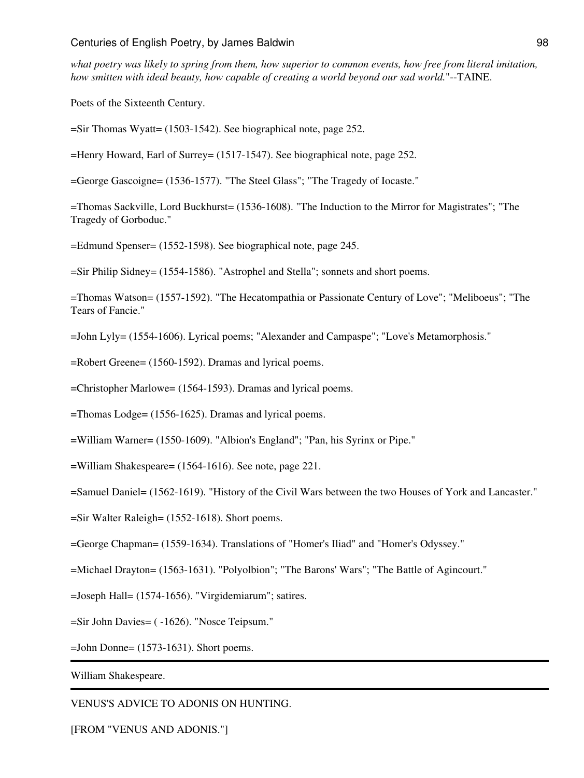*what poetry was likely to spring from them, how superior to common events, how free from literal imitation, how smitten with ideal beauty, how capable of creating a world beyond our sad world.*"--TAINE.

Poets of the Sixteenth Century.

=Sir Thomas Wyatt= (1503-1542). See biographical note, page 252.

=Henry Howard, Earl of Surrey= (1517-1547). See biographical note, page 252.

=George Gascoigne= (1536-1577). "The Steel Glass"; "The Tragedy of Iocaste."

=Thomas Sackville, Lord Buckhurst= (1536-1608). "The Induction to the Mirror for Magistrates"; "The Tragedy of Gorboduc."

=Edmund Spenser= (1552-1598). See biographical note, page 245.

=Sir Philip Sidney= (1554-1586). "Astrophel and Stella"; sonnets and short poems.

=Thomas Watson= (1557-1592). "The Hecatompathia or Passionate Century of Love"; "Meliboeus"; "The Tears of Fancie."

=John Lyly= (1554-1606). Lyrical poems; "Alexander and Campaspe"; "Love's Metamorphosis."

=Robert Greene= (1560-1592). Dramas and lyrical poems.

=Christopher Marlowe= (1564-1593). Dramas and lyrical poems.

=Thomas Lodge= (1556-1625). Dramas and lyrical poems.

=William Warner= (1550-1609). "Albion's England"; "Pan, his Syrinx or Pipe."

=William Shakespeare= (1564-1616). See note, page 221.

=Samuel Daniel= (1562-1619). "History of the Civil Wars between the two Houses of York and Lancaster."

=Sir Walter Raleigh= (1552-1618). Short poems.

=George Chapman= (1559-1634). Translations of "Homer's Iliad" and "Homer's Odyssey."

=Michael Drayton= (1563-1631). "Polyolbion"; "The Barons' Wars"; "The Battle of Agincourt."

=Joseph Hall= (1574-1656). "Virgidemiarum"; satires.

=Sir John Davies= ( -1626). "Nosce Teipsum."

=John Donne= (1573-1631). Short poems.

William Shakespeare.

VENUS'S ADVICE TO ADONIS ON HUNTING.

[FROM "VENUS AND ADONIS."]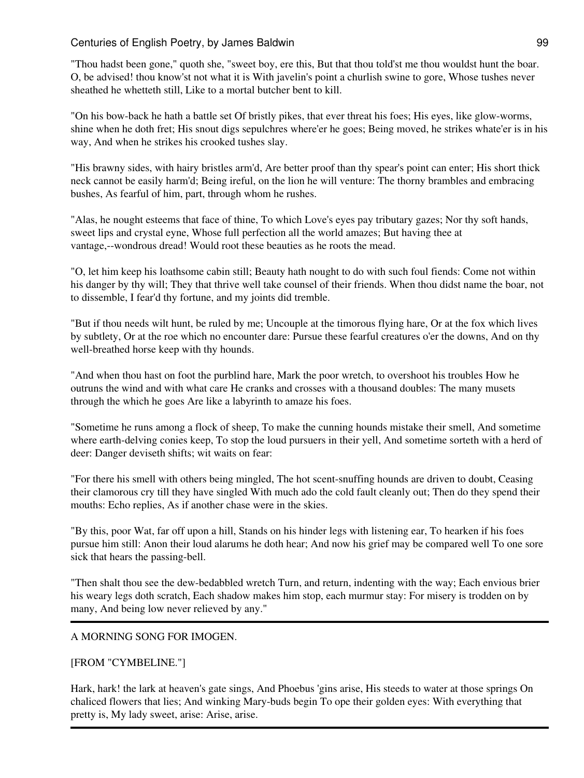"Thou hadst been gone," quoth she, "sweet boy, ere this, But that thou told'st me thou wouldst hunt the boar. O, be advised! thou know'st not what it is With javelin's point a churlish swine to gore, Whose tushes never sheathed he whetteth still, Like to a mortal butcher bent to kill.

"On his bow-back he hath a battle set Of bristly pikes, that ever threat his foes; His eyes, like glow-worms, shine when he doth fret; His snout digs sepulchres where'er he goes; Being moved, he strikes whate'er is in his way, And when he strikes his crooked tushes slay.

"His brawny sides, with hairy bristles arm'd, Are better proof than thy spear's point can enter; His short thick neck cannot be easily harm'd; Being ireful, on the lion he will venture: The thorny brambles and embracing bushes, As fearful of him, part, through whom he rushes.

"Alas, he nought esteems that face of thine, To which Love's eyes pay tributary gazes; Nor thy soft hands, sweet lips and crystal eyne, Whose full perfection all the world amazes; But having thee at vantage,--wondrous dread! Would root these beauties as he roots the mead.

"O, let him keep his loathsome cabin still; Beauty hath nought to do with such foul fiends: Come not within his danger by thy will; They that thrive well take counsel of their friends. When thou didst name the boar, not to dissemble, I fear'd thy fortune, and my joints did tremble.

"But if thou needs wilt hunt, be ruled by me; Uncouple at the timorous flying hare, Or at the fox which lives by subtlety, Or at the roe which no encounter dare: Pursue these fearful creatures o'er the downs, And on thy well-breathed horse keep with thy hounds.

"And when thou hast on foot the purblind hare, Mark the poor wretch, to overshoot his troubles How he outruns the wind and with what care He cranks and crosses with a thousand doubles: The many musets through the which he goes Are like a labyrinth to amaze his foes.

"Sometime he runs among a flock of sheep, To make the cunning hounds mistake their smell, And sometime where earth-delving conies keep, To stop the loud pursuers in their yell, And sometime sorteth with a herd of deer: Danger deviseth shifts; wit waits on fear:

"For there his smell with others being mingled, The hot scent-snuffing hounds are driven to doubt, Ceasing their clamorous cry till they have singled With much ado the cold fault cleanly out; Then do they spend their mouths: Echo replies, As if another chase were in the skies.

"By this, poor Wat, far off upon a hill, Stands on his hinder legs with listening ear, To hearken if his foes pursue him still: Anon their loud alarums he doth hear; And now his grief may be compared well To one sore sick that hears the passing-bell.

"Then shalt thou see the dew-bedabbled wretch Turn, and return, indenting with the way; Each envious brier his weary legs doth scratch, Each shadow makes him stop, each murmur stay: For misery is trodden on by many, And being low never relieved by any."

## A MORNING SONG FOR IMOGEN.

[FROM "CYMBELINE."]

Hark, hark! the lark at heaven's gate sings, And Phoebus 'gins arise, His steeds to water at those springs On chaliced flowers that lies; And winking Mary-buds begin To ope their golden eyes: With everything that pretty is, My lady sweet, arise: Arise, arise.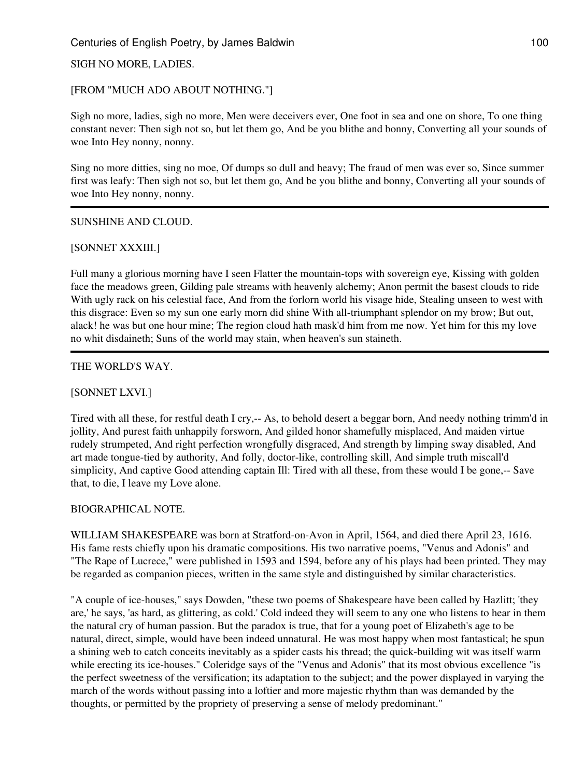### SIGH NO MORE, LADIES.

### [FROM "MUCH ADO ABOUT NOTHING."]

Sigh no more, ladies, sigh no more, Men were deceivers ever, One foot in sea and one on shore, To one thing constant never: Then sigh not so, but let them go, And be you blithe and bonny, Converting all your sounds of woe Into Hey nonny, nonny.

Sing no more ditties, sing no moe, Of dumps so dull and heavy; The fraud of men was ever so, Since summer first was leafy: Then sigh not so, but let them go, And be you blithe and bonny, Converting all your sounds of woe Into Hey nonny, nonny.

### SUNSHINE AND CLOUD.

#### [SONNET XXXIII.]

Full many a glorious morning have I seen Flatter the mountain-tops with sovereign eye, Kissing with golden face the meadows green, Gilding pale streams with heavenly alchemy; Anon permit the basest clouds to ride With ugly rack on his celestial face, And from the forlorn world his visage hide, Stealing unseen to west with this disgrace: Even so my sun one early morn did shine With all-triumphant splendor on my brow; But out, alack! he was but one hour mine; The region cloud hath mask'd him from me now. Yet him for this my love no whit disdaineth; Suns of the world may stain, when heaven's sun staineth.

#### THE WORLD'S WAY.

### [SONNET LXVI.]

Tired with all these, for restful death I cry,-- As, to behold desert a beggar born, And needy nothing trimm'd in jollity, And purest faith unhappily forsworn, And gilded honor shamefully misplaced, And maiden virtue rudely strumpeted, And right perfection wrongfully disgraced, And strength by limping sway disabled, And art made tongue-tied by authority, And folly, doctor-like, controlling skill, And simple truth miscall'd simplicity, And captive Good attending captain Ill: Tired with all these, from these would I be gone,-- Save that, to die, I leave my Love alone.

### BIOGRAPHICAL NOTE.

WILLIAM SHAKESPEARE was born at Stratford-on-Avon in April, 1564, and died there April 23, 1616. His fame rests chiefly upon his dramatic compositions. His two narrative poems, "Venus and Adonis" and "The Rape of Lucrece," were published in 1593 and 1594, before any of his plays had been printed. They may be regarded as companion pieces, written in the same style and distinguished by similar characteristics.

"A couple of ice-houses," says Dowden, "these two poems of Shakespeare have been called by Hazlitt; 'they are,' he says, 'as hard, as glittering, as cold.' Cold indeed they will seem to any one who listens to hear in them the natural cry of human passion. But the paradox is true, that for a young poet of Elizabeth's age to be natural, direct, simple, would have been indeed unnatural. He was most happy when most fantastical; he spun a shining web to catch conceits inevitably as a spider casts his thread; the quick-building wit was itself warm while erecting its ice-houses." Coleridge says of the "Venus and Adonis" that its most obvious excellence "is the perfect sweetness of the versification; its adaptation to the subject; and the power displayed in varying the march of the words without passing into a loftier and more majestic rhythm than was demanded by the thoughts, or permitted by the propriety of preserving a sense of melody predominant."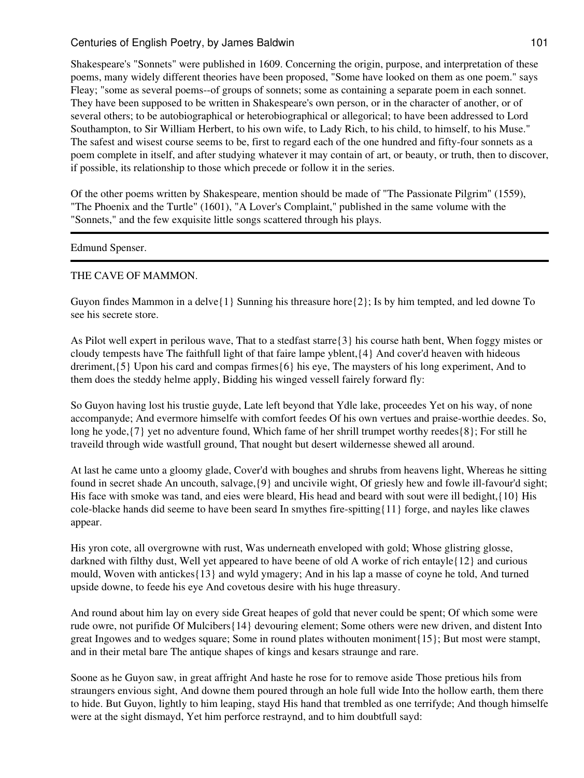Shakespeare's "Sonnets" were published in 1609. Concerning the origin, purpose, and interpretation of these poems, many widely different theories have been proposed, "Some have looked on them as one poem." says Fleay; "some as several poems--of groups of sonnets; some as containing a separate poem in each sonnet. They have been supposed to be written in Shakespeare's own person, or in the character of another, or of several others; to be autobiographical or heterobiographical or allegorical; to have been addressed to Lord Southampton, to Sir William Herbert, to his own wife, to Lady Rich, to his child, to himself, to his Muse." The safest and wisest course seems to be, first to regard each of the one hundred and fifty-four sonnets as a poem complete in itself, and after studying whatever it may contain of art, or beauty, or truth, then to discover, if possible, its relationship to those which precede or follow it in the series.

Of the other poems written by Shakespeare, mention should be made of "The Passionate Pilgrim" (1559), "The Phoenix and the Turtle" (1601), "A Lover's Complaint," published in the same volume with the "Sonnets," and the few exquisite little songs scattered through his plays.

#### Edmund Spenser.

#### THE CAVE OF MAMMON.

Guyon findes Mammon in a delve $\{1\}$  Sunning his threasure hore  $\{2\}$ ; Is by him tempted, and led downe To see his secrete store.

As Pilot well expert in perilous wave, That to a stedfast starre{3} his course hath bent, When foggy mistes or cloudy tempests have The faithfull light of that faire lampe yblent,{4} And cover'd heaven with hideous dreriment,{5} Upon his card and compas firmes{6} his eye, The maysters of his long experiment, And to them does the steddy helme apply, Bidding his winged vessell fairely forward fly:

So Guyon having lost his trustie guyde, Late left beyond that Ydle lake, proceedes Yet on his way, of none accompanyde; And evermore himselfe with comfort feedes Of his own vertues and praise-worthie deedes. So, long he yode,  $\{7\}$  yet no adventure found, Which fame of her shrill trumpet worthy reedes  $\{8\}$ ; For still he traveild through wide wastfull ground, That nought but desert wildernesse shewed all around.

At last he came unto a gloomy glade, Cover'd with boughes and shrubs from heavens light, Whereas he sitting found in secret shade An uncouth, salvage,{9} and uncivile wight, Of griesly hew and fowle ill-favour'd sight; His face with smoke was tand, and eies were bleard, His head and beard with sout were ill bedight,{10} His cole-blacke hands did seeme to have been seard In smythes fire-spitting{11} forge, and nayles like clawes appear.

His yron cote, all overgrowne with rust, Was underneath enveloped with gold; Whose glistring glosse, darkned with filthy dust, Well yet appeared to have beene of old A worke of rich entayle{12} and curious mould, Woven with antickes{13} and wyld ymagery; And in his lap a masse of coyne he told, And turned upside downe, to feede his eye And covetous desire with his huge threasury.

And round about him lay on every side Great heapes of gold that never could be spent; Of which some were rude owre, not purifide Of Mulcibers{14} devouring element; Some others were new driven, and distent Into great Ingowes and to wedges square; Some in round plates withouten moniment{15}; But most were stampt, and in their metal bare The antique shapes of kings and kesars straunge and rare.

Soone as he Guyon saw, in great affright And haste he rose for to remove aside Those pretious hils from straungers envious sight, And downe them poured through an hole full wide Into the hollow earth, them there to hide. But Guyon, lightly to him leaping, stayd His hand that trembled as one terrifyde; And though himselfe were at the sight dismayd, Yet him perforce restraynd, and to him doubtfull sayd: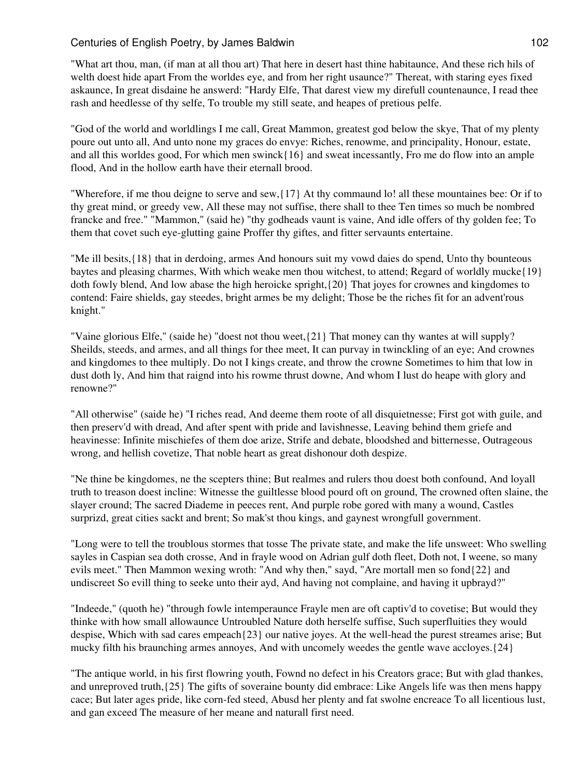"What art thou, man, (if man at all thou art) That here in desert hast thine habitaunce, And these rich hils of welth doest hide apart From the worldes eye, and from her right usaunce?" Thereat, with staring eyes fixed askaunce, In great disdaine he answerd: "Hardy Elfe, That darest view my direfull countenaunce, I read thee rash and heedlesse of thy selfe, To trouble my still seate, and heapes of pretious pelfe.

"God of the world and worldlings I me call, Great Mammon, greatest god below the skye, That of my plenty poure out unto all, And unto none my graces do envye: Riches, renowme, and principality, Honour, estate, and all this worldes good, For which men swinck{16} and sweat incessantly, Fro me do flow into an ample flood, And in the hollow earth have their eternall brood.

"Wherefore, if me thou deigne to serve and sew,{17} At thy commaund lo! all these mountaines bee: Or if to thy great mind, or greedy vew, All these may not suffise, there shall to thee Ten times so much be nombred francke and free." "Mammon," (said he) "thy godheads vaunt is vaine, And idle offers of thy golden fee; To them that covet such eye-glutting gaine Proffer thy giftes, and fitter servaunts entertaine.

"Me ill besits,{18} that in derdoing, armes And honours suit my vowd daies do spend, Unto thy bounteous baytes and pleasing charmes, With which weake men thou witchest, to attend; Regard of worldly mucke{19} doth fowly blend, And low abase the high heroicke spright,{20} That joyes for crownes and kingdomes to contend: Faire shields, gay steedes, bright armes be my delight; Those be the riches fit for an advent'rous knight."

"Vaine glorious Elfe," (saide he) "doest not thou weet,{21} That money can thy wantes at will supply? Sheilds, steeds, and armes, and all things for thee meet, It can purvay in twinckling of an eye; And crownes and kingdomes to thee multiply. Do not I kings create, and throw the crowne Sometimes to him that low in dust doth ly, And him that raignd into his rowme thrust downe, And whom I lust do heape with glory and renowne?"

"All otherwise" (saide he) "I riches read, And deeme them roote of all disquietnesse; First got with guile, and then preserv'd with dread, And after spent with pride and lavishnesse, Leaving behind them griefe and heavinesse: Infinite mischiefes of them doe arize, Strife and debate, bloodshed and bitternesse, Outrageous wrong, and hellish covetize, That noble heart as great dishonour doth despize.

"Ne thine be kingdomes, ne the scepters thine; But realmes and rulers thou doest both confound, And loyall truth to treason doest incline: Witnesse the guiltlesse blood pourd oft on ground, The crowned often slaine, the slayer cround; The sacred Diademe in peeces rent, And purple robe gored with many a wound, Castles surprizd, great cities sackt and brent; So mak'st thou kings, and gaynest wrongfull government.

"Long were to tell the troublous stormes that tosse The private state, and make the life unsweet: Who swelling sayles in Caspian sea doth crosse, And in frayle wood on Adrian gulf doth fleet, Doth not, I weene, so many evils meet." Then Mammon wexing wroth: "And why then," sayd, "Are mortall men so fond{22} and undiscreet So evill thing to seeke unto their ayd, And having not complaine, and having it upbrayd?"

"Indeede," (quoth he) "through fowle intemperaunce Frayle men are oft captiv'd to covetise; But would they thinke with how small allowaunce Untroubled Nature doth herselfe suffise, Such superfluities they would despise. Which with sad cares empeach ${23}$  our native joyes. At the well-head the purest streames arise; But mucky filth his braunching armes annoyes, And with uncomely weedes the gentle wave accloyes.{24}

"The antique world, in his first flowring youth, Fownd no defect in his Creators grace; But with glad thankes, and unreproved truth,{25} The gifts of soveraine bounty did embrace: Like Angels life was then mens happy cace; But later ages pride, like corn-fed steed, Abusd her plenty and fat swolne encreace To all licentious lust, and gan exceed The measure of her meane and naturall first need.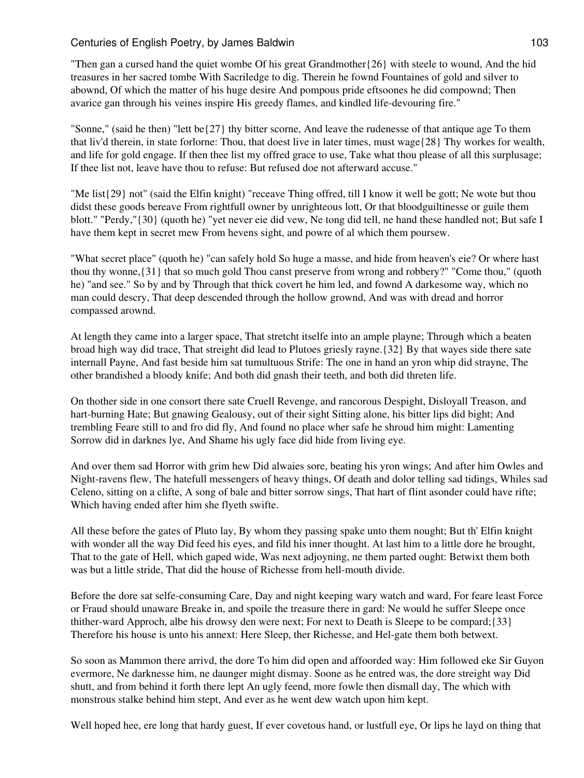"Then gan a cursed hand the quiet wombe Of his great Grandmother $\{26\}$  with steele to wound, And the hid treasures in her sacred tombe With Sacriledge to dig. Therein he fownd Fountaines of gold and silver to abownd, Of which the matter of his huge desire And pompous pride eftsoones he did compownd; Then avarice gan through his veines inspire His greedy flames, and kindled life-devouring fire."

"Sonne," (said he then) "lett be{27} thy bitter scorne, And leave the rudenesse of that antique age To them that liv'd therein, in state forlorne: Thou, that doest live in later times, must wage{28} Thy workes for wealth, and life for gold engage. If then thee list my offred grace to use, Take what thou please of all this surplusage; If thee list not, leave have thou to refuse: But refused doe not afterward accuse."

"Me list{29} not" (said the Elfin knight) "receave Thing offred, till I know it well be gott; Ne wote but thou didst these goods bereave From rightfull owner by unrighteous lott, Or that bloodguiltinesse or guile them blott." "Perdy,"{30} (quoth he) "yet never eie did vew, Ne tong did tell, ne hand these handled not; But safe I have them kept in secret mew From hevens sight, and powre of al which them poursew.

"What secret place" (quoth he) "can safely hold So huge a masse, and hide from heaven's eie? Or where hast thou thy wonne,{31} that so much gold Thou canst preserve from wrong and robbery?" "Come thou," (quoth he) "and see." So by and by Through that thick covert he him led, and fownd A darkesome way, which no man could descry, That deep descended through the hollow grownd, And was with dread and horror compassed arownd.

At length they came into a larger space, That stretcht itselfe into an ample playne; Through which a beaten broad high way did trace, That streight did lead to Plutoes griesly rayne.{32} By that wayes side there sate internall Payne, And fast beside him sat tumultuous Strife: The one in hand an yron whip did strayne, The other brandished a bloody knife; And both did gnash their teeth, and both did threten life.

On thother side in one consort there sate Cruell Revenge, and rancorous Despight, Disloyall Treason, and hart-burning Hate; But gnawing Gealousy, out of their sight Sitting alone, his bitter lips did bight; And trembling Feare still to and fro did fly, And found no place wher safe he shroud him might: Lamenting Sorrow did in darknes lye, And Shame his ugly face did hide from living eye.

And over them sad Horror with grim hew Did alwaies sore, beating his yron wings; And after him Owles and Night-ravens flew, The hatefull messengers of heavy things, Of death and dolor telling sad tidings, Whiles sad Celeno, sitting on a clifte, A song of bale and bitter sorrow sings, That hart of flint asonder could have rifte; Which having ended after him she flyeth swifte.

All these before the gates of Pluto lay, By whom they passing spake unto them nought; But th' Elfin knight with wonder all the way Did feed his eyes, and fild his inner thought. At last him to a little dore he brought, That to the gate of Hell, which gaped wide, Was next adjoyning, ne them parted ought: Betwixt them both was but a little stride, That did the house of Richesse from hell-mouth divide.

Before the dore sat selfe-consuming Care, Day and night keeping wary watch and ward, For feare least Force or Fraud should unaware Breake in, and spoile the treasure there in gard: Ne would he suffer Sleepe once thither-ward Approch, albe his drowsy den were next; For next to Death is Sleepe to be compard;{33} Therefore his house is unto his annext: Here Sleep, ther Richesse, and Hel-gate them both betwext.

So soon as Mammon there arrivd, the dore To him did open and affoorded way: Him followed eke Sir Guyon evermore, Ne darknesse him, ne daunger might dismay. Soone as he entred was, the dore streight way Did shutt, and from behind it forth there lept An ugly feend, more fowle then dismall day, The which with monstrous stalke behind him stept, And ever as he went dew watch upon him kept.

Well hoped hee, ere long that hardy guest, If ever covetous hand, or lustfull eye, Or lips he layd on thing that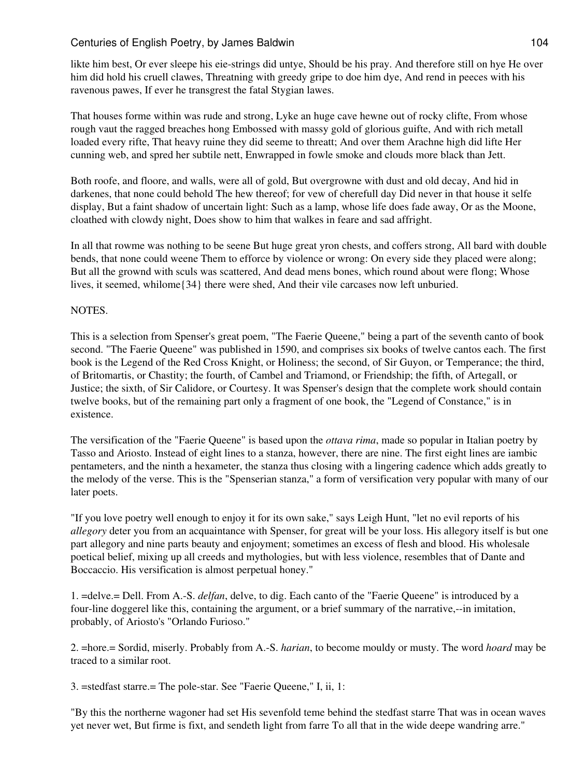likte him best, Or ever sleepe his eie-strings did untye, Should be his pray. And therefore still on hye He over him did hold his cruell clawes, Threatning with greedy gripe to doe him dye, And rend in peeces with his ravenous pawes, If ever he transgrest the fatal Stygian lawes.

That houses forme within was rude and strong, Lyke an huge cave hewne out of rocky clifte, From whose rough vaut the ragged breaches hong Embossed with massy gold of glorious guifte, And with rich metall loaded every rifte, That heavy ruine they did seeme to threatt; And over them Arachne high did lifte Her cunning web, and spred her subtile nett, Enwrapped in fowle smoke and clouds more black than Jett.

Both roofe, and floore, and walls, were all of gold, But overgrowne with dust and old decay, And hid in darkenes, that none could behold The hew thereof; for vew of cherefull day Did never in that house it selfe display, But a faint shadow of uncertain light: Such as a lamp, whose life does fade away, Or as the Moone, cloathed with clowdy night, Does show to him that walkes in feare and sad affright.

In all that rowme was nothing to be seene But huge great yron chests, and coffers strong, All bard with double bends, that none could weene Them to efforce by violence or wrong: On every side they placed were along; But all the grownd with sculs was scattered, And dead mens bones, which round about were flong; Whose lives, it seemed, whilome{34} there were shed, And their vile carcases now left unburied.

### NOTES.

This is a selection from Spenser's great poem, "The Faerie Queene," being a part of the seventh canto of book second. "The Faerie Queene" was published in 1590, and comprises six books of twelve cantos each. The first book is the Legend of the Red Cross Knight, or Holiness; the second, of Sir Guyon, or Temperance; the third, of Britomartis, or Chastity; the fourth, of Cambel and Triamond, or Friendship; the fifth, of Artegall, or Justice; the sixth, of Sir Calidore, or Courtesy. It was Spenser's design that the complete work should contain twelve books, but of the remaining part only a fragment of one book, the "Legend of Constance," is in existence.

The versification of the "Faerie Queene" is based upon the *ottava rima*, made so popular in Italian poetry by Tasso and Ariosto. Instead of eight lines to a stanza, however, there are nine. The first eight lines are iambic pentameters, and the ninth a hexameter, the stanza thus closing with a lingering cadence which adds greatly to the melody of the verse. This is the "Spenserian stanza," a form of versification very popular with many of our later poets.

"If you love poetry well enough to enjoy it for its own sake," says Leigh Hunt, "let no evil reports of his *allegory* deter you from an acquaintance with Spenser, for great will be your loss. His allegory itself is but one part allegory and nine parts beauty and enjoyment; sometimes an excess of flesh and blood. His wholesale poetical belief, mixing up all creeds and mythologies, but with less violence, resembles that of Dante and Boccaccio. His versification is almost perpetual honey."

1. =delve.= Dell. From A.-S. *delfan*, delve, to dig. Each canto of the "Faerie Queene" is introduced by a four-line doggerel like this, containing the argument, or a brief summary of the narrative,--in imitation, probably, of Ariosto's "Orlando Furioso."

2. =hore.= Sordid, miserly. Probably from A.-S. *harian*, to become mouldy or musty. The word *hoard* may be traced to a similar root.

3. =stedfast starre.= The pole-star. See "Faerie Queene," I, ii, 1:

"By this the northerne wagoner had set His sevenfold teme behind the stedfast starre That was in ocean waves yet never wet, But firme is fixt, and sendeth light from farre To all that in the wide deepe wandring arre."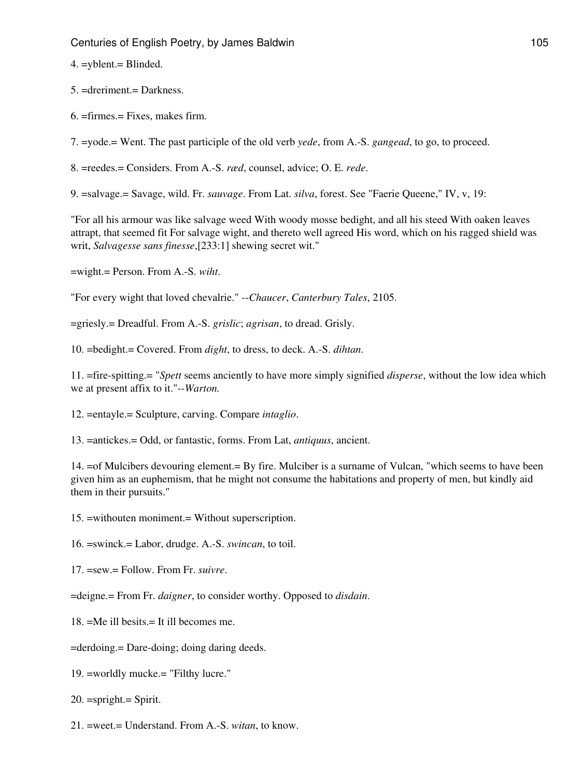4. =yblent.= Blinded.

- 5. =dreriment.= Darkness.
- $6. = \text{firmes} = \text{Fixes}$ , makes firm.

7. =yode.= Went. The past participle of the old verb *yede*, from A.-S. *gangead*, to go, to proceed.

8. =reedes.= Considers. From A.-S. *ræd*, counsel, advice; O. E. *rede*.

9. =salvage.= Savage, wild. Fr. *sauvage*. From Lat. *silva*, forest. See "Faerie Queene," IV, v, 19:

"For all his armour was like salvage weed With woody mosse bedight, and all his steed With oaken leaves attrapt, that seemed fit For salvage wight, and thereto well agreed His word, which on his ragged shield was writ, *Salvagesse sans finesse*,[233:1] shewing secret wit."

=wight.= Person. From A.-S. *wiht*.

"For every wight that loved chevalrie." --*Chaucer*, *Canterbury Tales*, 2105.

=griesly.= Dreadful. From A.-S. *grislic*; *agrisan*, to dread. Grisly.

10. =bedight.= Covered. From *dight*, to dress, to deck. A.-S. *dihtan*.

11. =fire-spitting.= "*Spett* seems anciently to have more simply signified *disperse*, without the low idea which we at present affix to it."--*Warton.*

- 12. =entayle.= Sculpture, carving. Compare *intaglio*.
- 13. =antickes.= Odd, or fantastic, forms. From Lat, *antiquus*, ancient.

14. =of Mulcibers devouring element.= By fire. Mulciber is a surname of Vulcan, "which seems to have been given him as an euphemism, that he might not consume the habitations and property of men, but kindly aid them in their pursuits."

15. =withouten moniment.= Without superscription.

16. =swinck.= Labor, drudge. A.-S. *swincan*, to toil.

17. =sew.= Follow. From Fr. *suivre*.

=deigne.= From Fr. *daigner*, to consider worthy. Opposed to *disdain*.

18. =Me ill besits.= It ill becomes me.

=derdoing.= Dare-doing; doing daring deeds.

19. =worldly mucke.= "Filthy lucre."

20. =spright.= Spirit.

21. =weet.= Understand. From A.-S. *witan*, to know.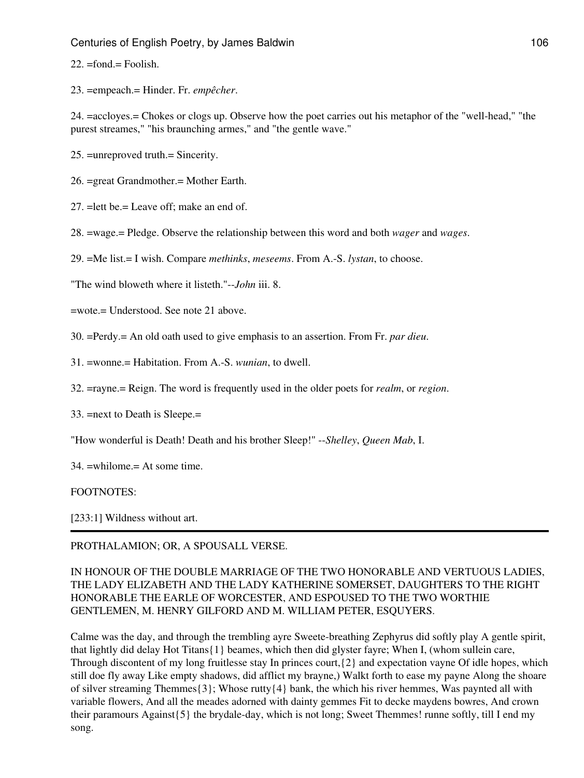22. =fond.= Foolish.

23. =empeach.= Hinder. Fr. *empêcher*.

24. =accloyes.= Chokes or clogs up. Observe how the poet carries out his metaphor of the "well-head," "the purest streames," "his braunching armes," and "the gentle wave."

- 25. =unreproved truth.= Sincerity.
- 26. =great Grandmother.= Mother Earth.
- 27. =lett be.= Leave off; make an end of.
- 28. =wage.= Pledge. Observe the relationship between this word and both *wager* and *wages*.
- 29. =Me list.= I wish. Compare *methinks*, *meseems*. From A.-S. *lystan*, to choose.

"The wind bloweth where it listeth."--*John* iii. 8.

=wote.= Understood. See note 21 above.

- 30. =Perdy.= An old oath used to give emphasis to an assertion. From Fr. *par dieu*.
- 31. =wonne.= Habitation. From A.-S. *wunian*, to dwell.
- 32. =rayne.= Reign. The word is frequently used in the older poets for *realm*, or *region*.
- 33. =next to Death is Sleepe.=
- "How wonderful is Death! Death and his brother Sleep!" --*Shelley*, *Queen Mab*, I.
- 34. =whilome.= At some time.

#### FOOTNOTES:

[233:1] Wildness without art.

## PROTHALAMION; OR, A SPOUSALL VERSE.

## IN HONOUR OF THE DOUBLE MARRIAGE OF THE TWO HONORABLE AND VERTUOUS LADIES, THE LADY ELIZABETH AND THE LADY KATHERINE SOMERSET, DAUGHTERS TO THE RIGHT HONORABLE THE EARLE OF WORCESTER, AND ESPOUSED TO THE TWO WORTHIE GENTLEMEN, M. HENRY GILFORD AND M. WILLIAM PETER, ESQUYERS.

Calme was the day, and through the trembling ayre Sweete-breathing Zephyrus did softly play A gentle spirit, that lightly did delay Hot Titans{1} beames, which then did glyster fayre; When I, (whom sullein care, Through discontent of my long fruitlesse stay In princes court,{2} and expectation vayne Of idle hopes, which still doe fly away Like empty shadows, did afflict my brayne,) Walkt forth to ease my payne Along the shoare of silver streaming Themmes{3}; Whose rutty{4} bank, the which his river hemmes, Was paynted all with variable flowers, And all the meades adorned with dainty gemmes Fit to decke maydens bowres, And crown their paramours Against{5} the brydale-day, which is not long; Sweet Themmes! runne softly, till I end my song.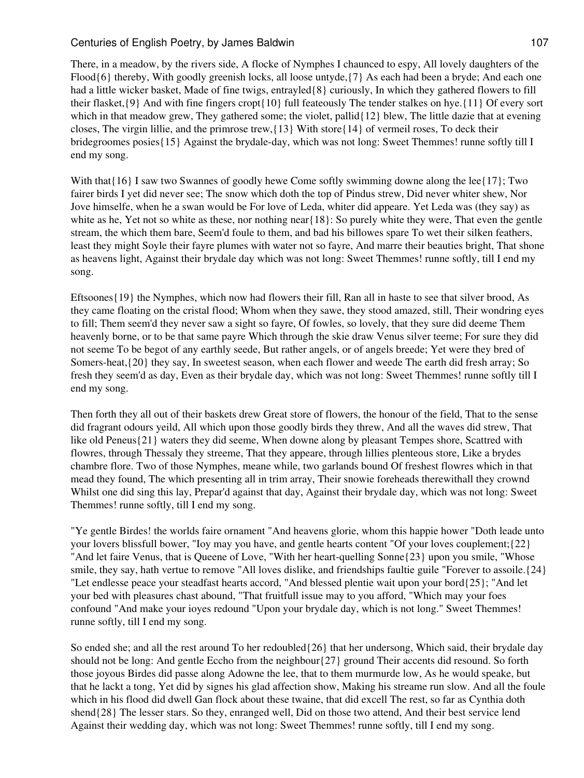There, in a meadow, by the rivers side, A flocke of Nymphes I chaunced to espy, All lovely daughters of the Flood{6} thereby, With goodly greenish locks, all loose untyde,{7} As each had been a bryde; And each one had a little wicker basket, Made of fine twigs, entrayled{8} curiously, In which they gathered flowers to fill their flasket,{9} And with fine fingers cropt{10} full feateously The tender stalkes on hye.{11} Of every sort which in that meadow grew, They gathered some; the violet, pallid{12} blew, The little dazie that at evening closes, The virgin lillie, and the primrose trew,{13} With store{14} of vermeil roses, To deck their bridegroomes posies{15} Against the brydale-day, which was not long: Sweet Themmes! runne softly till I end my song.

With that  $\{16\}$  I saw two Swannes of goodly hewe Come softly swimming downe along the lee  $\{17\}$ ; Two fairer birds I yet did never see; The snow which doth the top of Pindus strew, Did never whiter shew, Nor Jove himselfe, when he a swan would be For love of Leda, whiter did appeare. Yet Leda was (they say) as white as he, Yet not so white as these, nor nothing near{18}: So purely white they were, That even the gentle stream, the which them bare, Seem'd foule to them, and bad his billowes spare To wet their silken feathers, least they might Soyle their fayre plumes with water not so fayre, And marre their beauties bright, That shone as heavens light, Against their brydale day which was not long: Sweet Themmes! runne softly, till I end my song.

Eftsoones{19} the Nymphes, which now had flowers their fill, Ran all in haste to see that silver brood, As they came floating on the cristal flood; Whom when they sawe, they stood amazed, still, Their wondring eyes to fill; Them seem'd they never saw a sight so fayre, Of fowles, so lovely, that they sure did deeme Them heavenly borne, or to be that same payre Which through the skie draw Venus silver teeme; For sure they did not seeme To be begot of any earthly seede, But rather angels, or of angels breede; Yet were they bred of Somers-heat,{20} they say, In sweetest season, when each flower and weede The earth did fresh array; So fresh they seem'd as day, Even as their brydale day, which was not long: Sweet Themmes! runne softly till I end my song.

Then forth they all out of their baskets drew Great store of flowers, the honour of the field, That to the sense did fragrant odours yeild, All which upon those goodly birds they threw, And all the waves did strew, That like old Peneus{21} waters they did seeme, When downe along by pleasant Tempes shore, Scattred with flowres, through Thessaly they streeme, That they appeare, through lillies plenteous store, Like a brydes chambre flore. Two of those Nymphes, meane while, two garlands bound Of freshest flowres which in that mead they found, The which presenting all in trim array, Their snowie foreheads therewithall they crownd Whilst one did sing this lay, Prepar'd against that day, Against their brydale day, which was not long: Sweet Themmes! runne softly, till I end my song.

"Ye gentle Birdes! the worlds faire ornament "And heavens glorie, whom this happie hower "Doth leade unto your lovers blissfull bower, "Ioy may you have, and gentle hearts content "Of your loves couplement;{22} "And let faire Venus, that is Queene of Love, "With her heart-quelling Sonne{23} upon you smile, "Whose smile, they say, hath vertue to remove "All loves dislike, and friendships faultie guile "Forever to assoile.{24} "Let endlesse peace your steadfast hearts accord, "And blessed plentie wait upon your bord{25}; "And let your bed with pleasures chast abound, "That fruitfull issue may to you afford, "Which may your foes confound "And make your ioyes redound "Upon your brydale day, which is not long." Sweet Themmes! runne softly, till I end my song.

So ended she; and all the rest around To her redoubled{26} that her undersong, Which said, their brydale day should not be long: And gentle Eccho from the neighbour{27} ground Their accents did resound. So forth those joyous Birdes did passe along Adowne the lee, that to them murmurde low, As he would speake, but that he lackt a tong, Yet did by signes his glad affection show, Making his streame run slow. And all the foule which in his flood did dwell Gan flock about these twaine, that did excell The rest, so far as Cynthia doth shend{28} The lesser stars. So they, enranged well, Did on those two attend, And their best service lend Against their wedding day, which was not long: Sweet Themmes! runne softly, till I end my song.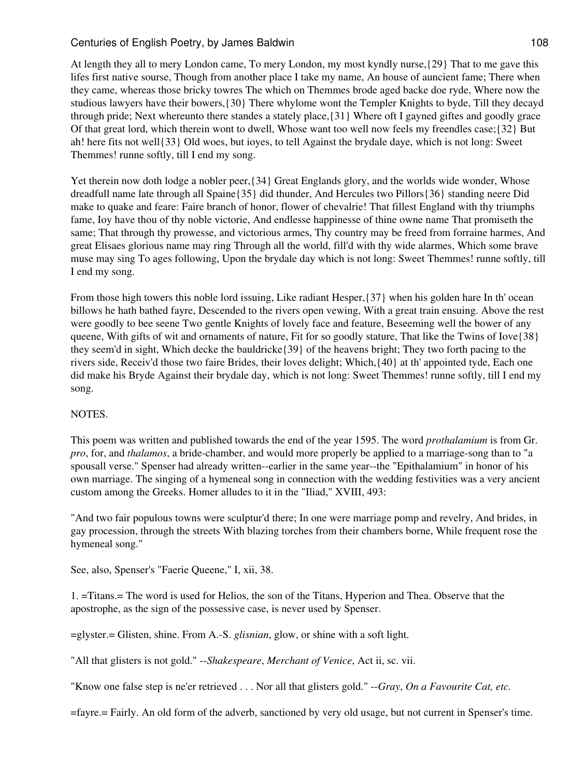At length they all to mery London came, To mery London, my most kyndly nurse,{29} That to me gave this lifes first native sourse, Though from another place I take my name, An house of auncient fame; There when they came, whereas those bricky towres The which on Themmes brode aged backe doe ryde, Where now the studious lawyers have their bowers,{30} There whylome wont the Templer Knights to byde, Till they decayd through pride; Next whereunto there standes a stately place,{31} Where oft I gayned giftes and goodly grace Of that great lord, which therein wont to dwell, Whose want too well now feels my freendles case;{32} But ah! here fits not well{33} Old woes, but ioyes, to tell Against the brydale daye, which is not long: Sweet Themmes! runne softly, till I end my song.

Yet therein now doth lodge a nobler peer,{34} Great Englands glory, and the worlds wide wonder, Whose dreadfull name late through all Spaine{35} did thunder, And Hercules two Pillors{36} standing neere Did make to quake and feare: Faire branch of honor, flower of chevalrie! That fillest England with thy triumphs fame, Ioy have thou of thy noble victorie, And endlesse happinesse of thine owne name That promiseth the same; That through thy prowesse, and victorious armes, Thy country may be freed from forraine harmes, And great Elisaes glorious name may ring Through all the world, fill'd with thy wide alarmes, Which some brave muse may sing To ages following, Upon the brydale day which is not long: Sweet Themmes! runne softly, till I end my song.

From those high towers this noble lord issuing, Like radiant Hesper,{37} when his golden hare In th' ocean billows he hath bathed fayre, Descended to the rivers open vewing, With a great train ensuing. Above the rest were goodly to bee seene Two gentle Knights of lovely face and feature, Beseeming well the bower of any queene, With gifts of wit and ornaments of nature, Fit for so goodly stature, That like the Twins of Iove $\{38\}$ they seem'd in sight, Which decke the bauldricke $\{39\}$  of the heavens bright; They two forth pacing to the rivers side, Receiv'd those two faire Brides, their loves delight; Which,{40} at th' appointed tyde, Each one did make his Bryde Against their brydale day, which is not long: Sweet Themmes! runne softly, till I end my song.

## NOTES.

This poem was written and published towards the end of the year 1595. The word *prothalamium* is from Gr. *pro*, for, and *thalamos*, a bride-chamber, and would more properly be applied to a marriage-song than to "a spousall verse." Spenser had already written--earlier in the same year--the "Epithalamium" in honor of his own marriage. The singing of a hymeneal song in connection with the wedding festivities was a very ancient custom among the Greeks. Homer alludes to it in the "Iliad," XVIII, 493:

"And two fair populous towns were sculptur'd there; In one were marriage pomp and revelry, And brides, in gay procession, through the streets With blazing torches from their chambers borne, While frequent rose the hymeneal song."

See, also, Spenser's "Faerie Queene," I, xii, 38.

1. =Titans.= The word is used for Helios, the son of the Titans, Hyperion and Thea. Observe that the apostrophe, as the sign of the possessive case, is never used by Spenser.

=glyster.= Glisten, shine. From A.-S. *glisnian*, glow, or shine with a soft light.

"All that glisters is not gold." --*Shakespeare*, *Merchant of Venice*, Act ii, sc. vii.

"Know one false step is ne'er retrieved . . . Nor all that glisters gold." --*Gray*, *On a Favourite Cat, etc.*

=fayre.= Fairly. An old form of the adverb, sanctioned by very old usage, but not current in Spenser's time.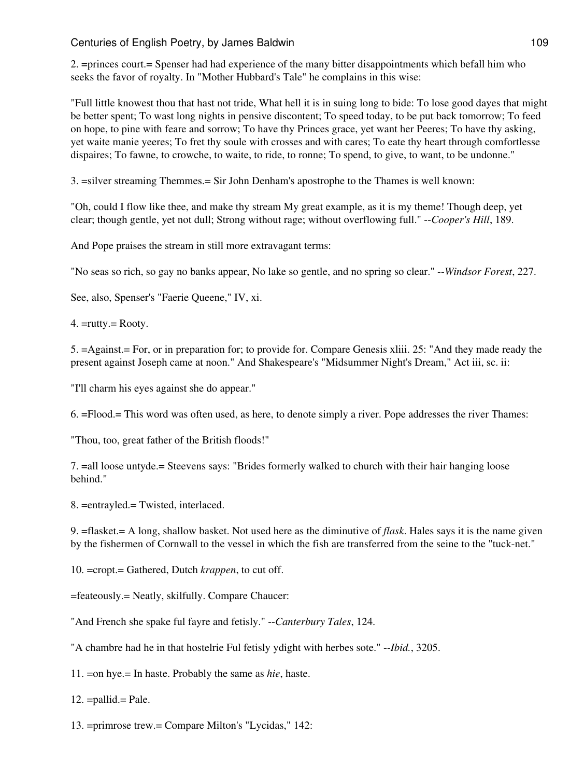2. =princes court.= Spenser had had experience of the many bitter disappointments which befall him who seeks the favor of royalty. In "Mother Hubbard's Tale" he complains in this wise:

"Full little knowest thou that hast not tride, What hell it is in suing long to bide: To lose good dayes that might be better spent; To wast long nights in pensive discontent; To speed today, to be put back tomorrow; To feed on hope, to pine with feare and sorrow; To have thy Princes grace, yet want her Peeres; To have thy asking, yet waite manie yeeres; To fret thy soule with crosses and with cares; To eate thy heart through comfortlesse dispaires; To fawne, to crowche, to waite, to ride, to ronne; To spend, to give, to want, to be undonne."

3. =silver streaming Themmes.= Sir John Denham's apostrophe to the Thames is well known:

"Oh, could I flow like thee, and make thy stream My great example, as it is my theme! Though deep, yet clear; though gentle, yet not dull; Strong without rage; without overflowing full." --*Cooper's Hill*, 189.

And Pope praises the stream in still more extravagant terms:

"No seas so rich, so gay no banks appear, No lake so gentle, and no spring so clear." --*Windsor Forest*, 227.

See, also, Spenser's "Faerie Queene," IV, xi.

4. =rutty.= Rooty.

5. =Against.= For, or in preparation for; to provide for. Compare Genesis xliii. 25: "And they made ready the present against Joseph came at noon." And Shakespeare's "Midsummer Night's Dream," Act iii, sc. ii:

"I'll charm his eyes against she do appear."

6. =Flood.= This word was often used, as here, to denote simply a river. Pope addresses the river Thames:

"Thou, too, great father of the British floods!"

7. =all loose untyde.= Steevens says: "Brides formerly walked to church with their hair hanging loose behind."

8. =entrayled.= Twisted, interlaced.

9. =flasket.= A long, shallow basket. Not used here as the diminutive of *flask*. Hales says it is the name given by the fishermen of Cornwall to the vessel in which the fish are transferred from the seine to the "tuck-net."

10. =cropt.= Gathered, Dutch *krappen*, to cut off.

=feateously.= Neatly, skilfully. Compare Chaucer:

"And French she spake ful fayre and fetisly." --*Canterbury Tales*, 124.

"A chambre had he in that hostelrie Ful fetisly ydight with herbes sote." --*Ibid.*, 3205.

11. =on hye.= In haste. Probably the same as *hie*, haste.

 $12. = \text{pallid} = \text{Pale}.$ 

13. =primrose trew.= Compare Milton's "Lycidas," 142: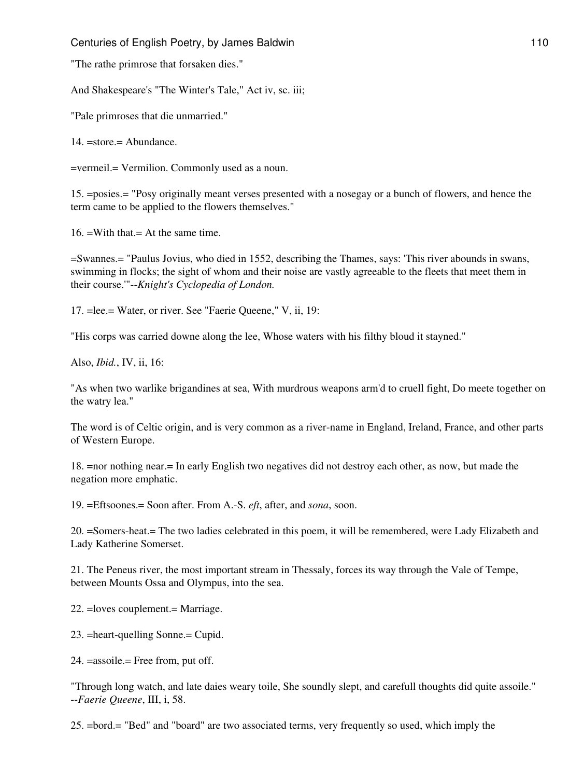"The rathe primrose that forsaken dies."

And Shakespeare's "The Winter's Tale," Act iv, sc. iii;

"Pale primroses that die unmarried."

14. =store.= Abundance.

=vermeil.= Vermilion. Commonly used as a noun.

15. =posies.= "Posy originally meant verses presented with a nosegay or a bunch of flowers, and hence the term came to be applied to the flowers themselves."

16. =With that.= At the same time.

=Swannes.= "Paulus Jovius, who died in 1552, describing the Thames, says: 'This river abounds in swans, swimming in flocks; the sight of whom and their noise are vastly agreeable to the fleets that meet them in their course.'"--*Knight's Cyclopedia of London.*

17. =lee.= Water, or river. See "Faerie Queene," V, ii, 19:

"His corps was carried downe along the lee, Whose waters with his filthy bloud it stayned."

Also, *Ibid.*, IV, ii, 16:

"As when two warlike brigandines at sea, With murdrous weapons arm'd to cruell fight, Do meete together on the watry lea."

The word is of Celtic origin, and is very common as a river-name in England, Ireland, France, and other parts of Western Europe.

18. =nor nothing near.= In early English two negatives did not destroy each other, as now, but made the negation more emphatic.

19. =Eftsoones.= Soon after. From A.-S. *eft*, after, and *sona*, soon.

20. =Somers-heat.= The two ladies celebrated in this poem, it will be remembered, were Lady Elizabeth and Lady Katherine Somerset.

21. The Peneus river, the most important stream in Thessaly, forces its way through the Vale of Tempe, between Mounts Ossa and Olympus, into the sea.

22. =loves couplement.= Marriage.

23. =heart-quelling Sonne.= Cupid.

24. =assoile.= Free from, put off.

"Through long watch, and late daies weary toile, She soundly slept, and carefull thoughts did quite assoile." --*Faerie Queene*, III, i, 58.

25. =bord.= "Bed" and "board" are two associated terms, very frequently so used, which imply the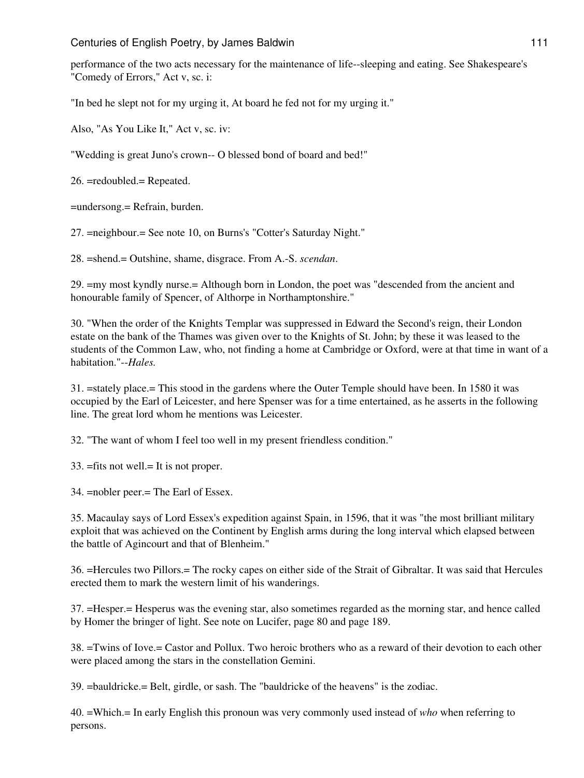performance of the two acts necessary for the maintenance of life--sleeping and eating. See Shakespeare's "Comedy of Errors," Act v, sc. i:

"In bed he slept not for my urging it, At board he fed not for my urging it."

Also, "As You Like It," Act v, sc. iv:

"Wedding is great Juno's crown-- O blessed bond of board and bed!"

26. =redoubled.= Repeated.

=undersong.= Refrain, burden.

27. =neighbour.= See note 10, on Burns's "Cotter's Saturday Night."

28. =shend.= Outshine, shame, disgrace. From A.-S. *scendan*.

29. =my most kyndly nurse.= Although born in London, the poet was "descended from the ancient and honourable family of Spencer, of Althorpe in Northamptonshire."

30. "When the order of the Knights Templar was suppressed in Edward the Second's reign, their London estate on the bank of the Thames was given over to the Knights of St. John; by these it was leased to the students of the Common Law, who, not finding a home at Cambridge or Oxford, were at that time in want of a habitation."--*Hales.*

31. =stately place.= This stood in the gardens where the Outer Temple should have been. In 1580 it was occupied by the Earl of Leicester, and here Spenser was for a time entertained, as he asserts in the following line. The great lord whom he mentions was Leicester.

32. "The want of whom I feel too well in my present friendless condition."

33. =fits not well.= It is not proper.

34. =nobler peer.= The Earl of Essex.

35. Macaulay says of Lord Essex's expedition against Spain, in 1596, that it was "the most brilliant military exploit that was achieved on the Continent by English arms during the long interval which elapsed between the battle of Agincourt and that of Blenheim."

36. =Hercules two Pillors.= The rocky capes on either side of the Strait of Gibraltar. It was said that Hercules erected them to mark the western limit of his wanderings.

37. =Hesper.= Hesperus was the evening star, also sometimes regarded as the morning star, and hence called by Homer the bringer of light. See note on Lucifer, page 80 and page 189.

38. =Twins of Iove.= Castor and Pollux. Two heroic brothers who as a reward of their devotion to each other were placed among the stars in the constellation Gemini.

39. =bauldricke.= Belt, girdle, or sash. The "bauldricke of the heavens" is the zodiac.

40. =Which.= In early English this pronoun was very commonly used instead of *who* when referring to persons.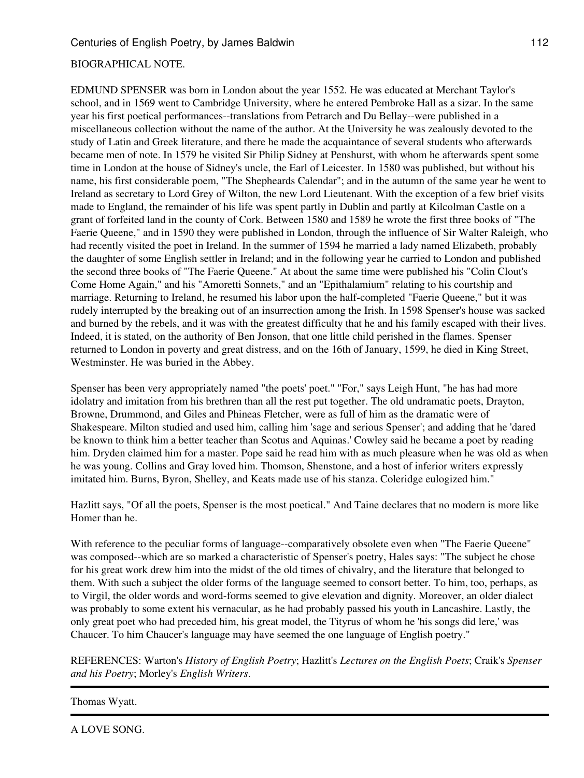# BIOGRAPHICAL NOTE.

EDMUND SPENSER was born in London about the year 1552. He was educated at Merchant Taylor's school, and in 1569 went to Cambridge University, where he entered Pembroke Hall as a sizar. In the same year his first poetical performances--translations from Petrarch and Du Bellay--were published in a miscellaneous collection without the name of the author. At the University he was zealously devoted to the study of Latin and Greek literature, and there he made the acquaintance of several students who afterwards became men of note. In 1579 he visited Sir Philip Sidney at Penshurst, with whom he afterwards spent some time in London at the house of Sidney's uncle, the Earl of Leicester. In 1580 was published, but without his name, his first considerable poem, "The Shepheards Calendar"; and in the autumn of the same year he went to Ireland as secretary to Lord Grey of Wilton, the new Lord Lieutenant. With the exception of a few brief visits made to England, the remainder of his life was spent partly in Dublin and partly at Kilcolman Castle on a grant of forfeited land in the county of Cork. Between 1580 and 1589 he wrote the first three books of "The Faerie Queene," and in 1590 they were published in London, through the influence of Sir Walter Raleigh, who had recently visited the poet in Ireland. In the summer of 1594 he married a lady named Elizabeth, probably the daughter of some English settler in Ireland; and in the following year he carried to London and published the second three books of "The Faerie Queene." At about the same time were published his "Colin Clout's Come Home Again," and his "Amoretti Sonnets," and an "Epithalamium" relating to his courtship and marriage. Returning to Ireland, he resumed his labor upon the half-completed "Faerie Queene," but it was rudely interrupted by the breaking out of an insurrection among the Irish. In 1598 Spenser's house was sacked and burned by the rebels, and it was with the greatest difficulty that he and his family escaped with their lives. Indeed, it is stated, on the authority of Ben Jonson, that one little child perished in the flames. Spenser returned to London in poverty and great distress, and on the 16th of January, 1599, he died in King Street, Westminster. He was buried in the Abbey.

Spenser has been very appropriately named "the poets' poet." "For," says Leigh Hunt, "he has had more idolatry and imitation from his brethren than all the rest put together. The old undramatic poets, Drayton, Browne, Drummond, and Giles and Phineas Fletcher, were as full of him as the dramatic were of Shakespeare. Milton studied and used him, calling him 'sage and serious Spenser'; and adding that he 'dared be known to think him a better teacher than Scotus and Aquinas.' Cowley said he became a poet by reading him. Dryden claimed him for a master. Pope said he read him with as much pleasure when he was old as when he was young. Collins and Gray loved him. Thomson, Shenstone, and a host of inferior writers expressly imitated him. Burns, Byron, Shelley, and Keats made use of his stanza. Coleridge eulogized him."

Hazlitt says, "Of all the poets, Spenser is the most poetical." And Taine declares that no modern is more like Homer than he.

With reference to the peculiar forms of language--comparatively obsolete even when "The Faerie Queene" was composed--which are so marked a characteristic of Spenser's poetry, Hales says: "The subject he chose for his great work drew him into the midst of the old times of chivalry, and the literature that belonged to them. With such a subject the older forms of the language seemed to consort better. To him, too, perhaps, as to Virgil, the older words and word-forms seemed to give elevation and dignity. Moreover, an older dialect was probably to some extent his vernacular, as he had probably passed his youth in Lancashire. Lastly, the only great poet who had preceded him, his great model, the Tityrus of whom he 'his songs did lere,' was Chaucer. To him Chaucer's language may have seemed the one language of English poetry."

REFERENCES: Warton's *History of English Poetry*; Hazlitt's *Lectures on the English Poets*; Craik's *Spenser and his Poetry*; Morley's *English Writers*.

## Thomas Wyatt.

A LOVE SONG.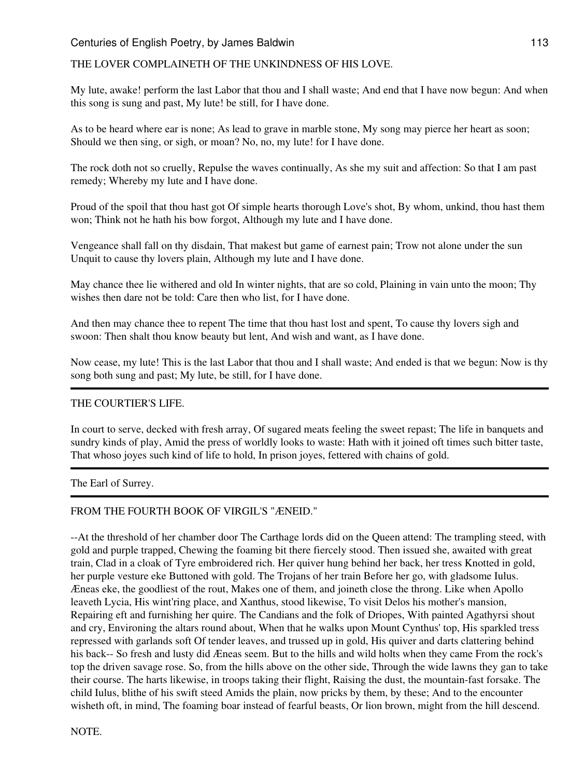# THE LOVER COMPLAINETH OF THE UNKINDNESS OF HIS LOVE.

My lute, awake! perform the last Labor that thou and I shall waste; And end that I have now begun: And when this song is sung and past, My lute! be still, for I have done.

As to be heard where ear is none; As lead to grave in marble stone, My song may pierce her heart as soon; Should we then sing, or sigh, or moan? No, no, my lute! for I have done.

The rock doth not so cruelly, Repulse the waves continually, As she my suit and affection: So that I am past remedy; Whereby my lute and I have done.

Proud of the spoil that thou hast got Of simple hearts thorough Love's shot, By whom, unkind, thou hast them won; Think not he hath his bow forgot, Although my lute and I have done.

Vengeance shall fall on thy disdain, That makest but game of earnest pain; Trow not alone under the sun Unquit to cause thy lovers plain, Although my lute and I have done.

May chance thee lie withered and old In winter nights, that are so cold, Plaining in vain unto the moon; Thy wishes then dare not be told: Care then who list, for I have done.

And then may chance thee to repent The time that thou hast lost and spent, To cause thy lovers sigh and swoon: Then shalt thou know beauty but lent, And wish and want, as I have done.

Now cease, my lute! This is the last Labor that thou and I shall waste; And ended is that we begun: Now is thy song both sung and past; My lute, be still, for I have done.

## THE COURTIER'S LIFE.

In court to serve, decked with fresh array, Of sugared meats feeling the sweet repast; The life in banquets and sundry kinds of play, Amid the press of worldly looks to waste: Hath with it joined oft times such bitter taste, That whoso joyes such kind of life to hold, In prison joyes, fettered with chains of gold.

The Earl of Surrey.

## FROM THE FOURTH BOOK OF VIRGIL'S "ÆNEID."

--At the threshold of her chamber door The Carthage lords did on the Queen attend: The trampling steed, with gold and purple trapped, Chewing the foaming bit there fiercely stood. Then issued she, awaited with great train, Clad in a cloak of Tyre embroidered rich. Her quiver hung behind her back, her tress Knotted in gold, her purple vesture eke Buttoned with gold. The Trojans of her train Before her go, with gladsome Iulus. Æneas eke, the goodliest of the rout, Makes one of them, and joineth close the throng. Like when Apollo leaveth Lycia, His wint'ring place, and Xanthus, stood likewise, To visit Delos his mother's mansion, Repairing eft and furnishing her quire. The Candians and the folk of Driopes, With painted Agathyrsi shout and cry, Environing the altars round about, When that he walks upon Mount Cynthus' top, His sparkled tress repressed with garlands soft Of tender leaves, and trussed up in gold, His quiver and darts clattering behind his back-- So fresh and lusty did Æneas seem. But to the hills and wild holts when they came From the rock's top the driven savage rose. So, from the hills above on the other side, Through the wide lawns they gan to take their course. The harts likewise, in troops taking their flight, Raising the dust, the mountain-fast forsake. The child Iulus, blithe of his swift steed Amids the plain, now pricks by them, by these; And to the encounter wisheth oft, in mind, The foaming boar instead of fearful beasts, Or lion brown, might from the hill descend.

NOTE.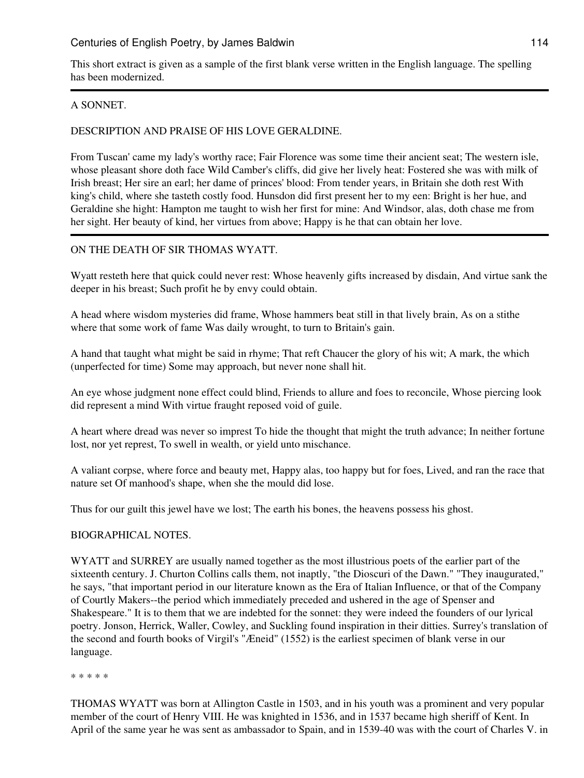This short extract is given as a sample of the first blank verse written in the English language. The spelling has been modernized.

### A SONNET.

### DESCRIPTION AND PRAISE OF HIS LOVE GERALDINE.

From Tuscan' came my lady's worthy race; Fair Florence was some time their ancient seat; The western isle, whose pleasant shore doth face Wild Camber's cliffs, did give her lively heat: Fostered she was with milk of Irish breast; Her sire an earl; her dame of princes' blood: From tender years, in Britain she doth rest With king's child, where she tasteth costly food. Hunsdon did first present her to my een: Bright is her hue, and Geraldine she hight: Hampton me taught to wish her first for mine: And Windsor, alas, doth chase me from her sight. Her beauty of kind, her virtues from above; Happy is he that can obtain her love.

### ON THE DEATH OF SIR THOMAS WYATT.

Wyatt resteth here that quick could never rest: Whose heavenly gifts increased by disdain, And virtue sank the deeper in his breast; Such profit he by envy could obtain.

A head where wisdom mysteries did frame, Whose hammers beat still in that lively brain, As on a stithe where that some work of fame Was daily wrought, to turn to Britain's gain.

A hand that taught what might be said in rhyme; That reft Chaucer the glory of his wit; A mark, the which (unperfected for time) Some may approach, but never none shall hit.

An eye whose judgment none effect could blind, Friends to allure and foes to reconcile, Whose piercing look did represent a mind With virtue fraught reposed void of guile.

A heart where dread was never so imprest To hide the thought that might the truth advance; In neither fortune lost, nor yet represt, To swell in wealth, or yield unto mischance.

A valiant corpse, where force and beauty met, Happy alas, too happy but for foes, Lived, and ran the race that nature set Of manhood's shape, when she the mould did lose.

Thus for our guilt this jewel have we lost; The earth his bones, the heavens possess his ghost.

### BIOGRAPHICAL NOTES.

WYATT and SURREY are usually named together as the most illustrious poets of the earlier part of the sixteenth century. J. Churton Collins calls them, not inaptly, "the Dioscuri of the Dawn." "They inaugurated," he says, "that important period in our literature known as the Era of Italian Influence, or that of the Company of Courtly Makers--the period which immediately preceded and ushered in the age of Spenser and Shakespeare." It is to them that we are indebted for the sonnet: they were indeed the founders of our lyrical poetry. Jonson, Herrick, Waller, Cowley, and Suckling found inspiration in their ditties. Surrey's translation of the second and fourth books of Virgil's "Æneid" (1552) is the earliest specimen of blank verse in our language.

\* \* \* \* \*

THOMAS WYATT was born at Allington Castle in 1503, and in his youth was a prominent and very popular member of the court of Henry VIII. He was knighted in 1536, and in 1537 became high sheriff of Kent. In April of the same year he was sent as ambassador to Spain, and in 1539-40 was with the court of Charles V. in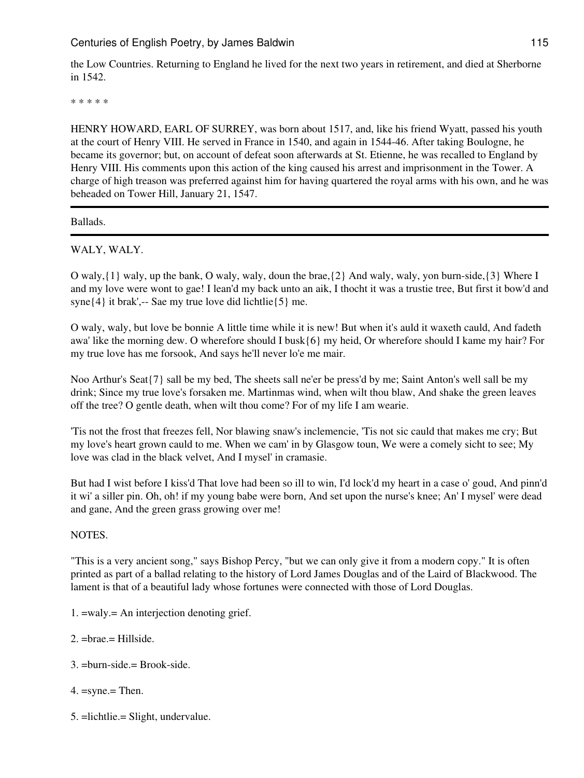the Low Countries. Returning to England he lived for the next two years in retirement, and died at Sherborne in 1542.

\* \* \* \* \*

HENRY HOWARD, EARL OF SURREY, was born about 1517, and, like his friend Wyatt, passed his youth at the court of Henry VIII. He served in France in 1540, and again in 1544-46. After taking Boulogne, he became its governor; but, on account of defeat soon afterwards at St. Etienne, he was recalled to England by Henry VIII. His comments upon this action of the king caused his arrest and imprisonment in the Tower. A charge of high treason was preferred against him for having quartered the royal arms with his own, and he was beheaded on Tower Hill, January 21, 1547.

Ballads.

WALY, WALY.

O waly,{1} waly, up the bank, O waly, waly, doun the brae,{2} And waly, waly, yon burn-side,{3} Where I and my love were wont to gae! I lean'd my back unto an aik, I thocht it was a trustie tree, But first it bow'd and syne{4} it brak',-- Sae my true love did lichtlie{5} me.

O waly, waly, but love be bonnie A little time while it is new! But when it's auld it waxeth cauld, And fadeth awa' like the morning dew. O wherefore should I busk{6} my heid, Or wherefore should I kame my hair? For my true love has me forsook, And says he'll never lo'e me mair.

Noo Arthur's Seat{7} sall be my bed, The sheets sall ne'er be press'd by me; Saint Anton's well sall be my drink; Since my true love's forsaken me. Martinmas wind, when wilt thou blaw, And shake the green leaves off the tree? O gentle death, when wilt thou come? For of my life I am wearie.

'Tis not the frost that freezes fell, Nor blawing snaw's inclemencie, 'Tis not sic cauld that makes me cry; But my love's heart grown cauld to me. When we cam' in by Glasgow toun, We were a comely sicht to see; My love was clad in the black velvet, And I mysel' in cramasie.

But had I wist before I kiss'd That love had been so ill to win, I'd lock'd my heart in a case o' goud, And pinn'd it wi' a siller pin. Oh, oh! if my young babe were born, And set upon the nurse's knee; An' I mysel' were dead and gane, And the green grass growing over me!

NOTES.

"This is a very ancient song," says Bishop Percy, "but we can only give it from a modern copy." It is often printed as part of a ballad relating to the history of Lord James Douglas and of the Laird of Blackwood. The lament is that of a beautiful lady whose fortunes were connected with those of Lord Douglas.

- 1. =waly.= An interjection denoting grief.
- 2. =brae.= Hillside.
- 3. =burn-side.= Brook-side.
- 4. =syne.= Then.
- 5. =lichtlie.= Slight, undervalue.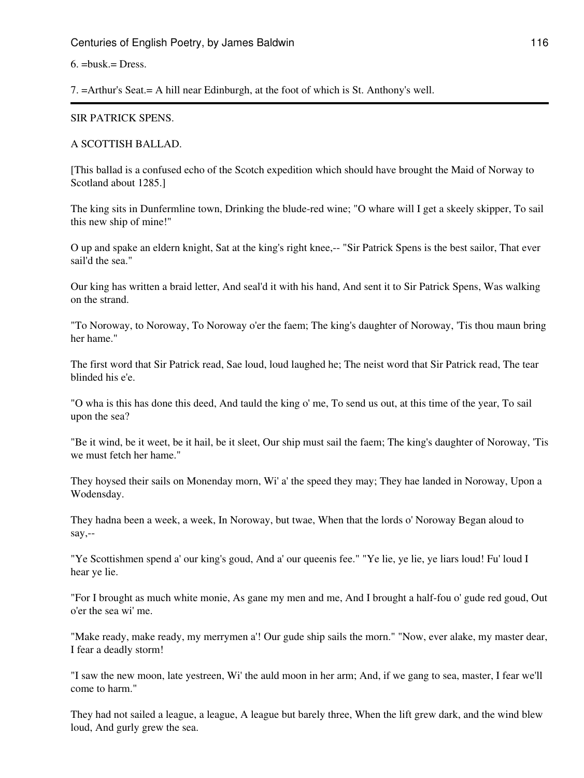#### $6. = \text{busk} = \text{Dress}.$

7. =Arthur's Seat.= A hill near Edinburgh, at the foot of which is St. Anthony's well.

#### SIR PATRICK SPENS.

#### A SCOTTISH BALLAD.

[This ballad is a confused echo of the Scotch expedition which should have brought the Maid of Norway to Scotland about 1285.]

The king sits in Dunfermline town, Drinking the blude-red wine; "O whare will I get a skeely skipper, To sail this new ship of mine!"

O up and spake an eldern knight, Sat at the king's right knee,-- "Sir Patrick Spens is the best sailor, That ever sail'd the sea."

Our king has written a braid letter, And seal'd it with his hand, And sent it to Sir Patrick Spens, Was walking on the strand.

"To Noroway, to Noroway, To Noroway o'er the faem; The king's daughter of Noroway, 'Tis thou maun bring her hame."

The first word that Sir Patrick read, Sae loud, loud laughed he; The neist word that Sir Patrick read, The tear blinded his e'e.

"O wha is this has done this deed, And tauld the king o' me, To send us out, at this time of the year, To sail upon the sea?

"Be it wind, be it weet, be it hail, be it sleet, Our ship must sail the faem; The king's daughter of Noroway, 'Tis we must fetch her hame."

They hoysed their sails on Monenday morn, Wi' a' the speed they may; They hae landed in Noroway, Upon a Wodensday.

They hadna been a week, a week, In Noroway, but twae, When that the lords o' Noroway Began aloud to say,--

"Ye Scottishmen spend a' our king's goud, And a' our queenis fee." "Ye lie, ye lie, ye liars loud! Fu' loud I hear ye lie.

"For I brought as much white monie, As gane my men and me, And I brought a half-fou o' gude red goud, Out o'er the sea wi' me.

"Make ready, make ready, my merrymen a'! Our gude ship sails the morn." "Now, ever alake, my master dear, I fear a deadly storm!

"I saw the new moon, late yestreen, Wi' the auld moon in her arm; And, if we gang to sea, master, I fear we'll come to harm."

They had not sailed a league, a league, A league but barely three, When the lift grew dark, and the wind blew loud, And gurly grew the sea.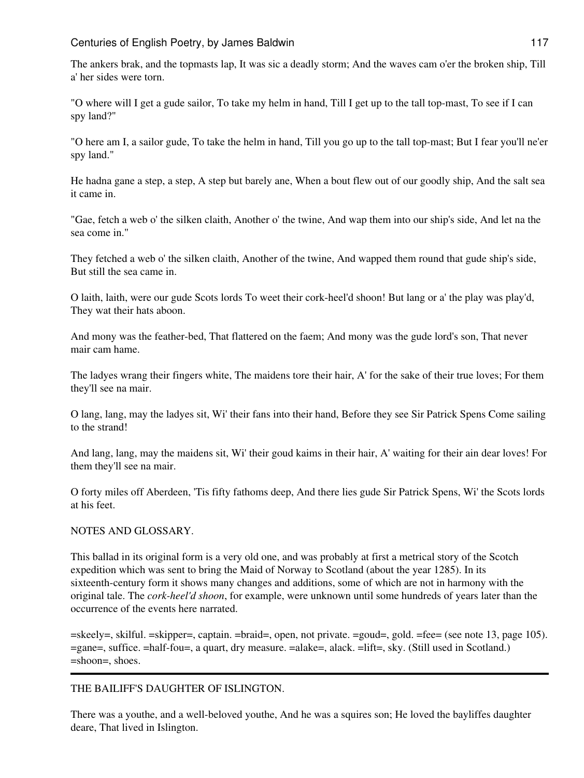The ankers brak, and the topmasts lap, It was sic a deadly storm; And the waves cam o'er the broken ship, Till a' her sides were torn.

"O where will I get a gude sailor, To take my helm in hand, Till I get up to the tall top-mast, To see if I can spy land?"

"O here am I, a sailor gude, To take the helm in hand, Till you go up to the tall top-mast; But I fear you'll ne'er spy land."

He hadna gane a step, a step, A step but barely ane, When a bout flew out of our goodly ship, And the salt sea it came in.

"Gae, fetch a web o' the silken claith, Another o' the twine, And wap them into our ship's side, And let na the sea come in."

They fetched a web o' the silken claith, Another of the twine, And wapped them round that gude ship's side, But still the sea came in.

O laith, laith, were our gude Scots lords To weet their cork-heel'd shoon! But lang or a' the play was play'd, They wat their hats aboon.

And mony was the feather-bed, That flattered on the faem; And mony was the gude lord's son, That never mair cam hame.

The ladyes wrang their fingers white, The maidens tore their hair, A' for the sake of their true loves; For them they'll see na mair.

O lang, lang, may the ladyes sit, Wi' their fans into their hand, Before they see Sir Patrick Spens Come sailing to the strand!

And lang, lang, may the maidens sit, Wi' their goud kaims in their hair, A' waiting for their ain dear loves! For them they'll see na mair.

O forty miles off Aberdeen, 'Tis fifty fathoms deep, And there lies gude Sir Patrick Spens, Wi' the Scots lords at his feet.

### NOTES AND GLOSSARY.

This ballad in its original form is a very old one, and was probably at first a metrical story of the Scotch expedition which was sent to bring the Maid of Norway to Scotland (about the year 1285). In its sixteenth-century form it shows many changes and additions, some of which are not in harmony with the original tale. The *cork-heel'd shoon*, for example, were unknown until some hundreds of years later than the occurrence of the events here narrated.

=skeely=, skilful. =skipper=, captain. =braid=, open, not private. =goud=, gold. =fee= (see note 13, page 105). =gane=, suffice. =half-fou=, a quart, dry measure. =alake=, alack. =lift=, sky. (Still used in Scotland.) =shoon=, shoes.

### THE BAILIFF'S DAUGHTER OF ISLINGTON.

There was a youthe, and a well-beloved youthe, And he was a squires son; He loved the bayliffes daughter deare, That lived in Islington.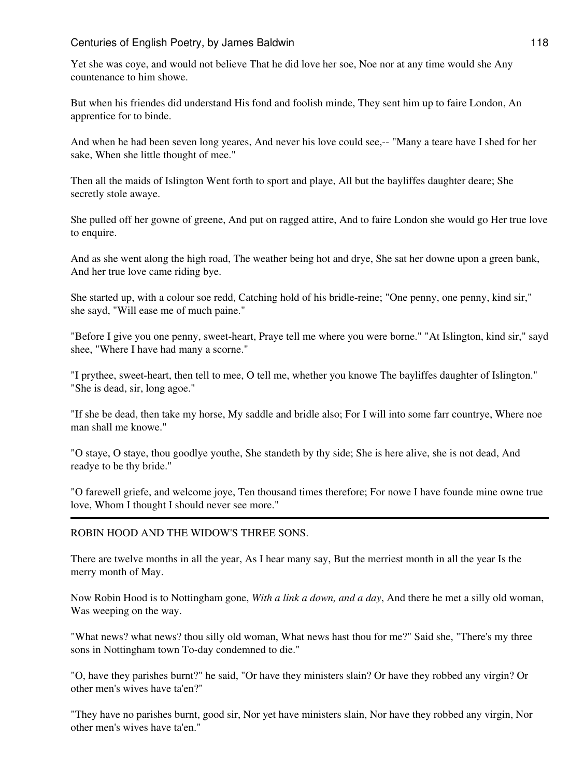Yet she was coye, and would not believe That he did love her soe, Noe nor at any time would she Any countenance to him showe.

But when his friendes did understand His fond and foolish minde, They sent him up to faire London, An apprentice for to binde.

And when he had been seven long yeares, And never his love could see,-- "Many a teare have I shed for her sake, When she little thought of mee."

Then all the maids of Islington Went forth to sport and playe, All but the bayliffes daughter deare; She secretly stole awaye.

She pulled off her gowne of greene, And put on ragged attire, And to faire London she would go Her true love to enquire.

And as she went along the high road, The weather being hot and drye, She sat her downe upon a green bank, And her true love came riding bye.

She started up, with a colour soe redd, Catching hold of his bridle-reine; "One penny, one penny, kind sir," she sayd, "Will ease me of much paine."

"Before I give you one penny, sweet-heart, Praye tell me where you were borne." "At Islington, kind sir," sayd shee, "Where I have had many a scorne."

"I prythee, sweet-heart, then tell to mee, O tell me, whether you knowe The bayliffes daughter of Islington." "She is dead, sir, long agoe."

"If she be dead, then take my horse, My saddle and bridle also; For I will into some farr countrye, Where noe man shall me knowe."

"O staye, O staye, thou goodlye youthe, She standeth by thy side; She is here alive, she is not dead, And readye to be thy bride."

"O farewell griefe, and welcome joye, Ten thousand times therefore; For nowe I have founde mine owne true love, Whom I thought I should never see more."

### ROBIN HOOD AND THE WIDOW'S THREE SONS.

There are twelve months in all the year, As I hear many say, But the merriest month in all the year Is the merry month of May.

Now Robin Hood is to Nottingham gone, *With a link a down, and a day*, And there he met a silly old woman, Was weeping on the way.

"What news? what news? thou silly old woman, What news hast thou for me?" Said she, "There's my three sons in Nottingham town To-day condemned to die."

"O, have they parishes burnt?" he said, "Or have they ministers slain? Or have they robbed any virgin? Or other men's wives have ta'en?"

"They have no parishes burnt, good sir, Nor yet have ministers slain, Nor have they robbed any virgin, Nor other men's wives have ta'en."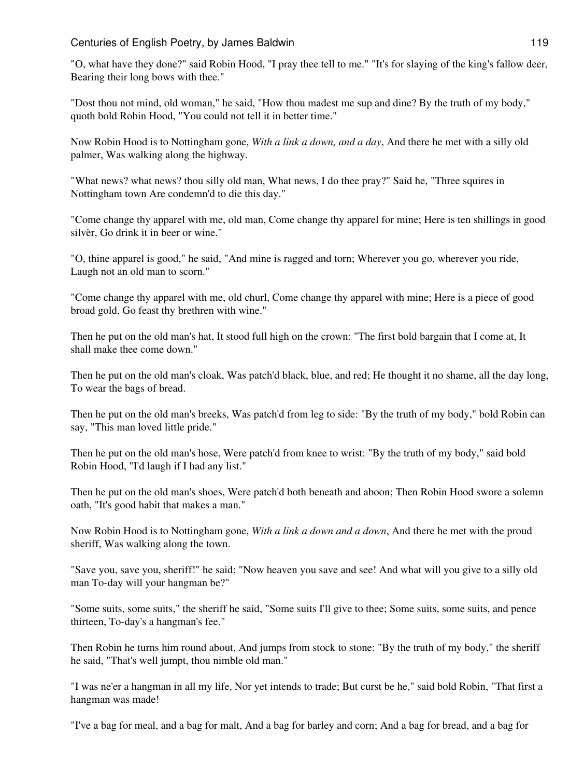"O, what have they done?" said Robin Hood, "I pray thee tell to me." "It's for slaying of the king's fallow deer, Bearing their long bows with thee."

"Dost thou not mind, old woman," he said, "How thou madest me sup and dine? By the truth of my body," quoth bold Robin Hood, "You could not tell it in better time."

Now Robin Hood is to Nottingham gone, *With a link a down, and a day*, And there he met with a silly old palmer, Was walking along the highway.

"What news? what news? thou silly old man, What news, I do thee pray?" Said he, "Three squires in Nottingham town Are condemn'd to die this day."

"Come change thy apparel with me, old man, Come change thy apparel for mine; Here is ten shillings in good silvèr, Go drink it in beer or wine."

"O, thine apparel is good," he said, "And mine is ragged and torn; Wherever you go, wherever you ride, Laugh not an old man to scorn."

"Come change thy apparel with me, old churl, Come change thy apparel with mine; Here is a piece of good broad gold, Go feast thy brethren with wine."

Then he put on the old man's hat, It stood full high on the crown: "The first bold bargain that I come at, It shall make thee come down."

Then he put on the old man's cloak, Was patch'd black, blue, and red; He thought it no shame, all the day long, To wear the bags of bread.

Then he put on the old man's breeks, Was patch'd from leg to side: "By the truth of my body," bold Robin can say, "This man loved little pride."

Then he put on the old man's hose, Were patch'd from knee to wrist: "By the truth of my body," said bold Robin Hood, "I'd laugh if I had any list."

Then he put on the old man's shoes, Were patch'd both beneath and aboon; Then Robin Hood swore a solemn oath, "It's good habit that makes a man."

Now Robin Hood is to Nottingham gone, *With a link a down and a down*, And there he met with the proud sheriff, Was walking along the town.

"Save you, save you, sheriff!" he said; "Now heaven you save and see! And what will you give to a silly old man To-day will your hangman be?"

"Some suits, some suits," the sheriff he said, "Some suits I'll give to thee; Some suits, some suits, and pence thirteen, To-day's a hangman's fee."

Then Robin he turns him round about, And jumps from stock to stone: "By the truth of my body," the sheriff he said, "That's well jumpt, thou nimble old man."

"I was ne'er a hangman in all my life, Nor yet intends to trade; But curst be he," said bold Robin, "That first a hangman was made!

"I've a bag for meal, and a bag for malt, And a bag for barley and corn; And a bag for bread, and a bag for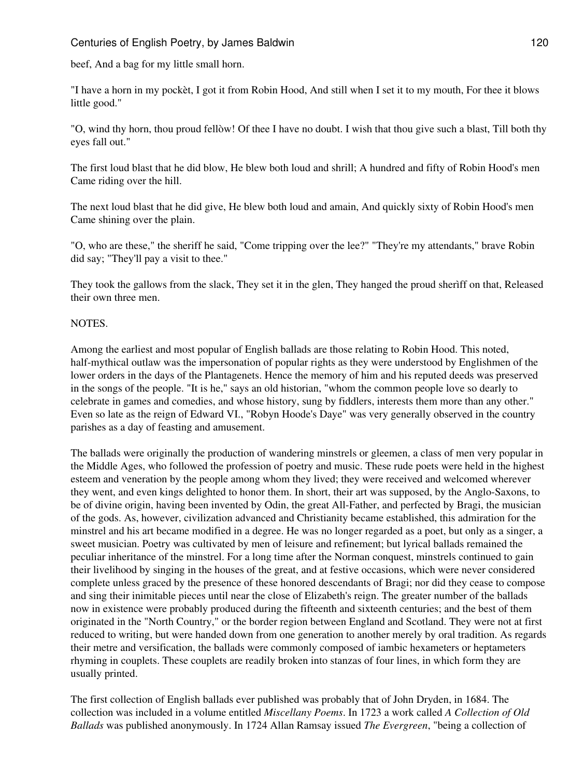beef, And a bag for my little small horn.

"I have a horn in my pockèt, I got it from Robin Hood, And still when I set it to my mouth, For thee it blows little good."

"O, wind thy horn, thou proud fellòw! Of thee I have no doubt. I wish that thou give such a blast, Till both thy eyes fall out."

The first loud blast that he did blow, He blew both loud and shrill; A hundred and fifty of Robin Hood's men Came riding over the hill.

The next loud blast that he did give, He blew both loud and amain, And quickly sixty of Robin Hood's men Came shining over the plain.

"O, who are these," the sheriff he said, "Come tripping over the lee?" "They're my attendants," brave Robin did say; "They'll pay a visit to thee."

They took the gallows from the slack, They set it in the glen, They hanged the proud sherìff on that, Released their own three men.

#### NOTES.

Among the earliest and most popular of English ballads are those relating to Robin Hood. This noted, half-mythical outlaw was the impersonation of popular rights as they were understood by Englishmen of the lower orders in the days of the Plantagenets. Hence the memory of him and his reputed deeds was preserved in the songs of the people. "It is he," says an old historian, "whom the common people love so dearly to celebrate in games and comedies, and whose history, sung by fiddlers, interests them more than any other." Even so late as the reign of Edward VI., "Robyn Hoode's Daye" was very generally observed in the country parishes as a day of feasting and amusement.

The ballads were originally the production of wandering minstrels or gleemen, a class of men very popular in the Middle Ages, who followed the profession of poetry and music. These rude poets were held in the highest esteem and veneration by the people among whom they lived; they were received and welcomed wherever they went, and even kings delighted to honor them. In short, their art was supposed, by the Anglo-Saxons, to be of divine origin, having been invented by Odin, the great All-Father, and perfected by Bragi, the musician of the gods. As, however, civilization advanced and Christianity became established, this admiration for the minstrel and his art became modified in a degree. He was no longer regarded as a poet, but only as a singer, a sweet musician. Poetry was cultivated by men of leisure and refinement; but lyrical ballads remained the peculiar inheritance of the minstrel. For a long time after the Norman conquest, minstrels continued to gain their livelihood by singing in the houses of the great, and at festive occasions, which were never considered complete unless graced by the presence of these honored descendants of Bragi; nor did they cease to compose and sing their inimitable pieces until near the close of Elizabeth's reign. The greater number of the ballads now in existence were probably produced during the fifteenth and sixteenth centuries; and the best of them originated in the "North Country," or the border region between England and Scotland. They were not at first reduced to writing, but were handed down from one generation to another merely by oral tradition. As regards their metre and versification, the ballads were commonly composed of iambic hexameters or heptameters rhyming in couplets. These couplets are readily broken into stanzas of four lines, in which form they are usually printed.

The first collection of English ballads ever published was probably that of John Dryden, in 1684. The collection was included in a volume entitled *Miscellany Poems*. In 1723 a work called *A Collection of Old Ballads* was published anonymously. In 1724 Allan Ramsay issued *The Evergreen*, "being a collection of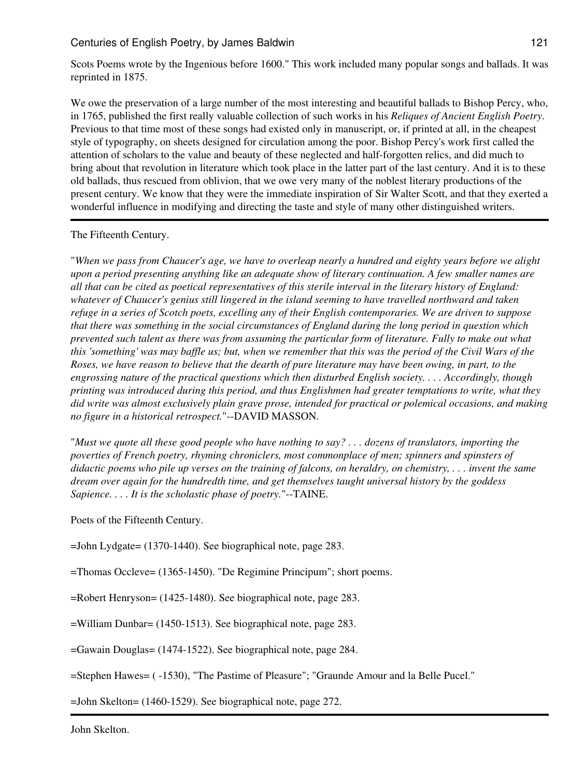Scots Poems wrote by the Ingenious before 1600." This work included many popular songs and ballads. It was reprinted in 1875.

We owe the preservation of a large number of the most interesting and beautiful ballads to Bishop Percy, who, in 1765, published the first really valuable collection of such works in his *Reliques of Ancient English Poetry*. Previous to that time most of these songs had existed only in manuscript, or, if printed at all, in the cheapest style of typography, on sheets designed for circulation among the poor. Bishop Percy's work first called the attention of scholars to the value and beauty of these neglected and half-forgotten relics, and did much to bring about that revolution in literature which took place in the latter part of the last century. And it is to these old ballads, thus rescued from oblivion, that we owe very many of the noblest literary productions of the present century. We know that they were the immediate inspiration of Sir Walter Scott, and that they exerted a wonderful influence in modifying and directing the taste and style of many other distinguished writers.

### The Fifteenth Century.

"*When we pass from Chaucer's age, we have to overleap nearly a hundred and eighty years before we alight upon a period presenting anything like an adequate show of literary continuation. A few smaller names are all that can be cited as poetical representatives of this sterile interval in the literary history of England: whatever of Chaucer's genius still lingered in the island seeming to have travelled northward and taken refuge in a series of Scotch poets, excelling any of their English contemporaries. We are driven to suppose that there was something in the social circumstances of England during the long period in question which prevented such talent as there was from assuming the particular form of literature. Fully to make out what this 'something' was may baffle us; but, when we remember that this was the period of the Civil Wars of the Roses, we have reason to believe that the dearth of pure literature may have been owing, in part, to the engrossing nature of the practical questions which then disturbed English society. . . . Accordingly, though printing was introduced during this period, and thus Englishmen had greater temptations to write, what they did write was almost exclusively plain grave prose, intended for practical or polemical occasions, and making no figure in a historical retrospect.*"--DAVID MASSON.

"*Must we quote all these good people who have nothing to say? . . . dozens of translators, importing the poverties of French poetry, rhyming chroniclers, most commonplace of men; spinners and spinsters of didactic poems who pile up verses on the training of falcons, on heraldry, on chemistry, . . . invent the same dream over again for the hundredth time, and get themselves taught universal history by the goddess Sapience. . . . It is the scholastic phase of poetry.*"--TAINE.

Poets of the Fifteenth Century.

=John Lydgate= (1370-1440). See biographical note, page 283.

=Thomas Occleve= (1365-1450). "De Regimine Principum"; short poems.

=Robert Henryson= (1425-1480). See biographical note, page 283.

=William Dunbar= (1450-1513). See biographical note, page 283.

=Gawain Douglas= (1474-1522). See biographical note, page 284.

=Stephen Hawes= ( -1530), "The Pastime of Pleasure"; "Graunde Amour and la Belle Pucel."

=John Skelton= (1460-1529). See biographical note, page 272.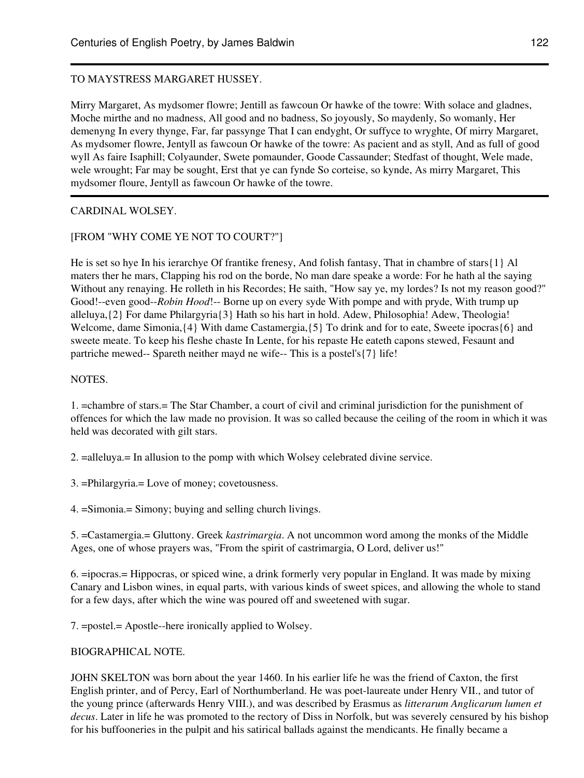## TO MAYSTRESS MARGARET HUSSEY.

Mirry Margaret, As mydsomer flowre; Jentill as fawcoun Or hawke of the towre: With solace and gladnes, Moche mirthe and no madness, All good and no badness, So joyously, So maydenly, So womanly, Her demenyng In every thynge, Far, far passynge That I can endyght, Or suffyce to wryghte, Of mirry Margaret, As mydsomer flowre, Jentyll as fawcoun Or hawke of the towre: As pacient and as styll, And as full of good wyll As faire Isaphill; Colyaunder, Swete pomaunder, Goode Cassaunder; Stedfast of thought, Wele made, wele wrought; Far may be sought, Erst that ye can fynde So corteise, so kynde, As mirry Margaret, This mydsomer floure, Jentyll as fawcoun Or hawke of the towre.

## CARDINAL WOLSEY.

### [FROM "WHY COME YE NOT TO COURT?"]

He is set so hye In his ierarchye Of frantike frenesy, And folish fantasy, That in chambre of stars{1} Al maters ther he mars, Clapping his rod on the borde, No man dare speake a worde: For he hath al the saying Without any renaying. He rolleth in his Recordes; He saith, "How say ye, my lordes? Is not my reason good?" Good!--even good--*Robin Hood*!-- Borne up on every syde With pompe and with pryde, With trump up alleluya,{2} For dame Philargyria{3} Hath so his hart in hold. Adew, Philosophia! Adew, Theologia! Welcome, dame Simonia, $\{4\}$  With dame Castamergia, $\{5\}$  To drink and for to eate, Sweete ipocras $\{6\}$  and sweete meate. To keep his fleshe chaste In Lente, for his repaste He eateth capons stewed, Fesaunt and partriche mewed-- Spareth neither mayd ne wife-- This is a postel's{7} life!

### NOTES.

1. =chambre of stars.= The Star Chamber, a court of civil and criminal jurisdiction for the punishment of offences for which the law made no provision. It was so called because the ceiling of the room in which it was held was decorated with gilt stars.

2. =alleluya.= In allusion to the pomp with which Wolsey celebrated divine service.

3. =Philargyria.= Love of money; covetousness.

4. =Simonia.= Simony; buying and selling church livings.

5. =Castamergia.= Gluttony. Greek *kastrimargia*. A not uncommon word among the monks of the Middle Ages, one of whose prayers was, "From the spirit of castrimargia, O Lord, deliver us!"

6. =ipocras.= Hippocras, or spiced wine, a drink formerly very popular in England. It was made by mixing Canary and Lisbon wines, in equal parts, with various kinds of sweet spices, and allowing the whole to stand for a few days, after which the wine was poured off and sweetened with sugar.

7. =postel.= Apostle--here ironically applied to Wolsey.

### BIOGRAPHICAL NOTE.

JOHN SKELTON was born about the year 1460. In his earlier life he was the friend of Caxton, the first English printer, and of Percy, Earl of Northumberland. He was poet-laureate under Henry VII., and tutor of the young prince (afterwards Henry VIII.), and was described by Erasmus as *litterarum Anglicarum lumen et decus*. Later in life he was promoted to the rectory of Diss in Norfolk, but was severely censured by his bishop for his buffooneries in the pulpit and his satirical ballads against the mendicants. He finally became a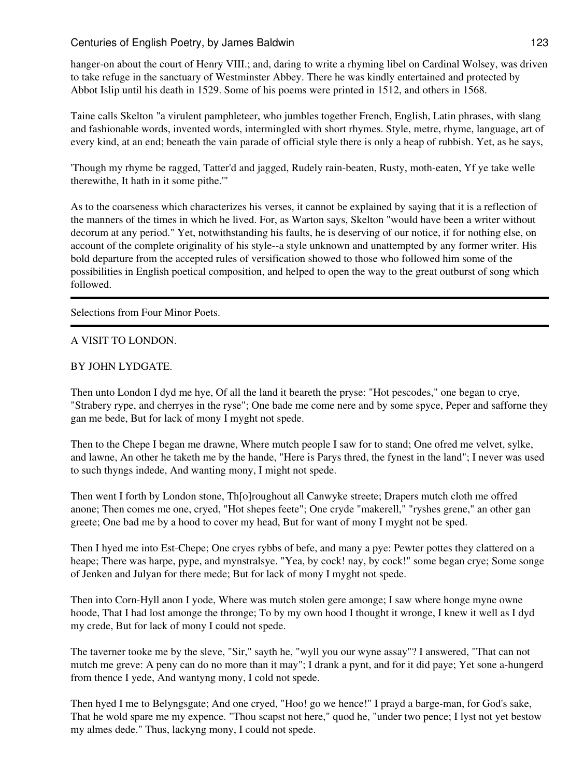hanger-on about the court of Henry VIII.; and, daring to write a rhyming libel on Cardinal Wolsey, was driven to take refuge in the sanctuary of Westminster Abbey. There he was kindly entertained and protected by Abbot Islip until his death in 1529. Some of his poems were printed in 1512, and others in 1568.

Taine calls Skelton "a virulent pamphleteer, who jumbles together French, English, Latin phrases, with slang and fashionable words, invented words, intermingled with short rhymes. Style, metre, rhyme, language, art of every kind, at an end; beneath the vain parade of official style there is only a heap of rubbish. Yet, as he says,

'Though my rhyme be ragged, Tatter'd and jagged, Rudely rain-beaten, Rusty, moth-eaten, Yf ye take welle therewithe, It hath in it some pithe.'"

As to the coarseness which characterizes his verses, it cannot be explained by saying that it is a reflection of the manners of the times in which he lived. For, as Warton says, Skelton "would have been a writer without decorum at any period." Yet, notwithstanding his faults, he is deserving of our notice, if for nothing else, on account of the complete originality of his style--a style unknown and unattempted by any former writer. His bold departure from the accepted rules of versification showed to those who followed him some of the possibilities in English poetical composition, and helped to open the way to the great outburst of song which followed.

Selections from Four Minor Poets.

### A VISIT TO LONDON.

### BY JOHN LYDGATE.

Then unto London I dyd me hye, Of all the land it beareth the pryse: "Hot pescodes," one began to crye, "Strabery rype, and cherryes in the ryse"; One bade me come nere and by some spyce, Peper and safforne they gan me bede, But for lack of mony I myght not spede.

Then to the Chepe I began me drawne, Where mutch people I saw for to stand; One ofred me velvet, sylke, and lawne, An other he taketh me by the hande, "Here is Parys thred, the fynest in the land"; I never was used to such thyngs indede, And wanting mony, I might not spede.

Then went I forth by London stone, Th[o]roughout all Canwyke streete; Drapers mutch cloth me offred anone; Then comes me one, cryed, "Hot shepes feete"; One cryde "makerell," "ryshes grene," an other gan greete; One bad me by a hood to cover my head, But for want of mony I myght not be sped.

Then I hyed me into Est-Chepe; One cryes rybbs of befe, and many a pye: Pewter pottes they clattered on a heape; There was harpe, pype, and mynstralsye. "Yea, by cock! nay, by cock!" some began crye; Some songe of Jenken and Julyan for there mede; But for lack of mony I myght not spede.

Then into Corn-Hyll anon I yode, Where was mutch stolen gere amonge; I saw where honge myne owne hoode, That I had lost amonge the thronge; To by my own hood I thought it wronge, I knew it well as I dyd my crede, But for lack of mony I could not spede.

The taverner tooke me by the sleve, "Sir," sayth he, "wyll you our wyne assay"? I answered, "That can not mutch me greve: A peny can do no more than it may"; I drank a pynt, and for it did paye; Yet sone a-hungerd from thence I yede, And wantyng mony, I cold not spede.

Then hyed I me to Belyngsgate; And one cryed, "Hoo! go we hence!" I prayd a barge-man, for God's sake, That he wold spare me my expence. "Thou scapst not here," quod he, "under two pence; I lyst not yet bestow my almes dede." Thus, lackyng mony, I could not spede.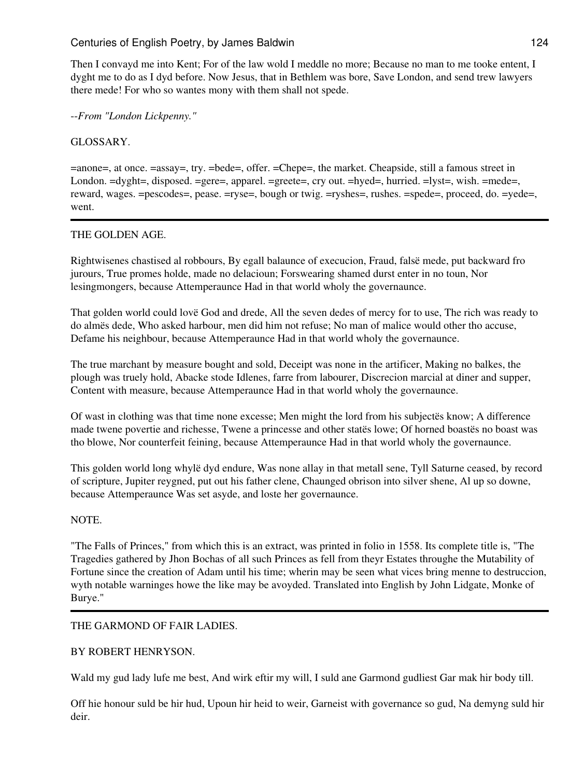Then I convayd me into Kent; For of the law wold I meddle no more; Because no man to me tooke entent, I dyght me to do as I dyd before. Now Jesus, that in Bethlem was bore, Save London, and send trew lawyers there mede! For who so wantes mony with them shall not spede.

--*From "London Lickpenny."*

### GLOSSARY.

=anone=, at once. =assay=, try. =bede=, offer. =Chepe=, the market. Cheapside, still a famous street in London.  $=dyght=$ , disposed.  $=gere=$ , apparel.  $=greete=$ , cry out.  $=hyed=$ , hurried.  $=lyst=$ , wish.  $=mede=$ , reward, wages. =pescodes=, pease. =ryse=, bough or twig. =ryshes=, rushes. =spede=, proceed, do. =yede=, went.

### THE GOLDEN AGE.

Rightwisenes chastised al robbours, By egall balaunce of execucion, Fraud, falsë mede, put backward fro jurours, True promes holde, made no delacioun; Forswearing shamed durst enter in no toun, Nor lesingmongers, because Attemperaunce Had in that world wholy the governaunce.

That golden world could lovë God and drede, All the seven dedes of mercy for to use, The rich was ready to do almës dede, Who asked harbour, men did him not refuse; No man of malice would other tho accuse, Defame his neighbour, because Attemperaunce Had in that world wholy the governaunce.

The true marchant by measure bought and sold, Deceipt was none in the artificer, Making no balkes, the plough was truely hold, Abacke stode Idlenes, farre from labourer, Discrecion marcial at diner and supper, Content with measure, because Attemperaunce Had in that world wholy the governaunce.

Of wast in clothing was that time none excesse; Men might the lord from his subjectës know; A difference made twene povertie and richesse, Twene a princesse and other statës lowe; Of horned boastës no boast was tho blowe, Nor counterfeit feining, because Attemperaunce Had in that world wholy the governaunce.

This golden world long whylë dyd endure, Was none allay in that metall sene, Tyll Saturne ceased, by record of scripture, Jupiter reygned, put out his father clene, Chaunged obrison into silver shene, Al up so downe, because Attemperaunce Was set asyde, and loste her governaunce.

### NOTE.

"The Falls of Princes," from which this is an extract, was printed in folio in 1558. Its complete title is, "The Tragedies gathered by Jhon Bochas of all such Princes as fell from theyr Estates throughe the Mutability of Fortune since the creation of Adam until his time; wherin may be seen what vices bring menne to destruccion, wyth notable warninges howe the like may be avoyded. Translated into English by John Lidgate, Monke of Burye."

### THE GARMOND OF FAIR LADIES.

### BY ROBERT HENRYSON.

Wald my gud lady lufe me best, And wirk eftir my will, I suld ane Garmond gudliest Gar mak hir body till.

Off hie honour suld be hir hud, Upoun hir heid to weir, Garneist with governance so gud, Na demyng suld hir deir.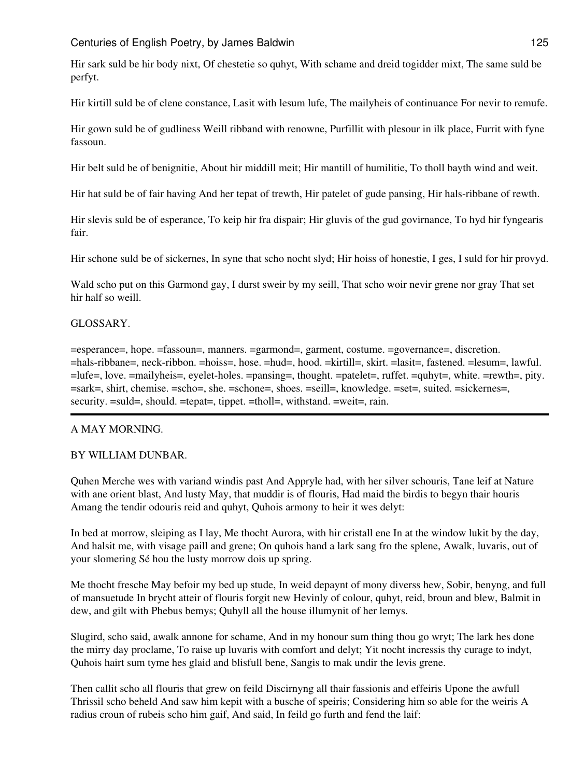Hir sark suld be hir body nixt, Of chestetie so quhyt, With schame and dreid togidder mixt, The same suld be perfyt.

Hir kirtill suld be of clene constance, Lasit with lesum lufe, The mailyheis of continuance For nevir to remufe.

Hir gown suld be of gudliness Weill ribband with renowne, Purfillit with plesour in ilk place, Furrit with fyne fassoun.

Hir belt suld be of benignitie, About hir middill meit; Hir mantill of humilitie, To tholl bayth wind and weit.

Hir hat suld be of fair having And her tepat of trewth, Hir patelet of gude pansing, Hir hals-ribbane of rewth.

Hir slevis suld be of esperance, To keip hir fra dispair; Hir gluvis of the gud govirnance, To hyd hir fyngearis fair.

Hir schone suld be of sickernes, In syne that scho nocht slyd; Hir hoiss of honestie, I ges, I suld for hir provyd.

Wald scho put on this Garmond gay, I durst sweir by my seill, That scho woir nevir grene nor gray That set hir half so weill.

### GLOSSARY.

=esperance=, hope. =fassoun=, manners. =garmond=, garment, costume. =governance=, discretion. =hals-ribbane=, neck-ribbon. =hoiss=, hose. =hud=, hood. =kirtill=, skirt. =lasit=, fastened. =lesum=, lawful. =lufe=, love. =mailyheis=, eyelet-holes. =pansing=, thought. =patelet=, ruffet. =quhyt=, white. =rewth=, pity. =sark=, shirt, chemise. =scho=, she. =schone=, shoes. =seill=, knowledge. =set=, suited. =sickernes=, security. =suld=, should. =tepat=, tippet. =tholl=, withstand. =weit=, rain.

### A MAY MORNING.

### BY WILLIAM DUNBAR.

Quhen Merche wes with variand windis past And Appryle had, with her silver schouris, Tane leif at Nature with ane orient blast, And lusty May, that muddir is of flouris, Had maid the birdis to begyn thair houris Amang the tendir odouris reid and quhyt, Quhois armony to heir it wes delyt:

In bed at morrow, sleiping as I lay, Me thocht Aurora, with hir cristall ene In at the window lukit by the day, And halsit me, with visage paill and grene; On quhois hand a lark sang fro the splene, Awalk, luvaris, out of your slomering Sé hou the lusty morrow dois up spring.

Me thocht fresche May befoir my bed up stude, In weid depaynt of mony diverss hew, Sobir, benyng, and full of mansuetude In brycht atteir of flouris forgit new Hevinly of colour, quhyt, reid, broun and blew, Balmit in dew, and gilt with Phebus bemys; Quhyll all the house illumynit of her lemys.

Slugird, scho said, awalk annone for schame, And in my honour sum thing thou go wryt; The lark hes done the mirry day proclame, To raise up luvaris with comfort and delyt; Yit nocht incressis thy curage to indyt, Quhois hairt sum tyme hes glaid and blisfull bene, Sangis to mak undir the levis grene.

Then callit scho all flouris that grew on feild Discirnyng all thair fassionis and effeiris Upone the awfull Thrissil scho beheld And saw him kepit with a busche of speiris; Considering him so able for the weiris A radius croun of rubeis scho him gaif, And said, In feild go furth and fend the laif: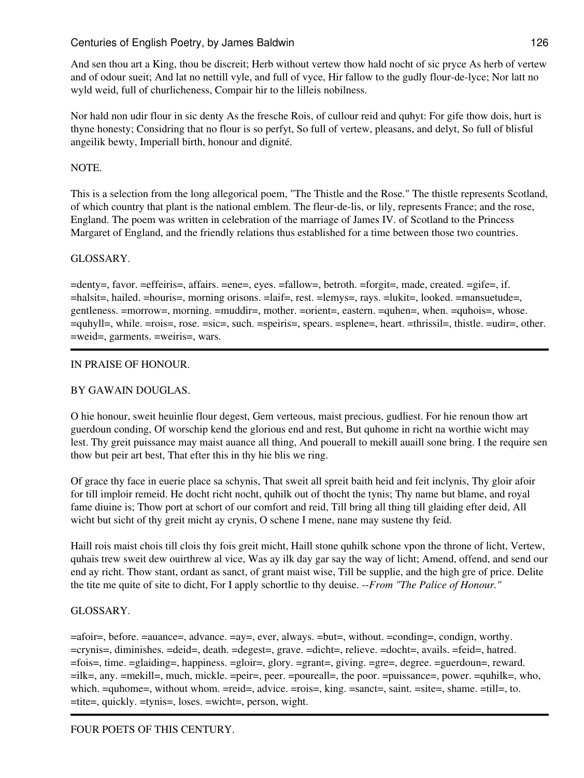And sen thou art a King, thou be discreit; Herb without vertew thow hald nocht of sic pryce As herb of vertew and of odour sueit; And lat no nettill vyle, and full of vyce, Hir fallow to the gudly flour-de-lyce; Nor latt no wyld weid, full of churlicheness, Compair hir to the lilleis nobilness.

Nor hald non udir flour in sic denty As the fresche Rois, of cullour reid and quhyt: For gife thow dois, hurt is thyne honesty; Considring that no flour is so perfyt, So full of vertew, pleasans, and delyt, So full of blisful angeilik bewty, Imperiall birth, honour and dignité.

# NOTE.

This is a selection from the long allegorical poem, "The Thistle and the Rose." The thistle represents Scotland, of which country that plant is the national emblem. The fleur-de-lis, or lily, represents France; and the rose, England. The poem was written in celebration of the marriage of James IV. of Scotland to the Princess Margaret of England, and the friendly relations thus established for a time between those two countries.

# GLOSSARY.

=denty=, favor. =effeiris=, affairs. =ene=, eyes. =fallow=, betroth. =forgit=, made, created. =gife=, if. =halsit=, hailed. =houris=, morning orisons. =laif=, rest. =lemys=, rays. =lukit=, looked. =mansuetude=, gentleness. =morrow=, morning. =muddir=, mother. =orient=, eastern. =quhen=, when. =quhois=, whose. =quhyll=, while. =rois=, rose. =sic=, such. =speiris=, spears. =splene=, heart. =thrissil=, thistle. =udir=, other. =weid=, garments. =weiris=, wars.

## IN PRAISE OF HONOUR.

## BY GAWAIN DOUGLAS.

O hie honour, sweit heuinlie flour degest, Gem verteous, maist precious, gudliest. For hie renoun thow art guerdoun conding, Of worschip kend the glorious end and rest, But quhome in richt na worthie wicht may lest. Thy greit puissance may maist auance all thing, And pouerall to mekill auaill sone bring. I the require sen thow but peir art best, That efter this in thy hie blis we ring.

Of grace thy face in euerie place sa schynis, That sweit all spreit baith heid and feit inclynis, Thy gloir afoir for till imploir remeid. He docht richt nocht, quhilk out of thocht the tynis; Thy name but blame, and royal fame diuine is; Thow port at schort of our comfort and reid, Till bring all thing till glaiding efter deid, All wicht but sicht of thy greit micht ay crynis, O schene I mene, nane may sustene thy feid.

Haill rois maist chois till clois thy fois greit micht, Haill stone quhilk schone vpon the throne of licht, Vertew, quhais trew sweit dew ouirthrew al vice, Was ay ilk day gar say the way of licht; Amend, offend, and send our end ay richt. Thow stant, ordant as sanct, of grant maist wise, Till be supplie, and the high gre of price. Delite the tite me quite of site to dicht, For I apply schortlie to thy deuise. --*From "The Palice of Honour."*

## GLOSSARY.

=afoir=, before. =auance=, advance. =ay=, ever, always. =but=, without. =conding=, condign, worthy. =crynis=, diminishes. =deid=, death. =degest=, grave. =dicht=, relieve. =docht=, avails. =feid=, hatred. =fois=, time. =glaiding=, happiness. =gloir=, glory. =grant=, giving. =gre=, degree. =guerdoun=, reward. =ilk=, any. =mekill=, much, mickle. =peir=, peer. =poureall=, the poor. =puissance=, power. =quhilk=, who, which.  $=$ quhome=, without whom.  $=$ reid=, advice.  $=$ rois=, king.  $=$ sanct=, saint.  $=$ site=, shame.  $=$ till=, to. =tite=, quickly. =tynis=, loses. =wicht=, person, wight.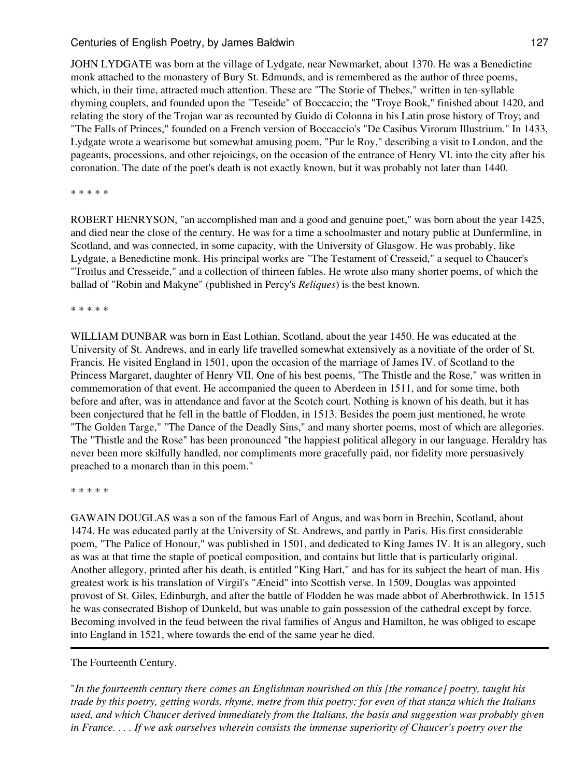JOHN LYDGATE was born at the village of Lydgate, near Newmarket, about 1370. He was a Benedictine monk attached to the monastery of Bury St. Edmunds, and is remembered as the author of three poems, which, in their time, attracted much attention. These are "The Storie of Thebes," written in ten-syllable rhyming couplets, and founded upon the "Teseide" of Boccaccio; the "Troye Book," finished about 1420, and relating the story of the Trojan war as recounted by Guido di Colonna in his Latin prose history of Troy; and "The Falls of Princes," founded on a French version of Boccaccio's "De Casibus Virorum Illustrium." In 1433, Lydgate wrote a wearisome but somewhat amusing poem, "Pur le Roy," describing a visit to London, and the pageants, processions, and other rejoicings, on the occasion of the entrance of Henry VI. into the city after his coronation. The date of the poet's death is not exactly known, but it was probably not later than 1440.

\* \* \* \* \*

ROBERT HENRYSON, "an accomplished man and a good and genuine poet," was born about the year 1425, and died near the close of the century. He was for a time a schoolmaster and notary public at Dunfermline, in Scotland, and was connected, in some capacity, with the University of Glasgow. He was probably, like Lydgate, a Benedictine monk. His principal works are "The Testament of Cresseid," a sequel to Chaucer's "Troilus and Cresseide," and a collection of thirteen fables. He wrote also many shorter poems, of which the ballad of "Robin and Makyne" (published in Percy's *Reliques*) is the best known.

\* \* \* \* \*

WILLIAM DUNBAR was born in East Lothian, Scotland, about the year 1450. He was educated at the University of St. Andrews, and in early life travelled somewhat extensively as a novitiate of the order of St. Francis. He visited England in 1501, upon the occasion of the marriage of James IV. of Scotland to the Princess Margaret, daughter of Henry VII. One of his best poems, "The Thistle and the Rose," was written in commemoration of that event. He accompanied the queen to Aberdeen in 1511, and for some time, both before and after, was in attendance and favor at the Scotch court. Nothing is known of his death, but it has been conjectured that he fell in the battle of Flodden, in 1513. Besides the poem just mentioned, he wrote "The Golden Targe," "The Dance of the Deadly Sins," and many shorter poems, most of which are allegories. The "Thistle and the Rose" has been pronounced "the happiest political allegory in our language. Heraldry has never been more skilfully handled, nor compliments more gracefully paid, nor fidelity more persuasively preached to a monarch than in this poem."

\* \* \* \* \*

GAWAIN DOUGLAS was a son of the famous Earl of Angus, and was born in Brechin, Scotland, about 1474. He was educated partly at the University of St. Andrews, and partly in Paris. His first considerable poem, "The Palice of Honour," was published in 1501, and dedicated to King James IV. It is an allegory, such as was at that time the staple of poetical composition, and contains but little that is particularly original. Another allegory, printed after his death, is entitled "King Hart," and has for its subject the heart of man. His greatest work is his translation of Virgil's "Æneid" into Scottish verse. In 1509, Douglas was appointed provost of St. Giles, Edinburgh, and after the battle of Flodden he was made abbot of Aberbrothwick. In 1515 he was consecrated Bishop of Dunkeld, but was unable to gain possession of the cathedral except by force. Becoming involved in the feud between the rival families of Angus and Hamilton, he was obliged to escape into England in 1521, where towards the end of the same year he died.

### The Fourteenth Century.

"*In the fourteenth century there comes an Englishman nourished on this [the romance] poetry, taught his trade by this poetry, getting words, rhyme, metre from this poetry; for even of that stanza which the Italians used, and which Chaucer derived immediately from the Italians, the basis and suggestion was probably given in France. . . . If we ask ourselves wherein consists the immense superiority of Chaucer's poetry over the*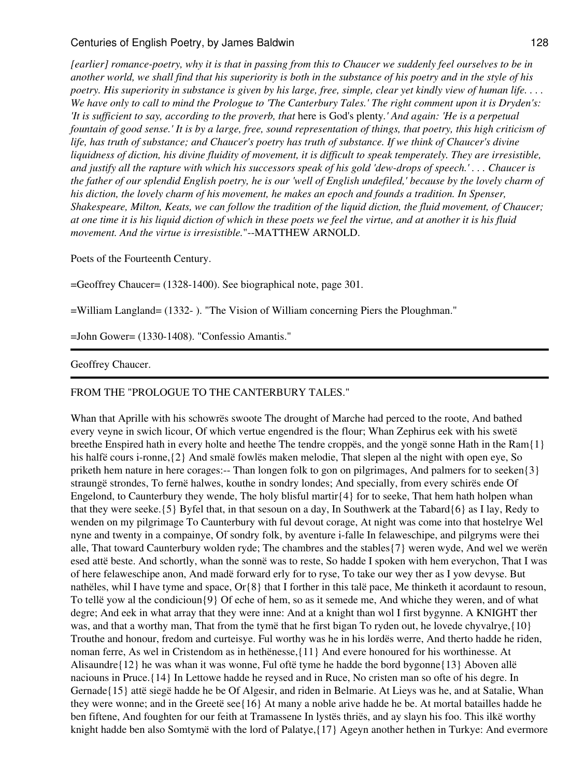*[earlier] romance-poetry, why it is that in passing from this to Chaucer we suddenly feel ourselves to be in another world, we shall find that his superiority is both in the substance of his poetry and in the style of his poetry. His superiority in substance is given by his large, free, simple, clear yet kindly view of human life. . . . We have only to call to mind the Prologue to 'The Canterbury Tales.' The right comment upon it is Dryden's: 'It is sufficient to say, according to the proverb, that* here is God's plenty*.' And again: 'He is a perpetual fountain of good sense.' It is by a large, free, sound representation of things, that poetry, this high criticism of life, has truth of substance; and Chaucer's poetry has truth of substance. If we think of Chaucer's divine liquidness of diction, his divine fluidity of movement, it is difficult to speak temperately. They are irresistible, and justify all the rapture with which his successors speak of his gold 'dew-drops of speech.' . . . Chaucer is the father of our splendid English poetry, he is our 'well of English undefiled,' because by the lovely charm of his diction, the lovely charm of his movement, he makes an epoch and founds a tradition. In Spenser, Shakespeare, Milton, Keats, we can follow the tradition of the liquid diction, the fluid movement, of Chaucer; at one time it is his liquid diction of which in these poets we feel the virtue, and at another it is his fluid movement. And the virtue is irresistible.*"--MATTHEW ARNOLD.

Poets of the Fourteenth Century.

=Geoffrey Chaucer= (1328-1400). See biographical note, page 301.

=William Langland= (1332- ). "The Vision of William concerning Piers the Ploughman."

=John Gower= (1330-1408). "Confessio Amantis."

#### Geoffrey Chaucer.

### FROM THE "PROLOGUE TO THE CANTERBURY TALES."

Whan that Aprille with his schowrës swoote The drought of Marche had perced to the roote, And bathed every veyne in swich licour, Of which vertue engendred is the flour; Whan Zephirus eek with his swetë breethe Enspired hath in every holte and heethe The tendre croppës, and the yongë sonne Hath in the Ram{1} his halfë cours i-ronne,{2} And smalë fowlës maken melodie, That slepen al the night with open eye, So priketh hem nature in here corages:-- Than longen folk to gon on pilgrimages, And palmers for to seeken{3} straungë strondes, To fernë halwes, kouthe in sondry londes; And specially, from every schirës ende Of Engelond, to Caunterbury they wende, The holy blisful martir $\{4\}$  for to seeke, That hem hath holpen whan that they were seeke.{5} Byfel that, in that sesoun on a day, In Southwerk at the Tabard{6} as I lay, Redy to wenden on my pilgrimage To Caunterbury with ful devout corage, At night was come into that hostelrye Wel nyne and twenty in a compainye, Of sondry folk, by aventure i-falle In felaweschipe, and pilgryms were thei alle, That toward Caunterbury wolden ryde; The chambres and the stables{7} weren wyde, And wel we werën esed attë beste. And schortly, whan the sonnë was to reste, So hadde I spoken with hem everychon, That I was of here felaweschipe anon, And madë forward erly for to ryse, To take our wey ther as I yow devyse. But nathëles, whil I have tyme and space, Or{8} that I forther in this talë pace, Me thinketh it acordaunt to resoun, To tellë yow al the condicioun{9} Of eche of hem, so as it semede me, And whiche they weren, and of what degre; And eek in what array that they were inne: And at a knight than wol I first bygynne. A KNIGHT ther was, and that a worthy man, That from the tymë that he first bigan To ryden out, he lovede chyvalrye,{10} Trouthe and honour, fredom and curteisye. Ful worthy was he in his lordës werre, And therto hadde he riden, noman ferre, As wel in Cristendom as in hethënesse,{11} And evere honoured for his worthinesse. At Alisaundre{12} he was whan it was wonne, Ful oftë tyme he hadde the bord bygonne{13} Aboven allë naciouns in Pruce.{14} In Lettowe hadde he reysed and in Ruce, No cristen man so ofte of his degre. In Gernade{15} attë siegë hadde he be Of Algesir, and riden in Belmarie. At Lieys was he, and at Satalie, Whan they were wonne; and in the Greetë see{16} At many a noble arive hadde he be. At mortal batailles hadde he ben fiftene, And foughten for our feith at Tramassene In lystës thriës, and ay slayn his foo. This ilkë worthy knight hadde ben also Somtymë with the lord of Palatye,{17} Ageyn another hethen in Turkye: And evermore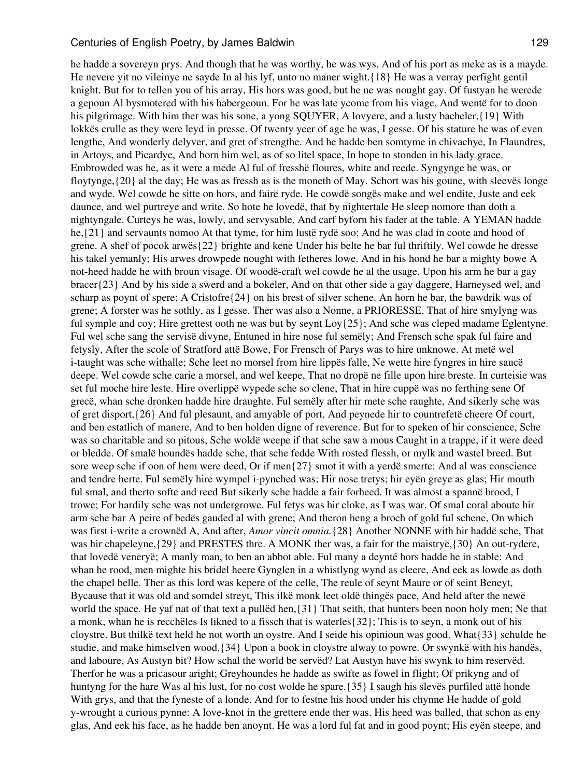he hadde a sovereyn prys. And though that he was worthy, he was wys, And of his port as meke as is a mayde. He nevere yit no vileinye ne sayde In al his lyf, unto no maner wight.{18} He was a verray perfight gentil knight. But for to tellen you of his array, His hors was good, but he ne was nought gay. Of fustyan he werede a gepoun Al bysmotered with his habergeoun. For he was late ycome from his viage, And wentë for to doon his pilgrimage. With him ther was his sone, a yong SQUYER, A lovyere, and a lusty bacheler,{19} With lokkës crulle as they were leyd in presse. Of twenty yeer of age he was, I gesse. Of his stature he was of even lengthe, And wonderly delyver, and gret of strengthe. And he hadde ben somtyme in chivachye, In Flaundres, in Artoys, and Picardye, And born him wel, as of so litel space, In hope to stonden in his lady grace. Embrowded was he, as it were a mede Al ful of fresshë floures, white and reede. Syngynge he was, or floytynge,{20} al the day; He was as fressh as is the moneth of May. Schort was his goune, with sleevës longe and wyde. Wel cowde he sitte on hors, and fairë ryde. He cowdë songës make and wel endite, Juste and eek daunce, and wel purtreye and write. So hote he lovedë, that by nightertale He sleep nomore than doth a nightyngale. Curteys he was, lowly, and servysable, And carf byforn his fader at the table. A YEMAN hadde he,{21} and servaunts nomoo At that tyme, for him lustë rydë soo; And he was clad in coote and hood of grene. A shef of pocok arwës{22} brighte and kene Under his belte he bar ful thriftily. Wel cowde he dresse his takel yemanly; His arwes drowpede nought with fetheres lowe. And in his hond he bar a mighty bowe A not-heed hadde he with broun visage. Of woodë-craft wel cowde he al the usage. Upon his arm he bar a gay bracer{23} And by his side a swerd and a bokeler, And on that other side a gay daggere, Harneysed wel, and scharp as poynt of spere; A Cristofre $(24)$  on his brest of silver schene. An horn he bar, the bawdrik was of grene; A forster was he sothly, as I gesse. Ther was also a Nonne, a PRIORESSE, That of hire smylyng was ful symple and coy; Hire grettest ooth ne was but by seynt Loy{25}; And sche was cleped madame Eglentyne. Ful wel sche sang the servisë divyne, Entuned in hire nose ful semëly; And Frensch sche spak ful faire and fetysly, After the scole of Stratford attë Bowe, For Frensch of Parys was to hire unknowe. At metë wel i-taught was sche withalle; Sche leet no morsel from hire lippës falle, Ne wette hire fyngres in hire saucë deepe. Wel cowde sche carie a morsel, and wel keepe, That no dropë ne fille upon hire breste. In curteisie was set ful moche hire leste. Hire overlippë wypede sche so clene, That in hire cuppë was no ferthing sene Of grecë, whan sche dronken hadde hire draughte. Ful semëly after hir mete sche raughte, And sikerly sche was of gret disport,{26} And ful plesaunt, and amyable of port, And peynede hir to countrefetë cheere Of court, and ben estatlich of manere, And to ben holden digne of reverence. But for to speken of hir conscience, Sche was so charitable and so pitous, Sche woldë weepe if that sche saw a mous Caught in a trappe, if it were deed or bledde. Of smalë houndës hadde sche, that sche fedde With rosted flessh, or mylk and wastel breed. But sore weep sche if oon of hem were deed, Or if men{27} smot it with a yerdë smerte: And al was conscience and tendre herte. Ful semëly hire wympel i-pynched was; Hir nose tretys; hir eyën greye as glas; Hir mouth ful smal, and therto softe and reed But sikerly sche hadde a fair forheed. It was almost a spannë brood, I trowe; For hardily sche was not undergrowe. Ful fetys was hir cloke, as I was war. Of smal coral aboute hir arm sche bar A peire of bedës gauded al with grene; And theron heng a broch of gold ful schene, On which was first i-write a crownëd A, And after, *Amor vincit omnia.*{28} Another NONNE with hir haddë sche, That was hir chapeleyne, $\{29\}$  and PRESTES thre. A MONK ther was, a fair for the maistryë, $\{30\}$  An out-rydere, that lovedë veneryë; A manly man, to ben an abbot able. Ful many a deynté hors hadde he in stable: And whan he rood, men mighte his bridel heere Gynglen in a whistlyng wynd as cleere, And eek as lowde as doth the chapel belle. Ther as this lord was kepere of the celle, The reule of seynt Maure or of seint Beneyt, Bycause that it was old and somdel streyt, This ilkë monk leet oldë thingës pace, And held after the newë world the space. He yaf nat of that text a pullëd hen,{31} That seith, that hunters been noon holy men; Ne that a monk, whan he is recchëles Is likned to a fissch that is waterles{32}; This is to seyn, a monk out of his cloystre. But thilkë text held he not worth an oystre. And I seide his opinioun was good. What{33} schulde he studie, and make himselven wood,{34} Upon a book in cloystre alway to powre. Or swynkë with his handës, and laboure, As Austyn bit? How schal the world be servëd? Lat Austyn have his swynk to him reservëd. Therfor he was a pricasour aright; Greyhoundes he hadde as swifte as fowel in flight; Of prikyng and of huntyng for the hare Was al his lust, for no cost wolde he spare.  $\{35\}$  I saugh his slevës purfiled attë honde With grys, and that the fyneste of a londe. And for to festne his hood under his chynne He hadde of gold y-wrought a curious pynne: A love-knot in the grettere ende ther was. His heed was balled, that schon as eny glas, And eek his face, as he hadde ben anoynt. He was a lord ful fat and in good poynt; His eyën steepe, and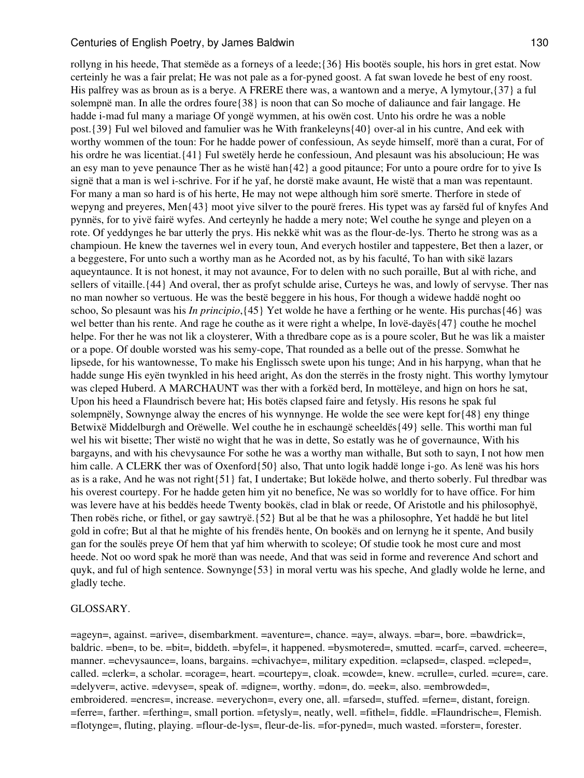rollyng in his heede, That stemëde as a forneys of a leede;{36} His bootës souple, his hors in gret estat. Now certeinly he was a fair prelat; He was not pale as a for-pyned goost. A fat swan lovede he best of eny roost. His palfrey was as broun as is a berye. A FRERE there was, a wantown and a merye, A lymytour,{37} a ful solempnë man. In alle the ordres foure{38} is noon that can So moche of daliaunce and fair langage. He hadde i-mad ful many a mariage Of yongë wymmen, at his owën cost. Unto his ordre he was a noble post.{39} Ful wel biloved and famulier was he With frankeleyns{40} over-al in his cuntre, And eek with worthy wommen of the toun: For he hadde power of confessioun, As seyde himself, morë than a curat, For of his ordre he was licentiat.{41} Ful swetëly herde he confessioun, And plesaunt was his absolucioun; He was an esy man to yeve penaunce Ther as he wistë han{42} a good pitaunce; For unto a poure ordre for to yive Is signë that a man is wel i-schrive. For if he yaf, he dorstë make avaunt, He wistë that a man was repentaunt. For many a man so hard is of his herte, He may not wepe although him sorë smerte. Therfore in stede of wepyng and preyeres, Men{43} moot yive silver to the pourë freres. His typet was ay farsëd ful of knyfes And pynnës, for to yivë fairë wyfes. And certeynly he hadde a mery note; Wel couthe he synge and pleyen on a rote. Of yeddynges he bar utterly the prys. His nekkë whit was as the flour-de-lys. Therto he strong was as a champioun. He knew the tavernes wel in every toun, And everych hostiler and tappestere, Bet then a lazer, or a beggestere, For unto such a worthy man as he Acorded not, as by his faculté, To han with sikë lazars aqueyntaunce. It is not honest, it may not avaunce, For to delen with no such poraille, But al with riche, and sellers of vitaille.{44} And overal, ther as profyt schulde arise, Curteys he was, and lowly of servyse. Ther nas no man nowher so vertuous. He was the bestë beggere in his hous, For though a widewe haddë noght oo schoo, So plesaunt was his *In principio*,{45} Yet wolde he have a ferthing or he wente. His purchas{46} was wel better than his rente. And rage he couthe as it were right a whelpe, In lovë-dayës{47} couthe he mochel helpe. For ther he was not lik a cloysterer, With a thredbare cope as is a poure scoler, But he was lik a maister or a pope. Of double worsted was his semy-cope, That rounded as a belle out of the presse. Somwhat he lipsede, for his wantownesse, To make his Englissch swete upon his tunge; And in his harpyng, whan that he hadde sunge His eyën twynkled in his heed aright, As don the sterrës in the frosty night. This worthy lymytour was cleped Huberd. A MARCHAUNT was ther with a forkëd berd, In mottëleye, and hign on hors he sat, Upon his heed a Flaundrisch bevere hat; His botës clapsed faire and fetysly. His resons he spak ful solempnëly, Sownynge alway the encres of his wynnynge. He wolde the see were kept for{48} eny thinge Betwixë Middelburgh and Orëwelle. Wel couthe he in eschaungë scheeldës{49} selle. This worthi man ful wel his wit bisette; Ther wistë no wight that he was in dette, So estatly was he of governaunce, With his bargayns, and with his chevysaunce For sothe he was a worthy man withalle, But soth to sayn, I not how men him calle. A CLERK ther was of Oxenford{50} also, That unto logik haddë longe i-go. As lenë was his hors as is a rake, And he was not right{51} fat, I undertake; But lokëde holwe, and therto soberly. Ful thredbar was his overest courtepy. For he hadde geten him yit no benefice, Ne was so worldly for to have office. For him was levere have at his beddës heede Twenty bookës, clad in blak or reede, Of Aristotle and his philosophyë, Then robës riche, or fithel, or gay sawtryë.{52} But al be that he was a philosophre, Yet haddë he but litel gold in cofre; But al that he mighte of his frendës hente, On bookës and on lernyng he it spente, And busily gan for the soulës preye Of hem that yaf him wherwith to scoleye; Of studie took he most cure and most heede. Not oo word spak he morë than was neede, And that was seid in forme and reverence And schort and quyk, and ful of high sentence. Sownynge{53} in moral vertu was his speche, And gladly wolde he lerne, and gladly teche.

#### GLOSSARY.

=ageyn=, against. =arive=, disembarkment. =aventure=, chance. =ay=, always. =bar=, bore. =bawdrick=, baldric. =ben=, to be. =bit=, biddeth. =byfel=, it happened. =bysmotered=, smutted. =carf=, carved. =cheere=, manner. =chevysaunce=, loans, bargains. =chivachye=, military expedition. =clapsed=, clasped. =cleped=, called. =clerk=, a scholar. =corage=, heart. =courtepy=, cloak. =cowde=, knew. =crulle=, curled. =cure=, care. =delyver=, active. =devyse=, speak of. =digne=, worthy. =don=, do. =eek=, also. =embrowded=, embroidered. =encres=, increase. =everychon=, every one, all. =farsed=, stuffed. =ferne=, distant, foreign. =ferre=, farther. =ferthing=, small portion. =fetysly=, neatly, well. =fithel=, fiddle. =Flaundrische=, Flemish. =flotynge=, fluting, playing. =flour-de-lys=, fleur-de-lis. =for-pyned=, much wasted. =forster=, forester.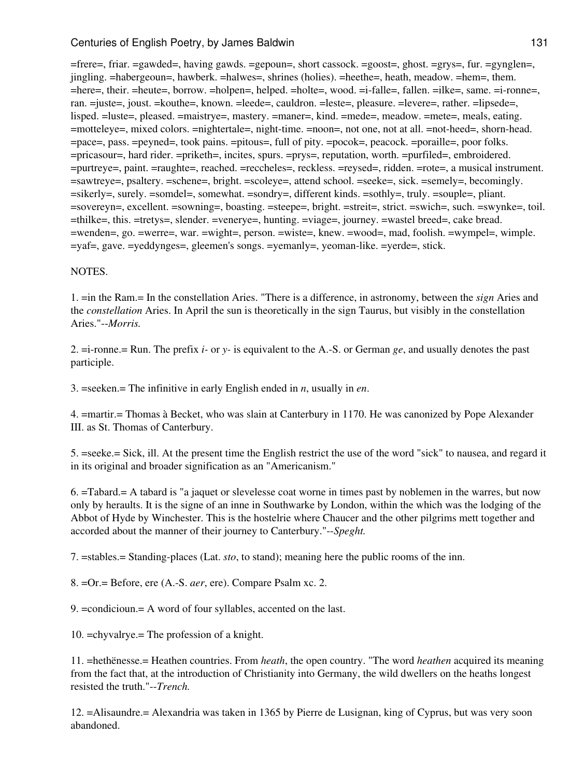=frere=, friar. =gawded=, having gawds. =gepoun=, short cassock. =goost=, ghost. =grys=, fur. =gynglen=, jingling. =habergeoun=, hawberk. =halwes=, shrines (holies). =heethe=, heath, meadow. =hem=, them. =here=, their. =heute=, borrow. =holpen=, helped. =holte=, wood. =i-falle=, fallen. =ilke=, same. =i-ronne=, ran. =juste=, joust. =kouthe=, known. =leede=, cauldron. =leste=, pleasure. =levere=, rather. =lipsede=, lisped. =luste=, pleased. =maistrye=, mastery. =maner=, kind. =mede=, meadow. =mete=, meals, eating. =motteleye=, mixed colors. =nightertale=, night-time. =noon=, not one, not at all. =not-heed=, shorn-head. =pace=, pass. =peyned=, took pains. =pitous=, full of pity. =pocok=, peacock. =poraille=, poor folks. =pricasour=, hard rider. =priketh=, incites, spurs. =prys=, reputation, worth. =purfiled=, embroidered. =purtreye=, paint. =raughte=, reached. =reccheles=, reckless. =reysed=, ridden. =rote=, a musical instrument. =sawtreye=, psaltery. =schene=, bright. =scoleye=, attend school. =seeke=, sick. =semely=, becomingly. =sikerly=, surely. =somdel=, somewhat. =sondry=, different kinds. =sothly=, truly. =souple=, pliant. =sovereyn=, excellent. =sowning=, boasting. =steepe=, bright. =streit=, strict. =swich=, such. =swynke=, toil. =thilke=, this. =tretys=, slender. =venerye=, hunting. =viage=, journey. =wastel breed=, cake bread. =wenden=, go. =werre=, war. =wight=, person. =wiste=, knew. =wood=, mad, foolish. =wympel=, wimple. =yaf=, gave. =yeddynges=, gleemen's songs. =yemanly=, yeoman-like. =yerde=, stick.

### NOTES.

1. =in the Ram.= In the constellation Aries. "There is a difference, in astronomy, between the *sign* Aries and the *constellation* Aries. In April the sun is theoretically in the sign Taurus, but visibly in the constellation Aries."--*Morris.*

2. =i-ronne.= Run. The prefix *i-* or *y-* is equivalent to the A.-S. or German *ge*, and usually denotes the past participle.

3. =seeken.= The infinitive in early English ended in *n*, usually in *en*.

4. =martir.= Thomas à Becket, who was slain at Canterbury in 1170. He was canonized by Pope Alexander III. as St. Thomas of Canterbury.

5. =seeke.= Sick, ill. At the present time the English restrict the use of the word "sick" to nausea, and regard it in its original and broader signification as an "Americanism."

6. =Tabard.= A tabard is "a jaquet or slevelesse coat worne in times past by noblemen in the warres, but now only by heraults. It is the signe of an inne in Southwarke by London, within the which was the lodging of the Abbot of Hyde by Winchester. This is the hostelrie where Chaucer and the other pilgrims mett together and accorded about the manner of their journey to Canterbury."--*Speght.*

7. =stables.= Standing-places (Lat. *sto*, to stand); meaning here the public rooms of the inn.

8. =Or.= Before, ere (A.-S. *aer*, ere). Compare Psalm xc. 2.

9. =condicioun.= A word of four syllables, accented on the last.

10. =chyvalrye.= The profession of a knight.

11. =hethënesse.= Heathen countries. From *heath*, the open country. "The word *heathen* acquired its meaning from the fact that, at the introduction of Christianity into Germany, the wild dwellers on the heaths longest resisted the truth."--*Trench.*

12. =Alisaundre.= Alexandria was taken in 1365 by Pierre de Lusignan, king of Cyprus, but was very soon abandoned.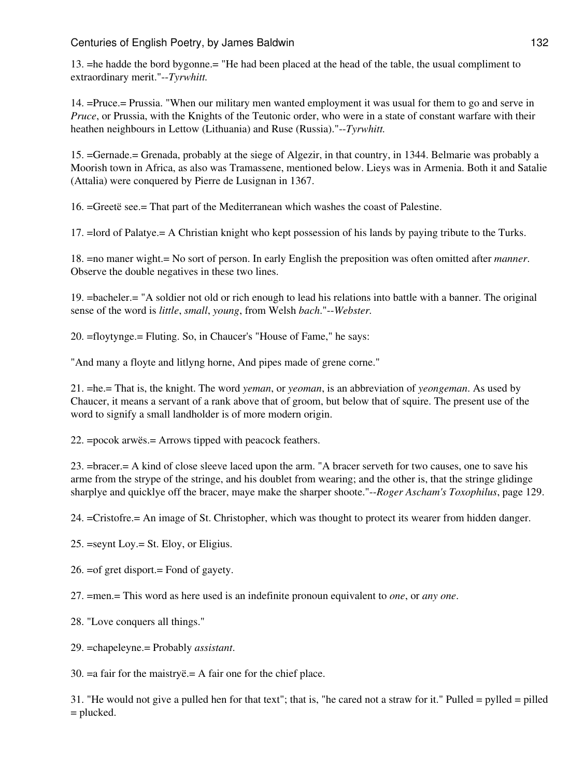13. =he hadde the bord bygonne.= "He had been placed at the head of the table, the usual compliment to extraordinary merit."--*Tyrwhitt.*

14. =Pruce.= Prussia. "When our military men wanted employment it was usual for them to go and serve in *Pruce*, or Prussia, with the Knights of the Teutonic order, who were in a state of constant warfare with their heathen neighbours in Lettow (Lithuania) and Ruse (Russia)."--*Tyrwhitt.*

15. =Gernade.= Grenada, probably at the siege of Algezir, in that country, in 1344. Belmarie was probably a Moorish town in Africa, as also was Tramassene, mentioned below. Lieys was in Armenia. Both it and Satalie (Attalia) were conquered by Pierre de Lusignan in 1367.

16. =Greetë see.= That part of the Mediterranean which washes the coast of Palestine.

17. =lord of Palatye.= A Christian knight who kept possession of his lands by paying tribute to the Turks.

18. =no maner wight.= No sort of person. In early English the preposition was often omitted after *manner*. Observe the double negatives in these two lines.

19. =bacheler.= "A soldier not old or rich enough to lead his relations into battle with a banner. The original sense of the word is *little*, *small*, *young*, from Welsh *bach*."--*Webster.*

20. =floytynge.= Fluting. So, in Chaucer's "House of Fame," he says:

"And many a floyte and litlyng horne, And pipes made of grene corne."

21. =he.= That is, the knight. The word *yeman*, or *yeoman*, is an abbreviation of *yeongeman*. As used by Chaucer, it means a servant of a rank above that of groom, but below that of squire. The present use of the word to signify a small landholder is of more modern origin.

22. =pocok arwës.= Arrows tipped with peacock feathers.

23. =bracer.= A kind of close sleeve laced upon the arm. "A bracer serveth for two causes, one to save his arme from the strype of the stringe, and his doublet from wearing; and the other is, that the stringe glidinge sharplye and quicklye off the bracer, maye make the sharper shoote."--*Roger Ascham's Toxophilus*, page 129.

24. =Cristofre.= An image of St. Christopher, which was thought to protect its wearer from hidden danger.

25. =seynt Loy.= St. Eloy, or Eligius.

26. =of gret disport.= Fond of gayety.

27. =men.= This word as here used is an indefinite pronoun equivalent to *one*, or *any one*.

28. "Love conquers all things."

29. =chapeleyne.= Probably *assistant*.

30. =a fair for the maistryë.= A fair one for the chief place.

31. "He would not give a pulled hen for that text"; that is, "he cared not a straw for it." Pulled = pylled = pilled = plucked.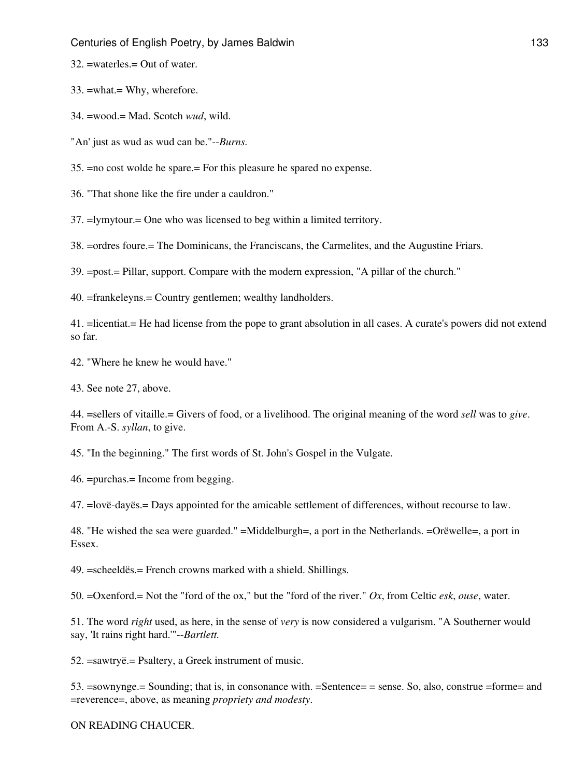32. =waterles.= Out of water.

33. =what.= Why, wherefore.

34. =wood.= Mad. Scotch *wud*, wild.

"An' just as wud as wud can be."--*Burns.*

35. =no cost wolde he spare.= For this pleasure he spared no expense.

36. "That shone like the fire under a cauldron."

37. =lymytour.= One who was licensed to beg within a limited territory.

38. =ordres foure.= The Dominicans, the Franciscans, the Carmelites, and the Augustine Friars.

39. =post.= Pillar, support. Compare with the modern expression, "A pillar of the church."

40. =frankeleyns.= Country gentlemen; wealthy landholders.

41. =licentiat.= He had license from the pope to grant absolution in all cases. A curate's powers did not extend so far.

42. "Where he knew he would have."

43. See note 27, above.

44. =sellers of vitaille.= Givers of food, or a livelihood. The original meaning of the word *sell* was to *give*. From A.-S. *syllan*, to give.

45. "In the beginning." The first words of St. John's Gospel in the Vulgate.

46. =purchas.= Income from begging.

47. =lovë-dayës.= Days appointed for the amicable settlement of differences, without recourse to law.

48. "He wished the sea were guarded." =Middelburgh=, a port in the Netherlands. =Orëwelle=, a port in Essex.

49. =scheeldës.= French crowns marked with a shield. Shillings.

50. =Oxenford.= Not the "ford of the ox," but the "ford of the river." *Ox*, from Celtic *esk*, *ouse*, water.

51. The word *right* used, as here, in the sense of *very* is now considered a vulgarism. "A Southerner would say, 'It rains right hard.'"--*Bartlett.*

52. =sawtryë.= Psaltery, a Greek instrument of music.

53. =sownynge.= Sounding; that is, in consonance with. =Sentence= = sense. So, also, construe =forme= and =reverence=, above, as meaning *propriety and modesty*.

ON READING CHAUCER.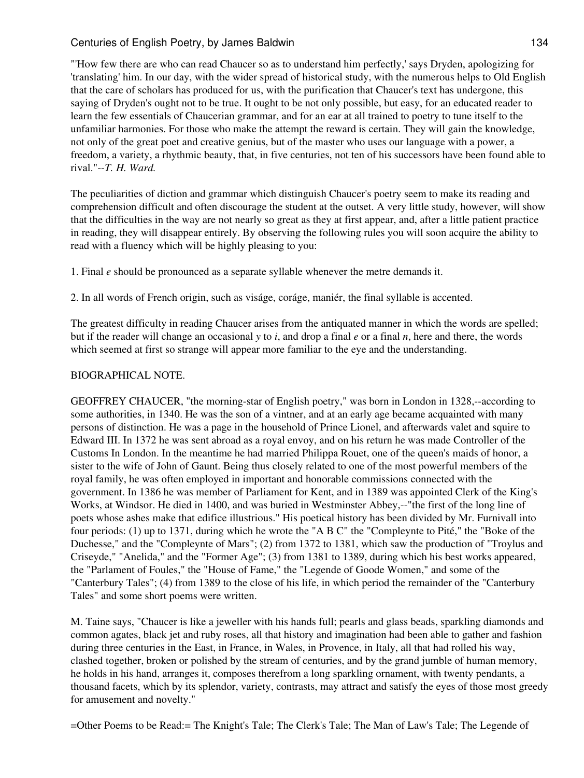"'How few there are who can read Chaucer so as to understand him perfectly,' says Dryden, apologizing for 'translating' him. In our day, with the wider spread of historical study, with the numerous helps to Old English that the care of scholars has produced for us, with the purification that Chaucer's text has undergone, this saying of Dryden's ought not to be true. It ought to be not only possible, but easy, for an educated reader to learn the few essentials of Chaucerian grammar, and for an ear at all trained to poetry to tune itself to the unfamiliar harmonies. For those who make the attempt the reward is certain. They will gain the knowledge, not only of the great poet and creative genius, but of the master who uses our language with a power, a freedom, a variety, a rhythmic beauty, that, in five centuries, not ten of his successors have been found able to rival."--*T. H. Ward.*

The peculiarities of diction and grammar which distinguish Chaucer's poetry seem to make its reading and comprehension difficult and often discourage the student at the outset. A very little study, however, will show that the difficulties in the way are not nearly so great as they at first appear, and, after a little patient practice in reading, they will disappear entirely. By observing the following rules you will soon acquire the ability to read with a fluency which will be highly pleasing to you:

1. Final *e* should be pronounced as a separate syllable whenever the metre demands it.

2. In all words of French origin, such as viságe, coráge, maniér, the final syllable is accented.

The greatest difficulty in reading Chaucer arises from the antiquated manner in which the words are spelled; but if the reader will change an occasional *y* to *i*, and drop a final *e* or a final *n*, here and there, the words which seemed at first so strange will appear more familiar to the eye and the understanding.

### BIOGRAPHICAL NOTE.

GEOFFREY CHAUCER, "the morning-star of English poetry," was born in London in 1328,--according to some authorities, in 1340. He was the son of a vintner, and at an early age became acquainted with many persons of distinction. He was a page in the household of Prince Lionel, and afterwards valet and squire to Edward III. In 1372 he was sent abroad as a royal envoy, and on his return he was made Controller of the Customs In London. In the meantime he had married Philippa Rouet, one of the queen's maids of honor, a sister to the wife of John of Gaunt. Being thus closely related to one of the most powerful members of the royal family, he was often employed in important and honorable commissions connected with the government. In 1386 he was member of Parliament for Kent, and in 1389 was appointed Clerk of the King's Works, at Windsor. He died in 1400, and was buried in Westminster Abbey,--"the first of the long line of poets whose ashes make that edifice illustrious." His poetical history has been divided by Mr. Furnivall into four periods: (1) up to 1371, during which he wrote the "A B C" the "Compleynte to Pité," the "Boke of the Duchesse," and the "Compleynte of Mars"; (2) from 1372 to 1381, which saw the production of "Troylus and Criseyde," "Anelida," and the "Former Age"; (3) from 1381 to 1389, during which his best works appeared, the "Parlament of Foules," the "House of Fame," the "Legende of Goode Women," and some of the "Canterbury Tales"; (4) from 1389 to the close of his life, in which period the remainder of the "Canterbury Tales" and some short poems were written.

M. Taine says, "Chaucer is like a jeweller with his hands full; pearls and glass beads, sparkling diamonds and common agates, black jet and ruby roses, all that history and imagination had been able to gather and fashion during three centuries in the East, in France, in Wales, in Provence, in Italy, all that had rolled his way, clashed together, broken or polished by the stream of centuries, and by the grand jumble of human memory, he holds in his hand, arranges it, composes therefrom a long sparkling ornament, with twenty pendants, a thousand facets, which by its splendor, variety, contrasts, may attract and satisfy the eyes of those most greedy for amusement and novelty."

=Other Poems to be Read:= The Knight's Tale; The Clerk's Tale; The Man of Law's Tale; The Legende of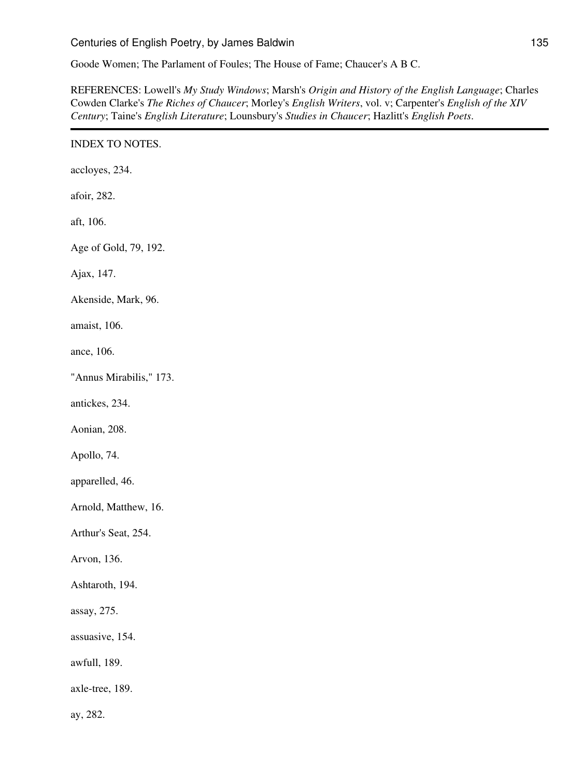Goode Women; The Parlament of Foules; The House of Fame; Chaucer's A B C.

REFERENCES: Lowell's *My Study Windows*; Marsh's *Origin and History of the English Language*; Charles Cowden Clarke's *The Riches of Chaucer*; Morley's *English Writers*, vol. v; Carpenter's *English of the XIV Century*; Taine's *English Literature*; Lounsbury's *Studies in Chaucer*; Hazlitt's *English Poets*.

# INDEX TO NOTES.

accloyes, 234.

afoir, 282.

aft, 106.

Age of Gold, 79, 192.

Ajax, 147.

Akenside, Mark, 96.

amaist, 106.

ance, 106.

"Annus Mirabilis," 173.

antickes, 234.

Aonian, 208.

Apollo, 74.

apparelled, 46.

Arnold, Matthew, 16.

Arthur's Seat, 254.

Arvon, 136.

Ashtaroth, 194.

assay, 275.

assuasive, 154.

awfull, 189.

axle-tree, 189.

ay, 282.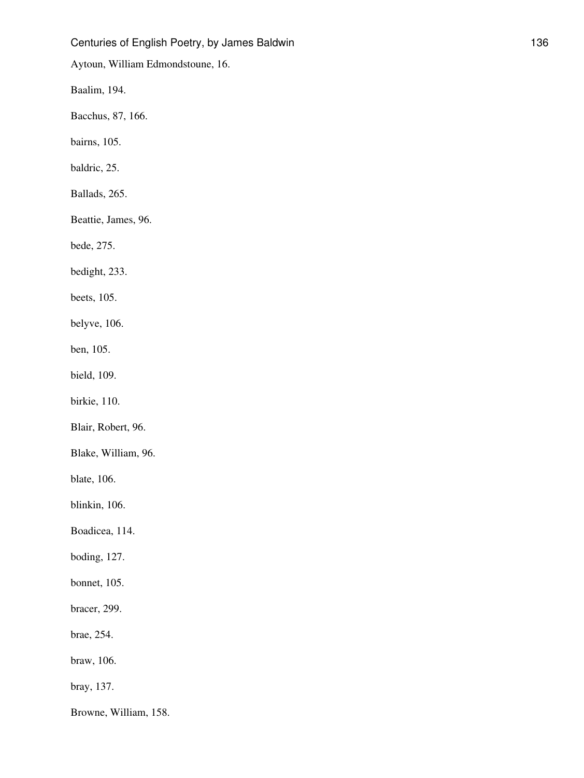Aytoun, William Edmondstoune, 16.

Baalim, 194.

Bacchus, 87, 166.

bairns, 105.

baldric, 25.

Ballads, 265.

Beattie, James, 96.

bede, 275.

bedight, 233.

beets, 105.

belyve, 106.

ben, 105.

bield, 109.

birkie, 110.

Blair, Robert, 96.

Blake, William, 96.

blate, 106.

blinkin, 106.

Boadicea, 114.

boding, 127.

bonnet, 105.

bracer, 299.

brae, 254.

braw, 106.

bray, 137.

Browne, William, 158.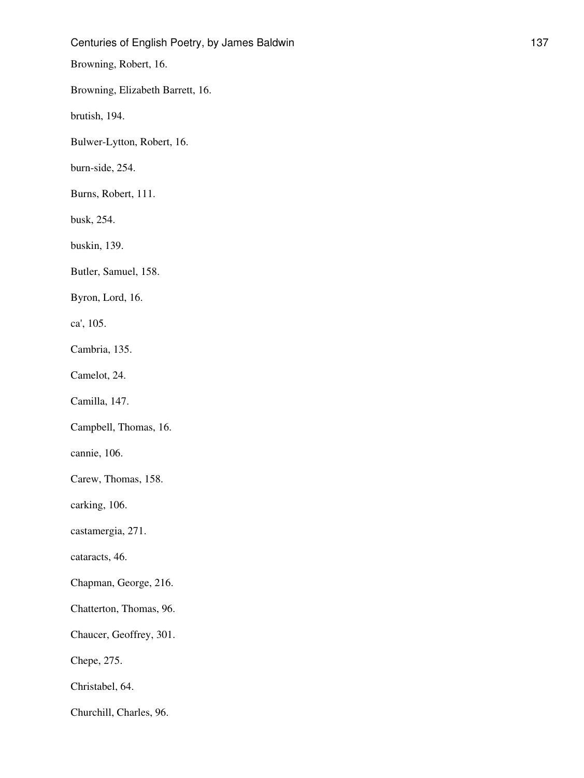Browning, Robert, 16.

Browning, Elizabeth Barrett, 16.

brutish, 194.

Bulwer-Lytton, Robert, 16.

burn-side, 254.

Burns, Robert, 111.

busk, 254.

buskin, 139.

Butler, Samuel, 158.

Byron, Lord, 16.

ca', 105.

Cambria, 135.

Camelot, 24.

Camilla, 147.

Campbell, Thomas, 16.

cannie, 106.

Carew, Thomas, 158.

carking, 106.

castamergia, 271.

cataracts, 46.

Chapman, George, 216.

Chatterton, Thomas, 96.

Chaucer, Geoffrey, 301.

Chepe, 275.

Christabel, 64.

Churchill, Charles, 96.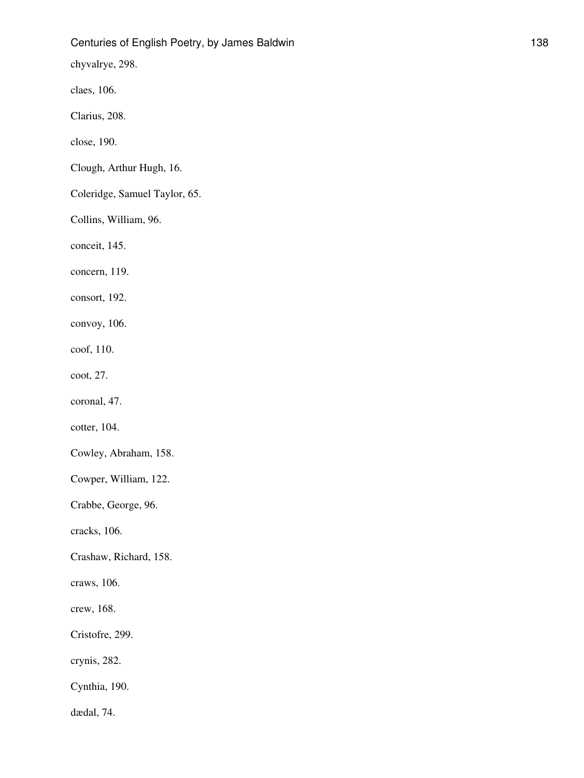chyvalrye, 298.

claes, 106.

Clarius, 208.

close, 190.

Clough, Arthur Hugh, 16.

Coleridge, Samuel Taylor, 65.

Collins, William, 96.

conceit, 145.

concern, 119.

consort, 192.

convoy, 106.

coof, 110.

coot, 27.

coronal, 47.

cotter, 104.

Cowley, Abraham, 158.

Cowper, William, 122.

Crabbe, George, 96.

cracks, 106.

Crashaw, Richard, 158.

craws, 106.

crew, 168.

Cristofre, 299.

crynis, 282.

Cynthia, 190.

dædal, 74.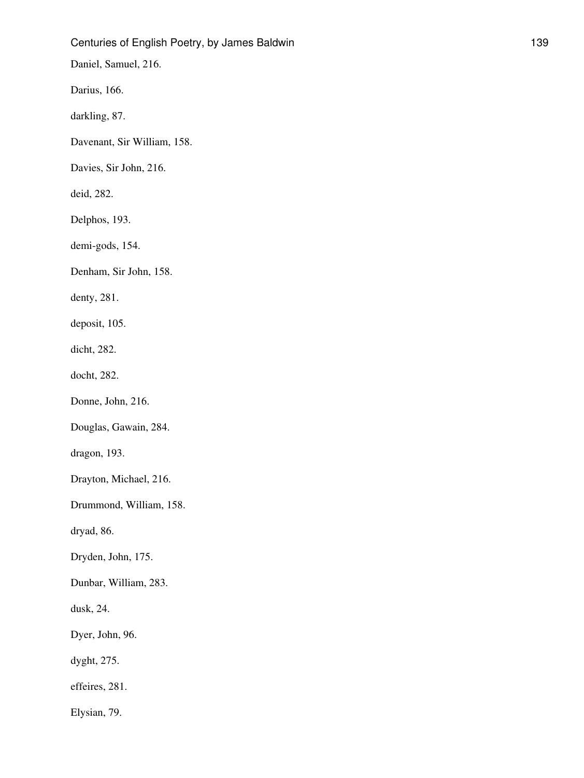Daniel, Samuel, 216.

Darius, 166.

darkling, 87.

Davenant, Sir William, 158.

Davies, Sir John, 216.

deid, 282.

Delphos, 193.

demi-gods, 154.

Denham, Sir John, 158.

denty, 281.

deposit, 105.

dicht, 282.

docht, 282.

Donne, John, 216.

Douglas, Gawain, 284.

dragon, 193.

Drayton, Michael, 216.

Drummond, William, 158.

dryad, 86.

Dryden, John, 175.

Dunbar, William, 283.

dusk, 24.

Dyer, John, 96.

dyght, 275.

effeires, 281.

Elysian, 79.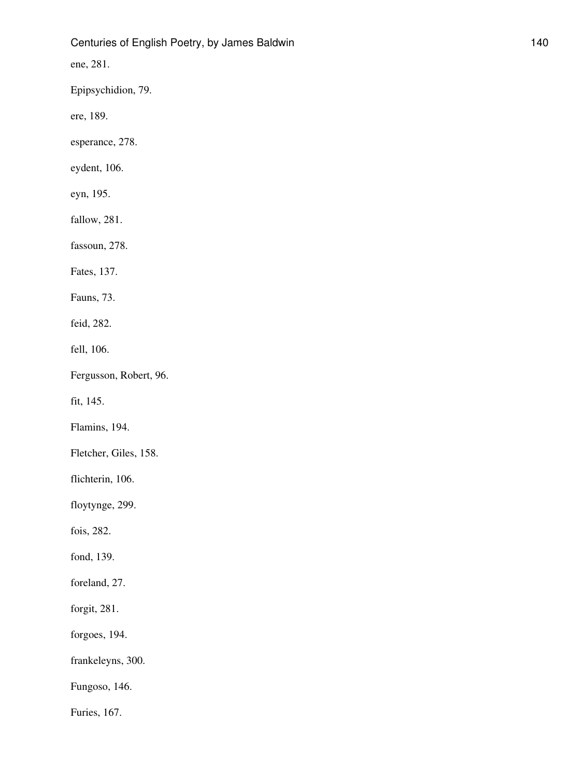ene, 281.

Epipsychidion, 79.

ere, 189.

esperance, 278.

eydent, 106.

eyn, 195.

fallow, 281.

fassoun, 278.

Fates, 137.

Fauns, 73.

feid, 282.

fell, 106.

Fergusson, Robert, 96.

fit, 145.

Flamins, 194.

Fletcher, Giles, 158.

flichterin, 106.

floytynge, 299.

fois, 282.

fond, 139.

foreland, 27.

forgit, 281.

forgoes, 194.

frankeleyns, 300.

Fungoso, 146.

Furies, 167.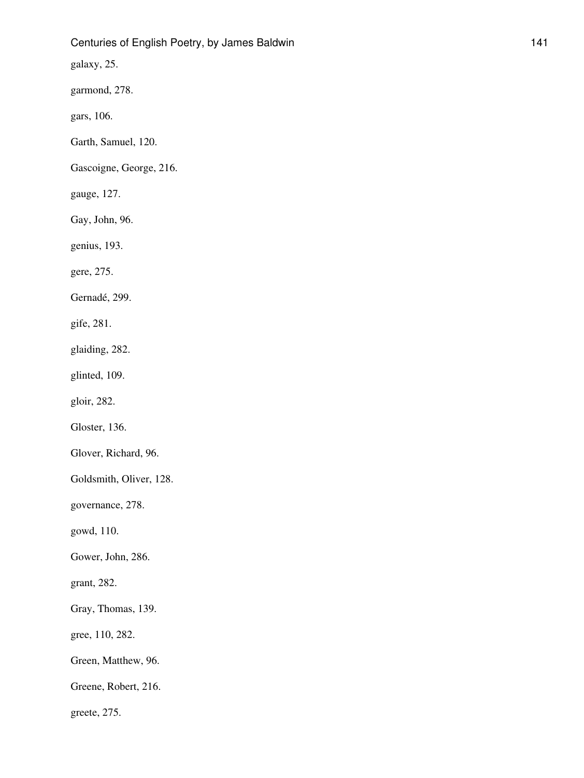galaxy, 25.

garmond, 278.

gars, 106.

Garth, Samuel, 120.

Gascoigne, George, 216.

gauge, 127.

Gay, John, 96.

genius, 193.

gere, 275.

Gernadé, 299.

gife, 281.

glaiding, 282.

glinted, 109.

gloir, 282.

Gloster, 136.

Glover, Richard, 96.

Goldsmith, Oliver, 128.

governance, 278.

gowd, 110.

Gower, John, 286.

grant, 282.

Gray, Thomas, 139.

gree, 110, 282.

Green, Matthew, 96.

Greene, Robert, 216.

greete, 275.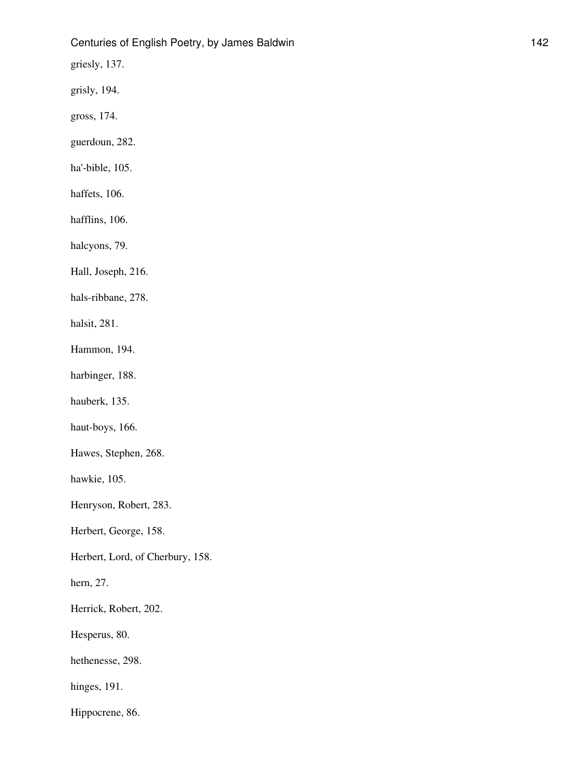griesly, 137.

grisly, 194.

gross, 174.

guerdoun, 282.

ha'-bible, 105.

haffets, 106.

hafflins, 106.

halcyons, 79.

Hall, Joseph, 216.

hals-ribbane, 278.

halsit, 281.

Hammon, 194.

harbinger, 188.

hauberk, 135.

haut-boys, 166.

Hawes, Stephen, 268.

hawkie, 105.

Henryson, Robert, 283.

Herbert, George, 158.

Herbert, Lord, of Cherbury, 158.

hern, 27.

Herrick, Robert, 202.

Hesperus, 80.

hethenesse, 298.

hinges, 191.

Hippocrene, 86.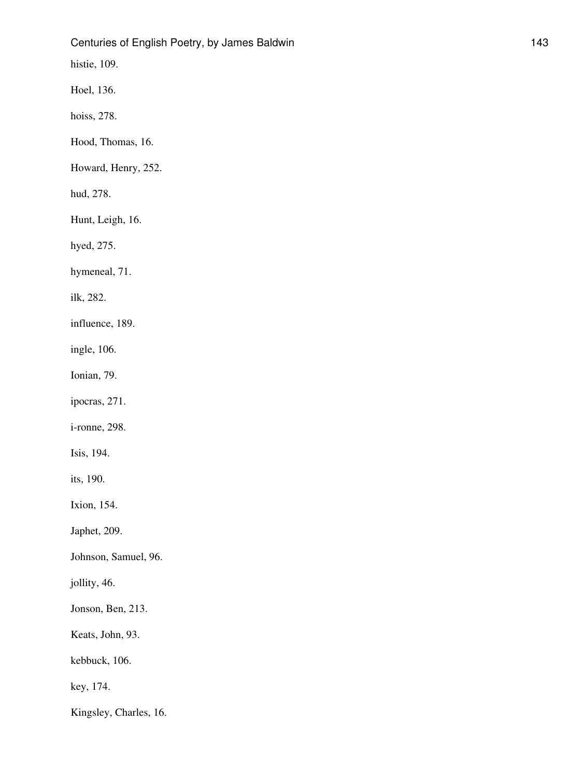histie, 109.

Hoel, 136.

hoiss, 278.

Hood, Thomas, 16.

Howard, Henry, 252.

hud, 278.

Hunt, Leigh, 16.

hyed, 275.

hymeneal, 71.

ilk, 282.

influence, 189.

ingle, 106.

Ionian, 79.

ipocras, 271.

i-ronne, 298.

Isis, 194.

its, 190.

Ixion, 154.

Japhet, 209.

Johnson, Samuel, 96.

jollity, 46.

Jonson, Ben, 213.

Keats, John, 93.

kebbuck, 106.

key, 174.

Kingsley, Charles, 16.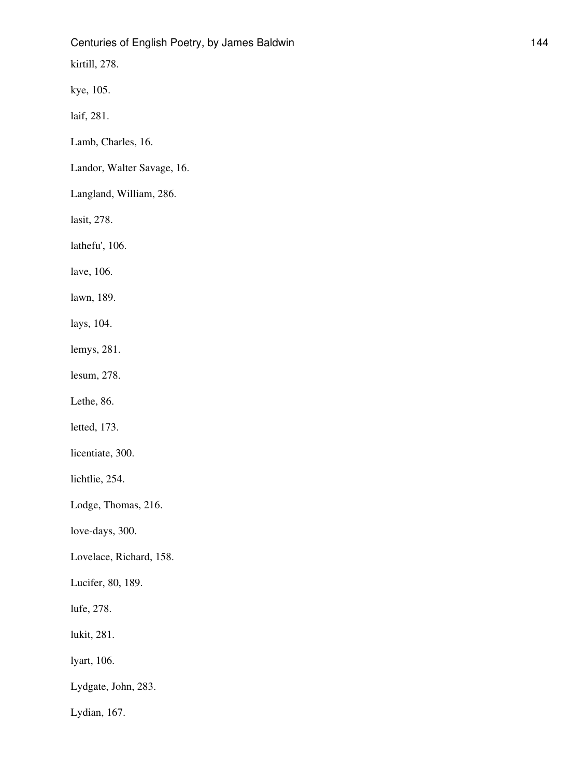kirtill, 278.

kye, 105.

laif, 281.

Lamb, Charles, 16.

Landor, Walter Savage, 16.

Langland, William, 286.

lasit, 278.

lathefu', 106.

lave, 106.

lawn, 189.

lays, 104.

lemys, 281.

lesum, 278.

Lethe, 86.

letted, 173.

licentiate, 300.

lichtlie, 254.

Lodge, Thomas, 216.

love-days, 300.

Lovelace, Richard, 158.

Lucifer, 80, 189.

lufe, 278.

lukit, 281.

lyart, 106.

Lydgate, John, 283.

Lydian, 167.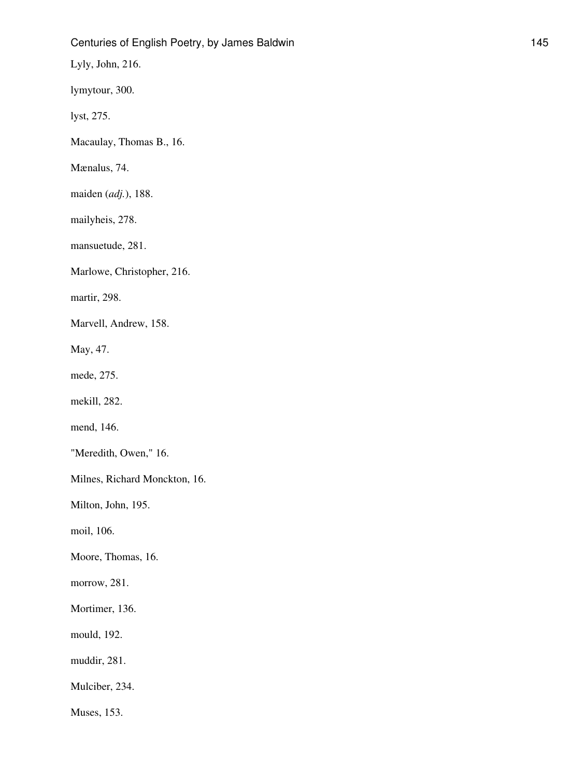Lyly, John, 216.

lymytour, 300.

lyst, 275.

Macaulay, Thomas B., 16.

Mænalus, 74.

maiden (*adj.*), 188.

mailyheis, 278.

mansuetude, 281.

Marlowe, Christopher, 216.

martir, 298.

Marvell, Andrew, 158.

May, 47.

mede, 275.

mekill, 282.

mend, 146.

"Meredith, Owen," 16.

Milnes, Richard Monckton, 16.

Milton, John, 195.

moil, 106.

Moore, Thomas, 16.

morrow, 281.

Mortimer, 136.

mould, 192.

muddir, 281.

Mulciber, 234.

Muses, 153.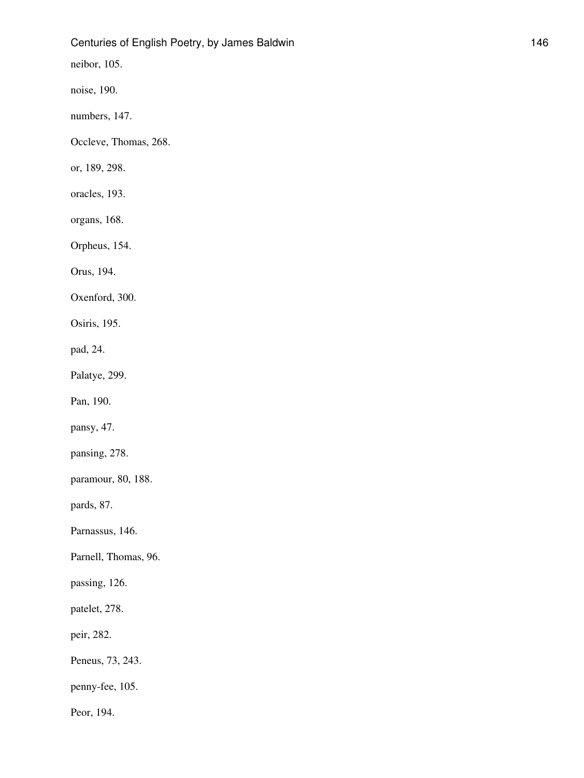neibor, 105.

noise, 190.

numbers, 147.

Occleve, Thomas, 268.

or, 189, 298.

oracles, 193.

organs, 168.

Orpheus, 154.

Orus, 194.

Oxenford, 300.

Osiris, 195.

pad, 24.

Palatye, 299.

Pan, 190.

pansy, 47.

pansing, 278.

paramour, 80, 188.

pards, 87.

Parnassus, 146.

Parnell, Thomas, 96.

passing, 126.

patelet, 278.

peir, 282.

Peneus, 73, 243.

penny-fee, 105.

Peor, 194.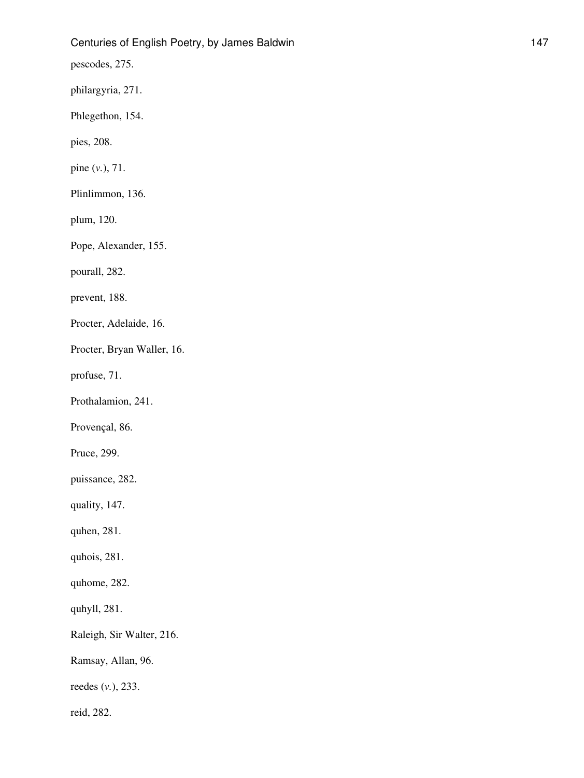pescodes, 275.

philargyria, 271.

Phlegethon, 154.

pies, 208.

pine (*v.*), 71.

Plinlimmon, 136.

plum, 120.

Pope, Alexander, 155.

pourall, 282.

prevent, 188.

Procter, Adelaide, 16.

Procter, Bryan Waller, 16.

profuse, 71.

Prothalamion, 241.

Provençal, 86.

Pruce, 299.

puissance, 282.

quality, 147.

quhen, 281.

quhois, 281.

quhome, 282.

quhyll, 281.

Raleigh, Sir Walter, 216.

Ramsay, Allan, 96.

reedes (*v.*), 233.

reid, 282.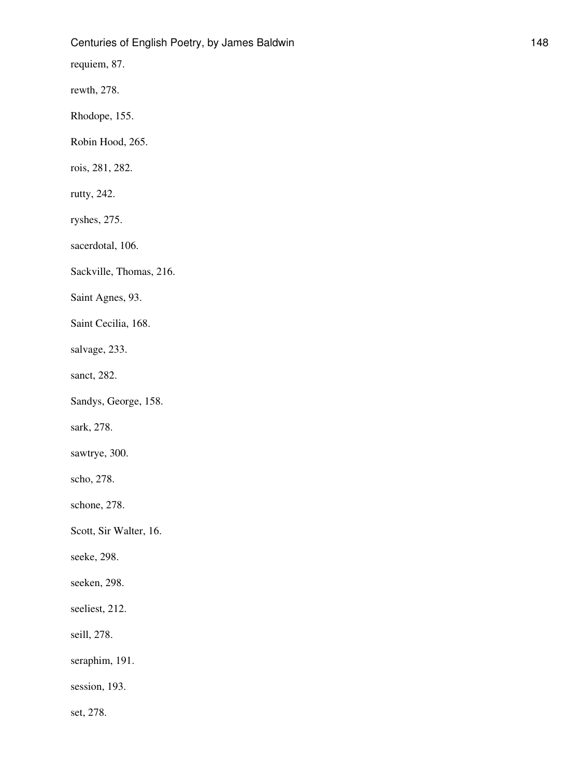requiem, 87.

rewth, 278.

Rhodope, 155.

Robin Hood, 265.

rois, 281, 282.

rutty, 242.

ryshes, 275.

sacerdotal, 106.

Sackville, Thomas, 216.

Saint Agnes, 93.

Saint Cecilia, 168.

salvage, 233.

sanct, 282.

Sandys, George, 158.

sark, 278.

sawtrye, 300.

scho, 278.

schone, 278.

Scott, Sir Walter, 16.

seeke, 298.

seeken, 298.

seeliest, 212.

seill, 278.

seraphim, 191.

session, 193.

set, 278.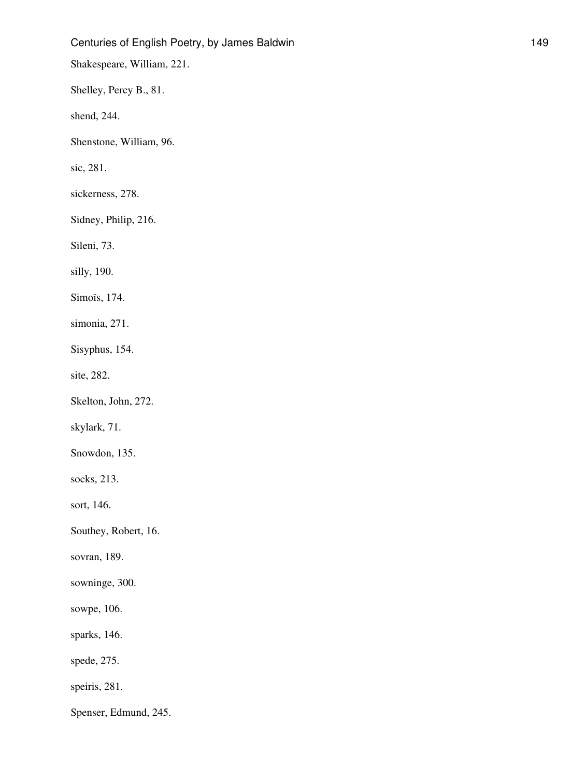Shakespeare, William, 221.

Shelley, Percy B., 81.

shend, 244.

Shenstone, William, 96.

sic, 281.

sickerness, 278.

Sidney, Philip, 216.

Sileni, 73.

silly, 190.

Simoïs, 174.

simonia, 271.

Sisyphus, 154.

site, 282.

Skelton, John, 272.

skylark, 71.

Snowdon, 135.

socks, 213.

sort, 146.

Southey, Robert, 16.

sovran, 189.

sowninge, 300.

sowpe, 106.

sparks, 146.

spede, 275.

speiris, 281.

Spenser, Edmund, 245.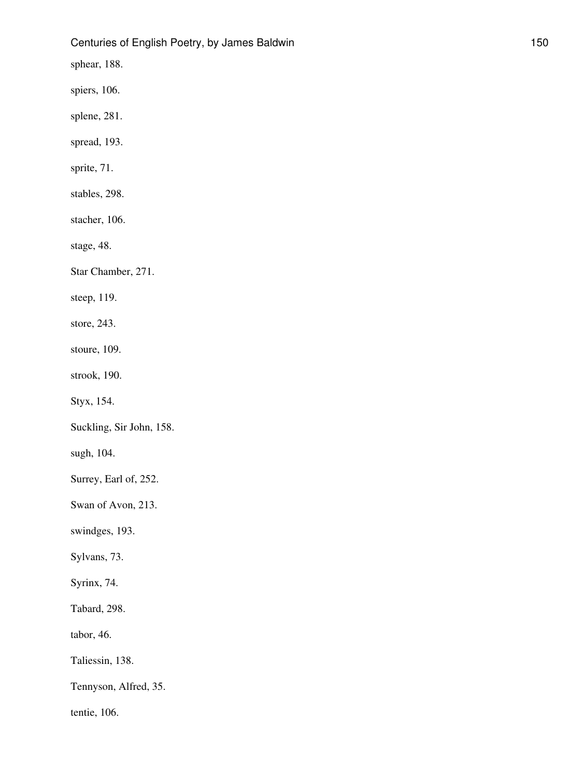sphear, 188.

spiers, 106.

splene, 281.

spread, 193.

sprite, 71.

stables, 298.

stacher, 106.

stage, 48.

Star Chamber, 271.

steep, 119.

store, 243.

stoure, 109.

strook, 190.

Styx, 154.

Suckling, Sir John, 158.

sugh, 104.

Surrey, Earl of, 252.

Swan of Avon, 213.

swindges, 193.

Sylvans, 73.

Syrinx, 74.

Tabard, 298.

tabor, 46.

Taliessin, 138.

Tennyson, Alfred, 35.

tentie, 106.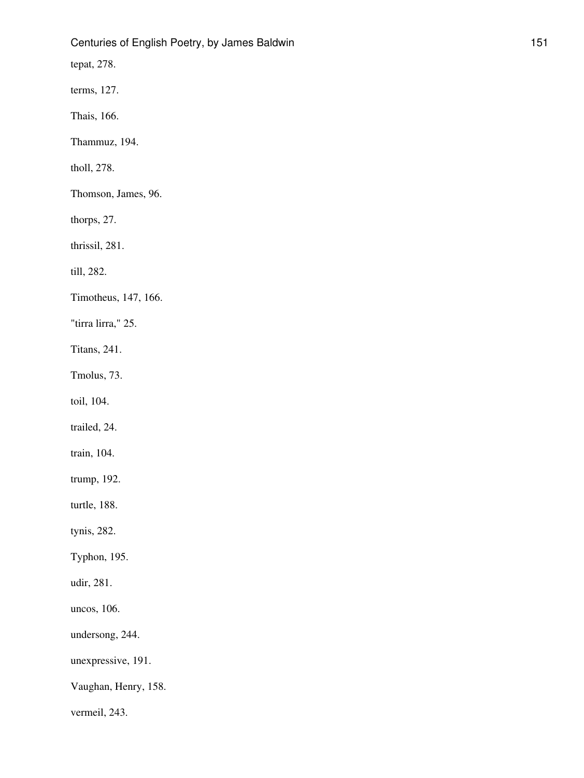tepat, 278.

terms, 127.

Thais, 166.

Thammuz, 194.

tholl, 278.

Thomson, James, 96.

thorps, 27.

thrissil, 281.

till, 282.

Timotheus, 147, 166.

"tirra lirra," 25.

Titans, 241.

Tmolus, 73.

toil, 104.

trailed, 24.

train, 104.

trump, 192.

turtle, 188.

tynis, 282.

Typhon, 195.

udir, 281.

uncos, 106.

undersong, 244.

unexpressive, 191.

Vaughan, Henry, 158.

vermeil, 243.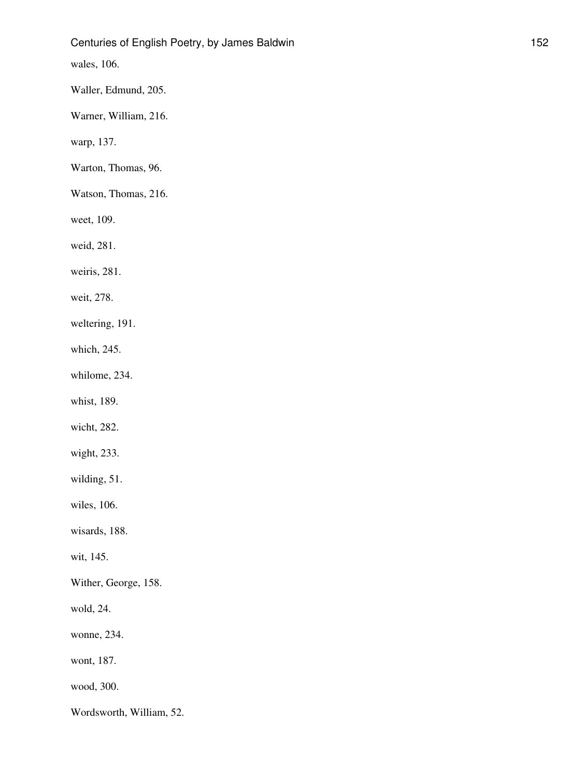wales, 106.

Waller, Edmund, 205.

Warner, William, 216.

warp, 137.

Warton, Thomas, 96.

Watson, Thomas, 216.

weet, 109.

weid, 281.

weiris, 281.

weit, 278.

weltering, 191.

which, 245.

whilome, 234.

whist, 189.

wicht, 282.

wight, 233.

wilding, 51.

wiles, 106.

wisards, 188.

wit, 145.

Wither, George, 158.

wold, 24.

wonne, 234.

wont, 187.

wood, 300.

Wordsworth, William, 52.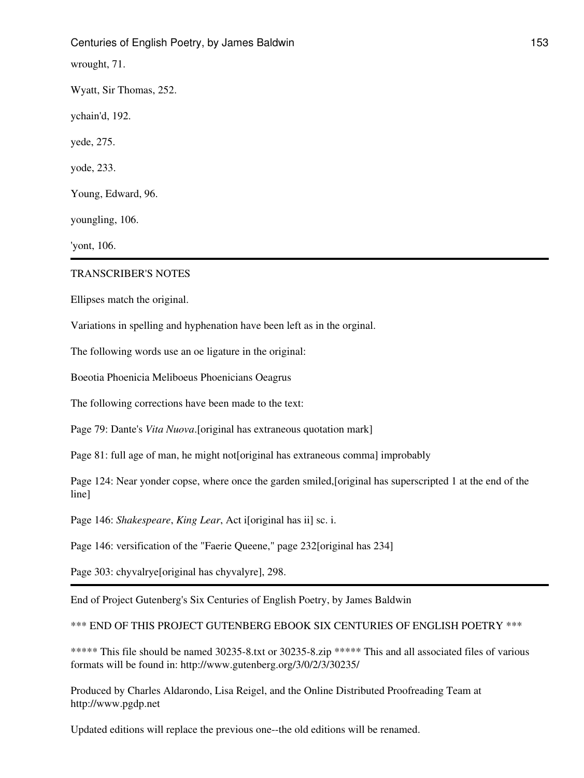wrought, 71.

Wyatt, Sir Thomas, 252.

ychain'd, 192.

yede, 275.

yode, 233.

Young, Edward, 96.

youngling, 106.

'yont, 106.

#### TRANSCRIBER'S NOTES

Ellipses match the original.

Variations in spelling and hyphenation have been left as in the orginal.

The following words use an oe ligature in the original:

Boeotia Phoenicia Meliboeus Phoenicians Oeagrus

The following corrections have been made to the text:

Page 79: Dante's *Vita Nuova*.[original has extraneous quotation mark]

Page 81: full age of man, he might not[original has extraneous comma] improbably

Page 124: Near yonder copse, where once the garden smiled,[original has superscripted 1 at the end of the line]

Page 146: *Shakespeare*, *King Lear*, Act i[original has ii] sc. i.

Page 146: versification of the "Faerie Queene," page 232[original has 234]

Page 303: chyvalrye[original has chyvalyre], 298.

End of Project Gutenberg's Six Centuries of English Poetry, by James Baldwin

\*\*\* END OF THIS PROJECT GUTENBERG EBOOK SIX CENTURIES OF ENGLISH POETRY \*\*\*

\*\*\*\*\* This file should be named 30235-8.txt or 30235-8.zip \*\*\*\*\* This and all associated files of various formats will be found in: http://www.gutenberg.org/3/0/2/3/30235/

Produced by Charles Aldarondo, Lisa Reigel, and the Online Distributed Proofreading Team at http://www.pgdp.net

Updated editions will replace the previous one--the old editions will be renamed.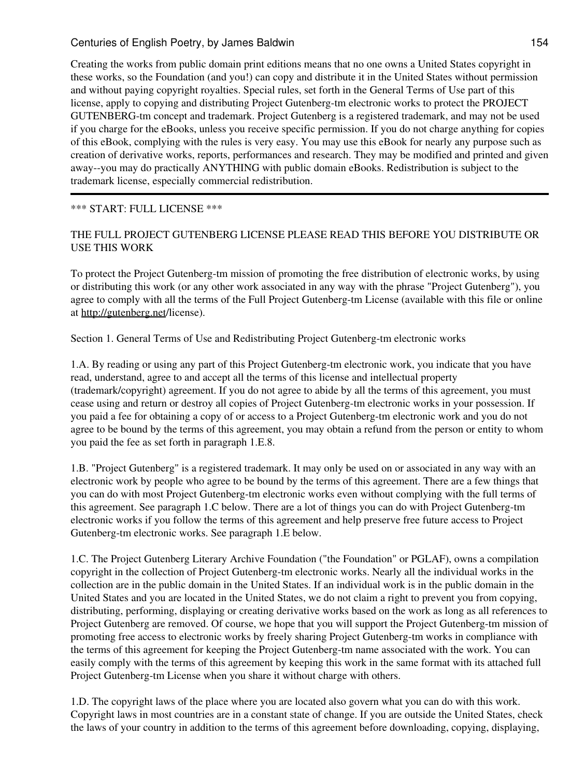Creating the works from public domain print editions means that no one owns a United States copyright in these works, so the Foundation (and you!) can copy and distribute it in the United States without permission and without paying copyright royalties. Special rules, set forth in the General Terms of Use part of this license, apply to copying and distributing Project Gutenberg-tm electronic works to protect the PROJECT GUTENBERG-tm concept and trademark. Project Gutenberg is a registered trademark, and may not be used if you charge for the eBooks, unless you receive specific permission. If you do not charge anything for copies of this eBook, complying with the rules is very easy. You may use this eBook for nearly any purpose such as creation of derivative works, reports, performances and research. They may be modified and printed and given away--you may do practically ANYTHING with public domain eBooks. Redistribution is subject to the trademark license, especially commercial redistribution.

### \*\*\* START: FULL LICENSE \*\*\*

## THE FULL PROJECT GUTENBERG LICENSE PLEASE READ THIS BEFORE YOU DISTRIBUTE OR USE THIS WORK

To protect the Project Gutenberg-tm mission of promoting the free distribution of electronic works, by using or distributing this work (or any other work associated in any way with the phrase "Project Gutenberg"), you agree to comply with all the terms of the Full Project Gutenberg-tm License (available with this file or online at <http://gutenberg.net>/license).

Section 1. General Terms of Use and Redistributing Project Gutenberg-tm electronic works

1.A. By reading or using any part of this Project Gutenberg-tm electronic work, you indicate that you have read, understand, agree to and accept all the terms of this license and intellectual property (trademark/copyright) agreement. If you do not agree to abide by all the terms of this agreement, you must cease using and return or destroy all copies of Project Gutenberg-tm electronic works in your possession. If you paid a fee for obtaining a copy of or access to a Project Gutenberg-tm electronic work and you do not agree to be bound by the terms of this agreement, you may obtain a refund from the person or entity to whom you paid the fee as set forth in paragraph 1.E.8.

1.B. "Project Gutenberg" is a registered trademark. It may only be used on or associated in any way with an electronic work by people who agree to be bound by the terms of this agreement. There are a few things that you can do with most Project Gutenberg-tm electronic works even without complying with the full terms of this agreement. See paragraph 1.C below. There are a lot of things you can do with Project Gutenberg-tm electronic works if you follow the terms of this agreement and help preserve free future access to Project Gutenberg-tm electronic works. See paragraph 1.E below.

1.C. The Project Gutenberg Literary Archive Foundation ("the Foundation" or PGLAF), owns a compilation copyright in the collection of Project Gutenberg-tm electronic works. Nearly all the individual works in the collection are in the public domain in the United States. If an individual work is in the public domain in the United States and you are located in the United States, we do not claim a right to prevent you from copying, distributing, performing, displaying or creating derivative works based on the work as long as all references to Project Gutenberg are removed. Of course, we hope that you will support the Project Gutenberg-tm mission of promoting free access to electronic works by freely sharing Project Gutenberg-tm works in compliance with the terms of this agreement for keeping the Project Gutenberg-tm name associated with the work. You can easily comply with the terms of this agreement by keeping this work in the same format with its attached full Project Gutenberg-tm License when you share it without charge with others.

1.D. The copyright laws of the place where you are located also govern what you can do with this work. Copyright laws in most countries are in a constant state of change. If you are outside the United States, check the laws of your country in addition to the terms of this agreement before downloading, copying, displaying,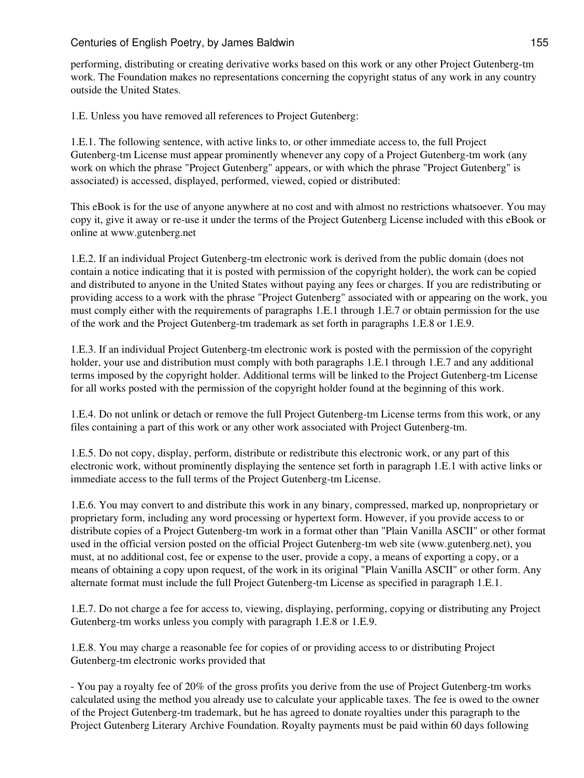performing, distributing or creating derivative works based on this work or any other Project Gutenberg-tm work. The Foundation makes no representations concerning the copyright status of any work in any country outside the United States.

1.E. Unless you have removed all references to Project Gutenberg:

1.E.1. The following sentence, with active links to, or other immediate access to, the full Project Gutenberg-tm License must appear prominently whenever any copy of a Project Gutenberg-tm work (any work on which the phrase "Project Gutenberg" appears, or with which the phrase "Project Gutenberg" is associated) is accessed, displayed, performed, viewed, copied or distributed:

This eBook is for the use of anyone anywhere at no cost and with almost no restrictions whatsoever. You may copy it, give it away or re-use it under the terms of the Project Gutenberg License included with this eBook or online at www.gutenberg.net

1.E.2. If an individual Project Gutenberg-tm electronic work is derived from the public domain (does not contain a notice indicating that it is posted with permission of the copyright holder), the work can be copied and distributed to anyone in the United States without paying any fees or charges. If you are redistributing or providing access to a work with the phrase "Project Gutenberg" associated with or appearing on the work, you must comply either with the requirements of paragraphs 1.E.1 through 1.E.7 or obtain permission for the use of the work and the Project Gutenberg-tm trademark as set forth in paragraphs 1.E.8 or 1.E.9.

1.E.3. If an individual Project Gutenberg-tm electronic work is posted with the permission of the copyright holder, your use and distribution must comply with both paragraphs 1.E.1 through 1.E.7 and any additional terms imposed by the copyright holder. Additional terms will be linked to the Project Gutenberg-tm License for all works posted with the permission of the copyright holder found at the beginning of this work.

1.E.4. Do not unlink or detach or remove the full Project Gutenberg-tm License terms from this work, or any files containing a part of this work or any other work associated with Project Gutenberg-tm.

1.E.5. Do not copy, display, perform, distribute or redistribute this electronic work, or any part of this electronic work, without prominently displaying the sentence set forth in paragraph 1.E.1 with active links or immediate access to the full terms of the Project Gutenberg-tm License.

1.E.6. You may convert to and distribute this work in any binary, compressed, marked up, nonproprietary or proprietary form, including any word processing or hypertext form. However, if you provide access to or distribute copies of a Project Gutenberg-tm work in a format other than "Plain Vanilla ASCII" or other format used in the official version posted on the official Project Gutenberg-tm web site (www.gutenberg.net), you must, at no additional cost, fee or expense to the user, provide a copy, a means of exporting a copy, or a means of obtaining a copy upon request, of the work in its original "Plain Vanilla ASCII" or other form. Any alternate format must include the full Project Gutenberg-tm License as specified in paragraph 1.E.1.

1.E.7. Do not charge a fee for access to, viewing, displaying, performing, copying or distributing any Project Gutenberg-tm works unless you comply with paragraph 1.E.8 or 1.E.9.

1.E.8. You may charge a reasonable fee for copies of or providing access to or distributing Project Gutenberg-tm electronic works provided that

- You pay a royalty fee of 20% of the gross profits you derive from the use of Project Gutenberg-tm works calculated using the method you already use to calculate your applicable taxes. The fee is owed to the owner of the Project Gutenberg-tm trademark, but he has agreed to donate royalties under this paragraph to the Project Gutenberg Literary Archive Foundation. Royalty payments must be paid within 60 days following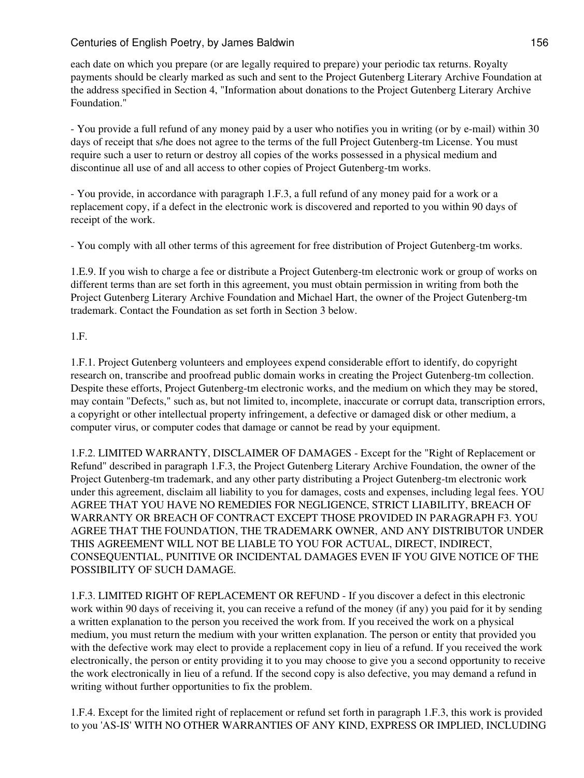each date on which you prepare (or are legally required to prepare) your periodic tax returns. Royalty payments should be clearly marked as such and sent to the Project Gutenberg Literary Archive Foundation at the address specified in Section 4, "Information about donations to the Project Gutenberg Literary Archive Foundation."

- You provide a full refund of any money paid by a user who notifies you in writing (or by e-mail) within 30 days of receipt that s/he does not agree to the terms of the full Project Gutenberg-tm License. You must require such a user to return or destroy all copies of the works possessed in a physical medium and discontinue all use of and all access to other copies of Project Gutenberg-tm works.

- You provide, in accordance with paragraph 1.F.3, a full refund of any money paid for a work or a replacement copy, if a defect in the electronic work is discovered and reported to you within 90 days of receipt of the work.

- You comply with all other terms of this agreement for free distribution of Project Gutenberg-tm works.

1.E.9. If you wish to charge a fee or distribute a Project Gutenberg-tm electronic work or group of works on different terms than are set forth in this agreement, you must obtain permission in writing from both the Project Gutenberg Literary Archive Foundation and Michael Hart, the owner of the Project Gutenberg-tm trademark. Contact the Foundation as set forth in Section 3 below.

#### 1.F.

1.F.1. Project Gutenberg volunteers and employees expend considerable effort to identify, do copyright research on, transcribe and proofread public domain works in creating the Project Gutenberg-tm collection. Despite these efforts, Project Gutenberg-tm electronic works, and the medium on which they may be stored, may contain "Defects," such as, but not limited to, incomplete, inaccurate or corrupt data, transcription errors, a copyright or other intellectual property infringement, a defective or damaged disk or other medium, a computer virus, or computer codes that damage or cannot be read by your equipment.

1.F.2. LIMITED WARRANTY, DISCLAIMER OF DAMAGES - Except for the "Right of Replacement or Refund" described in paragraph 1.F.3, the Project Gutenberg Literary Archive Foundation, the owner of the Project Gutenberg-tm trademark, and any other party distributing a Project Gutenberg-tm electronic work under this agreement, disclaim all liability to you for damages, costs and expenses, including legal fees. YOU AGREE THAT YOU HAVE NO REMEDIES FOR NEGLIGENCE, STRICT LIABILITY, BREACH OF WARRANTY OR BREACH OF CONTRACT EXCEPT THOSE PROVIDED IN PARAGRAPH F3. YOU AGREE THAT THE FOUNDATION, THE TRADEMARK OWNER, AND ANY DISTRIBUTOR UNDER THIS AGREEMENT WILL NOT BE LIABLE TO YOU FOR ACTUAL, DIRECT, INDIRECT, CONSEQUENTIAL, PUNITIVE OR INCIDENTAL DAMAGES EVEN IF YOU GIVE NOTICE OF THE POSSIBILITY OF SUCH DAMAGE.

1.F.3. LIMITED RIGHT OF REPLACEMENT OR REFUND - If you discover a defect in this electronic work within 90 days of receiving it, you can receive a refund of the money (if any) you paid for it by sending a written explanation to the person you received the work from. If you received the work on a physical medium, you must return the medium with your written explanation. The person or entity that provided you with the defective work may elect to provide a replacement copy in lieu of a refund. If you received the work electronically, the person or entity providing it to you may choose to give you a second opportunity to receive the work electronically in lieu of a refund. If the second copy is also defective, you may demand a refund in writing without further opportunities to fix the problem.

1.F.4. Except for the limited right of replacement or refund set forth in paragraph 1.F.3, this work is provided to you 'AS-IS' WITH NO OTHER WARRANTIES OF ANY KIND, EXPRESS OR IMPLIED, INCLUDING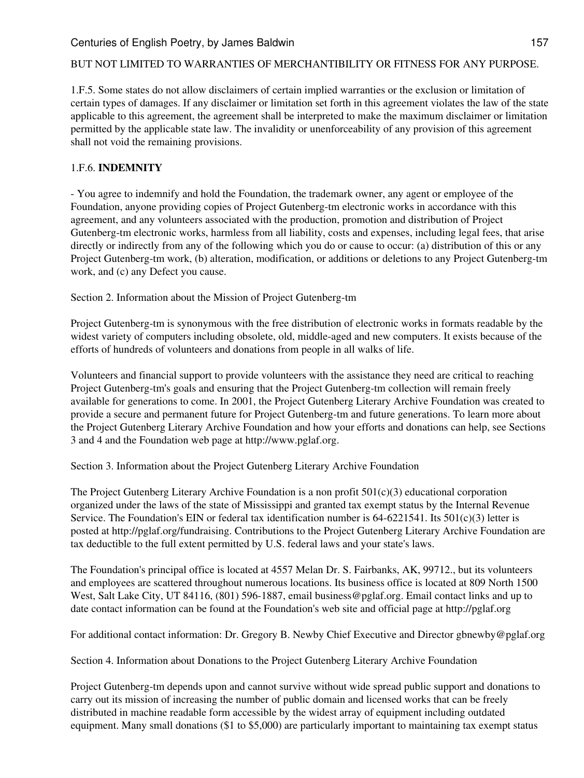#### BUT NOT LIMITED TO WARRANTIES OF MERCHANTIBILITY OR FITNESS FOR ANY PURPOSE.

1.F.5. Some states do not allow disclaimers of certain implied warranties or the exclusion or limitation of certain types of damages. If any disclaimer or limitation set forth in this agreement violates the law of the state applicable to this agreement, the agreement shall be interpreted to make the maximum disclaimer or limitation permitted by the applicable state law. The invalidity or unenforceability of any provision of this agreement shall not void the remaining provisions.

#### 1.F.6. **INDEMNITY**

- You agree to indemnify and hold the Foundation, the trademark owner, any agent or employee of the Foundation, anyone providing copies of Project Gutenberg-tm electronic works in accordance with this agreement, and any volunteers associated with the production, promotion and distribution of Project Gutenberg-tm electronic works, harmless from all liability, costs and expenses, including legal fees, that arise directly or indirectly from any of the following which you do or cause to occur: (a) distribution of this or any Project Gutenberg-tm work, (b) alteration, modification, or additions or deletions to any Project Gutenberg-tm work, and (c) any Defect you cause.

Section 2. Information about the Mission of Project Gutenberg-tm

Project Gutenberg-tm is synonymous with the free distribution of electronic works in formats readable by the widest variety of computers including obsolete, old, middle-aged and new computers. It exists because of the efforts of hundreds of volunteers and donations from people in all walks of life.

Volunteers and financial support to provide volunteers with the assistance they need are critical to reaching Project Gutenberg-tm's goals and ensuring that the Project Gutenberg-tm collection will remain freely available for generations to come. In 2001, the Project Gutenberg Literary Archive Foundation was created to provide a secure and permanent future for Project Gutenberg-tm and future generations. To learn more about the Project Gutenberg Literary Archive Foundation and how your efforts and donations can help, see Sections 3 and 4 and the Foundation web page at http://www.pglaf.org.

Section 3. Information about the Project Gutenberg Literary Archive Foundation

The Project Gutenberg Literary Archive Foundation is a non profit  $501(c)(3)$  educational corporation organized under the laws of the state of Mississippi and granted tax exempt status by the Internal Revenue Service. The Foundation's EIN or federal tax identification number is  $64-6221541$ . Its  $501(c)(3)$  letter is posted at http://pglaf.org/fundraising. Contributions to the Project Gutenberg Literary Archive Foundation are tax deductible to the full extent permitted by U.S. federal laws and your state's laws.

The Foundation's principal office is located at 4557 Melan Dr. S. Fairbanks, AK, 99712., but its volunteers and employees are scattered throughout numerous locations. Its business office is located at 809 North 1500 West, Salt Lake City, UT 84116, (801) 596-1887, email business@pglaf.org. Email contact links and up to date contact information can be found at the Foundation's web site and official page at http://pglaf.org

For additional contact information: Dr. Gregory B. Newby Chief Executive and Director gbnewby@pglaf.org

Section 4. Information about Donations to the Project Gutenberg Literary Archive Foundation

Project Gutenberg-tm depends upon and cannot survive without wide spread public support and donations to carry out its mission of increasing the number of public domain and licensed works that can be freely distributed in machine readable form accessible by the widest array of equipment including outdated equipment. Many small donations (\$1 to \$5,000) are particularly important to maintaining tax exempt status